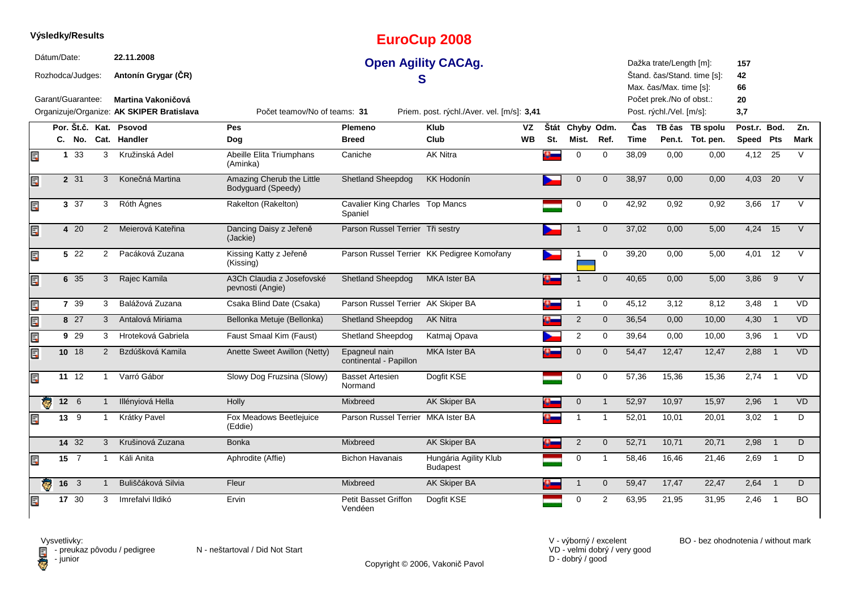|    | Výsledky/Results                |              |             |                |                                           |                                                 |                                            | <b>EuroCup 2008</b>                        |           |     |                 |                |       |                                                    |                             |                 |                            |           |
|----|---------------------------------|--------------|-------------|----------------|-------------------------------------------|-------------------------------------------------|--------------------------------------------|--------------------------------------------|-----------|-----|-----------------|----------------|-------|----------------------------------------------------|-----------------------------|-----------------|----------------------------|-----------|
|    | Dátum/Date:<br>Rozhodca/Judges: |              |             |                | 22.11.2008<br>Antonín Grygar (ČR)         |                                                 |                                            | <b>Open Agility CACAg.</b><br>S            |           |     |                 |                |       | Dažka trate/Length [m]:<br>Max. čas/Max. time [s]: | Štand. čas/Stand. time [s]: | 157<br>42<br>66 |                            |           |
|    | Garant/Guarantee:               |              |             |                | <b>Martina Vakoničová</b>                 |                                                 |                                            |                                            |           |     |                 |                |       | Počet prek./No of obst.:                           |                             | 20              |                            |           |
|    |                                 |              |             |                | Organizuje/Organize: AK SKIPER Bratislava | Počet teamov/No of teams: 31                    |                                            | Priem. post. rýchl./Aver. vel. [m/s]: 3,41 |           |     |                 |                |       | Post. rýchl./Vel. [m/s]:                           |                             | 3,7             |                            |           |
|    |                                 |              |             |                | Por. Št.č. Kat. Psovod                    | <b>Pes</b>                                      | Plemeno                                    | <b>Klub</b>                                | VZ        |     | Štát Chyby Odm. |                | Čas   |                                                    | TB čas TB spolu             | Post.r. Bod.    |                            | Zn.       |
|    |                                 |              | C. No.      |                | Cat. Handler                              | Dog                                             | <b>Breed</b>                               | Club                                       | <b>WB</b> | St. | Mist.           | Ref.           | Time  |                                                    | Pen.t. Tot. pen.            | Speed Pts       |                            | Mark      |
| Ę  |                                 |              | 1 33        | 3              | Kružinská Adel                            | Abeille Elita Triumphans<br>(Aminka)            | Caniche                                    | <b>AK Nitra</b>                            |           |     | $\mathbf 0$     | $\mathbf 0$    | 38,09 | 0,00                                               | 0,00                        | $4,12$ 25       |                            | $\vee$    |
| E  |                                 |              | 2 31        | 3              | Konečná Martina                           | Amazing Cherub the Little<br>Bodyguard (Speedy) | Shetland Sheepdog                          | <b>KK Hodonín</b>                          |           |     | $\mathbf{0}$    | $\mathbf{0}$   | 38,97 | 0,00                                               | 0,00                        | 4,03            | 20                         | $\vee$    |
| E. |                                 |              | 3 37        | 3              | Róth Ágnes                                | Rakelton (Rakelton)                             | Cavalier King Charles Top Mancs<br>Spaniel |                                            |           |     | $\mathbf 0$     | $\mathbf 0$    | 42,92 | 0,92                                               | 0,92                        | 3,66            | 17                         | $\vee$    |
| E. |                                 |              | 4 20        | $\overline{2}$ | Meierová Kateřina                         | Dancing Daisy z Jeřeně<br>(Jackie)              | Parson Russel Terrier Tři sestry           |                                            |           |     |                 | $\mathbf{0}$   | 37,02 | 0,00                                               | 5,00                        | 4,24 15         |                            | $\vee$    |
| Ę  |                                 |              | 5 22        | $\mathbf{2}$   | Pacáková Zuzana                           | Kissing Katty z Jeřeně<br>(Kissing)             |                                            | Parson Russel Terrier KK Pedigree Komořany |           |     | -1              | $\mathbf 0$    | 39,20 | 0,00                                               | 5,00                        | 4,01            | 12                         | $\vee$    |
| Er |                                 |              | 6 35        | 3              | Rajec Kamila                              | A3Ch Claudia z Josefovské<br>pevnosti (Angie)   | <b>Shetland Sheepdog</b>                   | <b>MKA Ister BA</b>                        |           |     |                 | $\mathbf 0$    | 40,65 | 0,00                                               | 5,00                        | 3,86            | 9                          | $\vee$    |
| EC |                                 |              | 7 39        | 3              | Balážová Zuzana                           | Csaka Blind Date (Csaka)                        | Parson Russel Terrier AK Skiper BA         |                                            |           | n.  | $\overline{1}$  | $\mathbf 0$    | 45,12 | 3,12                                               | 8,12                        | 3,48            | $\overline{1}$             | <b>VD</b> |
| Ę  |                                 |              | 8 27        | 3              | Antalová Miriama                          | Bellonka Metuje (Bellonka)                      | <b>Shetland Sheepdog</b>                   | <b>AK Nitra</b>                            |           |     | $\overline{2}$  | $\mathbf 0$    | 36,54 | 0,00                                               | 10,00                       | 4,30            | $\overline{\phantom{0}}$ 1 | <b>VD</b> |
| EC |                                 |              | 9 29        | 3              | Hroteková Gabriela                        | Faust Smaal Kim (Faust)                         | Shetland Sheepdog                          | Katmaj Opava                               |           |     | 2               | $\mathbf 0$    | 39,64 | 0,00                                               | 10,00                       | 3,96            | $\overline{1}$             | <b>VD</b> |
| Ę  |                                 |              | 10 18       | 2              | Bzdúšková Kamila                          | Anette Sweet Awillon (Netty)                    | Epagneul nain<br>continental - Papillon    | <b>MKA Ister BA</b>                        |           |     | $\mathbf{0}$    | $\mathbf{0}$   | 54,47 | 12,47                                              | 12,47                       | 2,88            | $\overline{1}$             | VD.       |
| Ę  |                                 |              | 11 12       | $\mathbf{1}$   | Varró Gábor                               | Slowy Dog Fruzsina (Slowy)                      | <b>Basset Artesien</b><br>Normand          | Dogfit KSE                                 |           |     | $\mathbf 0$     | $\mathbf 0$    | 57,36 | 15,36                                              | 15,36                       | 2,74            | $\overline{1}$             | <b>VD</b> |
|    | $\overline{\mathbf{c}}$         | $12 \quad 6$ |             |                | Illényiová Hella                          | Holly                                           | <b>Mixbreed</b>                            | AK Skiper BA                               |           |     | $\mathbf 0$     | $\overline{1}$ | 52,97 | 10,97                                              | 15,97                       | 2,96            | $\overline{1}$             | <b>VD</b> |
| Ę  |                                 | $13 \quad 9$ |             | 1              | Krátky Pavel                              | Fox Meadows Beetlejuice<br>(Eddie)              | Parson Russel Terrier MKA Ister BA         |                                            |           |     | $\mathbf{1}$    | -1             | 52,01 | 10,01                                              | 20,01                       | 3,02            | $\overline{1}$             | D         |
|    |                                 |              | 14 32       | 3              | Krušinová Zuzana                          | <b>Bonka</b>                                    | <b>Mixbreed</b>                            | AK Skiper BA                               |           |     | 2               | $\mathbf{0}$   | 52,71 | 10,71                                              | 20,71                       | 2,98            | $\overline{1}$             | D         |
| Ę  |                                 | $15 \quad 7$ |             |                | Káli Anita                                | Aphrodite (Affie)                               | <b>Bichon Havanais</b>                     | Hungária Agility Klub<br><b>Budapest</b>   |           |     | 0               | $\overline{1}$ | 58,46 | 16,46                                              | 21,46                       | 2,69            | $\overline{1}$             | D         |
|    | ę.                              | 16 3         |             | $\mathbf{1}$   | Buliščáková Silvia                        | Fleur                                           | Mixbreed                                   | AK Skiper BA                               |           |     | $\overline{1}$  | $\mathbf 0$    | 59,47 | 17,47                                              | 22,47                       | $2,64$ 1        |                            | D         |
| E  |                                 |              | $17 \ \ 30$ | 3              | Imrefalvi Ildikó                          | Ervin                                           | Petit Basset Griffon<br>Vendéen            | Dogfit KSE                                 |           |     | $\mathbf 0$     | 2              | 63,95 | 21,95                                              | 31,95                       | 2,46            | $\overline{1}$             | <b>BO</b> |

Copyright © 2006, Vakonič Pavol

VD - velmi dobrý / very good D - dobrý / good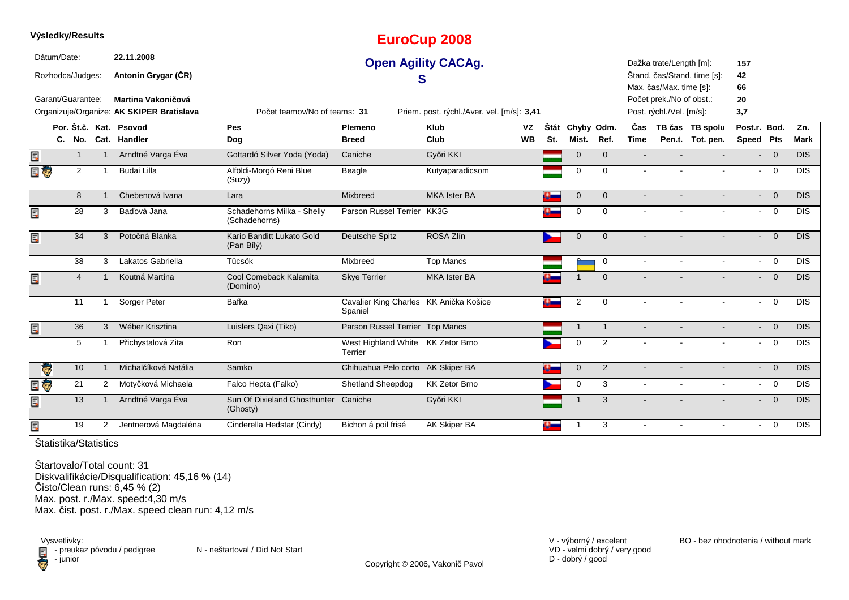|    | Výsledky/Results                |                |                |                                                                 |                                             |                                                   | <b>EuroCup 2008</b>                        |           |      |                |                |                |                                                      |                             |                 |                |                  |
|----|---------------------------------|----------------|----------------|-----------------------------------------------------------------|---------------------------------------------|---------------------------------------------------|--------------------------------------------|-----------|------|----------------|----------------|----------------|------------------------------------------------------|-----------------------------|-----------------|----------------|------------------|
|    | Dátum/Date:<br>Rozhodca/Judges: |                |                | 22.11.2008<br>Antonín Grygar (ČR)                               |                                             |                                                   | <b>Open Agility CACAg.</b><br>S            |           |      |                |                |                | Dažka trate/Length [m]:<br>Max. čas/Max. time [s]:   | Štand. čas/Stand. time [s]: | 157<br>42<br>66 |                |                  |
|    | Garant/Guarantee:               |                |                | Martina Vakoničová<br>Organizuje/Organize: AK SKIPER Bratislava | Počet teamov/No of teams: 31                |                                                   | Priem. post. rýchl./Aver. vel. [m/s]: 3,41 |           |      |                |                |                | Počet prek./No of obst.:<br>Post. rýchl./Vel. [m/s]: |                             | 20<br>3,7       |                |                  |
|    |                                 |                |                | Por. Št.č. Kat. Psovod                                          | Pes                                         | Plemeno                                           | <b>Klub</b>                                | <b>VZ</b> | Štát | Chyby Odm.     |                | Čas            |                                                      | TB čas TB spolu             | Post.r. Bod.    |                | Zn.              |
|    |                                 |                |                | C. No. Cat. Handler                                             | Dog                                         | <b>Breed</b>                                      | Club                                       | <b>WB</b> | St.  | Mist.          | Ref.           | <b>Time</b>    |                                                      | Pen.t. Tot. pen.            | Speed Pts       |                | <b>Mark</b>      |
| Ē. |                                 | $\mathbf{1}$   | $\mathbf{1}$   | Arndtné Varga Éva                                               | Gottardó Silver Yoda (Yoda)                 | Caniche                                           | Győri KKI                                  |           |      | $\mathbf{0}$   | $\mathbf{0}$   |                |                                                      |                             |                 | $- 0$          | <b>DIS</b>       |
|    | E G                             | $\overline{2}$ |                | Budai Lilla                                                     | Alföldi-Morgó Reni Blue<br>(Suzy)           | Beagle                                            | Kutyaparadicsom                            |           |      | $\Omega$       | $\Omega$       |                |                                                      |                             | $\sim$          | $\overline{0}$ | <b>DIS</b>       |
|    |                                 | 8              |                | Chebenová Ivana                                                 | Lara                                        | Mixbreed                                          | <b>MKA Ister BA</b>                        |           |      | $\mathbf 0$    | $\mathbf 0$    | $\blacksquare$ |                                                      |                             |                 | $- 0$          | <b>DIS</b>       |
| E  |                                 | 28             | 3              | Baďová Jana                                                     | Schadehorns Milka - Shelly<br>(Schadehorns) | Parson Russel Terrier KK3G                        |                                            |           |      | $\mathbf 0$    | $\Omega$       |                |                                                      |                             |                 | $- 0$          | <b>DIS</b>       |
| E  |                                 | 34             | 3              | Potočná Blanka                                                  | Kario Banditt Lukato Gold<br>(Pan Bílý)     | Deutsche Spitz                                    | ROSA Zlín                                  |           |      | $\mathbf 0$    | $\overline{0}$ |                |                                                      |                             |                 | $- 0$          | <b>DIS</b>       |
|    |                                 | 38             | 3              | Lakatos Gabriella                                               | Tücsök                                      | Mixbreed                                          | <b>Top Mancs</b>                           |           |      |                | $\mathbf 0$    | $\blacksquare$ |                                                      | $\sim$                      | $\sim$          | $\overline{0}$ | $\overline{DIS}$ |
| E  |                                 | $\overline{4}$ |                | Koutná Martina                                                  | Cool Comeback Kalamita<br>(Domino)          | <b>Skye Terrier</b>                               | <b>MKA Ister BA</b>                        |           |      |                | $\Omega$       |                |                                                      |                             |                 | $- 0$          | DIS              |
|    |                                 | 11             |                | Sorger Peter                                                    | Bafka                                       | Cavalier King Charles KK Anička Košice<br>Spaniel |                                            |           | o –  | $\overline{2}$ | $\mathbf 0$    |                |                                                      |                             | $\sim$          | $\overline{0}$ | <b>DIS</b>       |
| Ē, |                                 | 36             | 3              | Wéber Krisztina                                                 | Luislers Qaxi (Tiko)                        | Parson Russel Terrier Top Mancs                   |                                            |           |      | $\overline{1}$ | $\overline{1}$ |                |                                                      |                             |                 | $- 0$          | DIS              |
|    |                                 | 5              |                | Přichystalová Zita                                              | Ron                                         | West Highland White KK Zetor Brno<br>Terrier      |                                            |           |      | $\mathbf 0$    | 2              |                |                                                      |                             |                 | $- 0$          | <b>DIS</b>       |
|    | $\bullet$                       | 10             | $\mathbf{1}$   | Michalčíková Natália                                            | Samko                                       | Chihuahua Pelo corto AK Skiper BA                 |                                            |           |      | $\mathbf 0$    | 2              |                |                                                      |                             |                 | $- 0$          | <b>DIS</b>       |
| Ę  | <b>G</b>                        | 21             | 2              | Motyčková Michaela                                              | Falco Hepta (Falko)                         | Shetland Sheepdog                                 | <b>KK Zetor Brno</b>                       |           |      | $\mathbf 0$    | 3              | $\sim$         | $\sim$                                               | $\sim$                      |                 | $- 0$          | $\overline{DIS}$ |
| E  |                                 | 13             |                | Arndtné Varga Éva                                               | Sun Of Dixieland Ghosthunter<br>(Ghosty)    | Caniche                                           | Győri KKI                                  |           |      |                | 3              |                |                                                      |                             |                 | $\overline{0}$ | DIS              |
| E  |                                 | 19             | $\overline{2}$ | Jentnerová Magdaléna                                            | Cinderella Hedstar (Cindy)                  | Bichon á poil frisé                               | AK Skiper BA                               |           | a.   | $\mathbf 1$    | 3              | $\sim$         | $\sim$                                               | $\sim$                      |                 | $- 0$          | <b>DIS</b>       |
|    |                                 |                |                |                                                                 |                                             |                                                   |                                            |           |      |                |                |                |                                                      |                             |                 |                |                  |

**Výsledky/Results**

Štartovalo/Total count: 31 Diskvalifikácie/Disqualification: 45,16 % (14)Čisto/Clean runs: 6,45 % (2) Max. post. r./Max. speed:4,30 m/sMax. čist. post. r./Max. speed clean run: 4,12 m/s

Vysvetlivky:<br> **E** - preuka:<br>
junior  $\blacksquare$  - preukaz pôvodu / pedigree N - neštartoval / Did Not Start - junior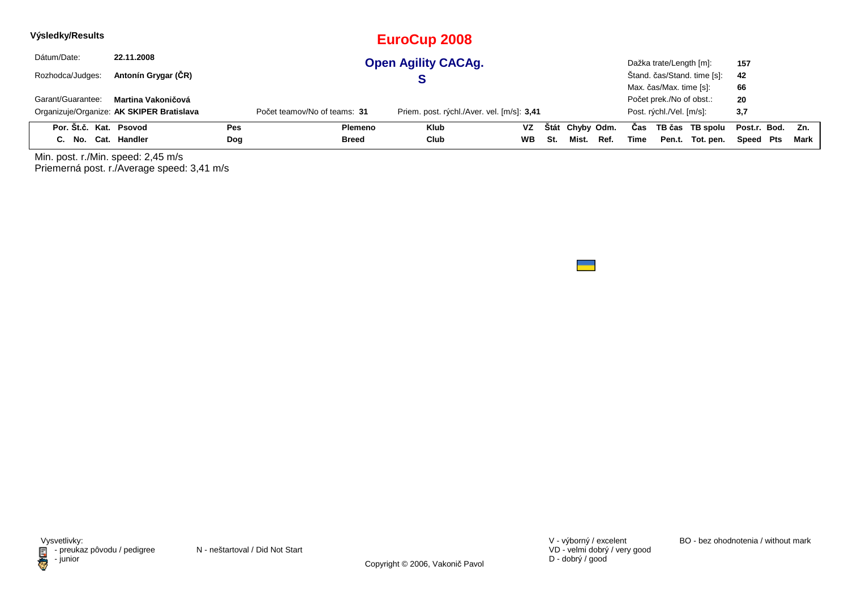| Výsledky/Results       |                                           |     |                              | EuroCup 2008                               |           |     |                 |      |      |                          |                             |                  |      |
|------------------------|-------------------------------------------|-----|------------------------------|--------------------------------------------|-----------|-----|-----------------|------|------|--------------------------|-----------------------------|------------------|------|
| Dátum/Date:            | 22.11.2008                                |     |                              | <b>Open Agility CACAg.</b>                 |           |     |                 |      |      | Dažka trate/Length [m]:  |                             | 157              |      |
| Rozhodca/Judges:       | Antonín Grygar (CR)                       |     |                              |                                            |           |     |                 |      |      |                          | Štand. čas/Stand. time [s]: | 42               |      |
|                        |                                           |     |                              |                                            |           |     |                 |      |      | Max. čas/Max. time [s]:  |                             | 66               |      |
| Garant/Guarantee:      | Martina Vakoničová                        |     |                              |                                            |           |     |                 |      |      | Počet prek./No of obst.: |                             | 20               |      |
|                        | Organizuje/Organize: AK SKIPER Bratislava |     | Počet teamov/No of teams: 31 | Priem. post. rýchl./Aver. vel. [m/s]: 3,41 |           |     |                 |      |      | Post. rýchl./Vel. [m/s]: |                             | 3,7              |      |
| Por. Št.č. Kat. Psovod |                                           | Pes | Plemeno                      | <b>Klub</b>                                | VZ        |     | Štát Chyby Odm. |      | Cas  |                          | TB čas TB spolu             | Post.r. Bod. Zn. |      |
| C. No.                 | Cat. Handler                              | Dog | <b>Breed</b>                 | Club                                       | <b>WB</b> | St. | Mist.           | Ref. | Time |                          | Pen.t. Tot. pen.            | Speed Pts        | Mark |

Min. post. r./Min. speed: 2,45 m/s Priemerná post. r./Average speed: 3,41 m/s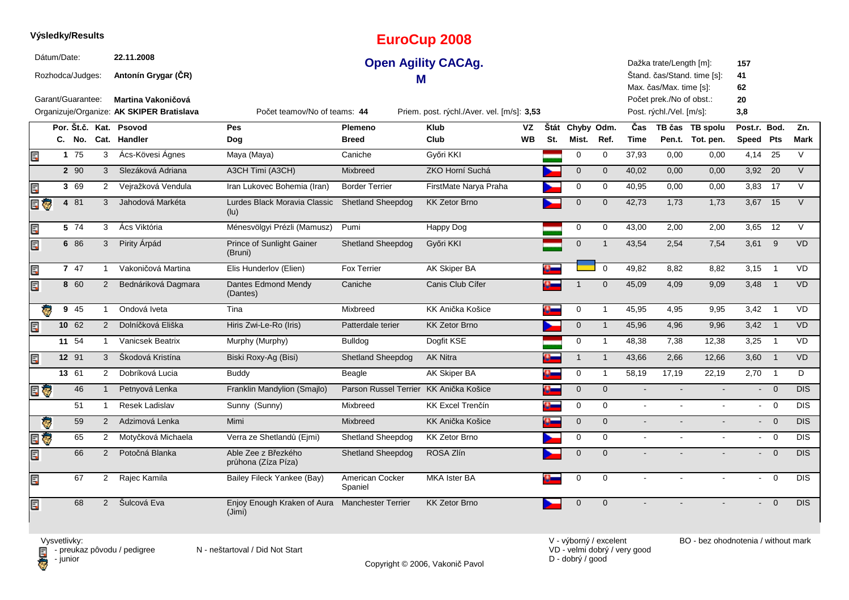|     |                    |                   |                |                                           |                                                          |                                        | Lui OCup Zooo                              |           |     |                 |                |                |                          |                             |                |                          |             |
|-----|--------------------|-------------------|----------------|-------------------------------------------|----------------------------------------------------------|----------------------------------------|--------------------------------------------|-----------|-----|-----------------|----------------|----------------|--------------------------|-----------------------------|----------------|--------------------------|-------------|
|     | Dátum/Date:        |                   |                | 22.11.2008                                |                                                          |                                        | <b>Open Agility CACAg.</b>                 |           |     |                 |                |                | Dažka trate/Length [m]:  |                             | 157            |                          |             |
|     |                    | Rozhodca/Judges:  |                | Antonín Grygar (CR)                       |                                                          | м                                      |                                            |           |     |                 |                |                |                          | Stand. čas/Stand. time [s]: | 41             |                          |             |
|     |                    |                   |                |                                           |                                                          |                                        |                                            |           |     |                 |                |                | Max. čas/Max. time [s]:  |                             | 62             |                          |             |
|     |                    | Garant/Guarantee: |                | <b>Martina Vakoničová</b>                 |                                                          |                                        |                                            |           |     |                 |                |                | Počet prek./No of obst.: |                             | 20             |                          |             |
|     |                    |                   |                | Organizuje/Organize: AK SKIPER Bratislava | Počet teamov/No of teams: 44                             |                                        | Priem. post. rýchl./Aver. vel. [m/s]: 3,53 |           |     |                 |                |                | Post. rýchl./Vel. [m/s]: |                             | 3,8            |                          |             |
|     |                    |                   |                | Por. Št.č. Kat. Psovod                    | <b>Pes</b>                                               | Plemeno                                | <b>Klub</b>                                | VZ        |     | Štát Chyby Odm. |                | Čas            |                          | TB čas TB spolu             | Post.r. Bod.   |                          | Zn.         |
|     |                    | C. No.            |                | Cat. Handler                              | Dog                                                      | <b>Breed</b>                           | Club                                       | <b>WB</b> | St. | Mist.           | Ref.           | <b>Time</b>    |                          | Pen.t. Tot. pen.            | Speed Pts      |                          | <b>Mark</b> |
| Ę   |                    | 175               | 3              | Ács-Kövesi Ágnes                          | Maya (Maya)                                              | Caniche                                | Győri KKI                                  |           |     | 0               | 0              | 37,93          | 0,00                     | 0,00                        | 4,14           | 25                       | V           |
|     |                    | 2 90              | 3              | Slezáková Adriana                         | A3CH Timi (A3CH)                                         | Mixbreed                               | ZKO Horní Suchá                            |           |     | $\mathbf 0$     | $\mathbf 0$    | 40,02          | 0,00                     | 0,00                        | $3,92$ 20      |                          | $\vee$      |
| Ę   |                    | 3 69              | $\overline{2}$ | Vejražková Vendula                        | Iran Lukovec Bohemia (Iran)                              | <b>Border Terrier</b>                  | FirstMate Narya Praha                      |           |     | 0               | 0              | 40,95          | 0,00                     | 0,00                        | 3,83           | 17                       | V           |
| 日で  |                    | 4 81              | 3              | Jahodová Markéta                          | Lurdes Black Moravia Classic<br>(lu)                     | <b>Shetland Sheepdog</b>               | <b>KK Zetor Brno</b>                       |           |     | $\mathbf 0$     | $\mathbf 0$    | 42,73          | 1,73                     | 1,73                        | 3,67 15        |                          | V           |
| Ę   |                    | 5 74              | 3              | Ács Viktória                              | Ménesvölgyi Prézli (Mamusz)                              | Pumi                                   | Happy Dog                                  |           |     | 0               | 0              | 43,00          | 2,00                     | 2,00                        | 3,65           | 12                       | V           |
| Ę   |                    | 6 86              | 3              | Pirity Árpád                              | <b>Prince of Sunlight Gainer</b><br>(Bruni)              | <b>Shetland Sheepdog</b>               | Győri KKI                                  |           |     | $\mathbf 0$     | $\overline{1}$ | 43,54          | 2,54                     | 7,54                        | $3,61$ 9       |                          | <b>VD</b>   |
| Ę   |                    | 7 47              | $\mathbf{1}$   | Vakoničová Martina                        | Elis Hunderlov (Elien)                                   | <b>Fox Terrier</b>                     | <b>AK Skiper BA</b>                        |           |     |                 | $\mathbf 0$    | 49,82          | 8.82                     | 8,82                        | 3,15           | $\overline{1}$           | <b>VD</b>   |
| Ę   |                    | 8 60              | $\overline{2}$ | Bednáriková Dagmara                       | Dantes Edmond Mendy<br>(Dantes)                          | Caniche                                | Canis Club Cífer                           |           |     | $\mathbf 1$     | $\mathbf{0}$   | 45,09          | 4,09                     | 9,09                        | 3,48           | $\overline{1}$           | <b>VD</b>   |
|     |                    | 9 45              | $\mathbf{1}$   | Ondová Iveta                              | Tina                                                     | Mixbreed                               | KK Anička Košice                           |           |     | 0               | $\mathbf{1}$   | 45,95          | 4,95                     | 9,95                        | 3,42           | $\overline{1}$           | <b>VD</b>   |
| Ę   |                    | 10 62             | $\overline{2}$ | Dolníčková Eliška                         | Hiris Zwi-Le-Ro (Iris)                                   | Patterdale terier                      | <b>KK Zetor Brno</b>                       |           |     | $\mathbf 0$     | $\mathbf{1}$   | 45,96          | 4,96                     | 9,96                        | $3,42$ 1       |                          | <b>VD</b>   |
|     |                    | 11 54             | 1              | Vanicsek Beatrix                          | Murphy (Murphy)                                          | <b>Bulldog</b>                         | Dogfit KSE                                 |           |     | $\mathbf 0$     | $\mathbf{1}$   | 48,38          | 7,38                     | 12,38                       | 3,25           | $\overline{1}$           | <b>VD</b>   |
| Ę   |                    | 12 91             | 3              | Škodová Kristína                          | Biski Roxy-Aq (Bisi)                                     | <b>Shetland Sheepdog</b>               | <b>AK Nitra</b>                            |           |     | $\mathbf{1}$    | $\mathbf{1}$   | 43,66          | 2,66                     | 12,66                       | 3,60           | $\overline{1}$           | <b>VD</b>   |
|     |                    | 13 61             | $\overline{2}$ | Dobríková Lucia                           | <b>Buddy</b>                                             | Beagle                                 | AK Skiper BA                               |           |     | 0               | $\mathbf{1}$   | 58,19          | 17,19                    | 22,19                       | 2,70           | $\overline{\phantom{0}}$ | D           |
| E G |                    | 46                | $\mathbf{1}$   | Petnyová Lenka                            | Franklin Mandylion (Smajlo)                              | Parson Russel Terrier KK Anička Košice |                                            |           |     | $\mathbf 0$     | $\mathbf 0$    | $\blacksquare$ |                          |                             |                | $- 0$                    | <b>DIS</b>  |
|     |                    | 51                | $\mathbf{1}$   | Resek Ladislav                            | Sunny (Sunny)                                            | Mixbreed                               | <b>KK Excel Trenčín</b>                    |           |     | 0               | $\mathbf 0$    | $\sim$         |                          |                             | $\sim$         | $\overline{0}$           | <b>DIS</b>  |
|     | Ç                  | 59                | $\overline{2}$ | Adzimová Lenka                            | Mimi                                                     | <b>Mixbreed</b>                        | KK Anička Košice                           |           |     | $\mathbf{0}$    | $\mathbf{0}$   | $\sim$         |                          |                             |                | $- 0$                    | <b>DIS</b>  |
| Ę   | $\bar{\textbf{e}}$ | 65                | $\overline{2}$ | Motyčková Michaela                        | Verra ze Shetlandů (Ejmi)                                | Shetland Sheepdog                      | <b>KK Zetor Brno</b>                       |           |     | 0               | $\mathbf 0$    | $\sim$         | $\sim$                   | $\sim$                      |                | $- 0$                    | <b>DIS</b>  |
| Ę   |                    | 66                | 2              | Potočná Blanka                            | Able Zee z Březkého<br>průhona (Zíza Píza)               | <b>Shetland Sheepdog</b>               | ROSA Zlín                                  |           |     | $\mathbf 0$     | $\mathbf{0}$   | $\overline{a}$ |                          |                             | $\blacksquare$ | $\mathbf 0$              | DIS         |
| Ę   |                    | 67                | $\overline{2}$ | Rajec Kamila                              | Bailey Fileck Yankee (Bay)                               | American Cocker<br>Spaniel             | <b>MKA Ister BA</b>                        |           |     | 0               | $\mathbf 0$    |                |                          |                             | $\sim$         | $\mathbf 0$              | DIS         |
| Ę   |                    | 68                |                | 2 Šulcová Eva                             | Enjoy Enough Kraken of Aura Manchester Terrier<br>(Jimi) |                                        | <b>KK Zetor Brno</b>                       |           |     | $\mathbf 0$     | $\mathbf 0$    |                |                          |                             | $\sim$         | $\overline{0}$           | DIS         |
|     |                    |                   |                |                                           |                                                          |                                        |                                            |           |     |                 |                |                |                          |                             |                |                          |             |

**EuroCup 2008**

Vysvetlivky:<br>⊟ - preukaz pôvodu / pedigree N - neštartoval / Did Not Start **D** - junior

**Výsledky/Results**

VD - velmi dobrý / very good D - dobrý / good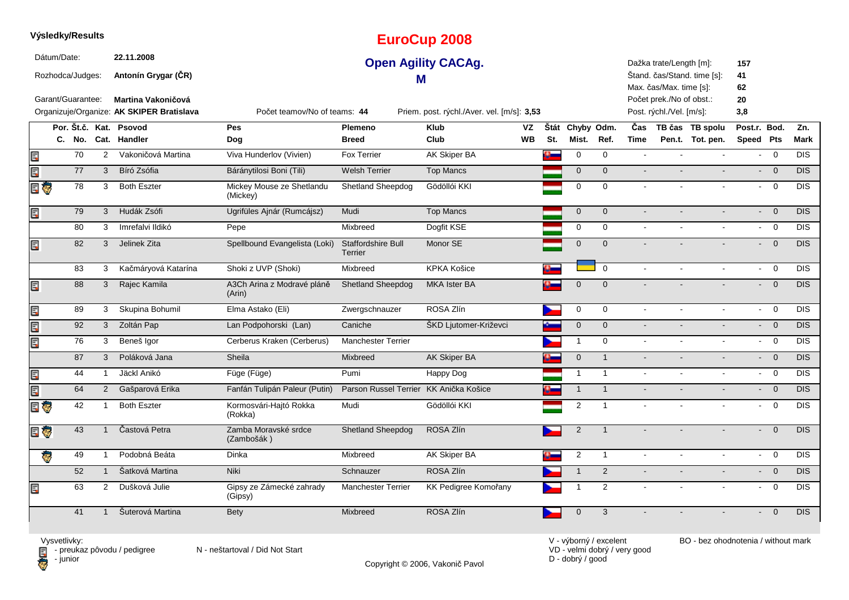|        | Dátum/Date:       |                | 22.11.2008                                |                                       |                                        | <b>Open Agility CACAg.</b>                 |           |     |                     |                |                | Dažka trate/Length [m]:                             |                             | 157                        |                          |                  |
|--------|-------------------|----------------|-------------------------------------------|---------------------------------------|----------------------------------------|--------------------------------------------|-----------|-----|---------------------|----------------|----------------|-----------------------------------------------------|-----------------------------|----------------------------|--------------------------|------------------|
|        | Rozhodca/Judges:  |                | Antonín Grygar (ČR)                       |                                       |                                        | M                                          |           |     |                     |                |                |                                                     | Štand. čas/Stand. time [s]: | 41                         |                          |                  |
|        | Garant/Guarantee: |                | Martina Vakoničová                        |                                       |                                        |                                            |           |     |                     |                |                | Max. čas/Max. time [s]:<br>Počet prek./No of obst.: |                             | 62<br>20                   |                          |                  |
|        |                   |                | Organizuje/Organize: AK SKIPER Bratislava | Počet teamov/No of teams: 44          |                                        | Priem. post. rýchl./Aver. vel. [m/s]: 3,53 |           |     |                     |                |                | Post. rýchl./Vel. [m/s]:                            |                             | 3,8                        |                          |                  |
|        |                   |                | Por. Št.č. Kat. Psovod                    | Pes                                   | Plemeno                                | <b>Klub</b>                                | VZ        |     | Štát Chyby Odm.     |                | Čas            |                                                     | TB čas TB spolu             | Post.r. Bod.               |                          | Zn.              |
|        | C. No.            |                | Cat. Handler                              | Dog                                   | <b>Breed</b>                           | Club                                       | <b>WB</b> | St. | Mist.               | Ref.           | <b>Time</b>    |                                                     | Pen.t. Tot. pen.            | Speed Pts                  |                          | <b>Mark</b>      |
| Ę      | 70                | $\overline{2}$ | Vakoničová Martina                        | Viva Hunderlov (Vivien)               | Fox Terrier                            | <b>AK Skiper BA</b>                        |           |     | $\mathbf 0$         | $\mathbf 0$    | $\sim$         |                                                     |                             | $\sim$                     | $\overline{0}$           | DIS              |
| Œ      | 77                | 3              | Bíró Zsófia                               | Báránytilosi Boni (Tili)              | <b>Welsh Terrier</b>                   | <b>Top Mancs</b>                           |           |     | $\mathbf{0}$        | $\Omega$       | $\mathbf{r}$   |                                                     |                             | $\sim$                     | $\overline{0}$           | <b>DIS</b>       |
| E G    | 78                | 3              | <b>Both Eszter</b>                        | Mickey Mouse ze Shetlandu<br>(Mickey) | <b>Shetland Sheepdog</b>               | Gödöllói KKI                               |           |     | $\mathbf 0$         | $\mathbf 0$    | $\sim$         |                                                     |                             | $\sim$                     | $\overline{0}$           | DIS              |
| E      | 79                | $\mathbf{3}$   | Hudák Zsófi                               | Ugrifüles Ajnár (Rumcájsz)            | Mudi                                   | <b>Top Mancs</b>                           |           |     | $\mathsf{O}\xspace$ | $\mathbf 0$    |                |                                                     |                             | $\sim$                     | $\overline{0}$           | DIS              |
|        | 80                | 3              | Imrefalvi Ildikó                          | Pepe                                  | Mixbreed                               | Dogfit KSE                                 |           |     | $\mathbf 0$         | $\Omega$       | $\sim$         | $\mathbf{r}$                                        |                             |                            | $- 0$                    | <b>DIS</b>       |
| E      | 82                | $\mathbf{3}$   | Jelinek Zita                              | Spellbound Evangelista (Loki)         | <b>Staffordshire Bull</b><br>Terrier   | Monor SE                                   |           |     | $\mathbf{0}$        | $\Omega$       |                |                                                     |                             | $\sim$                     | $\overline{0}$           | DIS              |
|        | 83                | 3              | Kačmáryová Katarína                       | Shoki z UVP (Shoki)                   | Mixbreed                               | <b>KPKA Košice</b>                         |           |     |                     | $\Omega$       | $\sim$         | $\sim$                                              | $\sim$                      | $\sim$                     | $\Omega$                 | <b>DIS</b>       |
| E      | 88                | 3              | Rajec Kamila                              | A3Ch Arina z Modravé pláně<br>(Arin)  | <b>Shetland Sheepdog</b>               | MKA Ister BA                               |           |     | $\Omega$            | $\Omega$       |                |                                                     |                             | $\sim$                     | $\overline{0}$           | <b>DIS</b>       |
| E      | 89                | 3              | Skupina Bohumil                           | Elma Astako (Eli)                     | Zwergschnauzer                         | ROSA Zlín                                  |           |     | 0                   | 0              | $\sim$         | $\sim$                                              |                             | $\sim$                     | $\overline{0}$           | DIS              |
| Œ      | 92                | $\mathbf{3}$   | Zoltán Pap                                | Lan Podpohorski (Lan)                 | Caniche                                | ŠKD Ljutomer-Križevci                      |           |     | $\mathsf{O}\xspace$ | $\mathbf 0$    | $\overline{a}$ |                                                     |                             |                            | $- 0$                    | DIS              |
| E      | 76                | 3              | Beneš Igor                                | Cerberus Kraken (Cerberus)            | <b>Manchester Terrier</b>              |                                            |           |     | $\mathbf{1}$        | $\mathbf 0$    | $\sim$         |                                                     |                             | $\sim$                     | $\overline{0}$           | DIS              |
|        | 87                | 3              | Poláková Jana                             | Sheila                                | Mixbreed                               | AK Skiper BA                               |           |     | $\mathsf{O}\xspace$ | $\overline{1}$ | $\blacksquare$ |                                                     |                             |                            | $- 0$                    | DIS              |
| E      | 44                | $\mathbf{1}$   | Jäckl Anikó                               | Füge (Füge)                           | Pumi                                   | Happy Dog                                  |           |     | $\mathbf{1}$        | $\mathbf{1}$   | $\sim$         |                                                     |                             | $\sim$                     | $\overline{0}$           | $\overline{DIS}$ |
| Ę      | 64                | $\overline{2}$ | Gašparová Erika                           | Fanfán Tulipán Paleur (Putin)         | Parson Russel Terrier KK Anička Košice |                                            |           |     | $\overline{1}$      | $\overline{1}$ | $\blacksquare$ |                                                     |                             |                            | $- 0$                    | <b>DIS</b>       |
| Ę<br>Ģ | 42                | $\mathbf{1}$   | <b>Both Eszter</b>                        | Kormosvári-Hajtó Rokka<br>(Rokka)     | Mudi                                   | Gödöllói KKI                               |           |     | $\overline{2}$      | $\overline{1}$ |                |                                                     |                             | $\sim$                     | $\mathbf 0$              | $\overline{DIS}$ |
| e G    | 43                | $\overline{1}$ | Častová Petra                             | Zamba Moravské srdce<br>(Zambošák)    | Shetland Sheepdog                      | ROSA Zlín                                  |           |     | $\overline{2}$      | $\overline{1}$ |                |                                                     |                             | $\sim$                     | $\overline{0}$           | <b>DIS</b>       |
| ē      | 49                | $\overline{1}$ | Podobná Beáta                             | Dinka                                 | Mixbreed                               | <b>AK Skiper BA</b>                        |           |     | $\overline{2}$      | $\mathbf{1}$   | $\blacksquare$ |                                                     | $\sim$                      | $\mathcal{L}^{\text{max}}$ | $\overline{\phantom{0}}$ | <b>DIS</b>       |
|        | 52                | $\mathbf{1}$   | Šatková Martina                           | Niki                                  | Schnauzer                              | ROSA Zlín                                  |           |     | $\overline{1}$      | 2              |                |                                                     |                             | $\sim$                     | $\overline{0}$           | <b>DIS</b>       |
| 目      | 63                | $\overline{2}$ | Dušková Julie                             | Gipsy ze Zámecké zahrady<br>(Gipsy)   | <b>Manchester Terrier</b>              | KK Pedigree Komořany                       |           |     |                     | 2              |                |                                                     |                             | $\sim$                     | $\overline{0}$           | DIS              |
|        | 41                | $\overline{1}$ | Šuterová Martina                          | <b>Bety</b>                           | Mixbreed                               | ROSA Zlín                                  |           |     | $\overline{0}$      | 3              |                |                                                     |                             |                            | $\overline{0}$           | DIS              |

**EuroCup 2008**

**Výsledky/Results**

**D** - junior

Vysvetlivky:<br>⊟ - preukaz pôvodu / pedigree N - neštartoval / Did Not Start

Copyright © 2006, Vakonič Pavol

VD - velmi dobrý / very good D - dobrý / good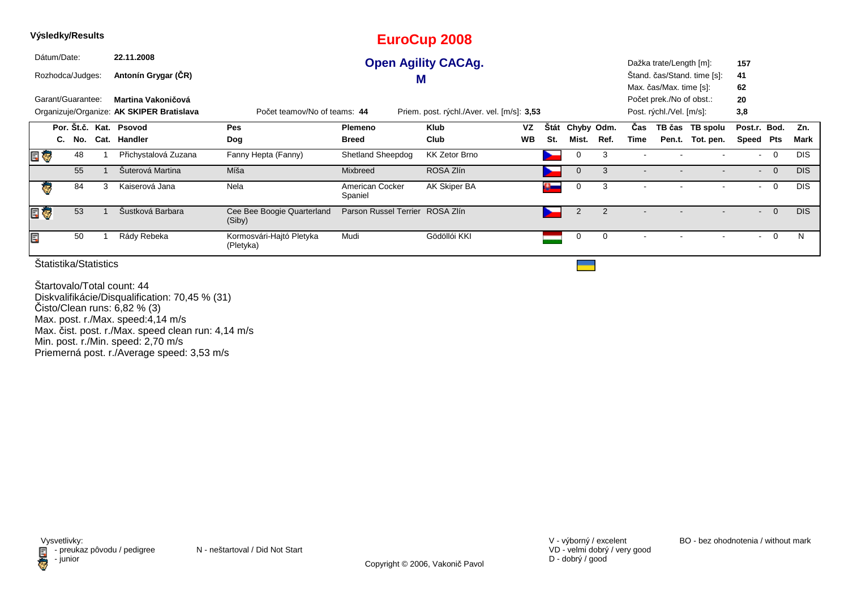| Výsledky/Results |                   |     |      |                                           |                                       |                                 | <b>EuroCup 2008</b>                        |           |                    |                |                |                |                          |                             |                |                |              |
|------------------|-------------------|-----|------|-------------------------------------------|---------------------------------------|---------------------------------|--------------------------------------------|-----------|--------------------|----------------|----------------|----------------|--------------------------|-----------------------------|----------------|----------------|--------------|
|                  | Dátum/Date:       |     |      | 22.11.2008                                |                                       |                                 | <b>Open Agility CACAg.</b>                 |           |                    |                |                |                | Dažka trate/Length [m]:  |                             | 157            |                |              |
|                  | Rozhodca/Judges:  |     |      | Antonín Grygar (ČR)                       |                                       |                                 | M                                          |           |                    |                |                |                |                          | Stand. čas/Stand. time [s]: | 41             |                |              |
|                  |                   |     |      |                                           |                                       |                                 |                                            |           |                    |                |                |                | Max. čas/Max. time [s]:  |                             | 62             |                |              |
|                  | Garant/Guarantee: |     |      | Martina Vakoničová                        |                                       |                                 |                                            |           |                    |                |                |                | Počet prek./No of obst.: |                             | 20             |                |              |
|                  |                   |     |      | Organizuje/Organize: AK SKIPER Bratislava | Počet teamov/No of teams: 44          |                                 | Priem. post. rýchl./Aver. vel. [m/s]: 3,53 |           |                    |                |                |                | Post. rýchl./Vel. [m/s]: |                             | 3,8            |                |              |
|                  |                   |     |      | Por. Št.č. Kat. Psovod                    | Pes                                   | Plemeno                         | Klub                                       | VZ        | Stát               |                | Chyby Odm.     | Cas            |                          | TB čas TB spolu             | Post.r. Bod.   |                | Zn.          |
|                  | C.                | No. | Cat. | Handler                                   | Dog                                   | <b>Breed</b>                    | Club                                       | <b>WB</b> | St.                | Mist.          | Ref.           | Time           |                          | Pen.t. Tot. pen.            | Speed          | Pts            | Mark         |
| E                |                   | 48  |      | Přichystalová Zuzana                      | Fanny Hepta (Fanny)                   | <b>Shetland Sheepdog</b>        | <b>KK Zetor Brno</b>                       |           |                    | 0              | 3              |                |                          |                             |                | 0              | <b>DIS</b>   |
|                  |                   | 55  |      | Šuterová Martina                          | Míša                                  | Mixbreed                        | ROSA Zlín                                  |           |                    | $\mathbf 0$    | 3              | $\blacksquare$ |                          |                             | $\sim$         | $\overline{0}$ | <b>DIS</b>   |
| Ģ                |                   | 84  | 3    | Kaiserová Jana                            | Nela                                  | American Cocker<br>Spaniel      | AK Skiper BA                               |           | $\Omega_{\rm max}$ | 0              | 3              |                |                          |                             | $\blacksquare$ | $\mathbf 0$    | <b>DIS</b>   |
| E T              |                   | 53  |      | Šustková Barbara                          | Cee Bee Boogie Quarterland<br>(Siby)  | Parson Russel Terrier ROSA Zlín |                                            |           | ∼                  | $\overline{2}$ | $\overline{2}$ |                |                          |                             | $\blacksquare$ | $\overline{0}$ | <b>DIS</b>   |
| Ē,               |                   | 50  |      | Rády Rebeka                               | Kormosvári-Hajtó Pletyka<br>(Pletyka) | Mudi                            | Gödöllói KKI                               |           |                    | 0              | 0              |                |                          |                             |                | $\mathbf 0$    | <sub>N</sub> |

Štartovalo/Total count: 44 Diskvalifikácie/Disqualification: 70,45 % (31)Čisto/Clean runs: 6,82 % (3) Max. post. r./Max. speed:4,14 m/sMax. čist. post. r./Max. speed clean run: 4,14 m/s Min. post. r./Min. speed: 2,70 m/s Priemerná post. r./Average speed: 3,53 m/s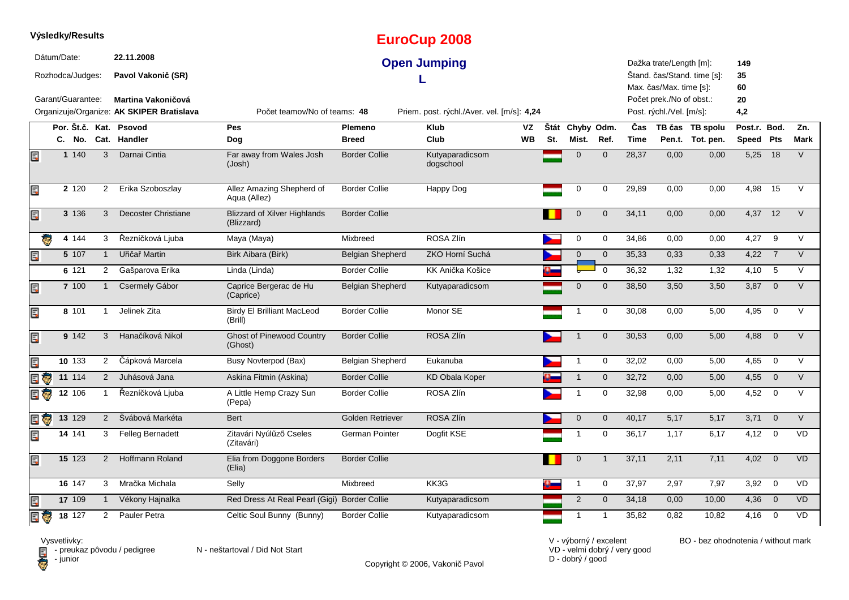|                |             | Výsledky/Results          |                |                                           |                                                   |                         | <b>EuroCup 2008</b>                        |                 |     |                          |              |                    |                                                    |                                     |                           |                         |                    |
|----------------|-------------|---------------------------|----------------|-------------------------------------------|---------------------------------------------------|-------------------------|--------------------------------------------|-----------------|-----|--------------------------|--------------|--------------------|----------------------------------------------------|-------------------------------------|---------------------------|-------------------------|--------------------|
|                | Dátum/Date: | Rozhodca/Judges:          |                | 22.11.2008<br>Pavol Vakonič (SR)          |                                                   |                         | <b>Open Jumping</b>                        |                 |     |                          |              |                    | Dažka trate/Length [m]:<br>Max. čas/Max. time [s]: | Štand. čas/Stand. time [s]:         | 149<br>35<br>60           |                         |                    |
|                |             | Garant/Guarantee:         |                | <b>Martina Vakoničová</b>                 |                                                   |                         |                                            |                 |     |                          |              |                    | Počet prek./No of obst.:                           |                                     | 20                        |                         |                    |
|                |             |                           |                | Organizuje/Organize: AK SKIPER Bratislava | Počet teamov/No of teams: 48                      |                         | Priem. post. rýchl./Aver. vel. [m/s]: 4,24 |                 |     |                          |              |                    | Post. rýchl./Vel. [m/s]:                           |                                     | 4,2                       |                         |                    |
|                |             | Por. Št.č. Kat.<br>C. No. |                | Psovod<br>Cat. Handler                    | <b>Pes</b><br>Dog                                 | Plemeno<br><b>Breed</b> | <b>Klub</b><br>Club                        | VZ<br><b>WB</b> | St. | Štát Chyby Odm.<br>Mist. | Ref.         | Čas<br><b>Time</b> |                                                    | TB čas TB spolu<br>Pen.t. Tot. pen. | Post.r. Bod.<br>Speed Pts |                         | Zn.<br><b>Mark</b> |
| Ę              |             | 1 140                     | $\mathbf{3}$   | Darnai Cintia                             | Far away from Wales Josh<br>(Josh)                | <b>Border Collie</b>    | Kutyaparadicsom<br>dogschool               |                 |     | $\Omega$                 | $\Omega$     | 28,37              | 0.00                                               | 0.00                                | 5,25                      | 18                      | $\vee$             |
| Ę              |             | 2 1 2 0                   | 2              | Erika Szoboszlay                          | Allez Amazing Shepherd of<br>Aqua (Allez)         | <b>Border Collie</b>    | Happy Dog                                  |                 |     | 0                        | 0            | 29,89              | 0,00                                               | 0,00                                | 4,98                      | 15                      |                    |
| E              |             | 3 136                     | 3              | <b>Decoster Christiane</b>                | <b>Blizzard of Xilver Highlands</b><br>(Blizzard) | <b>Border Collie</b>    |                                            |                 |     | $\overline{0}$           | $\Omega$     | 34,11              | 0,00                                               | 0,00                                | 4,37                      | 12                      | $\vee$             |
| Ģ              |             | 4 144                     | 3              | Řezníčková Ljuba                          | Maya (Maya)                                       | Mixbreed                | ROSA Zlín                                  |                 |     | 0                        | 0            | 34,86              | 0,00                                               | 0,00                                | 4,27                      | 9                       | $\vee$             |
| E.             |             | 5 107                     | $\mathbf{1}$   | Uřičař Martin                             | Birk Aibara (Birk)                                | <b>Belgian Shepherd</b> | ZKO Horní Suchá                            |                 |     | $\mathbf 0$              | $\mathbf{0}$ | 35,33              | 0,33                                               | 0,33                                | 4,22                      | $\overline{7}$          | $\vee$             |
|                |             | 6 121                     | $\overline{2}$ | Gašparova Erika                           | Linda (Linda)                                     | <b>Border Collie</b>    | KK Anička Košice                           |                 |     |                          | $\mathbf 0$  | 36,32              | 1,32                                               | 1,32                                | $4,10$ 5                  |                         | $\vee$             |
| E              |             | 7 100                     | $\mathbf{1}$   | Csermely Gábor                            | Caprice Bergerac de Hu<br>(Caprice)               | <b>Belgian Shepherd</b> | Kutyaparadicsom                            |                 |     | $\mathbf 0$              | $\mathbf 0$  | 38,50              | 3,50                                               | 3,50                                | 3,87                      | $\overline{0}$          | $\vee$             |
| Ę              |             | 8 101                     | $\mathbf{1}$   | Jelinek Zita                              | <b>Birdy El Brilliant MacLeod</b><br>(Brill)      | <b>Border Collie</b>    | Monor SE                                   |                 |     | 1                        | 0            | 30,08              | 0,00                                               | 5,00                                | 4,95                      | $\mathbf 0$             | $\vee$             |
| Ę              |             | 9 142                     | 3              | Hanačíková Nikol                          | <b>Ghost of Pinewood Country</b><br>(Ghost)       | <b>Border Collie</b>    | ROSA Zlín                                  |                 |     | $\overline{\phantom{a}}$ | $\mathbf 0$  | 30,53              | 0,00                                               | 5,00                                | 4,88                      | $\overline{0}$          | $\vee$             |
| E              |             | 10 133                    | $\mathbf{2}$   | Čápková Marcela                           | <b>Busy Novterpod (Bax)</b>                       | <b>Belgian Shepherd</b> | Eukanuba                                   |                 |     | 1                        | 0            | 32,02              | 0,00                                               | 5,00                                | 4,65                      | $\overline{0}$          | V                  |
| $\blacksquare$ |             | 11 114                    | $2^{\circ}$    | Juhásová Jana                             | Askina Fitmin (Askina)                            | <b>Border Collie</b>    | KD Obala Koper                             |                 |     |                          | $\mathbf 0$  | 32,72              | 0,00                                               | 5,00                                | 4,55                      | $\overline{\mathbf{0}}$ | $\vee$             |
| E G            |             | $12 \ 106$                | $\mathbf{1}$   | Řezníčková Ljuba                          | A Little Hemp Crazy Sun<br>(Pepa)                 | <b>Border Collie</b>    | ROSA Zlín                                  |                 |     | 1                        | 0            | 32,98              | 0,00                                               | 5,00                                | 4,52                      | $\overline{0}$          | $\vee$             |
| e Ç            |             | 13 129                    | $\overline{2}$ | Švábová Markéta                           | <b>Bert</b>                                       | <b>Golden Retriever</b> | ROSA Zlín                                  |                 |     | $\mathbf 0$              | $\mathbf 0$  | 40,17              | 5,17                                               | 5,17                                | 3,71                      | $\overline{0}$          | $\vee$             |
| E              |             | 14 141                    | 3              | Felleg Bernadett                          | Zitavári Nyúlűző Cseles<br>(Zitavári)             | German Pointer          | Dogfit KSE                                 |                 |     |                          | 0            | 36,17              | 1,17                                               | 6,17                                | $4,12$ 0                  |                         | <b>VD</b>          |
| E              |             | 15 123                    | $\overline{2}$ | Hoffmann Roland                           | Elia from Doggone Borders<br>(Elia)               | <b>Border Collie</b>    |                                            |                 |     | $\mathbf 0$              | $\mathbf 1$  | 37,11              | 2,11                                               | 7,11                                | 4,02                      | $\overline{0}$          | <b>VD</b>          |
|                |             | 16 147                    | 3              | Mračka Michala                            | Selly                                             | Mixbreed                | KK3G                                       |                 |     | $\mathbf{1}$             | 0            | 37,97              | 2,97                                               | 7,97                                | 3,92                      | $\overline{0}$          | <b>VD</b>          |
| Ę              |             | 17 109                    |                | Vékony Hajnalka                           | Red Dress At Real Pearl (Gigi) Border Collie      |                         | Kutyaparadicsom                            |                 |     | 2                        | $\mathbf{0}$ | 34,18              | 0,00                                               | 10,00                               | 4,36                      | $\overline{\mathbf{0}}$ | <b>VD</b>          |
| 目の             |             | 18 127                    | $\overline{2}$ | Pauler Petra                              | Celtic Soul Bunny (Bunny)                         | <b>Border Collie</b>    | Kutyaparadicsom                            |                 |     | $\mathbf{1}$             | 1            | 35,82              | 0,82                                               | 10,82                               | 4,16                      | $\overline{\mathbf{0}}$ | <b>VD</b>          |

**D** - junior

Vysvetlivky:<br>⊟ - preukaz pôvodu / pedigree N - neštartoval / Did Not Start

Copyright © 2006, Vakonič Pavol

VD - velmi dobrý / very good D - dobrý / good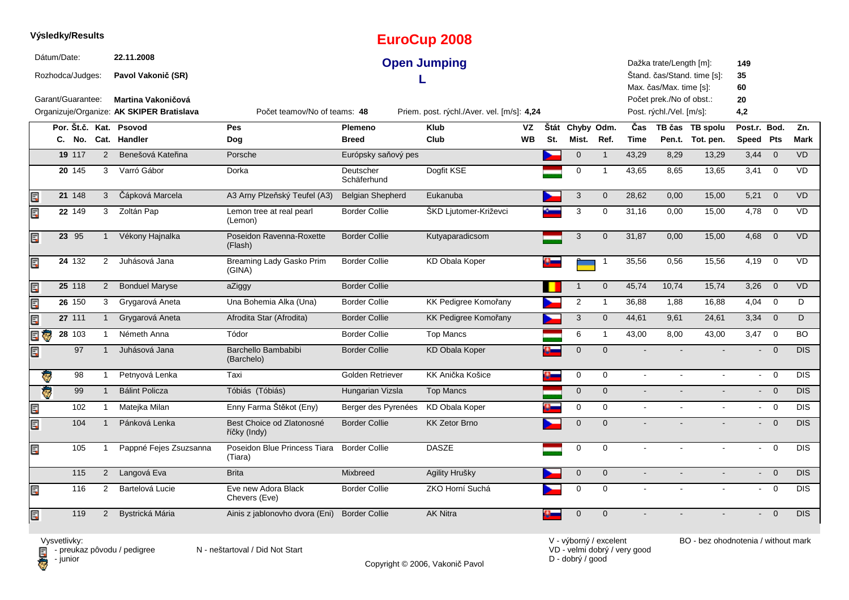|      |             | Výsledky/Results                      |                |                                                               |                                           |                          | <b>EuroCup 2008</b>                        |           |          |                     |                |                          |                                                                                |                             |                           |                         |            |
|------|-------------|---------------------------------------|----------------|---------------------------------------------------------------|-------------------------------------------|--------------------------|--------------------------------------------|-----------|----------|---------------------|----------------|--------------------------|--------------------------------------------------------------------------------|-----------------------------|---------------------------|-------------------------|------------|
|      | Dátum/Date: | Rozhodca/Judges:<br>Garant/Guarantee: |                | 22.11.2008<br>Pavol Vakonič (SR)<br><b>Martina Vakoničová</b> |                                           |                          | <b>Open Jumping</b>                        |           |          |                     |                |                          | Dažka trate/Length [m]:<br>Max. čas/Max. time [s]:<br>Počet prek./No of obst.: | Štand. čas/Stand. time [s]: | 149<br>35<br>60<br>20     |                         |            |
|      |             |                                       |                | Organizuje/Organize: AK SKIPER Bratislava                     | Počet teamov/No of teams: 48              |                          | Priem. post. rýchl./Aver. vel. [m/s]: 4,24 |           |          |                     |                |                          | Post. rýchl./Vel. [m/s]:                                                       |                             | 4,2                       |                         |            |
|      |             |                                       |                | Por. Št.č. Kat. Psovod                                        | Pes                                       | Plemeno                  | <b>Klub</b>                                | VZ        |          | Štát Chyby Odm.     |                | Čas                      |                                                                                | TB čas TB spolu             | Post.r. Bod.              |                         | Zn.        |
|      |             | C. No.                                |                | Cat. Handler                                                  | Dog                                       | <b>Breed</b>             | Club                                       | <b>WB</b> | St.      | Mist.               | Ref.           | <b>Time</b>              |                                                                                | Pen.t. Tot. pen.            | Speed Pts                 |                         | Mark       |
|      |             | 19 117                                | 2              | Benešová Kateřina                                             | Porsche                                   | Európsky saňový pes      |                                            |           |          | $\mathsf{O}\xspace$ | $\mathbf{1}$   | 43.29                    | 8,29                                                                           | 13.29                       | 3,44                      | $\overline{0}$          | <b>VD</b>  |
|      |             | 20 145                                | 3              | Varró Gábor                                                   | Dorka                                     | Deutscher<br>Schäferhund | Dogfit KSE                                 |           |          | 0                   | $\overline{1}$ | 43,65                    | 8,65                                                                           | 13,65                       | 3,41                      | $\overline{0}$          | VD         |
| Ę    |             | 21 148                                | $\mathbf{3}$   | Čápková Marcela                                               | A3 Arny Plzeňský Teufel (A3)              | <b>Belgian Shepherd</b>  | Eukanuba                                   |           |          | 3                   | $\mathbf 0$    | 28,62                    | 0,00                                                                           | 15,00                       | 5,21                      | $\overline{0}$          | <b>VD</b>  |
| Ę    |             | 22 149                                | 3              | Zoltán Pap                                                    | Lemon tree at real pearl<br>(Lemon)       | <b>Border Collie</b>     | ŠKD Ljutomer-Križevci                      |           |          | 3                   | 0              | 31,16                    | 0,00                                                                           | 15,00                       | 4,78                      | $\overline{0}$          | VD         |
| Ę    |             | 23 95                                 | $\overline{1}$ | Vékony Hajnalka                                               | Poseidon Ravenna-Roxette<br>(Flash)       | <b>Border Collie</b>     | Kutyaparadicsom                            |           |          | 3                   | $\mathbf 0$    | 31,87                    | 0,00                                                                           | 15,00                       | 4,68                      | $\mathbf 0$             | <b>VD</b>  |
| Ę    |             | 24 132                                | $\overline{2}$ | Juhásová Jana                                                 | Breaming Lady Gasko Prim<br>(GINA)        | <b>Border Collie</b>     | <b>KD Obala Koper</b>                      |           |          |                     |                | 35,56                    | 0,56                                                                           | 15,56                       | 4,19                      | $\mathbf 0$             | VD         |
| Ę    |             | 25 118                                | $\overline{2}$ | <b>Bonduel Maryse</b>                                         | aZiggy                                    | <b>Border Collie</b>     |                                            |           |          |                     | $\mathbf 0$    | 45,74                    | 10,74                                                                          | 15,74                       | 3,26                      | $\overline{0}$          | <b>VD</b>  |
| Ę    |             | 26 150                                | 3              | Grygarová Aneta                                               | Una Bohemia Alka (Una)                    | <b>Border Collie</b>     | KK Pedigree Komořany                       |           |          | 2                   | $\mathbf{1}$   | 36,88                    | 1,88                                                                           | 16,88                       | 4,04                      | $\mathbf 0$             | D          |
| Ę    |             | 27 111                                | $\mathbf{1}$   | Grygarová Aneta                                               | Afrodita Star (Afrodita)                  | <b>Border Collie</b>     | <b>KK Pedigree Komořany</b>                |           |          | 3                   | $\mathbf{0}$   | 44.61                    | 9,61                                                                           | 24,61                       | $3,34$ 0                  |                         | D          |
| e (s |             | $28 \overline{103}$                   | -1             | Németh Anna                                                   | Tódor                                     | <b>Border Collie</b>     | <b>Top Mancs</b>                           |           |          | 6                   | $\mathbf{1}$   | 43,00                    | 8,00                                                                           | 43,00                       | 3,47                      | $\overline{\mathbf{0}}$ | BO.        |
| Ę    |             | 97                                    |                | Juhásová Jana                                                 | Barchello Bambabibi<br>(Barchelo)         | <b>Border Collie</b>     | <b>KD Obala Koper</b>                      |           |          | $\mathbf{0}$        | $\mathbf 0$    |                          |                                                                                |                             |                           | $\overline{0}$          | DIS        |
|      | ē           | 98                                    | $\overline{1}$ | Petnyová Lenka                                                | Taxi                                      | Golden Retriever         | KK Anička Košice                           |           | $\alpha$ | $\mathbf 0$         | $\mathbf 0$    | $\blacksquare$           | $\mathbf{r}$                                                                   | $\mathbf{r}$                | $\mathbf{r}$              | $\overline{0}$          | <b>DIS</b> |
|      | Q)          | 99                                    | $\mathbf{1}$   | <b>Bálint Policza</b>                                         | Tóbiás (Tóbiás)                           | Hungarian Vizsla         | <b>Top Mancs</b>                           |           |          | $\mathbf{0}$        | $\mathbf{0}$   | $\sim$                   |                                                                                |                             | $\mathbf{L}^{\text{max}}$ | $\overline{0}$          | DIS        |
| Ę    |             | 102                                   | $\mathbf{1}$   | Matejka Milan                                                 | Enny Farma Štěkot (Eny)                   | Berger des Pyrenées      | <b>KD Obala Koper</b>                      |           |          | 0                   | $\mathbf 0$    | $\sim$                   |                                                                                |                             | $\sim$                    | $\overline{0}$          | <b>DIS</b> |
| Ę    |             | 104                                   | $\overline{1}$ | Pánková Lenka                                                 | Best Choice od Zlatonosné<br>říčky (Indy) | <b>Border Collie</b>     | <b>KK Zetor Brno</b>                       |           |          | $\overline{0}$      | $\Omega$       |                          |                                                                                |                             | $\sim$                    | $\overline{0}$          | DIS        |
| Ę    |             | 105                                   | $\overline{1}$ | Pappné Fejes Zsuzsanna                                        | Poseidon Blue Princess Tiara<br>(Tiara)   | <b>Border Collie</b>     | <b>DASZE</b>                               |           |          | 0                   | 0              | $\sim$                   | $\overline{a}$                                                                 | $\sim$                      | $\blacksquare$            | $\mathbf 0$             | DIS        |
|      |             | 115                                   | $\overline{2}$ | Langová Eva                                                   | <b>Brita</b>                              | Mixbreed                 | Agility Hrušky                             |           |          | $\mathbf 0$         | $\mathbf 0$    | $\overline{\phantom{a}}$ |                                                                                |                             | $\sim$                    | $\overline{0}$          | <b>DIS</b> |
| Ę    |             | 116                                   | $\overline{2}$ | Bartelová Lucie                                               | Eve new Adora Black<br>Chevers (Eve)      | <b>Border Collie</b>     | ZKO Horní Suchá                            |           |          | 0                   | $\mathbf 0$    |                          |                                                                                |                             | $\blacksquare$            | $\mathbf 0$             | <b>DIS</b> |
| Ē.   |             | 119                                   | $\overline{2}$ | Bystrická Mária                                               | Ainis z jablonovho dvora (Eni)            | <b>Border Collie</b>     | <b>AK Nitra</b>                            |           |          | $\Omega$            | $\mathbf 0$    |                          |                                                                                |                             |                           | $\Omega$                | DIS        |

Vysvetlivky:<br>⊟ - preukaz pôvodu / pedigree N - neštartoval / Did Not Start **D** - junior

Copyright © 2006, Vakonič Pavol

VD - velmi dobrý / very good D - dobrý / good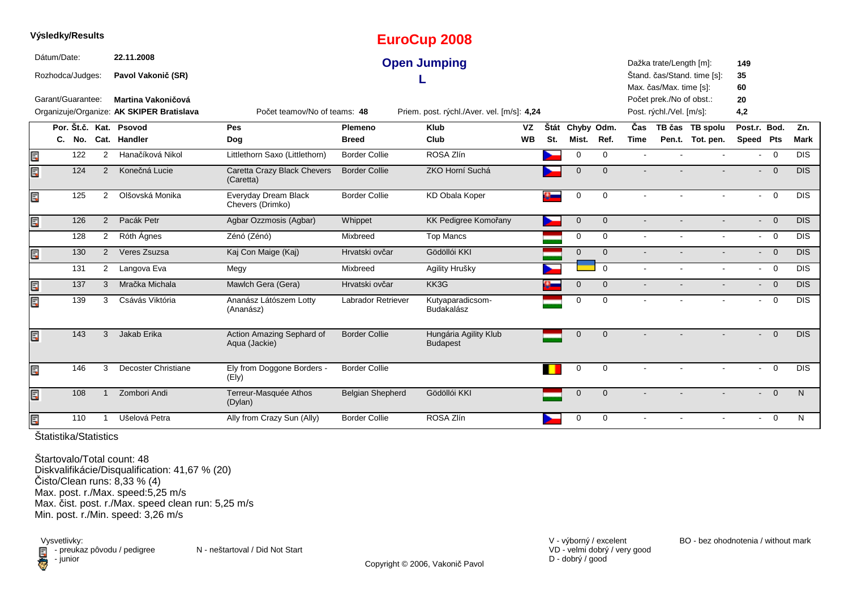|                 | Výsledky/Results  |                |                                           |                                            |                         | <b>EuroCup 2008</b>                        |           |     |                     |                |                |                          |                             |              |                |                  |
|-----------------|-------------------|----------------|-------------------------------------------|--------------------------------------------|-------------------------|--------------------------------------------|-----------|-----|---------------------|----------------|----------------|--------------------------|-----------------------------|--------------|----------------|------------------|
|                 | Dátum/Date:       |                | 22.11.2008                                |                                            |                         | <b>Open Jumping</b>                        |           |     |                     |                |                | Dažka trate/Length [m]:  |                             | 149          |                |                  |
|                 | Rozhodca/Judges:  |                | Pavol Vakonič (SR)                        |                                            |                         |                                            |           |     |                     |                |                |                          | Štand. čas/Stand. time [s]: | 35           |                |                  |
|                 |                   |                |                                           |                                            |                         |                                            |           |     |                     |                |                | Max. čas/Max. time [s]:  |                             | 60           |                |                  |
|                 | Garant/Guarantee: |                | Martina Vakoničová                        |                                            |                         |                                            |           |     |                     |                |                | Počet prek./No of obst.: |                             | 20           |                |                  |
|                 |                   |                | Organizuje/Organize: AK SKIPER Bratislava | Počet teamov/No of teams: 48               |                         | Priem. post. rýchl./Aver. vel. [m/s]: 4,24 |           |     |                     |                |                | Post. rýchl./Vel. [m/s]: |                             | 4,2          |                |                  |
|                 |                   |                | Por. Št.č. Kat. Psovod                    | Pes                                        | Plemeno                 | <b>Klub</b>                                | <b>VZ</b> |     | Štát Chyby Odm.     |                | Čas            |                          | TB čas TB spolu             | Post.r. Bod. |                | Zn.              |
|                 | C. No.            |                | Cat. Handler                              | Dog                                        | <b>Breed</b>            | Club                                       | <b>WB</b> | St. | Mist.               | Ref.           | <b>Time</b>    |                          | Pen.t. Tot. pen.            | Speed Pts    |                | <b>Mark</b>      |
| Ē,              | 122               | $\overline{2}$ | Hanačíková Nikol                          | Littlethorn Saxo (Littlethorn)             | <b>Border Collie</b>    | ROSA Zlín                                  |           |     | 0                   | $\mathbf 0$    |                |                          |                             | $\sim$       | $\overline{0}$ | <b>DIS</b>       |
| Ę               | 124               | 2              | Konečná Lucie                             | Caretta Crazy Black Chevers<br>(Caretta)   | <b>Border Collie</b>    | ZKO Horní Suchá                            |           |     | $\Omega$            | $\Omega$       |                |                          |                             | $\sim$       | $\overline{0}$ | <b>DIS</b>       |
| Ę               | 125               | $\overline{2}$ | Olšovská Monika                           | Everyday Dream Black<br>Chevers (Drimko)   | <b>Border Collie</b>    | <b>KD Obala Koper</b>                      |           |     | $\mathbf 0$         | $\mathbf 0$    |                | $\sim$                   | $\mathbf{r}$                |              | $- 0$          | <b>DIS</b>       |
| EC <sup>3</sup> | 126               | 2              | Pacák Petr                                | Agbar Ozzmosis (Agbar)                     | Whippet                 | <b>KK Pedigree Komořany</b>                |           |     | $\mathsf{O}\xspace$ | $\overline{0}$ |                |                          |                             |              | $- 0$          | <b>DIS</b>       |
|                 | 128               | $\overline{2}$ | Róth Ágnes                                | Zénó (Zénó)                                | Mixbreed                | <b>Top Mancs</b>                           |           |     | $\mathbf 0$         | $\mathbf 0$    |                |                          |                             |              | $- 0$          | $\overline{DIS}$ |
| Ę               | 130               | $\overline{2}$ | Veres Zsuzsa                              | Kaj Con Maige (Kaj)                        | Hrvatski ovčar          | Gödöllói KKI                               |           |     | $\mathbf{0}$        | $\overline{0}$ |                |                          |                             |              | $\overline{0}$ | DIS              |
|                 | 131               | $2^{\circ}$    | Langova Eva                               | Megy                                       | Mixbreed                | Agility Hrušky                             |           |     |                     | $\Omega$       |                |                          |                             | $\sim$       | $\overline{0}$ | $\overline{DIS}$ |
| E)              | 137               | 3              | Mračka Michala                            | Mawlch Gera (Gera)                         | Hrvatski ovčar          | KK3G                                       |           |     | $\mathbf 0$         | $\overline{0}$ |                |                          |                             |              | $\overline{0}$ | $\overline{DIS}$ |
| E               | 139               | 3              | Csávás Viktória                           | Ananász Látószem Lotty<br>(Ananász)        | Labrador Retriever      | Kutyaparadicsom-<br>Budakalász             |           |     | 0                   | $\Omega$       |                |                          |                             | $\sim$       | $\overline{0}$ | <b>DIS</b>       |
| Ē,              | 143               | 3              | Jakab Erika                               | Action Amazing Sephard of<br>Aqua (Jackie) | <b>Border Collie</b>    | Hungária Agility Klub<br><b>Budapest</b>   |           |     | $\mathbf 0$         | $\overline{0}$ |                |                          |                             |              | $\overline{0}$ | <b>DIS</b>       |
| Ē.              | 146               | 3              | Decoster Christiane                       | Ely from Doggone Borders -<br>(Ely)        | <b>Border Collie</b>    |                                            |           |     | $\mathbf 0$         | $\mathbf 0$    | $\blacksquare$ | $\blacksquare$           | $\sim$                      | $\sim$       | $\overline{0}$ | <b>DIS</b>       |
| Ę               | 108               |                | Zombori Andi                              | Terreur-Masquée Athos<br>(Dylan)           | <b>Belgian Shepherd</b> | Gödöllói KKI                               |           |     | $\mathbf 0$         | $\mathbf{0}$   |                |                          |                             | $\sim$       | $\overline{0}$ | N.               |
| E               | 110               |                | Ušelová Petra                             | Ally from Crazy Sun (Ally)                 | <b>Border Collie</b>    | ROSA Zlín                                  |           |     | 0                   | 0              |                |                          |                             | $\sim$       | $\overline{0}$ | N                |

Štartovalo/Total count: 48 Diskvalifikácie/Disqualification: 41,67 % (20) Čisto/Clean runs: 8,33 % (4) Max. post. r./Max. speed:5,25 m/s Max. čist. post. r./Max. speed clean run: 5,25 m/sMin. post. r./Min. speed: 3,26 m/s

Vysvetlivky:<br>⊟ - preukaz pôvodu / pedigree N - neštartoval / Did Not Start preuka<br>Computer

Copyright © 2006, Vakonič Pavol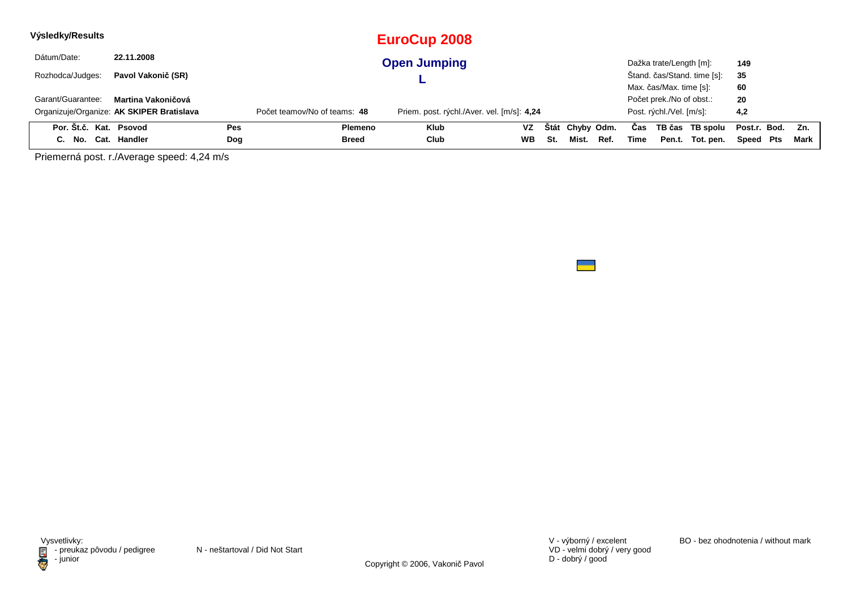| Výsledky/Results       |                                           |     |                              | <b>EuroCup 2008</b>                        |           |     |                 |      |      |                          |                             |                  |     |      |
|------------------------|-------------------------------------------|-----|------------------------------|--------------------------------------------|-----------|-----|-----------------|------|------|--------------------------|-----------------------------|------------------|-----|------|
| Dátum/Date:            | 22.11.2008                                |     |                              | <b>Open Jumping</b>                        |           |     |                 |      |      | Dažka trate/Length [m]:  |                             | 149              |     |      |
| Rozhodca/Judges:       | Pavol Vakonič (SR)                        |     |                              |                                            |           |     |                 |      |      |                          | Štand. čas/Stand. time [s]: | 35               |     |      |
|                        |                                           |     |                              |                                            |           |     |                 |      |      | Max. čas/Max. time [s]:  |                             | 60               |     |      |
| Garant/Guarantee:      | Martina Vakoničová                        |     |                              |                                            |           |     |                 |      |      | Počet prek./No of obst.: |                             | 20               |     |      |
|                        | Organizuje/Organize: AK SKIPER Bratislava |     | Počet teamov/No of teams: 48 | Priem. post. rýchl./Aver. vel. [m/s]: 4,24 |           |     |                 |      |      | Post. rýchl./Vel. [m/s]: |                             | 4,2              |     |      |
| Por. Št.č. Kat. Psovod |                                           | Pes | Plemeno                      | <b>Klub</b>                                | VZ.       |     | Štát Chyby Odm. |      | Cas  |                          | TB čas TB spolu             | Post.r. Bod. Zn. |     |      |
| C. No.                 | Cat. Handler                              | Dog | Breed                        | Club                                       | <b>WB</b> | St. | Mist.           | Ref. | Time | Pen.t.                   | Tot. pen.                   | Speed            | Pts | Mark |

Priemerná post. r./Average speed: 4,24 m/s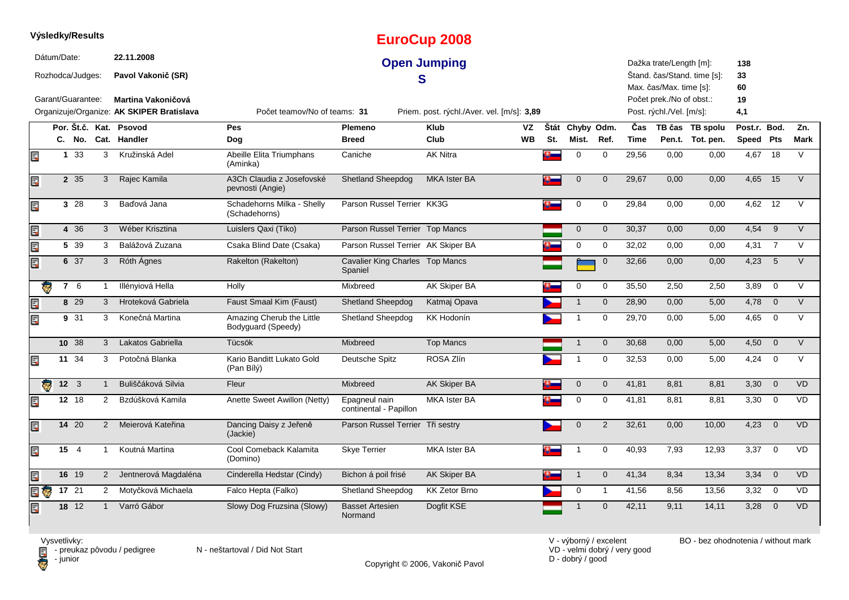|     |                                 |              | Výsledky/Results     |                                                                        |                                                 |                                            | <b>EuroCup 2008</b>                        |     |                 |                |             |                                                      |                             |                 |                          |                |
|-----|---------------------------------|--------------|----------------------|------------------------------------------------------------------------|-------------------------------------------------|--------------------------------------------|--------------------------------------------|-----|-----------------|----------------|-------------|------------------------------------------------------|-----------------------------|-----------------|--------------------------|----------------|
|     | Dátum/Date:<br>Rozhodca/Judges: |              |                      | 22.11.2008<br>Pavol Vakonič (SR)                                       |                                                 |                                            | <b>Open Jumping</b><br>S                   |     |                 |                |             | Dažka trate/Length [m]:<br>Max. čas/Max. time [s]:   | Štand. čas/Stand. time [s]: | 138<br>33<br>60 |                          |                |
|     | Garant/Guarantee:               |              |                      | <b>Martina Vakoničová</b><br>Organizuje/Organize: AK SKIPER Bratislava | Počet teamov/No of teams: 31                    |                                            | Priem. post. rýchl./Aver. vel. [m/s]: 3,89 |     |                 |                |             | Počet prek./No of obst.:<br>Post. rýchl./Vel. [m/s]: |                             | 19<br>4,1       |                          |                |
|     |                                 |              |                      | Por. Št.č. Kat. Psovod                                                 | <b>Pes</b>                                      | Plemeno                                    | <b>Klub</b><br><b>VZ</b>                   |     | Štát Chyby Odm. |                | Čas         |                                                      | TB čas TB spolu             | Post.r. Bod.    |                          | Zn.            |
|     |                                 | C. No.       |                      | Cat. Handler                                                           | Dog                                             | <b>Breed</b>                               | Club<br><b>WB</b>                          | St. | Mist.           | Ref.           | <b>Time</b> |                                                      | Pen.t. Tot. pen.            | Speed Pts       |                          | <b>Mark</b>    |
| E.  |                                 | 1 33         | 3                    | Kružinská Adel                                                         | Abeille Elita Triumphans<br>(Aminka)            | Caniche                                    | <b>AK Nitra</b>                            |     | $\mathbf 0$     | $\mathbf 0$    | 29,56       | 0,00                                                 | 0,00                        | 4,67            | 18                       | $\vee$         |
| Ę   |                                 | 2 35         | 3                    | Rajec Kamila                                                           | A3Ch Claudia z Josefovské<br>pevnosti (Angie)   | <b>Shetland Sheepdog</b>                   | <b>MKA Ister BA</b>                        | n – | $\overline{0}$  | $\mathbf 0$    | 29,67       | 0,00                                                 | 0,00                        | 4,65            | 15                       | $\vee$         |
| Ę   |                                 | 3 28         | 3                    | Baďová Jana                                                            | Schadehorns Milka - Shelly<br>(Schadehorns)     | Parson Russel Terrier KK3G                 |                                            |     | $\mathbf 0$     | 0              | 29,84       | 0,00                                                 | 0,00                        | 4,62            | 12                       | V              |
| Ę   |                                 | 4 36         | 3                    | Wéber Krisztina                                                        | Luislers Qaxi (Tiko)                            | Parson Russel Terrier Top Mancs            |                                            |     | $\mathbf{0}$    | $\mathbf{0}$   | 30,37       | 0.00                                                 | 0,00                        | 4,54            | 9                        | $\vee$         |
| Ę   |                                 | 5 39         | 3                    | Balážová Zuzana                                                        | Csaka Blind Date (Csaka)                        | Parson Russel Terrier AK Skiper BA         |                                            |     | $\mathbf 0$     | 0              | 32,02       | 0,00                                                 | 0,00                        | 4,31            | $\overline{7}$           | V              |
| Ę   |                                 | 6 37         | 3                    | Róth Ágnes                                                             | Rakelton (Rakelton)                             | Cavalier King Charles Top Mancs<br>Spaniel |                                            |     |                 | $\mathbf 0$    | 32,66       | 0,00                                                 | 0,00                        | 4,23            | 5                        | $\overline{V}$ |
| ę   |                                 | 7 6          | $\mathbf{1}$         | Illényiová Hella                                                       | Holly                                           | Mixbreed                                   | <b>AK Skiper BA</b>                        |     | $\mathbf 0$     | 0              | 35,50       | 2,50                                                 | 2,50                        | 3,89            | $\mathbf 0$              | V              |
| Ę   |                                 | 8 29         | 3                    | Hroteková Gabriela                                                     | Faust Smaal Kim (Faust)                         | Shetland Sheepdog                          | Katmaj Opava                               |     | $\mathbf{1}$    | $\mathbf 0$    | 28,90       | 0,00                                                 | 5,00                        | 4,78            | $\overline{0}$           | $\vee$         |
| Ę   |                                 | 9 31         | 3                    | Konečná Martina                                                        | Amazing Cherub the Little<br>Bodyguard (Speedy) | Shetland Sheepdog                          | <b>KK Hodonín</b>                          |     | $\mathbf 1$     | $\mathbf 0$    | 29,70       | 0,00                                                 | 5,00                        | 4,65            | $\overline{0}$           | V              |
|     |                                 | 10 38        | 3                    | Lakatos Gabriella                                                      | Tücsök                                          | Mixbreed                                   | <b>Top Mancs</b>                           |     | $\mathbf{1}$    | $\mathbf 0$    | 30,68       | 0,00                                                 | 5,00                        | 4,50            | $\mathbf 0$              | $\vee$         |
| Ę   |                                 | 11 $34$      | 3                    | Potočná Blanka                                                         | Kario Banditt Lukato Gold<br>(Pan Bílý)         | Deutsche Spitz                             | ROSA Zlín                                  |     | $\mathbf 1$     | 0              | 32,53       | 0,00                                                 | 5,00                        | 4,24            | $\overline{0}$           | $\vee$         |
|     | ē.                              | $12 \quad 3$ | $\mathbf{1}$         | Buliščáková Silvia                                                     | Fleur                                           | Mixbreed                                   | <b>AK Skiper BA</b>                        |     | $\mathbf 0$     | $\mathbf{0}$   | 41,81       | 8.81                                                 | 8,81                        | 3,30            | $\overline{0}$           | <b>VD</b>      |
| Ę   |                                 | 12 18        | $\mathbf{2}^{\circ}$ | Bzdúšková Kamila                                                       | Anette Sweet Awillon (Netty)                    | Epagneul nain<br>continental - Papillon    | <b>MKA Ister BA</b>                        |     | 0               | 0              | 41,81       | 8,81                                                 | 8,81                        | 3,30            | $\overline{0}$           | VD             |
| Ę   |                                 | 14 20        | $\overline{2}$       | Meierová Kateřina                                                      | Dancing Daisy z Jeřeně<br>(Jackie)              | Parson Russel Terrier Tři sestry           |                                            |     | $\mathbf 0$     | $\overline{2}$ | 32,61       | 0,00                                                 | 10,00                       | 4,23            | $\overline{0}$           | <b>VD</b>      |
| Ę   |                                 | 15 4         | $\mathbf{1}$         | Koutná Martina                                                         | Cool Comeback Kalamita<br>(Domino)              | <b>Skye Terrier</b>                        | <b>MKA Ister BA</b>                        |     | $\mathbf 1$     | $\mathbf 0$    | 40,93       | 7,93                                                 | 12,93                       | 3,37            | $\overline{0}$           | <b>VD</b>      |
| Ę   |                                 | 16 19        |                      | Jentnerová Magdaléna<br>$2^{\circ}$                                    | Cinderella Hedstar (Cindy)                      | Bichon á poil frisé                        | <b>AK Skiper BA</b>                        |     | $\mathbf{1}$    | $\mathbf 0$    | 41,34       | 8,34                                                 | 13,34                       | 3,34            | $\overline{\phantom{0}}$ | <b>VD</b>      |
| E G |                                 | 17 21        | 2                    | Motyčková Michaela                                                     | Falco Hepta (Falko)                             | Shetland Sheepdog                          | <b>KK Zetor Brno</b>                       |     | 0               | $\mathbf{1}$   | 41,56       | 8,56                                                 | 13,56                       | $3,32 \ 0$      |                          | <b>VD</b>      |
| Ę   |                                 | 18 12        | $\mathbf{1}$         | Varró Gábor                                                            | Slowy Dog Fruzsina (Slowy)                      | <b>Basset Artesien</b><br>Normand          | Dogfit KSE                                 |     |                 | $\mathbf 0$    | 42,11       | 9,11                                                 | 14,11                       | 3,28            | $\overline{0}$           | <b>VD</b>      |

Vysvetlivky:<br>⊟ - preukaz pôvodu / pedigree N - neštartoval / Did Not Start **D** - junior

Copyright © 2006, Vakonič Pavol

VD - velmi dobrý / very good D - dobrý / good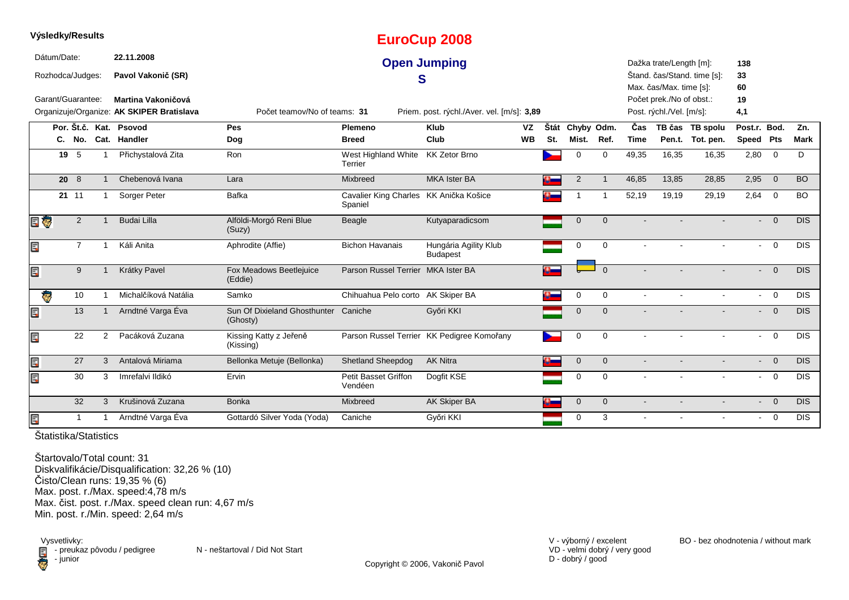|     | Výsledky/Results  |                 |                |                                           |                                          |                                                   | <b>EuroCup 2008</b>                        |           |      |                |                |             |                          |                             |                           |                |                  |
|-----|-------------------|-----------------|----------------|-------------------------------------------|------------------------------------------|---------------------------------------------------|--------------------------------------------|-----------|------|----------------|----------------|-------------|--------------------------|-----------------------------|---------------------------|----------------|------------------|
|     | Dátum/Date:       |                 |                | 22.11.2008                                |                                          |                                                   | <b>Open Jumping</b>                        |           |      |                |                |             | Dažka trate/Length [m]:  |                             | 138                       |                |                  |
|     | Rozhodca/Judges:  |                 |                | Pavol Vakonič (SR)                        |                                          |                                                   | S                                          |           |      |                |                |             |                          | Štand. čas/Stand. time [s]: | 33                        |                |                  |
|     |                   |                 |                |                                           |                                          |                                                   |                                            |           |      |                |                |             | Max. čas/Max. time [s]:  |                             | 60                        |                |                  |
|     | Garant/Guarantee: |                 |                | Martina Vakoničová                        |                                          |                                                   |                                            |           |      |                |                |             | Počet prek./No of obst.: |                             | 19                        |                |                  |
|     |                   |                 |                | Organizuje/Organize: AK SKIPER Bratislava | Počet teamov/No of teams: 31             |                                                   | Priem. post. rýchl./Aver. vel. [m/s]: 3,89 |           |      |                |                |             | Post. rýchl./Vel. [m/s]: |                             | 4,1                       |                |                  |
|     |                   |                 |                | Por. Št.č. Kat. Psovod                    | Pes                                      | Plemeno                                           | <b>Klub</b>                                | VZ        | Štát | Chyby Odm.     |                | Čas         |                          | TB čas TB spolu             | Post.r. Bod.              |                | Zn.              |
|     |                   | C. No.          |                | Cat. Handler                              | Dog                                      | <b>Breed</b>                                      | Club                                       | <b>WB</b> | St.  | Mist.          | Ref.           | <b>Time</b> |                          | Pen.t. Tot. pen.            | Speed Pts                 |                | <b>Mark</b>      |
|     |                   | 19 5            | -1             | Přichystalová Zita                        | Ron                                      | West Highland White<br>Terrier                    | <b>KK Zetor Brno</b>                       |           |      | $\Omega$       | $\mathbf 0$    | 49,35       | 16,35                    | 16,35                       | 2,80                      | $\overline{0}$ | D                |
|     |                   | $20 \t 8$       |                | Chebenová Ivana                           | Lara                                     | Mixbreed                                          | MKA Ister BA                               |           |      | 2              | $\mathbf 1$    | 46,85       | 13,85                    | 28,85                       | 2,95                      | $\overline{0}$ | <b>BO</b>        |
|     |                   | 21 11           |                | Sorger Peter                              | Bafka                                    | Cavalier King Charles KK Anička Košice<br>Spaniel |                                            |           |      |                | $\overline{1}$ | 52,19       | 19,19                    | 29,19                       | 2,64                      | $\overline{0}$ | <b>BO</b>        |
| e Ç |                   | $\overline{2}$  |                | <b>Budai Lilla</b>                        | Alföldi-Morgó Reni Blue<br>(Suzy)        | Beagle                                            | Kutyaparadicsom                            |           |      | $\mathbf 0$    | $\mathbf{0}$   |             |                          |                             | $\overline{\phantom{0}}$  | $\overline{0}$ | <b>DIS</b>       |
| Ę   |                   | $\overline{7}$  |                | Káli Anita                                | Aphrodite (Affie)                        | <b>Bichon Havanais</b>                            | Hungária Agility Klub<br><b>Budapest</b>   |           |      | 0              | $\mathbf 0$    |             |                          |                             | $\sim$                    | $\overline{0}$ | <b>DIS</b>       |
| Ę   |                   | 9               |                | Krátky Pavel                              | Fox Meadows Beetlejuice<br>(Eddie)       | Parson Russel Terrier MKA Ister BA                |                                            |           |      |                | $\Omega$       |             |                          |                             | $\sim$                    | $\overline{0}$ | DIS.             |
|     | ē                 | 10 <sup>°</sup> |                | Michalčíková Natália                      | Samko                                    | Chihuahua Pelo corto AK Skiper BA                 |                                            |           |      | $\mathbf 0$    | $\mathbf 0$    |             |                          |                             | $\sim$                    | $\overline{0}$ | <b>DIS</b>       |
| E.  |                   | 13              |                | Arndtné Varga Éva                         | Sun Of Dixieland Ghosthunter<br>(Ghosty) | Caniche                                           | Győri KKI                                  |           |      | $\overline{0}$ | $\Omega$       |             |                          |                             | $\mathbf{L}^{\text{max}}$ | $\overline{0}$ | <b>DIS</b>       |
| Ē.  |                   | 22              | $\overline{2}$ | Pacáková Zuzana                           | Kissing Katty z Jeřeně<br>(Kissing)      |                                                   | Parson Russel Terrier KK Pedigree Komořany |           |      | $\mathbf 0$    | $\mathbf 0$    |             |                          |                             | $\blacksquare$            | $\overline{0}$ | <b>DIS</b>       |
| Ę   |                   | 27              | 3              | Antalová Miriama                          | Bellonka Metuje (Bellonka)               | <b>Shetland Sheepdog</b>                          | <b>AK Nitra</b>                            |           | ¢    | $\mathbf 0$    | $\mathbf{0}$   |             |                          |                             | $\blacksquare$            | $\overline{0}$ | DIS              |
| E   |                   | 30              | 3              | Imrefalvi Ildikó                          | Ervin                                    | Petit Basset Griffon<br>Vendéen                   | Dogfit KSE                                 |           |      | 0              | $\Omega$       |             |                          |                             |                           | $- 0$          | $\overline{DIS}$ |
|     |                   | 32              | 3              | Krušinová Zuzana                          | <b>Bonka</b>                             | Mixbreed                                          | AK Skiper BA                               |           |      | $\mathbf 0$    | $\mathbf{0}$   |             |                          |                             |                           | $- 0$          | <b>DIS</b>       |
| Ē,  |                   | 1               | -1             | Arndtné Varga Éva                         | Gottardó Silver Yoda (Yoda)              | Caniche                                           | Győri KKI                                  |           |      | 0              | 3              |             |                          |                             | $\sim$                    | $\overline{0}$ | <b>DIS</b>       |

Štartovalo/Total count: 31 Diskvalifikácie/Disqualification: 32,26 % (10)Čisto/Clean runs: 19,35 % (6) Max. post. r./Max. speed:4,78 m/s Max. čist. post. r./Max. speed clean run: 4,67 m/sMin. post. r./Min. speed: 2,64 m/s

Vysvetlivky: $\blacksquare$  - preukaz pôvodu / pedigree N - neštartoval / Did Not Start **D** - junior

VD - velmi dobrý / very good D - dobrý / good

Copyright © 2006, Vakonič Pavol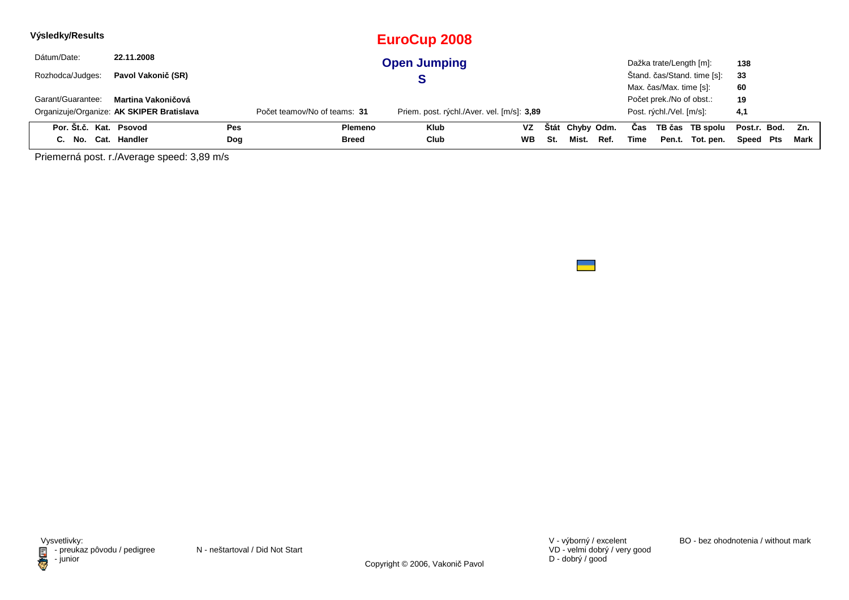| Výsledky/Results       |                                           |     |                              | <b>EuroCup 2008</b>                        |           |     |                 |      |      |                          |                             |                  |     |      |
|------------------------|-------------------------------------------|-----|------------------------------|--------------------------------------------|-----------|-----|-----------------|------|------|--------------------------|-----------------------------|------------------|-----|------|
| Dátum/Date:            | 22.11.2008                                |     |                              | <b>Open Jumping</b>                        |           |     |                 |      |      | Dažka trate/Length [m]:  |                             | 138              |     |      |
| Rozhodca/Judges:       | Pavol Vakonič (SR)                        |     |                              |                                            |           |     |                 |      |      |                          | Štand. čas/Stand. time [s]: | 33               |     |      |
|                        |                                           |     |                              |                                            |           |     |                 |      |      | Max. čas/Max. time [s]:  |                             | 60               |     |      |
| Garant/Guarantee:      | Martina Vakoničová                        |     |                              |                                            |           |     |                 |      |      | Počet prek./No of obst.: |                             | 19               |     |      |
|                        | Organizuje/Organize: AK SKIPER Bratislava |     | Počet teamov/No of teams: 31 | Priem. post. rýchl./Aver. vel. [m/s]: 3,89 |           |     |                 |      |      | Post. rýchl./Vel. [m/s]: |                             | 4,1              |     |      |
| Por. Št.č. Kat. Psovod |                                           | Pes | Plemeno                      | <b>Klub</b>                                | VZ        |     | Štát Chyby Odm. |      | Cas  |                          | TB čas TB spolu             | Post.r. Bod. Zn. |     |      |
| C. No.                 | Cat. Handler                              | Dog | Breed                        | Club                                       | <b>WB</b> | St. | Mist.           | Ref. | Time | Pen.t.                   | Tot. pen.                   | Speed            | Pts | Mark |

Priemerná post. r./Average speed: 3,89 m/s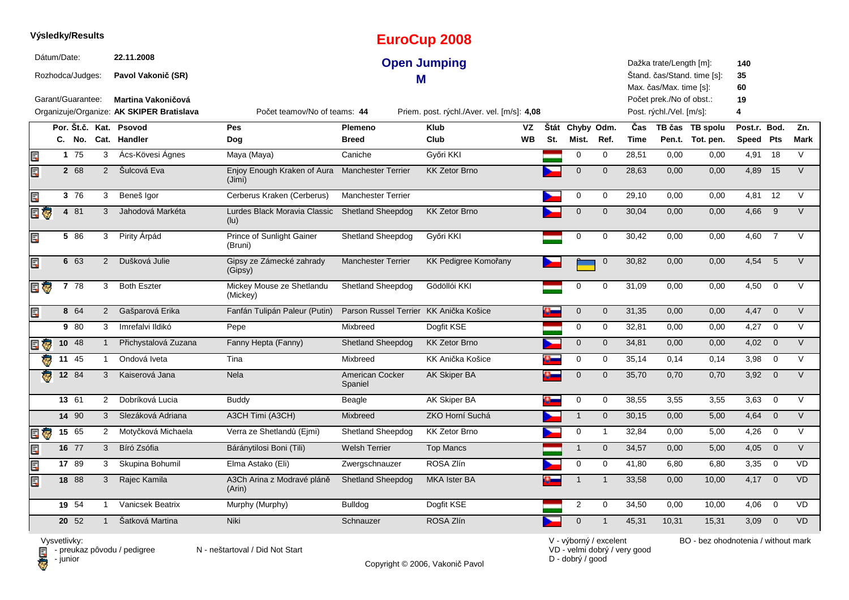|                         |             | Výsledky/Results                      |                |                                                                                                            |                                       |                                        | <b>EuroCup 2008</b>                                               |           |     |                 |              |             |                                                                                                            |                             |                            |                |             |
|-------------------------|-------------|---------------------------------------|----------------|------------------------------------------------------------------------------------------------------------|---------------------------------------|----------------------------------------|-------------------------------------------------------------------|-----------|-----|-----------------|--------------|-------------|------------------------------------------------------------------------------------------------------------|-----------------------------|----------------------------|----------------|-------------|
|                         | Dátum/Date: | Rozhodca/Judges:<br>Garant/Guarantee: |                | 22.11.2008<br>Pavol Vakonič (SR)<br><b>Martina Vakoničová</b><br>Organizuje/Organize: AK SKIPER Bratislava | Počet teamov/No of teams: 44          | м                                      | <b>Open Jumping</b><br>Priem. post. rýchl./Aver. vel. [m/s]: 4,08 |           |     |                 |              |             | Dažka trate/Length [m]:<br>Max. čas/Max. time [s]:<br>Počet prek./No of obst.:<br>Post. rýchl./Vel. [m/s]: | Štand. čas/Stand. time [s]: | 140<br>35<br>60<br>19<br>4 |                |             |
|                         |             |                                       |                | Por. Št.č. Kat. Psovod                                                                                     | Pes                                   | Plemeno                                | <b>Klub</b>                                                       | VZ        |     | Štát Chyby Odm. |              | Čas         |                                                                                                            | TB čas TB spolu             | Post.r. Bod.               |                | Zn.         |
|                         |             | C. No.                                |                | Cat. Handler                                                                                               | Dog                                   | <b>Breed</b>                           | Club                                                              | <b>WB</b> | St. | Mist.           | Ref.         | <b>Time</b> |                                                                                                            | Pen.t. Tot. pen.            | Speed Pts                  |                | <b>Mark</b> |
| Ę                       |             | 175                                   | 3              | Ács-Kövesi Ágnes                                                                                           | Maya (Maya)                           | Caniche                                | Győri KKI                                                         |           |     | 0               | 0            | 28,51       | 0,00                                                                                                       | 0,00                        | 4,91                       | 18             | V           |
| E                       |             | 2 68                                  | 2              | Šulcová Eva                                                                                                | Enjoy Enough Kraken of Aura<br>(Jimi) | <b>Manchester Terrier</b>              | <b>KK Zetor Brno</b>                                              |           |     | $\mathbf 0$     | $\mathbf{0}$ | 28,63       | 0,00                                                                                                       | 0,00                        | 4,89                       | 15             | $\vee$      |
| E                       |             | 3 76                                  | 3              | Beneš Igor                                                                                                 | Cerberus Kraken (Cerberus)            | <b>Manchester Terrier</b>              |                                                                   |           |     | 0               | $\mathbf 0$  | 29,10       | 0,00                                                                                                       | 0,00                        | 4,81                       | 12             | $\vee$      |
| E T                     |             | 4 81                                  | 3              | Jahodová Markéta                                                                                           | Lurdes Black Moravia Classic<br>(lu)  | <b>Shetland Sheepdog</b>               | <b>KK Zetor Brno</b>                                              |           |     | $\mathbf 0$     | $\mathbf{0}$ | 30,04       | 0,00                                                                                                       | 0,00                        | 4,66                       | 9              | $\vee$      |
| E                       |             | 5 86                                  | 3              | Pirity Árpád                                                                                               | Prince of Sunlight Gainer<br>(Bruni)  | <b>Shetland Sheepdog</b>               | Győri KKI                                                         |           |     | $\mathbf 0$     | $\mathbf 0$  | 30,42       | 0,00                                                                                                       | 0,00                        | 4,60                       | $\overline{7}$ | $\vee$      |
| E                       |             | 6 63                                  | 2              | Dušková Julie                                                                                              | Gipsy ze Zámecké zahrady<br>(Gipsy)   | <b>Manchester Terrier</b>              | KK Pedigree Komořany                                              |           |     |                 | $\mathbf 0$  | 30,82       | 0,00                                                                                                       | 0,00                        | 4,54                       | 5              |             |
| E G                     |             | 7 <sup>78</sup>                       | 3              | <b>Both Eszter</b>                                                                                         | Mickey Mouse ze Shetlandu<br>(Mickey) | <b>Shetland Sheepdog</b>               | Gödöllói KKI                                                      |           |     | $\Omega$        | $\Omega$     | 31,09       | 0,00                                                                                                       | 0,00                        | 4,50                       | $\mathbf 0$    | $\vee$      |
| Ę                       |             | 8 64                                  | $2^{\circ}$    | Gašparová Erika                                                                                            | Fanfán Tulipán Paleur (Putin)         | Parson Russel Terrier KK Anička Košice |                                                                   |           |     | $\mathbf 0$     | $\mathbf 0$  | 31,35       | 0,00                                                                                                       | 0,00                        | 4,47                       | $\overline{0}$ | $\vee$      |
|                         |             | 9 80                                  | 3              | Imrefalvi Ildikó                                                                                           | Pepe                                  | Mixbreed                               | Dogfit KSE                                                        |           |     | 0               | $\mathbf 0$  | 32,81       | 0,00                                                                                                       | 0,00                        | 4,27                       | $\overline{0}$ | V           |
| Ę<br>ę.                 |             | 10 48                                 |                | Přichystalová Zuzana                                                                                       | Fanny Hepta (Fanny)                   | <b>Shetland Sheepdog</b>               | <b>KK Zetor Brno</b>                                              |           |     | $\mathbf{0}$    | $\mathbf{0}$ | 34,81       | 0,00                                                                                                       | 0,00                        | 4,02                       | $\overline{0}$ | $\vee$      |
| ₹.                      |             | 11 45                                 | $\mathbf{1}$   | Ondová Iveta                                                                                               | Tina                                  | Mixbreed                               | KK Anička Košice                                                  |           |     | 0               | $\mathbf 0$  | 35,14       | 0,14                                                                                                       | 0,14                        | 3,98                       | $\overline{0}$ | $\vee$      |
| $\overline{\mathbf{c}}$ |             | 12 84                                 | 3              | Kaiserová Jana                                                                                             | Nela                                  | American Cocker<br>Spaniel             | AK Skiper BA                                                      |           |     | $\mathbf 0$     | $\Omega$     | 35,70       | 0,70                                                                                                       | 0,70                        | 3,92                       | $\overline{0}$ | $\vee$      |
|                         |             | 13 61                                 | $\overline{2}$ | Dobríková Lucia                                                                                            | <b>Buddy</b>                          | Beagle                                 | AK Skiper BA                                                      |           |     | $\mathbf 0$     | $\mathbf 0$  | 38,55       | 3,55                                                                                                       | 3,55                        | 3,63                       | $\overline{0}$ | V           |
|                         |             | 14 90                                 | 3              | Slezáková Adriana                                                                                          | A3CH Timi (A3CH)                      | Mixbreed                               | ZKO Horní Suchá                                                   |           |     | $\mathbf{1}$    | $\mathbf 0$  | 30,15       | 0,00                                                                                                       | 5,00                        | 4,64                       | $\overline{0}$ | V           |
| Ę<br>ę,                 |             | 15 65                                 | $\overline{2}$ | Motyčková Michaela                                                                                         | Verra ze Shetlandů (Ejmi)             | <b>Shetland Sheepdog</b>               | <b>KK Zetor Brno</b>                                              |           |     | $\mathbf 0$     | $\mathbf 1$  | 32,84       | 0,00                                                                                                       | 5,00                        | 4,26                       | $\overline{0}$ | $\vee$      |
| Er                      |             | 16 77                                 | 3              | Bíró Zsófia                                                                                                | Báránytilosi Boni (Tili)              | <b>Welsh Terrier</b>                   | <b>Top Mancs</b>                                                  |           |     | $\mathbf{1}$    | $\mathbf{0}$ | 34,57       | 0,00                                                                                                       | 5,00                        | 4,05                       | $\overline{0}$ | $\vee$      |
| E                       |             | 17 89                                 | 3              | Skupina Bohumil                                                                                            | Elma Astako (Eli)                     | Zwergschnauzer                         | ROSA Zlín                                                         |           |     | $\mathbf 0$     | $\mathbf 0$  | 41,80       | 6,80                                                                                                       | 6,80                        | 3,35                       | $\mathbf 0$    | VD          |
| E                       |             | 18 88                                 | 3              | Rajec Kamila                                                                                               | A3Ch Arina z Modravé pláně<br>(Arin)  | <b>Shetland Sheepdog</b>               | <b>MKA Ister BA</b>                                               |           |     | $\mathbf{1}$    | $\mathbf{1}$ | 33,58       | 0,00                                                                                                       | 10,00                       | $4,17$ 0                   |                | <b>VD</b>   |
|                         |             | 19 54                                 | $\mathbf 1$    | Vanicsek Beatrix                                                                                           | Murphy (Murphy)                       | <b>Bulldog</b>                         | Dogfit KSE                                                        |           |     | $\overline{2}$  | 0            | 34,50       | 0,00                                                                                                       | 10,00                       | 4,06                       | $\mathbf 0$    | <b>VD</b>   |
|                         |             | 20 52<br>$-111$                       | $\mathbf{1}$   | Šatková Martina                                                                                            | Niki                                  | Schnauzer                              | ROSA Zlín                                                         |           |     | $\mathbf 0$     |              | 45,31       | 10,31                                                                                                      | 15,31                       | 3,09                       | $\overline{0}$ | <b>VD</b>   |

Vysvetlivky:<br>⊟ - preukaz pôvodu / pedigree N - neštartoval / Did Not Start **D** - junior

Copyright © 2006, Vakonič Pavol

VD - velmi dobrý / very good D - dobrý / good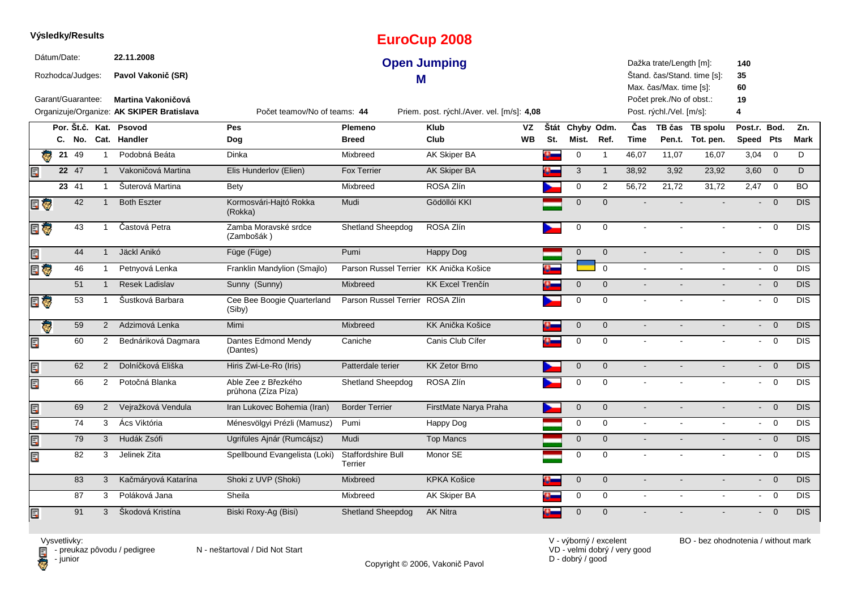|                         |             | Výsledky/Results  |                |                                           |                                            |                                        | <b>EuroCup 2008</b>                        |          |                 |              |                |                                                    |                             |                           |                         |            |
|-------------------------|-------------|-------------------|----------------|-------------------------------------------|--------------------------------------------|----------------------------------------|--------------------------------------------|----------|-----------------|--------------|----------------|----------------------------------------------------|-----------------------------|---------------------------|-------------------------|------------|
|                         | Dátum/Date: | Rozhodca/Judges:  |                | 22.11.2008<br>Pavol Vakonič (SR)          |                                            | M                                      | <b>Open Jumping</b>                        |          |                 |              |                | Dažka trate/Length [m]:<br>Max. čas/Max. time [s]: | Štand. čas/Stand. time [s]: | 140<br>35<br>60           |                         |            |
|                         |             | Garant/Guarantee: |                | Martina Vakoničová                        |                                            |                                        |                                            |          |                 |              |                | Počet prek./No of obst.:                           |                             | 19                        |                         |            |
|                         |             |                   |                | Organizuje/Organize: AK SKIPER Bratislava | Počet teamov/No of teams: 44               |                                        | Priem. post. rýchl./Aver. vel. [m/s]: 4,08 |          |                 |              |                | Post. rýchl./Vel. [m/s]:                           |                             | 4                         |                         |            |
|                         |             |                   |                | Por. Št.č. Kat. Psovod                    | Pes                                        | Plemeno                                | <b>Klub</b><br>VZ                          |          | Štát Chyby Odm. |              | Čas            |                                                    | TB čas TB spolu             | Post.r. Bod.              |                         | Zn.        |
|                         |             | C. No.            |                | Cat. Handler                              | Dog                                        | <b>Breed</b>                           | Club<br><b>WB</b>                          | St.      | Mist.           | Ref.         | <b>Time</b>    |                                                    | Pen.t. Tot. pen.            | Speed Pts                 |                         | Mark       |
| $\overline{\mathbf{G}}$ | 21          | 49                | 1              | Podobná Beáta                             | Dinka                                      | Mixbreed                               | <b>AK Skiper BA</b>                        | $\alpha$ | 0               | $\mathbf{1}$ | 46,07          | 11,07                                              | 16,07                       | 3,04                      | $\overline{0}$          | D          |
|                         |             | 22 47             | $\mathbf{1}$   | Vakoničová Martina                        | Elis Hunderlov (Elien)                     | Fox Terrier                            | AK Skiper BA                               |          | $\sqrt{3}$      | $\mathbf{1}$ | 38,92          | 3,92                                               | 23,92                       | $3,60$ 0                  |                         | D          |
|                         |             | 23 41             | $\overline{1}$ | Šuterová Martina                          | Bety                                       | Mixbreed                               | ROSA Zlín                                  |          | 0               | 2            | 56,72          | 21,72                                              | 31,72                       | 2,47                      | $\overline{0}$          | <b>BO</b>  |
| E G                     |             | 42                | $\mathbf{1}$   | <b>Both Eszter</b>                        | Kormosvári-Hajtó Rokka<br>(Rokka)          | Mudi                                   | Gödöllói KKI                               |          | $\mathbf 0$     | $\mathbf 0$  |                |                                                    |                             | $\blacksquare$            | $\overline{0}$          | DIS        |
| E ç                     |             | 43                | -1             | Častová Petra                             | Zamba Moravské srdce<br>(Zambošák)         | <b>Shetland Sheepdog</b>               | ROSA Zlín                                  |          | 0               | 0            |                |                                                    |                             | $\sim$                    | $\mathbf 0$             | <b>DIS</b> |
| Ξ                       |             | 44                | $\mathbf{1}$   | Jäckl Anikó                               | Füge (Füge)                                | Pumi                                   | <b>Happy Dog</b>                           |          | $\overline{0}$  | $\mathbf{0}$ | $\sim$         |                                                    |                             | $\sim$                    | $\overline{0}$          | DIS        |
| <b>S</b>                |             | 46                | $\mathbf 1$    | Petnyová Lenka                            | Franklin Mandylion (Smailo)                | Parson Russel Terrier KK Anička Košice |                                            |          |                 | $\Omega$     |                |                                                    |                             | $\sim$                    | $\overline{0}$          | <b>DIS</b> |
|                         |             | 51                | $\mathbf{1}$   | <b>Resek Ladislav</b>                     | Sunny (Sunny)                              | Mixbreed                               | <b>KK Excel Trenčín</b>                    |          | $\mathbf 0$     | $\mathbf{0}$ | $\blacksquare$ |                                                    |                             | $\sim$                    | $\overline{\mathbf{0}}$ | <b>DIS</b> |
| E Ç                     |             | 53                | $\mathbf{1}$   | Šustková Barbara                          | Cee Bee Boogie Quarterland<br>(Siby)       | Parson Russel Terrier ROSA Zlín        |                                            |          | $\mathbf 0$     | $\Omega$     | $\sim$         |                                                    |                             | $\sim$                    | $\mathbf 0$             | <b>DIS</b> |
| Q.                      |             | 59                | 2              | Adzimová Lenka                            | Mimi                                       | Mixbreed                               | <b>KK Anička Košice</b>                    |          | $\mathbf 0$     | $\mathbf{0}$ | $\sim$         |                                                    |                             | $\blacksquare$            | $\mathbf{0}$            | <b>DIS</b> |
| Ę                       |             | 60                | $\overline{2}$ | Bednáriková Dagmara                       | Dantes Edmond Mendy<br>(Dantes)            | Caniche                                | Canis Club Cífer                           |          | 0               | 0            | $\sim$         |                                                    |                             | $\sim$                    | $\overline{0}$          | <b>DIS</b> |
| E                       |             | 62                | $\overline{2}$ | Dolníčková Eliška                         | Hiris Zwi-Le-Ro (Iris)                     | Patterdale terier                      | <b>KK Zetor Brno</b>                       |          | $\mathbf 0$     | $\mathbf{0}$ |                |                                                    |                             | $\blacksquare$            | $\mathbf 0$             | DIS        |
| Er                      |             | 66                | $\overline{2}$ | Potočná Blanka                            | Able Zee z Březkého<br>průhona (Zíza Píza) | Shetland Sheepdog                      | ROSA Zlín                                  |          | 0               | 0            |                |                                                    |                             | $\sim$                    | $\mathbf 0$             | <b>DIS</b> |
| Ę                       |             | 69                | $2^{\circ}$    | Vejražková Vendula                        | Iran Lukovec Bohemia (Iran)                | <b>Border Terrier</b>                  | FirstMate Narya Praha                      |          | $\mathbf 0$     | $\mathbf{0}$ |                |                                                    |                             | $\blacksquare$            | $\overline{0}$          | <b>DIS</b> |
| E                       |             | 74                | 3              | Ács Viktória                              | Ménesvölgyi Prézli (Mamusz)                | Pumi                                   | Happy Dog                                  |          | 0               | $\mathbf 0$  | $\blacksquare$ | $\sim$                                             | $\sim$                      | $\sim$                    | $\overline{0}$          | DIS        |
| Ę                       |             | 79                | 3              | Hudák Zsófi                               | Ugrifüles Ajnár (Rumcájsz)                 | Mudi                                   | <b>Top Mancs</b>                           |          | $\mathbf{0}$    | $\mathbf{0}$ | $\blacksquare$ |                                                    |                             | $\sim$                    | $\mathbf 0$             | DIS.       |
| Ę                       |             | 82                | 3              | Jelinek Zita                              | Spellbound Evangelista (Loki)              | Staffordshire Bull<br>Terrier          | Monor SE                                   |          | 0               | 0            | $\sim$         |                                                    |                             | $\sim$                    | $\mathbf 0$             | DIS        |
|                         |             | 83                | 3              | Kačmáryová Katarína                       | Shoki z UVP (Shoki)                        | Mixbreed                               | <b>KPKA Košice</b>                         | a.       | $\mathbf{0}$    | $\mathbf{0}$ | $\sim$         |                                                    |                             | $\mathbf{L}^{\text{max}}$ | $\overline{0}$          | <b>DIS</b> |
|                         |             | 87                | 3              | Poláková Jana                             | Sheila                                     | Mixbreed                               | <b>AK Skiper BA</b>                        |          | 0               | $\mathbf 0$  | $\omega$       |                                                    | $\blacksquare$              | $\sim$                    | $\overline{0}$          | <b>DIS</b> |
| E                       |             | 91                | 3              | Škodová Kristína                          | Biski Roxy-Ag (Bisi)                       | <b>Shetland Sheepdog</b>               | <b>AK Nitra</b>                            | o-       | $\mathbf 0$     | $\Omega$     |                |                                                    |                             | $\sim$                    | $\overline{0}$          | <b>DIS</b> |

**D** - junior

Vysvetlivky:<br>⊟ - preukaz pôvodu / pedigree N - neštartoval / Did Not Start

Copyright © 2006, Vakonič Pavol

VD - velmi dobrý / very good D - dobrý / good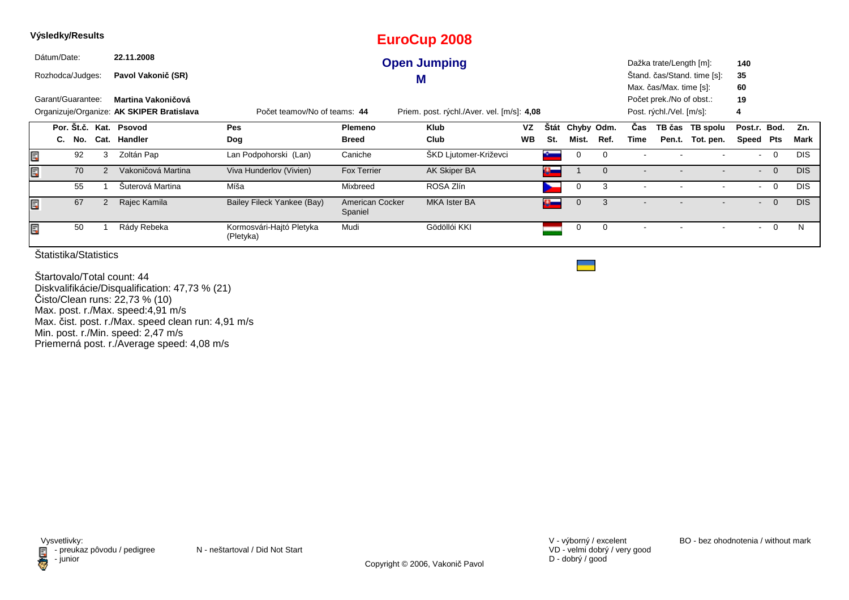| Dátum/Date:               | 22.11.2008                                                      |                                       |                            |                                            |           |             |             |              |                          |                                                                                 |                             |               |                |            |
|---------------------------|-----------------------------------------------------------------|---------------------------------------|----------------------------|--------------------------------------------|-----------|-------------|-------------|--------------|--------------------------|---------------------------------------------------------------------------------|-----------------------------|---------------|----------------|------------|
|                           |                                                                 |                                       |                            | <b>Open Jumping</b>                        |           |             |             |              |                          | Dažka trate/Length [m]:                                                         |                             | 140           |                |            |
| Rozhodca/Judges:          | Pavol Vakonič (SR)                                              |                                       |                            | M                                          |           |             |             |              |                          |                                                                                 | Štand. čas/Stand. time [s]: | 35            |                |            |
| Garant/Guarantee:         | Martina Vakoničová<br>Organizuje/Organize: AK SKIPER Bratislava | Počet teamov/No of teams: 44          |                            | Priem. post. rýchl./Aver. vel. [m/s]: 4,08 |           |             |             |              |                          | Max. čas/Max. time [s]:<br>Počet prek./No of obst.:<br>Post. rýchl./Vel. [m/s]: |                             | 60<br>19<br>4 |                |            |
| Por. St.č. Kat. Psovod    |                                                                 | Pes                                   | <b>Plemeno</b>             | <b>Klub</b>                                | VZ        | <b>Stát</b> | Chyby Odm.  |              | Cas                      |                                                                                 | TB čas TB spolu             | Post.r. Bod.  |                | Zn.        |
| C. No.                    | Cat. Handler                                                    | Dog                                   | <b>Breed</b>               | Club                                       | <b>WB</b> | St.         | Mist.       | Ref.         | Time                     |                                                                                 | Pen.t. Tot. pen.            | Speed Pts     |                | Mark       |
| 92<br>E<br>3              | Zoltán Pap                                                      | Lan Podpohorski (Lan)                 | Caniche                    | ŠKD Ljutomer-Križevci                      |           | a an        | 0           | $\Omega$     |                          |                                                                                 |                             | $\sim$        | $\overline{0}$ | <b>DIS</b> |
| lin's<br>70<br>2          | Vakoničová Martina                                              | Viva Hunderlov (Vivien)               | <b>Fox Terrier</b>         | AK Skiper BA                               |           | $\alpha$    |             | $\mathbf{0}$ |                          |                                                                                 |                             | $\sim$        | $\overline{0}$ | <b>DIS</b> |
| 55                        | Šuterová Martina                                                | Míša                                  | Mixbreed                   | ROSA Zlín                                  |           |             | 0           | 3            | $\blacksquare$           |                                                                                 |                             | $\sim$        | $\overline{0}$ | <b>DIS</b> |
| E<br>67<br>$\overline{2}$ | Rajec Kamila                                                    | Bailey Fileck Yankee (Bay)            | American Cocker<br>Spaniel | <b>MKA Ister BA</b>                        |           | a m         | $\mathbf 0$ | 3            | $\overline{\phantom{a}}$ |                                                                                 |                             | $\sim$        | $\overline{0}$ | <b>DIS</b> |
| Ē,<br>50                  | Rády Rebeka                                                     | Kormosvári-Hajtó Pletyka<br>(Pletyka) | Mudi                       | Gödöllói KKI                               |           |             | 0           | $\Omega$     |                          |                                                                                 |                             |               | $\mathbf 0$    | N          |

Štartovalo/Total count: 44 Diskvalifikácie/Disqualification: 47,73 % (21)Čisto/Clean runs: 22,73 % (10) Max. post. r./Max. speed:4,91 m/s Max. čist. post. r./Max. speed clean run: 4,91 m/sMin. post. r./Min. speed: 2,47 m/s Priemerná post. r./Average speed: 4,08 m/s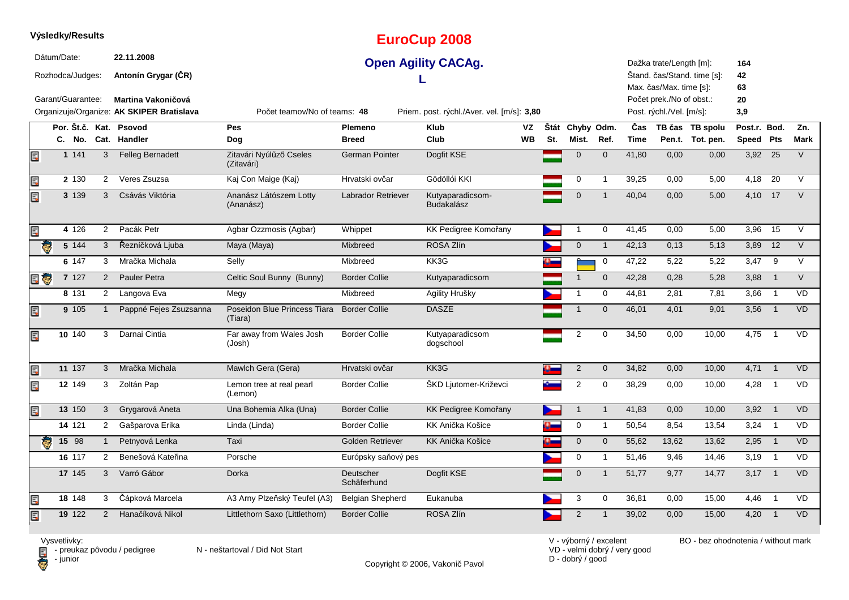|                         |             | Výsledky/Results                      |                |                                                                                                             |                                         |                          | <b>EuroCup 2008</b>                                                      |           |     |                     |                |             |                                                                                                            |                             |                              |                          |             |
|-------------------------|-------------|---------------------------------------|----------------|-------------------------------------------------------------------------------------------------------------|-----------------------------------------|--------------------------|--------------------------------------------------------------------------|-----------|-----|---------------------|----------------|-------------|------------------------------------------------------------------------------------------------------------|-----------------------------|------------------------------|--------------------------|-------------|
|                         | Dátum/Date: | Rozhodca/Judges:<br>Garant/Guarantee: |                | 22.11.2008<br>Antonín Grygar (ČR)<br><b>Martina Vakoničová</b><br>Organizuje/Organize: AK SKIPER Bratislava | Počet teamov/No of teams: 48            |                          | <b>Open Agility CACAg.</b><br>Priem. post. rýchl./Aver. vel. [m/s]: 3,80 |           |     |                     |                |             | Dažka trate/Length [m]:<br>Max. čas/Max. time [s]:<br>Počet prek./No of obst.:<br>Post. rýchl./Vel. [m/s]: | Štand. čas/Stand. time [s]: | 164<br>42<br>63<br>20<br>3,9 |                          |             |
|                         |             | Por. Št.č. Kat.                       |                | <b>Psovod</b>                                                                                               | Pes                                     | Plemeno                  | <b>Klub</b>                                                              | VZ        |     | Štát Chyby Odm.     |                | Čas         |                                                                                                            | TB čas TB spolu             | Post.r. Bod.                 |                          | Zn.         |
|                         |             | C. No.                                |                | Cat. Handler                                                                                                | Dog                                     | <b>Breed</b>             | Club                                                                     | <b>WB</b> | St. | Mist.               | Ref.           | <b>Time</b> |                                                                                                            | Pen.t. Tot. pen.            | Speed Pts                    |                          | <b>Mark</b> |
| E,                      |             | 1 1 4 1                               | 3              | <b>Felleg Bernadett</b>                                                                                     | Zitavári Nyúlűző Cseles<br>(Zitavári)   | <b>German Pointer</b>    | Dogfit KSE                                                               |           |     | $\overline{0}$      | $\overline{0}$ | 41,80       | 0,00                                                                                                       | 0,00                        | 3,92                         | 25                       | $\vee$      |
| E                       |             | 2 130                                 | $\overline{2}$ | Veres Zsuzsa                                                                                                | Kaj Con Maige (Kaj)                     | Hrvatski ovčar           | Gödöllói KKI                                                             |           |     | $\mathsf{O}\xspace$ | $\mathbf{1}$   | 39,25       | 0,00                                                                                                       | 5,00                        | 4,18                         | 20                       | $\vee$      |
| Ę                       |             | 3 139                                 | 3              | Csávás Viktória                                                                                             | Ananász Látószem Lotty<br>(Ananász)     | Labrador Retriever       | Kutyaparadicsom-<br><b>Budakalász</b>                                    |           |     | $\mathbf 0$         | $\overline{1}$ | 40,04       | 0,00                                                                                                       | 5,00                        | 4,10                         | 17                       | $\vee$      |
| E.                      |             | 4 1 2 6                               | 2              | Pacák Petr                                                                                                  | Agbar Ozzmosis (Agbar)                  | Whippet                  | KK Pedigree Komořany                                                     |           |     | $\mathbf{1}$        | 0              | 41,45       | 0,00                                                                                                       | 5,00                        | 3,96                         | 15                       | V           |
| ē                       |             | 5 144                                 | 3              | Řezníčková Ljuba                                                                                            | Maya (Maya)                             | Mixbreed                 | ROSA Zlín                                                                |           |     | $\mathsf{O}\xspace$ | $\mathbf{1}$   | 42,13       | 0,13                                                                                                       | 5,13                        | 3,89                         | $\overline{12}$          | $\vee$      |
|                         |             | 6 147                                 | 3              | Mračka Michala                                                                                              | Selly                                   | Mixbreed                 | KK3G                                                                     |           |     |                     | 0              | 47,22       | 5,22                                                                                                       | 5,22                        | 3,47                         | 9                        | $\vee$      |
| E G                     |             | 7 127                                 | 2              | Pauler Petra                                                                                                | Celtic Soul Bunny (Bunny)               | <b>Border Collie</b>     | Kutyaparadicsom                                                          |           |     | $\overline{1}$      | $\mathbf{0}$   | 42,28       | 0,28                                                                                                       | 5,28                        | 3,88                         | $\overline{1}$           | $\vee$      |
|                         |             | 8 131                                 | 2              | Langova Eva                                                                                                 | Megy                                    | Mixbreed                 | Agility Hrušky                                                           |           |     | $\mathbf{1}$        | $\mathbf 0$    | 44,81       | 2,81                                                                                                       | 7,81                        | 3,66                         | $\overline{1}$           | <b>VD</b>   |
| E                       |             | 9 105                                 |                | Pappné Fejes Zsuzsanna                                                                                      | Poseidon Blue Princess Tiara<br>(Tiara) | <b>Border Collie</b>     | <b>DASZE</b>                                                             |           |     | $\overline{1}$      | $\mathbf 0$    | 46,01       | 4,01                                                                                                       | 9,01                        | 3,56                         | $\overline{1}$           | VD          |
| Ę                       |             | 10 140                                | 3              | Darnai Cintia                                                                                               | Far away from Wales Josh<br>(Josh)      | <b>Border Collie</b>     | Kutyaparadicsom<br>dogschool                                             |           |     | $\overline{2}$      | $\mathbf 0$    | 34,50       | 0,00                                                                                                       | 10,00                       | 4,75                         | $\overline{1}$           | <b>VD</b>   |
| E                       |             | 11 137                                | 3              | Mračka Michala                                                                                              | Mawlch Gera (Gera)                      | Hrvatski ovčar           | KK3G                                                                     |           |     | $\overline{2}$      | $\mathbf 0$    | 34,82       | 0,00                                                                                                       | 10,00                       | 4,71                         | $\overline{1}$           | <b>VD</b>   |
| Er                      |             | 12 149                                | 3              | Zoltán Pap                                                                                                  | Lemon tree at real pearl<br>(Lemon)     | <b>Border Collie</b>     | ŠKD Ljutomer-Križevci                                                    |           |     | $\overline{2}$      | $\mathbf 0$    | 38,29       | 0,00                                                                                                       | 10,00                       | 4,28                         | $\overline{1}$           | <b>VD</b>   |
| Ę                       |             | 13 150                                | 3              | Grygarová Aneta                                                                                             | Una Bohemia Alka (Una)                  | <b>Border Collie</b>     | KK Pedigree Komořany                                                     |           |     | $\overline{1}$      | $\overline{1}$ | 41,83       | 0,00                                                                                                       | 10,00                       | 3,92                         | $\overline{1}$           | <b>VD</b>   |
|                         |             | 14 121                                | $\overline{2}$ | Gašparova Erika                                                                                             | Linda (Linda)                           | <b>Border Collie</b>     | KK Anička Košice                                                         |           |     | 0                   | $\mathbf{1}$   | 50,54       | 8,54                                                                                                       | 13,54                       | 3,24                         | $\overline{1}$           | VD          |
| $\overline{\mathbf{e}}$ |             | 15 98                                 |                | Petnyová Lenka                                                                                              | Taxi                                    | Golden Retriever         | KK Anička Košice                                                         |           |     | $\overline{0}$      | $\mathbf 0$    | 55,62       | 13,62                                                                                                      | 13,62                       | 2,95                         | $\overline{1}$           | VD          |
|                         |             | 16 117                                | $\overline{2}$ | Benešová Kateřina                                                                                           | Porsche                                 | Európsky saňový pes      |                                                                          |           |     | $\mathsf{O}\xspace$ | $\mathbf{1}$   | 51,46       | 9,46                                                                                                       | 14,46                       | 3,19                         | $\overline{\phantom{0}}$ | VD          |
|                         |             | 17 145                                | 3              | Varró Gábor                                                                                                 | Dorka                                   | Deutscher<br>Schäferhund | Dogfit KSE                                                               |           |     | $\mathbf 0$         | $\mathbf{1}$   | 51,77       | 9,77                                                                                                       | 14,77                       | 3,17                         | $\overline{1}$           | <b>VD</b>   |
| E                       |             | 18 148                                | 3              | Čápková Marcela                                                                                             | A3 Arny Plzeňský Teufel (A3)            | <b>Belgian Shepherd</b>  | Eukanuba                                                                 |           |     | 3                   | 0              | 36,81       | 0,00                                                                                                       | 15,00                       | 4,46                         | $\overline{1}$           | VD          |
| Ę                       |             | 19 122                                | 2              | Hanačíková Nikol                                                                                            | Littlethorn Saxo (Littlethorn)          | <b>Border Collie</b>     | ROSA Zlín                                                                |           |     | 2                   | $\overline{1}$ | 39,02       | 0,00                                                                                                       | 15,00                       | 4,20                         | $\overline{1}$           | <b>VD</b>   |

**D** - junior

Vysvetlivky:<br>⊟ - preukaz pôvodu / pedigree N - neštartoval / Did Not Start

Copyright © 2006, Vakonič Pavol

VD - velmi dobrý / very good D - dobrý / good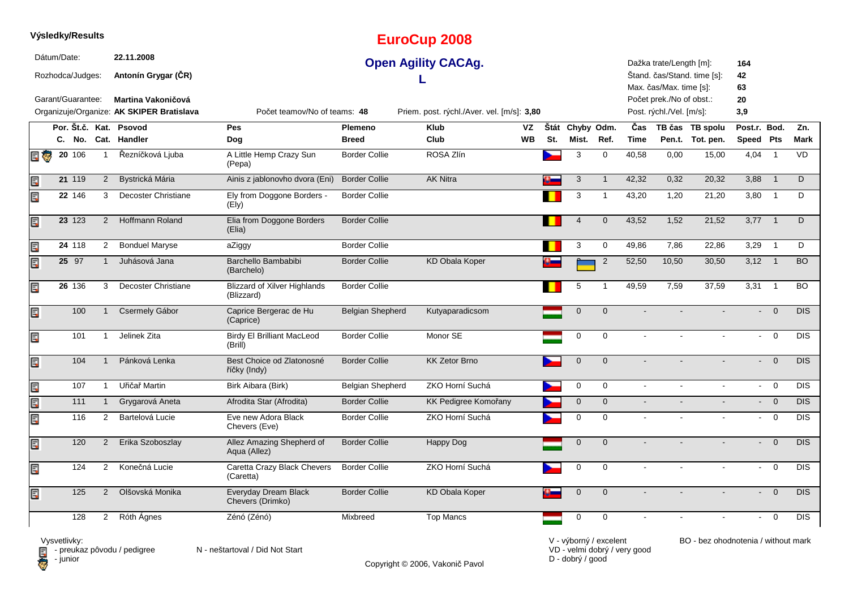|    |             | Výsledky/Results                      |                |                                                                                                      |                                                   |                         | <b>EuroCup 2008</b>                                                      |           |     |                 |                |                |                                                                                                            |                             |                              |                |             |
|----|-------------|---------------------------------------|----------------|------------------------------------------------------------------------------------------------------|---------------------------------------------------|-------------------------|--------------------------------------------------------------------------|-----------|-----|-----------------|----------------|----------------|------------------------------------------------------------------------------------------------------------|-----------------------------|------------------------------|----------------|-------------|
|    | Dátum/Date: | Rozhodca/Judges:<br>Garant/Guarantee: |                | 22.11.2008<br>Antonín Grygar (CR)<br>Martina Vakoničová<br>Organizuje/Organize: AK SKIPER Bratislava | Počet teamov/No of teams: 48                      |                         | <b>Open Agility CACAg.</b><br>Priem. post. rýchl./Aver. vel. [m/s]: 3,80 |           |     |                 |                |                | Dažka trate/Length [m]:<br>Max. čas/Max. time [s]:<br>Počet prek./No of obst.:<br>Post. rýchl./Vel. [m/s]: | Štand. čas/Stand. time [s]: | 164<br>42<br>63<br>20<br>3,9 |                |             |
|    |             |                                       |                | Por. Št.č. Kat. Psovod                                                                               | <b>Pes</b>                                        | Plemeno                 | <b>Klub</b>                                                              | VZ        |     | Štát Chyby Odm. |                | Čas            |                                                                                                            | TB čas TB spolu             | Post.r. Bod.                 |                | Zn.         |
|    |             |                                       |                | C. No. Cat. Handler                                                                                  | Dog                                               | <b>Breed</b>            | Club                                                                     | <b>WB</b> | St. | Mist.           | Ref.           | <b>Time</b>    |                                                                                                            | Pen.t. Tot. pen.            | Speed Pts                    |                | <b>Mark</b> |
| 日零 |             | $20 \t106$                            | $\mathbf{1}$   | Řezníčková Ljuba                                                                                     | A Little Hemp Crazy Sun<br>(Pepa)                 | <b>Border Collie</b>    | ROSA Zlín                                                                |           |     | 3               | $\mathbf 0$    | 40,58          | 0,00                                                                                                       | 15,00                       | 4,04                         | $\overline{1}$ | <b>VD</b>   |
| Ē. |             | 21 119                                | $\overline{2}$ | Bystrická Mária                                                                                      | Ainis z jablonovho dvora (Eni)                    | <b>Border Collie</b>    | <b>AK Nitra</b>                                                          |           |     | 3               | $\mathbf{1}$   | 42,32          | 0,32                                                                                                       | 20,32                       | 3,88                         | $\overline{1}$ | D           |
| Er |             | 22 146                                | 3              | Decoster Christiane                                                                                  | Ely from Doggone Borders -<br>(Ely)               | <b>Border Collie</b>    |                                                                          |           |     | 3               | $\mathbf{1}$   | 43,20          | 1,20                                                                                                       | 21,20                       | 3,80                         | $\overline{1}$ | D           |
| Ë, |             | 23 123                                | $\overline{2}$ | <b>Hoffmann Roland</b>                                                                               | Elia from Doggone Borders<br>(Elia)               | <b>Border Collie</b>    |                                                                          |           |     | $\overline{4}$  | $\mathbf 0$    | 43,52          | 1,52                                                                                                       | 21,52                       | $3,77$ 1                     |                | D           |
| Ę  |             | 24 118                                | $\overline{2}$ | <b>Bonduel Maryse</b>                                                                                | aZiggy                                            | <b>Border Collie</b>    |                                                                          |           |     | 3               | $\mathbf 0$    | 49,86          | 7.86                                                                                                       | 22,86                       | 3,29                         | $\overline{1}$ | D           |
| Ē, |             | 25 97                                 | $\mathbf{1}$   | Juhásová Jana                                                                                        | Barchello Bambabibi<br>(Barchelo)                 | <b>Border Collie</b>    | <b>KD Obala Koper</b>                                                    |           |     |                 | $\overline{2}$ | 52,50          | 10,50                                                                                                      | 30,50                       | $3,12$ 1                     |                | <b>BO</b>   |
| Ę  |             | 26 136                                | 3              | <b>Decoster Christiane</b>                                                                           | <b>Blizzard of Xilver Highlands</b><br>(Blizzard) | <b>Border Collie</b>    |                                                                          |           |     | 5               | $\mathbf 1$    | 49,59          | 7,59                                                                                                       | 37,59                       | 3,31                         | $\overline{1}$ | <b>BO</b>   |
| Ē, |             | 100                                   | $\mathbf{1}$   | Csermely Gábor                                                                                       | Caprice Bergerac de Hu<br>(Caprice)               | <b>Belgian Shepherd</b> | Kutyaparadicsom                                                          |           |     | $\mathbf 0$     | $\overline{0}$ |                |                                                                                                            |                             |                              | $\overline{0}$ | <b>DIS</b>  |
| Ę  |             | 101                                   | $\mathbf{1}$   | Jelinek Zita                                                                                         | <b>Birdy El Brilliant MacLeod</b><br>(Brill)      | <b>Border Collie</b>    | Monor SE                                                                 |           |     | $\pmb{0}$       | $\Omega$       | $\sim$         |                                                                                                            |                             | $\sim$                       | $\overline{0}$ | DIS         |
| E  |             | 104                                   | $\mathbf{1}$   | Pánková Lenka                                                                                        | Best Choice od Zlatonosné<br>říčky (Indy)         | <b>Border Collie</b>    | <b>KK Zetor Brno</b>                                                     |           |     | $\overline{0}$  | $\mathbf 0$    |                |                                                                                                            |                             | $\sim$                       | $\overline{0}$ | <b>DIS</b>  |
| Ę  |             | 107                                   | $\mathbf{1}$   | Uřičař Martin                                                                                        | Birk Aibara (Birk)                                | Belgian Shepherd        | ZKO Horní Suchá                                                          |           |     | $\mathbf 0$     | $\Omega$       | $\sim$         |                                                                                                            |                             |                              | $-0$           | <b>DIS</b>  |
| E  |             | 111                                   | $\mathbf{1}$   | Grygarová Aneta                                                                                      | Afrodita Star (Afrodita)                          | <b>Border Collie</b>    | KK Pedigree Komořany                                                     |           |     | $\mathbf 0$     | $\mathbf 0$    | $\sim$         |                                                                                                            |                             |                              | $- 0$          | <b>DIS</b>  |
| E  |             | 116                                   | $\overline{2}$ | Bartelová Lucie                                                                                      | Eve new Adora Black<br>Chevers (Eve)              | <b>Border Collie</b>    | ZKO Horní Suchá                                                          |           |     | $\mathbf 0$     | $\mathbf 0$    | $\overline{a}$ |                                                                                                            |                             | $\blacksquare$               | $\overline{0}$ | <b>DIS</b>  |
| Ę  |             | 120                                   | $\overline{2}$ | Erika Szoboszlay                                                                                     | Allez Amazing Shepherd of<br>Aqua (Allez)         | <b>Border Collie</b>    | Happy Dog                                                                |           |     | $\mathbf 0$     | $\Omega$       |                |                                                                                                            |                             | $\mathbf{L}^{\text{max}}$    | $\Omega$       | DIS         |
| Ę  |             | 124                                   | $\overline{2}$ | Konečná Lucie                                                                                        | Caretta Crazy Black Chevers<br>(Caretta)          | <b>Border Collie</b>    | ZKO Horní Suchá                                                          |           |     | $\pmb{0}$       | $\mathbf 0$    | $\blacksquare$ |                                                                                                            |                             | $\sim$                       | $\overline{0}$ | <b>DIS</b>  |
| Ę  |             | 125                                   | $\overline{2}$ | Olšovská Monika                                                                                      | Everyday Dream Black<br>Chevers (Drimko)          | <b>Border Collie</b>    | <b>KD Obala Koper</b>                                                    |           |     | $\mathbf 0$     | $\mathbf{0}$   |                |                                                                                                            |                             | $\blacksquare$               | $\overline{0}$ | <b>DIS</b>  |
|    |             | 128                                   | $\overline{2}$ | Róth Ágnes                                                                                           | Zénó (Zénó)                                       | Mixbreed                | <b>Top Mancs</b>                                                         |           |     | $\pmb{0}$       | $\mathbf 0$    |                |                                                                                                            |                             | $\sim$                       | $\Omega$       | <b>DIS</b>  |

Vysvetlivky:<br>⊟ - preukaz pôvodu / pedigree N - neštartoval / Did Not Start **D** - junior

Copyright © 2006, Vakonič Pavol

VD - velmi dobrý / very good D - dobrý / good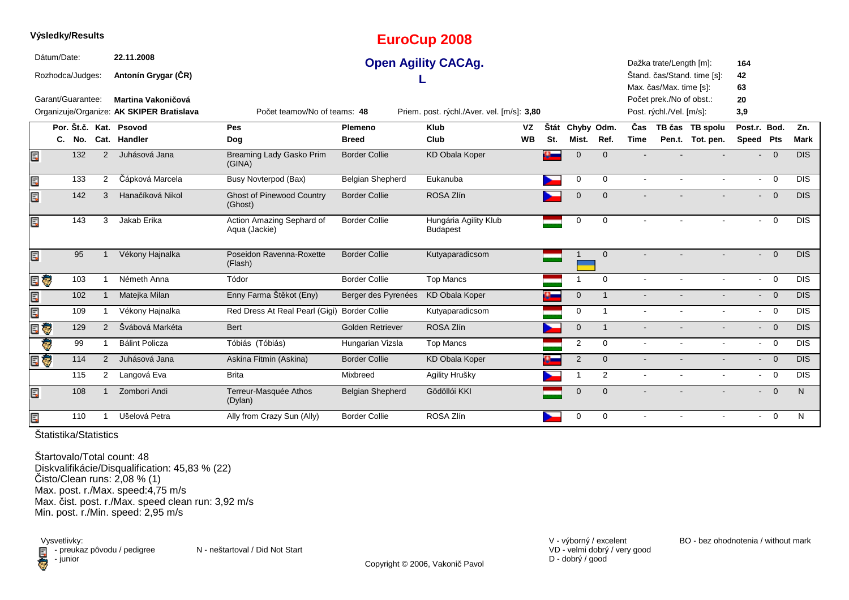|   | Výsledky/Results                |     |                |                                                                 |                                              |                         | <b>EuroCup 2008</b>                                       |           |      |                |                         |                |                                                    |                             |                     |                         |             |
|---|---------------------------------|-----|----------------|-----------------------------------------------------------------|----------------------------------------------|-------------------------|-----------------------------------------------------------|-----------|------|----------------|-------------------------|----------------|----------------------------------------------------|-----------------------------|---------------------|-------------------------|-------------|
|   | Dátum/Date:<br>Rozhodca/Judges: |     |                | 22.11.2008<br>Antonín Grygar (ČR)                               |                                              |                         | <b>Open Agility CACAg.</b>                                |           |      |                |                         |                | Dažka trate/Length [m]:<br>Max. čas/Max. time [s]: | Štand. čas/Stand. time [s]: | 164<br>42<br>63     |                         |             |
|   | Garant/Guarantee:               |     |                | Martina Vakoničová<br>Organizuje/Organize: AK SKIPER Bratislava | Počet teamov/No of teams: 48                 |                         |                                                           |           |      |                |                         |                | Počet prek./No of obst.:                           |                             | 20                  |                         |             |
|   |                                 |     |                | Por. Št.č. Kat. Psovod                                          | Pes                                          | Plemeno                 | Priem. post. rýchl./Aver. vel. [m/s]: 3,80<br><b>Klub</b> | <b>VZ</b> | Štát | Chyby Odm.     |                         | Čas            | Post. rýchl./Vel. [m/s]:                           | TB čas TB spolu             | 3,9<br>Post.r. Bod. |                         | Zn.         |
|   | С.                              | No. |                | Cat. Handler                                                    | Dog                                          | <b>Breed</b>            | Club                                                      | <b>WB</b> | St.  | Mist.          | Ref.                    | <b>Time</b>    |                                                    | Pen.t. Tot. pen.            | Speed Pts           |                         | <b>Mark</b> |
| E |                                 | 132 | $\overline{2}$ | Juhásová Jana                                                   | Breaming Lady Gasko Prim<br>(GINA)           | <b>Border Collie</b>    | <b>KD Obala Koper</b>                                     |           | P    | $\mathbf 0$    | $\Omega$                |                |                                                    |                             |                     | $- 0$                   | <b>DIS</b>  |
| Ę |                                 | 133 | 2              | Čápková Marcela                                                 | <b>Busy Novterpod (Bax)</b>                  | Belgian Shepherd        | Eukanuba                                                  |           |      | $\mathbf 0$    | $\Omega$                |                |                                                    | $\blacksquare$              | $\sim$              | $\overline{0}$          | <b>DIS</b>  |
| Ę |                                 | 142 | 3              | Hanačíková Nikol                                                | <b>Ghost of Pinewood Country</b><br>(Ghost)  | <b>Border Collie</b>    | ROSA Zlín                                                 |           |      | $\mathbf 0$    | $\Omega$                |                |                                                    |                             |                     | $- 0$                   | <b>DIS</b>  |
| Ę |                                 | 143 | 3              | Jakab Erika                                                     | Action Amazing Sephard of<br>Aqua (Jackie)   | <b>Border Collie</b>    | Hungária Agility Klub<br><b>Budapest</b>                  |           |      | 0              | $\mathbf 0$             |                |                                                    |                             | $\sim$              | $\overline{0}$          | <b>DIS</b>  |
| Ę |                                 | 95  |                | Vékony Hajnalka                                                 | Poseidon Ravenna-Roxette<br>(Flash)          | <b>Border Collie</b>    | Kutyaparadicsom                                           |           |      |                | $\mathbf{0}$            |                |                                                    |                             |                     | $\overline{0}$          | <b>DIS</b>  |
|   | E G                             | 103 |                | Németh Anna                                                     | Tódor                                        | <b>Border Collie</b>    | <b>Top Mancs</b>                                          |           |      |                | $\Omega$                | $\overline{a}$ | $\sim$                                             | $\mathbf{r}$                | $\sim$              | $\overline{0}$          | <b>DIS</b>  |
| Ę |                                 | 102 | -1             | Matejka Milan                                                   | Enny Farma Štěkot (Eny)                      | Berger des Pyrenées     | <b>KD Obala Koper</b>                                     |           | P    | $\mathbf 0$    | $\overline{1}$          |                |                                                    | $\blacksquare$              | $\blacksquare$      | $\overline{0}$          | <b>DIS</b>  |
| Ę |                                 | 109 |                | Vékony Hajnalka                                                 | Red Dress At Real Pearl (Gigi) Border Collie |                         | Kutyaparadicsom                                           |           |      | $\mathbf 0$    | $\overline{1}$          |                | $\blacksquare$                                     | $\blacksquare$              |                     | $- 0$                   | <b>DIS</b>  |
| E | Ģ                               | 129 | 2              | Švábová Markéta                                                 | Bert                                         | Golden Retriever        | ROSA Zlín                                                 |           |      | $\overline{0}$ | $\overline{\mathbf{1}}$ |                |                                                    |                             | $\blacksquare$      | $\overline{0}$          | <b>DIS</b>  |
|   | Ç                               | 99  | $\mathbf{1}$   | <b>Bálint Policza</b>                                           | Tóbiás (Tóbiás)                              | Hungarian Vizsla        | <b>Top Mancs</b>                                          |           |      | $\overline{2}$ | $\Omega$                | $\blacksquare$ | $\blacksquare$                                     | $\blacksquare$              | $\sim$              | $\overline{\mathbf{0}}$ | <b>DIS</b>  |
|   | EÇ                              | 114 | 2              | Juhásová Jana                                                   | Askina Fitmin (Askina)                       | <b>Border Collie</b>    | <b>KD Obala Koper</b>                                     |           |      | $\overline{2}$ | $\mathbf{0}$            |                |                                                    |                             |                     | $\overline{0}$          | <b>DIS</b>  |
|   |                                 | 115 | $\overline{2}$ | Langová Eva                                                     | <b>Brita</b>                                 | Mixbreed                | Agility Hrušky                                            |           |      |                | 2                       |                |                                                    | $\blacksquare$              | $\sim$              | $\overline{0}$          | <b>DIS</b>  |
| E |                                 | 108 |                | Zombori Andi                                                    | Terreur-Masquée Athos<br>(Dylan)             | <b>Belgian Shepherd</b> | Gödöllói KKI                                              |           |      | $\overline{0}$ | $\Omega$                |                |                                                    |                             |                     | $\overline{0}$          | N           |
| Ę |                                 | 110 |                | Ušelová Petra                                                   | Ally from Crazy Sun (Ally)                   | <b>Border Collie</b>    | ROSA Zlín                                                 |           |      | 0              | $\Omega$                | $\overline{a}$ | $\sim$                                             | $\sim$                      | $\sim$              | $\overline{0}$          | N           |

**Výsledky/Results**

Štartovalo/Total count: 48 Diskvalifikácie/Disqualification: 45,83 % (22)Čisto/Clean runs: 2,08 % (1) Max. post. r./Max. speed:4,75 m/s Max. čist. post. r./Max. speed clean run: 3,92 m/sMin. post. r./Min. speed: 2,95 m/s

Vysvetlivky:<br> **E** - preuka:<br>
junior  $\blacksquare$  - preukaz pôvodu / pedigree N - neštartoval / Did Not Start - junior

VD - velmi dobrý / very good D - dobrý / good

V - výborný / excelent BO - bez ohodnotenia / without mark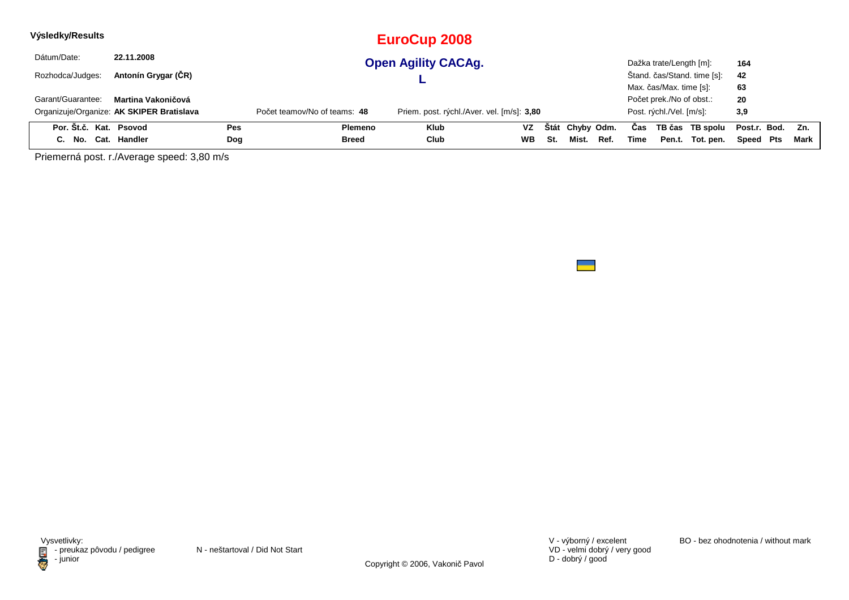| Výsledky/Results       |                                           |     |                              | EuroCup 2008                               |           |     |                 |      |      |                          |                             |              |     |      |
|------------------------|-------------------------------------------|-----|------------------------------|--------------------------------------------|-----------|-----|-----------------|------|------|--------------------------|-----------------------------|--------------|-----|------|
| Dátum/Date:            | 22.11.2008                                |     |                              | <b>Open Agility CACAg.</b>                 |           |     |                 |      |      | Dažka trate/Length [m]:  |                             | 164          |     |      |
| Rozhodca/Judges:       | Antonín Grygar (ČR)                       |     |                              |                                            |           |     |                 |      |      |                          | Štand. čas/Stand. time [s]: | 42           |     |      |
|                        |                                           |     |                              |                                            |           |     |                 |      |      | Max. čas/Max. time [s]:  |                             | 63           |     |      |
| Garant/Guarantee:      | Martina Vakoničová                        |     |                              |                                            |           |     |                 |      |      | Počet prek./No of obst.: |                             | 20           |     |      |
|                        | Organizuje/Organize: AK SKIPER Bratislava |     | Počet teamov/No of teams: 48 | Priem. post. rýchl./Aver. vel. [m/s]: 3,80 |           |     |                 |      |      | Post. rýchl./Vel. [m/s]: |                             | 3,9          |     |      |
| Por. Št.č. Kat. Psovod |                                           | Pes | Plemeno                      | <b>Klub</b>                                | <b>VZ</b> |     | Štát Chyby Odm. |      | Cas  |                          | TB čas TB spolu             | Post.r. Bod. |     | Zn.  |
| C. No.                 | Cat. Handler                              | Dog | Breed                        | Club                                       | WВ        | St. | Mist.           | Ref. | Time | Pen.t.                   | Tot. pen.                   | Speed        | Pts | Mark |

Priemerná post. r./Average speed: 3,80 m/s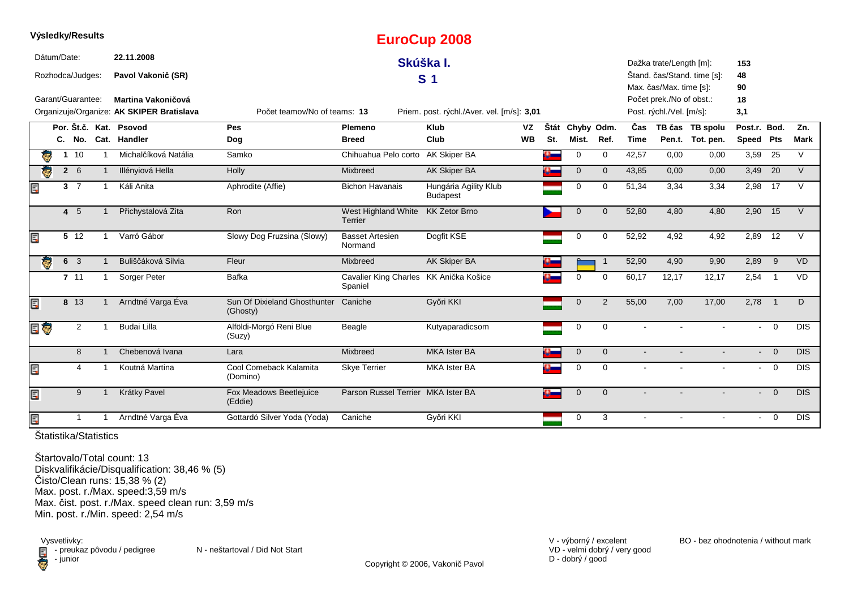|     |             | Výsledky/Results  |                                           |                                          |                                                   | <b>EuroCup 2008</b>                        |           |      |              |                |                |                          |                             |                |                |             |
|-----|-------------|-------------------|-------------------------------------------|------------------------------------------|---------------------------------------------------|--------------------------------------------|-----------|------|--------------|----------------|----------------|--------------------------|-----------------------------|----------------|----------------|-------------|
|     | Dátum/Date: |                   | 22.11.2008                                |                                          |                                                   | Skúška I.                                  |           |      |              |                |                | Dažka trate/Length [m]:  |                             | 153            |                |             |
|     |             | Rozhodca/Judges:  | Pavol Vakonič (SR)                        |                                          |                                                   | S <sub>1</sub>                             |           |      |              |                |                |                          | Štand. čas/Stand. time [s]: | 48             |                |             |
|     |             |                   |                                           |                                          |                                                   |                                            |           |      |              |                |                | Max. čas/Max. time [s]:  |                             | 90             |                |             |
|     |             | Garant/Guarantee: | Martina Vakoničová                        |                                          |                                                   |                                            |           |      |              |                |                | Počet prek./No of obst.: |                             | 18             |                |             |
|     |             |                   | Organizuje/Organize: AK SKIPER Bratislava | Počet teamov/No of teams: 13             |                                                   | Priem. post. rýchl./Aver. vel. [m/s]: 3,01 |           |      |              |                |                | Post. rýchl./Vel. [m/s]: |                             | 3,1            |                |             |
|     |             |                   | Por. Št.č. Kat. Psovod                    | Pes                                      | Plemeno                                           | <b>Klub</b>                                | VZ        | Štát | Chyby Odm.   |                | Čas            |                          | TB čas TB spolu             | Post.r. Bod.   |                | Zn.         |
|     |             | C. No.            | Cat. Handler                              | Dog                                      | <b>Breed</b>                                      | Club                                       | <b>WB</b> | St.  | Mist.        | Ref.           | <b>Time</b>    |                          | Pen.t. Tot. pen.            | Speed Pts      |                | <b>Mark</b> |
|     |             | $1 \t10$          | Michalčíková Natália                      | Samko                                    | Chihuahua Pelo corto                              | AK Skiper BA                               |           | Ω.   | 0            | $\mathbf 0$    | 42,57          | 0,00                     | 0,00                        | 3,59           | 25             | $\vee$      |
|     |             | $2\quad 6$        | Illényiová Hella                          | Holly                                    | Mixbreed                                          | <b>AK Skiper BA</b>                        |           |      | $\mathbf 0$  | $\mathbf 0$    | 43,85          | 0,00                     | 0,00                        | 3,49           | 20             | $\vee$      |
| Ę   |             | 3 <sub>7</sub>    | Káli Anita                                | Aphrodite (Affie)                        | <b>Bichon Havanais</b>                            | Hungária Agility Klub<br><b>Budapest</b>   |           |      | $\Omega$     | $\Omega$       | 51,34          | 3,34                     | 3,34                        | 2,98           | 17             | $\vee$      |
|     |             | $4\quad5$         | Přichystalová Zita                        | Ron                                      | West Highland White<br>Terrier                    | <b>KK Zetor Brno</b>                       |           |      | $\mathbf{0}$ | $\overline{0}$ | 52,80          | 4,80                     | 4,80                        | 2,90           | 15             | $\vee$      |
| Ę   |             | 5 12              | Varró Gábor                               | Slowy Dog Fruzsina (Slowy)               | <b>Basset Artesien</b><br>Normand                 | Dogfit KSE                                 |           |      | $\mathbf 0$  | $\Omega$       | 52,92          | 4,92                     | 4,92                        | 2,89           | 12             | $\vee$      |
|     | ē           | 6 <sup>3</sup>    | Buliščáková Silvia                        | Fleur                                    | Mixbreed                                          | AK Skiper BA                               |           |      |              | $\mathbf{1}$   | 52,90          | 4,90                     | 9,90                        | 2,89           | - 9            | <b>VD</b>   |
|     |             | 7.11              | Sorger Peter                              | <b>Bafka</b>                             | Cavalier King Charles KK Anička Košice<br>Spaniel |                                            |           | P    | $\Omega$     | 0              | 60,17          | 12,17                    | 12,17                       | 2,54           | $\overline{1}$ | <b>VD</b>   |
| Ę   |             | 8 13              | Arndtné Varga Éva                         | Sun Of Dixieland Ghosthunter<br>(Ghosty) | Caniche                                           | Győri KKI                                  |           |      | $\mathbf{0}$ | 2              | 55,00          | 7.00                     | 17,00                       | $2,78$ 1       |                | D           |
| E G |             | $\overline{2}$    | <b>Budai Lilla</b>                        | Alföldi-Morgó Reni Blue<br>(Suzy)        | Beagle                                            | Kutyaparadicsom                            |           |      | 0            | $\mathbf 0$    |                |                          |                             | $\blacksquare$ | $\overline{0}$ | <b>DIS</b>  |
|     |             | 8                 | Chebenová Ivana                           | Lara                                     | Mixbreed                                          | <b>MKA Ister BA</b>                        |           |      | $\mathbf 0$  | $\mathbf{0}$   | $\overline{a}$ |                          |                             |                | $- 0$          | DIS         |
| E   |             | 4                 | Koutná Martina                            | Cool Comeback Kalamita<br>(Domino)       | <b>Skye Terrier</b>                               | <b>MKA Ister BA</b>                        |           |      | $\mathbf 0$  | $\mathbf 0$    |                |                          |                             |                | $- 0$          | <b>DIS</b>  |
| Ē.  |             | 9                 | Krátky Pavel                              | Fox Meadows Beetlejuice<br>(Eddie)       | Parson Russel Terrier MKA Ister BA                |                                            |           | ą    | $\mathbf{0}$ | $\Omega$       |                |                          |                             | $\sim$         | $\overline{0}$ | <b>DIS</b>  |
| Ę   |             | 1                 | Arndtné Varga Éva                         | Gottardó Silver Yoda (Yoda)              | Caniche                                           | Győri KKI                                  |           |      | 0            | 3              |                |                          |                             |                | $\Omega$       | <b>DIS</b>  |

Štartovalo/Total count: 13 Diskvalifikácie/Disqualification: 38,46 % (5)Čisto/Clean runs: 15,38 % (2) Max. post. r./Max. speed:3,59 m/s Max. čist. post. r./Max. speed clean run: 3,59 m/sMin. post. r./Min. speed: 2,54 m/s

Vysvetlivky:<br>E - preuka:<br>Junior  $\blacksquare$  - preukaz pôvodu / pedigree N - neštartoval / Did Not Start - junior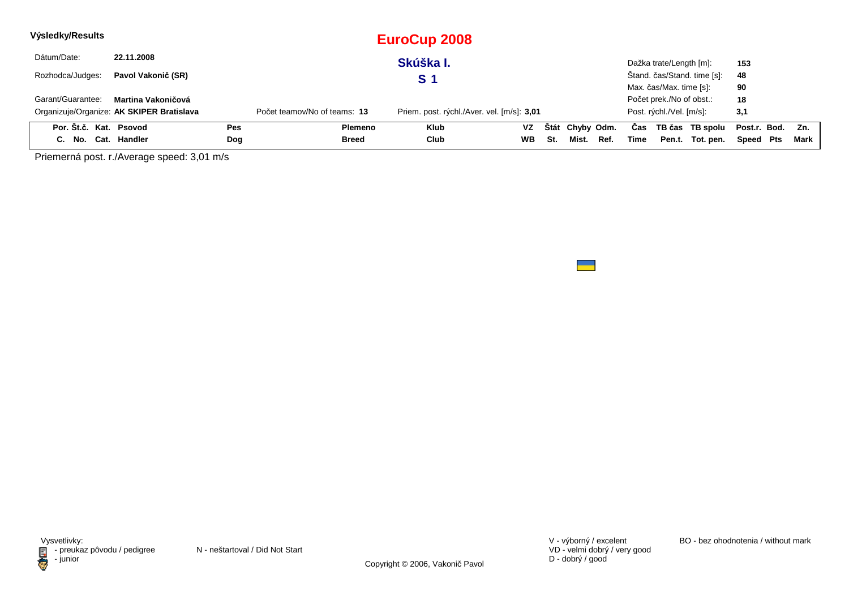| Výsledky/Results       |                                           |     |                              | <b>EuroCup 2008</b>                        |           |     |                 |      |      |                          |                             |                  |      |
|------------------------|-------------------------------------------|-----|------------------------------|--------------------------------------------|-----------|-----|-----------------|------|------|--------------------------|-----------------------------|------------------|------|
| Dátum/Date:            | 22.11.2008                                |     |                              | Skúška I.                                  |           |     |                 |      |      | Dažka trate/Length [m]:  |                             | 153              |      |
| Rozhodca/Judges:       | Pavol Vakonič (SR)                        |     |                              | S 1                                        |           |     |                 |      |      |                          | Štand. čas/Stand. time [s]: | 48               |      |
|                        |                                           |     |                              |                                            |           |     |                 |      |      | Max. čas/Max. time [s]:  |                             | 90               |      |
| Garant/Guarantee:      | Martina Vakoničová                        |     |                              |                                            |           |     |                 |      |      | Počet prek./No of obst.: |                             | 18               |      |
|                        | Organizuje/Organize: AK SKIPER Bratislava |     | Počet teamov/No of teams: 13 | Priem. post. rýchl./Aver. vel. [m/s]: 3,01 |           |     |                 |      |      | Post. rýchl./Vel. [m/s]: |                             | 3,1              |      |
| Por. Št.č. Kat. Psovod |                                           | Pes | <b>Plemeno</b>               | <b>Klub</b>                                | <b>VZ</b> |     | Štát Chyby Odm. |      | Cas  |                          | TB čas TB spolu             | Post.r. Bod. Zn. |      |
| C. No. Cat. Handler    |                                           | Dog | <b>Breed</b>                 | Club                                       | WB        | St. | Mist.           | Ref. | Time |                          | Pen.t. Tot. pen.            | Speed Pts        | Mark |

Priemerná post. r./Average speed: 3,01 m/s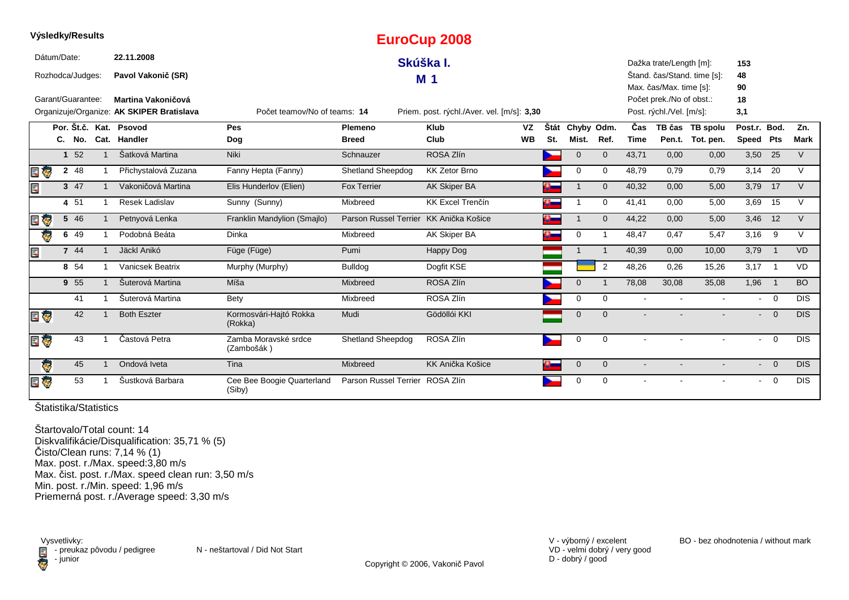|     |             | <b>vysiedky/Results</b> |                                           |                                      |                                 | <b>EuroCup 2008</b>                        |           |           |              |                |             |                          |                             |                |                            |            |
|-----|-------------|-------------------------|-------------------------------------------|--------------------------------------|---------------------------------|--------------------------------------------|-----------|-----------|--------------|----------------|-------------|--------------------------|-----------------------------|----------------|----------------------------|------------|
|     | Dátum/Date: |                         | 22.11.2008                                |                                      |                                 | Skúška I.                                  |           |           |              |                |             | Dažka trate/Length [m]:  |                             | 153            |                            |            |
|     |             | Rozhodca/Judges:        | Pavol Vakonič (SR)                        |                                      |                                 | M <sub>1</sub>                             |           |           |              |                |             |                          | Štand. čas/Stand. time [s]: | 48             |                            |            |
|     |             |                         |                                           |                                      |                                 |                                            |           |           |              |                |             | Max. čas/Max. time [s]:  |                             | 90             |                            |            |
|     |             | Garant/Guarantee:       | Martina Vakoničová                        |                                      |                                 |                                            |           |           |              |                |             | Počet prek./No of obst.: |                             | 18             |                            |            |
|     |             |                         | Organizuje/Organize: AK SKIPER Bratislava | Počet teamov/No of teams: 14         |                                 | Priem. post. rýchl./Aver. vel. [m/s]: 3,30 |           |           |              |                |             | Post. rýchl./Vel. [m/s]: |                             | 3,1            |                            |            |
|     |             |                         | Por. Št.č. Kat. Psovod                    | Pes                                  | Plemeno                         | <b>Klub</b>                                | VZ        | Štát      | Chyby Odm.   |                | Čas         |                          | TB čas TB spolu             | Post.r. Bod.   |                            | Zn.        |
|     |             | C. No.                  | Cat. Handler                              | Dog                                  | <b>Breed</b>                    | Club                                       | <b>WB</b> | St.       | Mist.        | Ref.           | <b>Time</b> |                          | Pen.t. Tot. pen.            | Speed Pts      |                            | Mark       |
|     |             | 1 52                    | Šatková Martina                           | Niki                                 | Schnauzer                       | ROSA Zlín                                  |           |           | $\mathbf 0$  | $\mathbf 0$    | 43,71       | 0,00                     | 0,00                        | 3,50 25        |                            | V          |
|     | ę,          | 2 48                    | Přichystalová Zuzana                      | Fanny Hepta (Fanny)                  | <b>Shetland Sheepdog</b>        | <b>KK Zetor Brno</b>                       |           |           | 0            | 0              | 48,79       | 0,79                     | 0,79                        | 3,14           | 20                         | $\vee$     |
|     |             | 3 47                    | Vakoničová Martina                        | Elis Hunderlov (Elien)               | <b>Fox Terrier</b>              | AK Skiper BA                               |           |           |              | $\mathbf{0}$   | 40,32       | 0,00                     | 5,00                        | 3,79           | 17                         | V          |
|     |             | 4 51                    | <b>Resek Ladislav</b>                     | Sunny (Sunny)                        | Mixbreed                        | <b>KK Excel Trenčín</b>                    |           |           |              | 0              | 41,41       | 0,00                     | 5,00                        | 3,69           | 15                         | $\vee$     |
|     | Ģ           | 5 46                    | Petnyová Lenka                            | Franklin Mandylion (Smajlo)          | Parson Russel Terrier           | KK Anička Košice                           |           |           |              | $\mathbf 0$    | 44,22       | 0,00                     | 5,00                        | 3,46           | 12                         | $\vee$     |
|     |             | 6 49                    | Podobná Beáta                             | Dinka                                | Mixbreed                        | AK Skiper BA                               |           |           | 0            | 1              | 48,47       | 0,47                     | 5,47                        | 3,16           | - 9                        | V          |
|     |             | 7 44                    | Jäckl Anikó                               | Füge (Füge)                          | Pumi                            | Happy Dog                                  |           |           |              |                | 40,39       | 0,00                     | 10,00                       | 3,79           | $\overline{\phantom{0}}$   | <b>VD</b>  |
|     |             | 8 54                    | Vanicsek Beatrix                          | Murphy (Murphy)                      | <b>Bulldog</b>                  | Dogfit KSE                                 |           |           |              | $\overline{2}$ | 48,26       | 0,26                     | 15,26                       | 3,17           | $\overline{\phantom{1}}$   | <b>VD</b>  |
|     |             | 9 55                    | Šuterová Martina                          | Míša                                 | Mixbreed                        | ROSA Zlín                                  |           |           | $\mathbf{0}$ |                | 78,08       | 30,08                    | 35,08                       | 1,96           | $\overline{\phantom{0}}$ 1 | <b>BO</b>  |
|     |             | 41                      | Šuterová Martina                          | Bety                                 | Mixbreed                        | ROSA Zlín                                  |           |           | 0            | $\mathbf 0$    |             |                          |                             | $\blacksquare$ | $\overline{0}$             | <b>DIS</b> |
| E G |             | 42                      | <b>Both Eszter</b>                        | Kormosvári-Hajtó Rokka<br>(Rokka)    | Mudi                            | Gödöllói KKI                               |           |           | $\mathbf 0$  | $\mathbf{0}$   |             |                          |                             | $\sim$         | $\mathbf 0$                | <b>DIS</b> |
| E G |             | 43                      | Častová Petra                             | Zamba Moravské srdce<br>(Zambošák)   | Shetland Sheepdog               | ROSA Zlín                                  |           |           | $\mathbf 0$  | $\Omega$       |             |                          |                             | $\sim$         | $\overline{0}$             | <b>DIS</b> |
|     | ē           | 45                      | Ondová Iveta                              | Tina                                 | Mixbreed                        | KK Anička Košice                           |           | $\bullet$ | $\mathbf 0$  | $\mathbf{0}$   | $\sim$      |                          |                             | $\sim$         | $\overline{0}$             | <b>DIS</b> |
| e ç |             | 53                      | Šustková Barbara                          | Cee Bee Boogie Quarterland<br>(Siby) | Parson Russel Terrier ROSA Zlín |                                            |           |           | 0            | $\mathbf 0$    |             |                          |                             | $\sim$         | $\overline{0}$             | <b>DIS</b> |

**Výsledky/Results**

Štartovalo/Total count: 14 Diskvalifikácie/Disqualification: 35,71 % (5)Čisto/Clean runs: 7,14 % (1) Max. post. r./Max. speed:3,80 m/s Max. čist. post. r./Max. speed clean run: 3,50 m/s Min. post. r./Min. speed: 1,96 m/sPriemerná post. r./Average speed: 3,30 m/s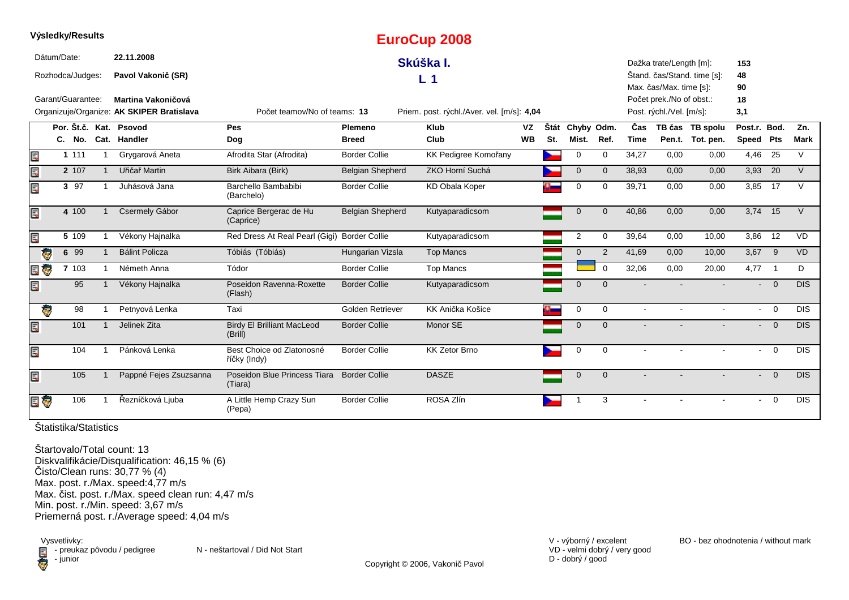|      |             | vysieaky/Results  |                                           |                                              |                         | <b>EuroCup 2008</b>                        |           |      |                |                |             |                          |                             |                          |                          |             |
|------|-------------|-------------------|-------------------------------------------|----------------------------------------------|-------------------------|--------------------------------------------|-----------|------|----------------|----------------|-------------|--------------------------|-----------------------------|--------------------------|--------------------------|-------------|
|      | Dátum/Date: |                   | 22.11.2008                                |                                              |                         | Skúška I.                                  |           |      |                |                |             | Dažka trate/Length [m]:  |                             | 153                      |                          |             |
|      |             | Rozhodca/Judges:  | Pavol Vakonič (SR)                        |                                              |                         | L.<br>-1                                   |           |      |                |                |             |                          | Štand. čas/Stand. time [s]: | 48                       |                          |             |
|      |             |                   |                                           |                                              |                         |                                            |           |      |                |                |             | Max. čas/Max. time [s]:  |                             | 90                       |                          |             |
|      |             | Garant/Guarantee: | Martina Vakoničová                        |                                              |                         |                                            |           |      |                |                |             | Počet prek./No of obst.: |                             | 18                       |                          |             |
|      |             |                   | Organizuje/Organize: AK SKIPER Bratislava | Počet teamov/No of teams: 13                 |                         | Priem. post. rýchl./Aver. vel. [m/s]: 4,04 |           |      |                |                |             | Post. rýchl./Vel. [m/s]: |                             | 3,1                      |                          |             |
|      |             |                   | Por. Št.č. Kat. Psovod                    | Pes                                          | Plemeno                 | <b>Klub</b>                                | VZ        | Štát | Chyby Odm.     |                | Čas         |                          | TB čas TB spolu             | Post.r. Bod.             |                          | Zn.         |
|      |             |                   | C. No. Cat. Handler                       | Dog                                          | <b>Breed</b>            | Club                                       | <b>WB</b> | St.  | Mist.          | Ref.           | <b>Time</b> |                          | Pen.t. Tot. pen.            | Speed                    | Pts                      | <b>Mark</b> |
| E    |             | 1 1 1 1           | Grygarová Aneta                           | Afrodita Star (Afrodita)                     | <b>Border Collie</b>    | KK Pedigree Komořany                       |           |      | 0              | $\mathbf 0$    | 34,27       | 0,00                     | 0,00                        | 4,46                     | 25                       | $\vee$      |
| E    |             | 2 107             | Uřičař Martin                             | Birk Aibara (Birk)                           | <b>Belgian Shepherd</b> | ZKO Horní Suchá                            |           |      | $\mathbf 0$    | $\mathbf{0}$   | 38,93       | 0,00                     | 0,00                        | 3,93                     | 20                       | V           |
| EC   |             | 3 97              | Juhásová Jana                             | Barchello Bambabibi<br>(Barchelo)            | <b>Border Collie</b>    | <b>KD Obala Koper</b>                      |           |      | 0              | 0              | 39,71       | 0,00                     | 0.00                        | 3,85                     | 17                       | $\vee$      |
| Ę    |             | 4 100             | Csermely Gábor                            | Caprice Bergerac de Hu<br>(Caprice)          | <b>Belgian Shepherd</b> | Kutyaparadicsom                            |           |      | $\mathbf 0$    | $\overline{0}$ | 40,86       | 0,00                     | 0,00                        | 3,74 15                  |                          | V           |
| Ę    |             | 5 109             | Vékony Hajnalka                           | Red Dress At Real Pearl (Gigi) Border Collie |                         | Kutyaparadicsom                            |           |      | $\overline{2}$ | 0              | 39,64       | 0,00                     | 10,00                       | 3,86                     | 12                       | VD          |
| l Ç. |             | 6 99              | <b>Bálint Policza</b>                     | Tóbiás (Tóbiás)                              | Hungarian Vizsla        | <b>Top Mancs</b>                           |           |      | $\mathbf 0$    | $\overline{2}$ | 41,69       | 0,00                     | 10,00                       | $3,67$ 9                 |                          | <b>VD</b>   |
| E    |             | 7 103             | Németh Anna                               | Tódor                                        | <b>Border Collie</b>    | <b>Top Mancs</b>                           |           |      |                | $\mathbf 0$    | 32,06       | 0,00                     | 20,00                       | $4,77$ 1                 |                          | D           |
| Ę    |             | 95                | Vékony Hajnalka                           | Poseidon Ravenna-Roxette<br>(Flash)          | <b>Border Collie</b>    | Kutyaparadicsom                            |           |      | $\mathbf{0}$   | $\Omega$       |             |                          |                             |                          | $- 0$                    | <b>DIS</b>  |
| ę.   |             | 98                | Petnyová Lenka                            | Taxi                                         | Golden Retriever        | KK Anička Košice                           |           |      | $\mathbf 0$    | $\mathbf 0$    | $\sim$      | $\mathbf{r}$             | $\mathbf{r}$                |                          | $- 0$                    | <b>DIS</b>  |
| Ē,   |             | 101               | Jelinek Zita                              | <b>Birdy El Brilliant MacLeod</b><br>(Brill) | <b>Border Collie</b>    | Monor SE                                   |           |      | $\mathbf 0$    | $\Omega$       |             |                          |                             | $\overline{\phantom{0}}$ | $\overline{\phantom{0}}$ | <b>DIS</b>  |
| E,   |             | 104               | Pánková Lenka                             | Best Choice od Zlatonosné<br>říčky (Indy)    | <b>Border Collie</b>    | <b>KK Zetor Brno</b>                       |           |      | 0              | $\mathbf 0$    |             |                          |                             |                          | $- 0$                    | <b>DIS</b>  |
| E    |             | 105               | Pappné Fejes Zsuzsanna                    | Poseidon Blue Princess Tiara<br>(Tiara)      | <b>Border Collie</b>    | <b>DASZE</b>                               |           |      | $\mathbf 0$    | $\Omega$       |             |                          |                             |                          | $\overline{0}$           | <b>DIS</b>  |
| E G  |             | 106               | Řezníčková Ljuba                          | A Little Hemp Crazy Sun<br>(Pepa)            | <b>Border Collie</b>    | ROSA Zlín                                  |           |      |                | 3              |             |                          |                             | $\blacksquare$           | $\overline{0}$           | <b>DIS</b>  |

**Výsledky/Results**

Štartovalo/Total count: 13 Diskvalifikácie/Disqualification: 46,15 % (6)Čisto/Clean runs: 30,77 % (4) Max. post. r./Max. speed:4,77 m/s Max. čist. post. r./Max. speed clean run: 4,47 m/sMin. post. r./Min. speed: 3,67 m/sPriemerná post. r./Average speed: 4,04 m/s

Vysvetlivky:<br> **E** - preuka:<br>
junior  $\blacksquare$  - preukaz pôvodu / pedigree N - neštartoval / Did Not Start - junior

V - výborný / excelent BO - bez ohodnotenia / without mark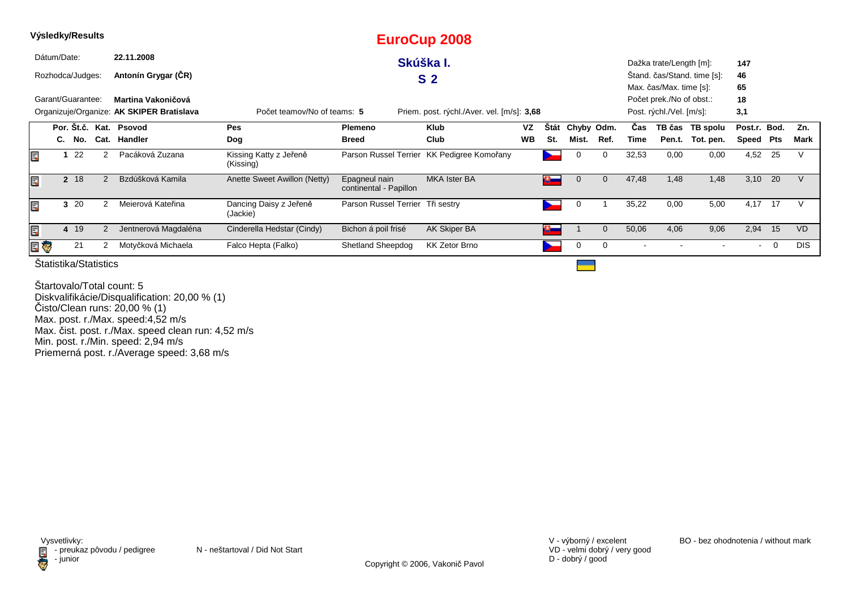|     |                                                                                                                        | Výsledky/Results  |               |                        |                                     |                                         | <b>EuroCup 2008</b>                        |           |                       |            |                |       |                          |                             |                |     |            |
|-----|------------------------------------------------------------------------------------------------------------------------|-------------------|---------------|------------------------|-------------------------------------|-----------------------------------------|--------------------------------------------|-----------|-----------------------|------------|----------------|-------|--------------------------|-----------------------------|----------------|-----|------------|
|     | Dátum/Date:                                                                                                            |                   |               | 22.11.2008             |                                     |                                         | Skúška I.                                  |           |                       |            |                |       | Dažka trate/Length [m]:  |                             | 147            |     |            |
|     |                                                                                                                        | Rozhodca/Judges:  |               | Antonín Grygar (ČR)    |                                     |                                         | S <sub>2</sub>                             |           |                       |            |                |       |                          | Stand. čas/Stand. time [s]: | 46             |     |            |
|     |                                                                                                                        |                   |               |                        |                                     |                                         |                                            |           |                       |            |                |       | Max. čas/Max. time [s]:  |                             | 65             |     |            |
|     |                                                                                                                        | Garant/Guarantee: |               | Martina Vakoničová     |                                     |                                         |                                            |           |                       |            |                |       | Počet prek./No of obst.: |                             | 18             |     |            |
|     | Organizuje/Organize: AK SKIPER Bratislava<br>Priem. post. rýchl./Aver. vel. [m/s]: 3,68<br>Počet teamov/No of teams: 5 |                   |               |                        |                                     |                                         |                                            |           |                       |            |                |       | Post. rýchl./Vel. [m/s]: |                             | 3,1            |     |            |
|     |                                                                                                                        |                   |               | Por. Št.č. Kat. Psovod | Pes                                 | <b>Plemeno</b>                          | Klub                                       | VZ        | <b>Stát</b>           | Chyby Odm. |                | Cas   |                          | TB čas TB spolu             | Post.r. Bod.   |     | Zn.        |
|     |                                                                                                                        | C. No.            | Cat.          | Handler                | Dog                                 | <b>Breed</b>                            | Club                                       | <b>WB</b> | St.                   | Mist.      | Ref.           | Time  | Pen.t.                   | Tot. pen.                   | Speed          | Pts | Mark       |
| Ę   |                                                                                                                        | 22                |               | Pacáková Zuzana        | Kissing Katty z Jeřeně<br>(Kissing) |                                         | Parson Russel Terrier KK Pedigree Komořany |           |                       | 0          | 0              | 32,53 | 0,00                     | 0,00                        | 4,52           | 25  |            |
| Ę   |                                                                                                                        | 2 18              | 2             | Bzdúšková Kamila       | Anette Sweet Awillon (Netty)        | Epagneul nain<br>continental - Papillon | <b>MKA Ister BA</b>                        |           | $\alpha$ and $\alpha$ |            | $\Omega$       | 47,48 | 1,48                     | 1,48                        | 3,10           | 20  |            |
| Ę   |                                                                                                                        | 3 20              | $\mathcal{P}$ | Meierová Kateřina      | Dancing Daisy z Jeřeně<br>(Jackie)  | Parson Russel Terrier Tři sestry        |                                            |           |                       | 0          |                | 35,22 | 0,00                     | 5,00                        | 4,17           | 17  |            |
| E   |                                                                                                                        | 19<br>4           | 2             | Jentnerová Magdaléna   | Cinderella Hedstar (Cindy)          | Bichon á poil frisé                     | AK Skiper BA                               |           | $\alpha$ $-$          |            | $\overline{0}$ | 50,06 | 4,06                     | 9,06                        | 2,94           | 15  | <b>VD</b>  |
| e Q |                                                                                                                        | 21                |               | Motyčková Michaela     | Falco Hepta (Falko)                 | Shetland Sheepdog                       | <b>KK Zetor Brno</b>                       |           |                       | 0          | 0              |       |                          |                             | $\blacksquare$ | 0   | <b>DIS</b> |
|     |                                                                                                                        |                   |               |                        |                                     |                                         |                                            |           |                       |            |                |       |                          |                             |                |     |            |

Štartovalo/Total count: 5 Diskvalifikácie/Disqualification: 20,00 % (1)Čisto/Clean runs: 20,00 % (1) Max. post. r./Max. speed:4,52 m/s Max. čist. post. r./Max. speed clean run: 4,52 m/s Min. post. r./Min. speed: 2,94 m/sPriemerná post. r./Average speed: 3,68 m/s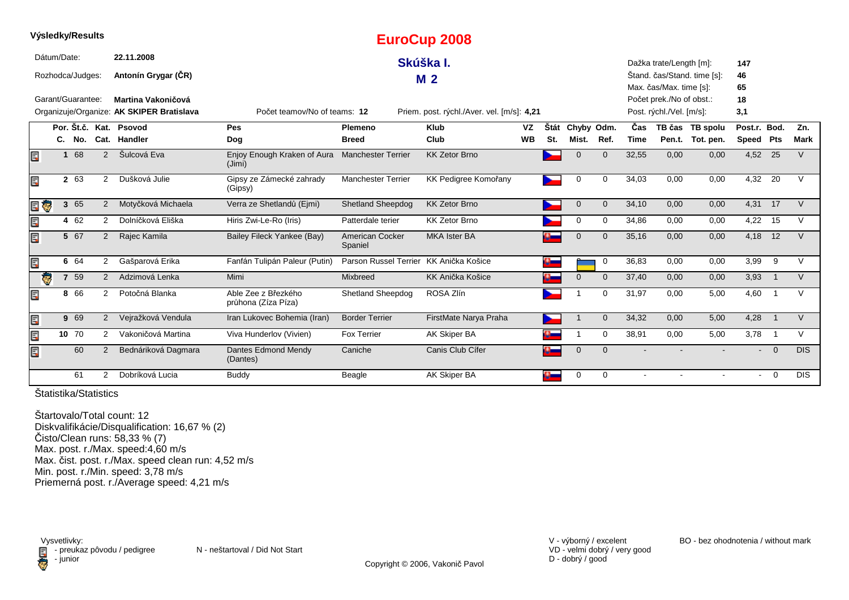|    |              |                   |                |                                           |                                            |                            | Lui UUUP ZUUU                              |           |          |              |              |       |                          |                             |                |                |               |
|----|--------------|-------------------|----------------|-------------------------------------------|--------------------------------------------|----------------------------|--------------------------------------------|-----------|----------|--------------|--------------|-------|--------------------------|-----------------------------|----------------|----------------|---------------|
|    | Dátum/Date:  |                   |                | 22.11.2008                                |                                            |                            | Skúška I.                                  |           |          |              |              |       | Dažka trate/Length [m]:  |                             | 147            |                |               |
|    |              | Rozhodca/Judges:  |                | Antonín Grygar (CR)                       |                                            |                            | M <sub>2</sub>                             |           |          |              |              |       |                          | Štand. čas/Stand. time [s]: | 46             |                |               |
|    |              |                   |                |                                           |                                            |                            |                                            |           |          |              |              |       | Max. čas/Max. time [s]:  |                             | 65             |                |               |
|    |              | Garant/Guarantee: |                | Martina Vakoničová                        |                                            |                            |                                            |           |          |              |              |       | Počet prek./No of obst.: |                             | 18             |                |               |
|    |              |                   |                | Organizuje/Organize: AK SKIPER Bratislava | Počet teamov/No of teams: 12               |                            | Priem. post. rýchl./Aver. vel. [m/s]: 4,21 |           |          |              |              |       | Post. rýchl./Vel. [m/s]: |                             | 3,1            |                |               |
|    |              |                   |                | Por. Št.č. Kat. Psovod                    | Pes                                        | Plemeno                    | Klub                                       | <b>VZ</b> | Štát     | Chyby Odm.   |              | Čas   |                          | TB čas TB spolu             | Post.r. Bod.   |                | Zn.           |
|    |              | C. No.            |                | Cat. Handler                              | Dog                                        | <b>Breed</b>               | Club                                       | <b>WB</b> | St.      | Mist.        | Ref.         | Time  |                          | Pen.t. Tot. pen.            | Speed Pts      |                | <b>Mark</b>   |
| Ξ  | $\mathbf{1}$ | 68                | 2              | Šulcová Eva                               | Enjoy Enough Kraken of Aura<br>(Jimi)      | <b>Manchester Terrier</b>  | <b>KK Zetor Brno</b>                       |           |          | $\Omega$     | $\Omega$     | 32,55 | 0,00                     | 0,00                        | 4,52 25        |                | $\vee$        |
|    |              | 2 63              | 2              | Dušková Julie                             | Gipsy ze Zámecké zahrady<br>(Gipsy)        | <b>Manchester Terrier</b>  | KK Pedigree Komořany                       |           | ∼        | 0            | 0            | 34,03 | 0,00                     | 0,00                        | 4,32 20        |                | $\mathcal{U}$ |
| ę. |              | 3 65              | $\overline{2}$ | Motyčková Michaela                        | Verra ze Shetlandů (Ejmi)                  | <b>Shetland Sheepdog</b>   | <b>KK Zetor Brno</b>                       |           |          | $\mathbf{0}$ | $\mathbf{0}$ | 34,10 | 0,00                     | 0,00                        | 4,31 17        |                | V             |
|    |              | 4 62              | 2              | Dolníčková Eliška                         | Hiris Zwi-Le-Ro (Iris)                     | Patterdale terier          | <b>KK Zetor Brno</b>                       |           |          | 0            | 0            | 34,86 | 0,00                     | 0,00                        | 4,22           | 15             | $\vee$        |
|    |              | 5 67              | $\overline{2}$ | Rajec Kamila                              | Bailey Fileck Yankee (Bay)                 | American Cocker<br>Spaniel | <b>MKA Ister BA</b>                        |           |          | $\mathbf 0$  | $\Omega$     | 35,16 | 0,00                     | 0,00                        | 4,18           | 12             | V             |
|    |              | 6 64              | 2              | Gašparová Erika                           | Fanfán Tulipán Paleur (Putin)              | Parson Russel Terrier      | KK Anička Košice                           |           | $\sigma$ |              | 0            | 36,83 | 0,00                     | 0,00                        | 3,99           | 9              | V             |
| G  |              | 7 59              | 2              | Adzimová Lenka                            | Mimi                                       | <b>Mixbreed</b>            | KK Anička Košice                           |           |          | $\Omega$     | $\Omega$     | 37,40 | 0,00                     | 0,00                        | 3,93           |                | V             |
|    |              | 8 66              | 2              | Potočná Blanka                            | Able Zee z Březkého<br>průhona (Zíza Píza) | <b>Shetland Sheepdog</b>   | ROSA Zlín                                  |           |          |              | $\Omega$     | 31,97 | 0,00                     | 5,00                        | 4,60           | $\overline{1}$ | $\vee$        |
| Ę  |              | 9 69              | $\overline{2}$ | Vejražková Vendula                        | Iran Lukovec Bohemia (Iran)                | <b>Border Terrier</b>      | FirstMate Narya Praha                      |           |          |              | $\mathbf{0}$ | 34,32 | 0,00                     | 5,00                        | 4,28           | $\overline{1}$ | $\vee$        |
|    |              | 10 70             | 2              | Vakoničová Martina                        | Viva Hunderlov (Vivien)                    | <b>Fox Terrier</b>         | AK Skiper BA                               |           |          |              | 0            | 38,91 | 0,00                     | 5,00                        | 3,78           |                | V             |
|    |              | 60                | $\overline{2}$ | Bednáriková Dagmara                       | Dantes Edmond Mendy<br>(Dantes)            | Caniche                    | Canis Club Cífer                           |           |          | $\Omega$     | $\mathbf{0}$ |       |                          |                             | $\blacksquare$ | $\overline{0}$ | <b>DIS</b>    |
|    |              | 61                | $\mathcal{P}$  | Dobríková Lucia                           | <b>Buddy</b>                               | Beagle                     | AK Skiper BA                               |           |          | 0            | $\Omega$     |       |                          |                             | $\sim$         | $\overline{0}$ | <b>DIS</b>    |

**EuroCup 2008**

Štatistika/Statistics

**Výsledky/Results**

Štartovalo/Total count: 12 Diskvalifikácie/Disqualification: 16,67 % (2)Čisto/Clean runs: 58,33 % (7) Max. post. r./Max. speed:4,60 m/s Max. čist. post. r./Max. speed clean run: 4,52 m/sMin. post. r./Min. speed: 3,78 m/s Priemerná post. r./Average speed: 4,21 m/s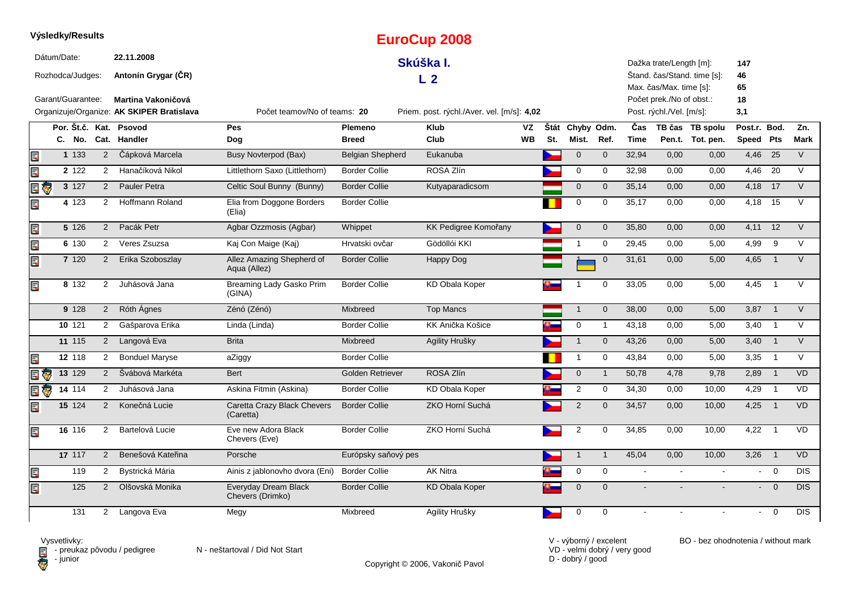|         | Výsledky/Results                |                     |                      |                                                                        |                                           |                      | <b>EuroCup 2008</b>                        |           |     |                  |                |             |                                                      |                             |                 |                |             |
|---------|---------------------------------|---------------------|----------------------|------------------------------------------------------------------------|-------------------------------------------|----------------------|--------------------------------------------|-----------|-----|------------------|----------------|-------------|------------------------------------------------------|-----------------------------|-----------------|----------------|-------------|
|         | Dátum/Date:<br>Rozhodca/Judges: |                     |                      | 22.11.2008<br>Antonín Grygar (CR)                                      |                                           |                      | Skúška I.<br>L <sub>2</sub>                |           |     |                  |                |             | Dažka trate/Length [m]:<br>Max. čas/Max. time [s]:   | Štand. čas/Stand. time [s]: | 147<br>46<br>65 |                |             |
|         | Garant/Guarantee:               |                     |                      | <b>Martina Vakoničová</b><br>Organizuje/Organize: AK SKIPER Bratislava | Počet teamov/No of teams: 20              |                      | Priem. post. rýchl./Aver. vel. [m/s]: 4,02 |           |     |                  |                |             | Počet prek./No of obst.:<br>Post. rýchl./Vel. [m/s]: |                             | 18<br>3,1       |                |             |
|         |                                 | Por. Št.č. Kat.     |                      | Psovod                                                                 | Pes                                       | Plemeno              | <b>Klub</b>                                | VZ        |     | Štát Chyby Odm.  |                | Čas         |                                                      | TB čas TB spolu             | Post.r. Bod.    |                | Zn.         |
|         |                                 | C. No.              |                      | Cat. Handler                                                           | Dog                                       | <b>Breed</b>         | Club                                       | <b>WB</b> | St. | Mist.            | Ref.           | <b>Time</b> |                                                      | Pen.t. Tot. pen.            | Speed Pts       |                | <b>Mark</b> |
| E       |                                 | 1 1 3 3             | 2                    | Čápková Marcela                                                        | <b>Busy Novterpod (Bax)</b>               | Belgian Shepherd     | Eukanuba                                   |           |     | $\mathbf 0$      | $\mathbf{0}$   | 32,94       | 0,00                                                 | 0,00                        | 4,46            | 25             | V           |
| Ę       |                                 | 2 1 2 2             | $2^{\circ}$          | Hanačíková Nikol                                                       | Littlethorn Saxo (Littlethorn)            | <b>Border Collie</b> | ROSA Zlín                                  |           |     | $\mathbf 0$      | $\mathbf 0$    | 32,98       | 0,00                                                 | 0,00                        | 4,46 20         |                | $\vee$      |
| e<br>Ge |                                 | 3 127               | $\overline{2}$       | Pauler Petra                                                           | Celtic Soul Bunny (Bunny)                 | <b>Border Collie</b> | Kutyaparadicsom                            |           |     | $\mathbf{0}$     | $\mathbf{0}$   | 35,14       | 0.00                                                 | 0,00                        | 4,18            | 17             | $\vee$      |
| Ę       |                                 | 4 123               | $\overline{2}$       | <b>Hoffmann Roland</b>                                                 | Elia from Doggone Borders<br>(Elia)       | <b>Border Collie</b> |                                            |           |     | $\mathbf 0$      | 0              | 35,17       | 0,00                                                 | 0,00                        | 4,18            | 15             | V           |
| Ę       |                                 | 5 1 2 6             | 2                    | Pacák Petr                                                             | Agbar Ozzmosis (Agbar)                    | Whippet              | KK Pedigree Komořany                       |           |     | $\mathbf 0$      | $\mathbf 0$    | 35,80       | 0,00                                                 | 0,00                        | 4,11            | 12             | $\vee$      |
| Ę       |                                 | 6 130               | $\mathbf{2}^{\circ}$ | Veres Zsuzsa                                                           | Kaj Con Maige (Kaj)                       | Hrvatski ovčar       | Gödöllói KKI                               |           |     | $\mathbf{1}$     | $\mathbf 0$    | 29,45       | 0,00                                                 | 5,00                        | 4,99            | 9              | V           |
| Ę       |                                 | 7 120               | $\overline{2}$       | Erika Szoboszlay                                                       | Allez Amazing Shepherd of<br>Aqua (Allez) | <b>Border Collie</b> | Happy Dog                                  |           |     |                  | $\mathbf 0$    | 31,61       | 0,00                                                 | 5,00                        | 4,65            | $\overline{1}$ | $\vee$      |
| Ę       |                                 | 8 132               | $\overline{2}$       | Juhásová Jana                                                          | Breaming Lady Gasko Prim<br>(GINA)        | <b>Border Collie</b> | <b>KD Obala Koper</b>                      |           |     |                  | $\mathbf 0$    | 33,05       | 0,00                                                 | 5,00                        | 4,45            | $\overline{1}$ | $\vee$      |
|         |                                 | 9 1 28              | $\overline{2}$       | Róth Ágnes                                                             | Zénó (Zénó)                               | Mixbreed             | <b>Top Mancs</b>                           |           |     | $\mathbf{1}$     | $\mathbf 0$    | 38,00       | 0,00                                                 | 5,00                        | 3,87            | $\overline{1}$ | $\vee$      |
|         |                                 | 10 121              | $\overline{2}$       | Gašparova Erika                                                        | Linda (Linda)                             | <b>Border Collie</b> | KK Anička Košice                           |           |     | $\mathbf 0$      | $\mathbf{1}$   | 43,18       | 0.00                                                 | 5,00                        | 3,40            | $\overline{1}$ | $\vee$      |
|         |                                 | 11 115              | $\overline{2}$       | Langová Eva                                                            | <b>Brita</b>                              | <b>Mixbreed</b>      | Agility Hrušky                             |           |     | $\mathbf{1}$     | $\overline{0}$ | 43,26       | 0,00                                                 | 5,00                        | 3,40            | $\overline{1}$ | $\vee$      |
| Ę       |                                 | 12 118              | $\overline{2}$       | <b>Bonduel Maryse</b>                                                  | aZiggy                                    | <b>Border Collie</b> |                                            |           |     | $\mathbf{1}$     | 0              | 43,84       | 0,00                                                 | 5,00                        | 3,35            | $\overline{1}$ | V           |
| Ę       | Ģ                               | 13 129              | 2                    | Švábová Markéta                                                        | <b>Bert</b>                               | Golden Retriever     | ROSA Zlín                                  |           |     | $\mathbf 0$      | $\mathbf{1}$   | 50,78       | 4,78                                                 | 9,78                        | 2,89            | $\overline{1}$ | <b>VD</b>   |
|         |                                 | $14 \overline{114}$ | $\overline{2}$       | Juhásová Jana                                                          | Askina Fitmin (Askina)                    | <b>Border Collie</b> | <b>KD Obala Koper</b>                      |           |     | $\overline{c}$   | 0              | 34,30       | 0,00                                                 | 10,00                       | 4,29            | $\overline{1}$ | <b>VD</b>   |
| Ę       |                                 | 15 124              | 2                    | Konečná Lucie                                                          | Caretta Crazy Black Chevers<br>(Caretta)  | <b>Border Collie</b> | ZKO Horní Suchá                            |           |     | 2                | $\mathbf{0}$   | 34,57       | 0,00                                                 | 10,00                       | 4,25            | $\overline{1}$ | <b>VD</b>   |
| Ę       |                                 | 16 116              | $\overline{2}$       | Bartelová Lucie                                                        | Eve new Adora Black<br>Chevers (Eve)      | <b>Border Collie</b> | ZKO Horní Suchá                            |           |     | $\boldsymbol{2}$ | $\mathbf 0$    | 34,85       | 0,00                                                 | 10,00                       | 4,22            | $\overline{1}$ | <b>VD</b>   |
|         |                                 | 17 117              | 2                    | Benešová Kateřina                                                      | Porsche                                   | Európsky saňový pes  |                                            |           |     | $\mathbf{1}$     | $\mathbf{1}$   | 45,04       | 0,00                                                 | 10,00                       | 3,26            | $\overline{1}$ | <b>VD</b>   |
| Ę       |                                 | 119                 | $\overline{2}$       | Bystrická Mária                                                        | Ainis z jablonovho dvora (Eni)            | <b>Border Collie</b> | <b>AK Nitra</b>                            |           |     | 0                | 0              | $\sim$      |                                                      |                             | $\sim$          | $\mathbf 0$    | <b>DIS</b>  |
| Ę       |                                 | 125                 | $\overline{2}$       | Olšovská Monika                                                        | Everyday Dream Black<br>Chevers (Drimko)  | <b>Border Collie</b> | <b>KD Obala Koper</b>                      |           |     | $\mathbf 0$      | $\mathbf{0}$   |             |                                                      |                             |                 | $\overline{0}$ | <b>DIS</b>  |
|         |                                 | 131                 |                      | 2 Langova Eva                                                          | Megy                                      | Mixbreed             | Agility Hrušky                             |           |     | 0                | $\Omega$       |             |                                                      |                             |                 | $\Omega$       | <b>DIS</b>  |

Vysvetlivky:<br>⊟ - preukaz pôvodu / pedigree N - neštartoval / Did Not Start **D** - junior

Copyright © 2006, Vakonič Pavol

VD - velmi dobrý / very good D - dobrý / good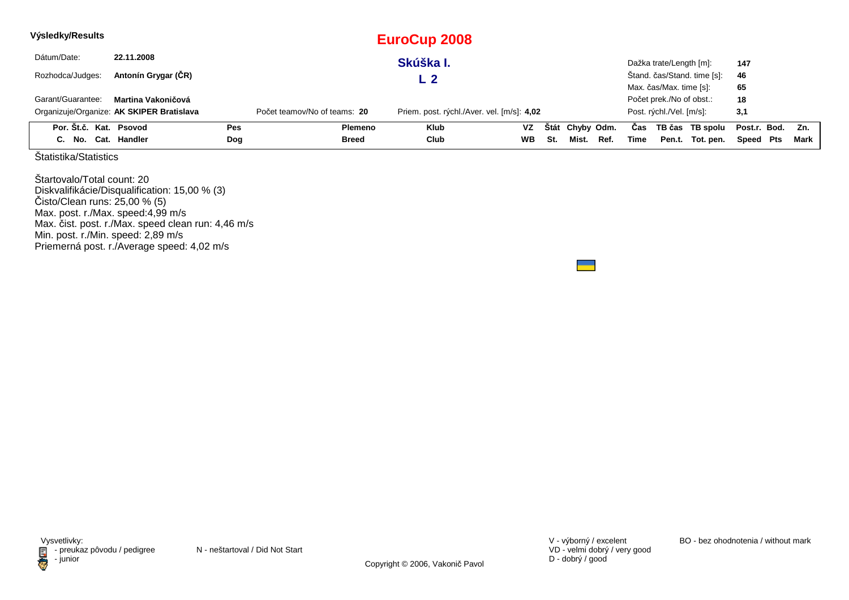| Výsledky/Results       |                                           |            |                              | <b>EuroCup 2008</b>                        |           |     |                 |      |      |                          |                             |              |        |
|------------------------|-------------------------------------------|------------|------------------------------|--------------------------------------------|-----------|-----|-----------------|------|------|--------------------------|-----------------------------|--------------|--------|
| Dátum/Date:            | 22.11.2008                                |            |                              | Skúška I.                                  |           |     |                 |      |      | Dažka trate/Length [m]:  |                             | 147          |        |
| Rozhodca/Judges:       | Antonín Grygar (ČR)                       |            |                              |                                            |           |     |                 |      |      |                          | Štand. čas/Stand. time [s]: | 46           |        |
|                        |                                           |            |                              |                                            |           |     |                 |      |      | Max. čas/Max. time [s]:  |                             | 65           |        |
| Garant/Guarantee:      | Martina Vakoničová                        |            |                              |                                            |           |     |                 |      |      | Počet prek./No of obst.: |                             | 18           |        |
|                        | Organizuje/Organize: AK SKIPER Bratislava |            | Počet teamov/No of teams: 20 | Priem. post. rýchl./Aver. vel. [m/s]: 4,02 |           |     |                 |      |      | Post. rýchl./Vel. [m/s]: |                             | 3,1          |        |
| Por. Št.č. Kat. Psovod |                                           | <b>Pes</b> | Plemeno                      | <b>Klub</b>                                | VZ        |     | Štát Chyby Odm. |      | Cas  |                          | TB čas TB spolu             | Post.r. Bod. | Zn.    |
| C. No. Cat. Handler    |                                           | Dog        | <b>Breed</b>                 | Club                                       | <b>WB</b> | St. | Mist.           | Ref. | Time |                          | Pen.t. Tot. pen.            | Speed Pts    | Mark l |

Štartovalo/Total count: 20 Diskvalifikácie/Disqualification: 15,00 % (3) Čisto/Clean runs: 25,00 % (5) Max. post. r./Max. speed:4,99 m/s Max. čist. post. r./Max. speed clean run: 4,46 m/sMin. post. r./Min. speed: 2,89 m/s Priemerná post. r./Average speed: 4,02 m/s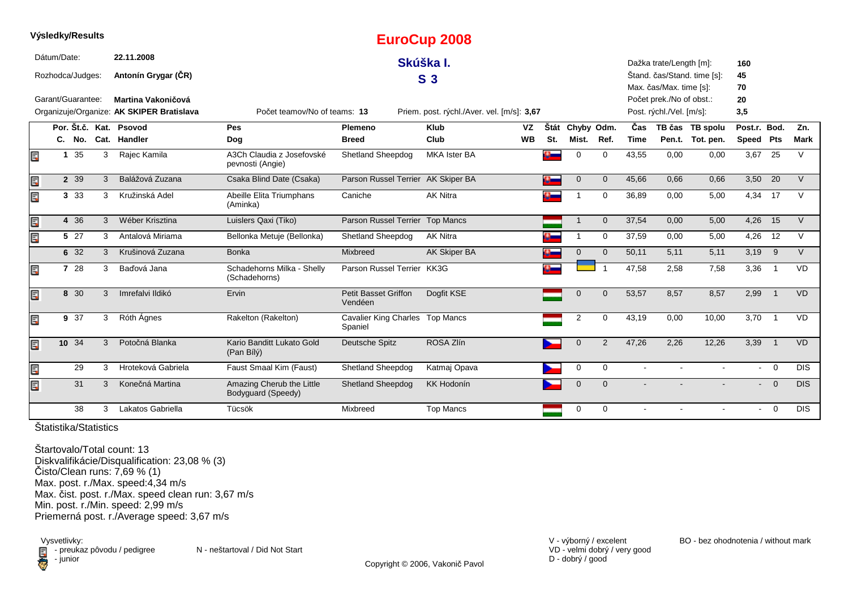|    |                   |   |                                           |                                                 |                                            | Lui UUUP ZUUO                              |           |              |                 |                |             |                          |                             |              |                |             |
|----|-------------------|---|-------------------------------------------|-------------------------------------------------|--------------------------------------------|--------------------------------------------|-----------|--------------|-----------------|----------------|-------------|--------------------------|-----------------------------|--------------|----------------|-------------|
|    | Dátum/Date:       |   | 22.11.2008                                |                                                 |                                            | Skúška I.                                  |           |              |                 |                |             | Dažka trate/Length [m]:  |                             | 160          |                |             |
|    | Rozhodca/Judges:  |   | Antonín Grygar (ČR)                       |                                                 |                                            | S <sub>3</sub>                             |           |              |                 |                |             |                          | Štand. čas/Stand. time [s]: | 45           |                |             |
|    |                   |   |                                           |                                                 |                                            |                                            |           |              |                 |                |             | Max. čas/Max. time [s]:  |                             | 70           |                |             |
|    | Garant/Guarantee: |   | Martina Vakoničová                        |                                                 |                                            |                                            |           |              |                 |                |             | Počet prek./No of obst.: |                             | 20           |                |             |
|    |                   |   | Organizuje/Organize: AK SKIPER Bratislava | Počet teamov/No of teams: 13                    |                                            | Priem. post. rýchl./Aver. vel. [m/s]: 3,67 |           |              |                 |                |             | Post. rýchl./Vel. [m/s]: |                             | 3,5          |                |             |
|    |                   |   | Por. Št.č. Kat. Psovod                    | Pes                                             | Plemeno                                    | <b>Klub</b>                                | <b>VZ</b> |              | Štát Chyby Odm. |                | Čas         |                          | TB čas TB spolu             | Post.r. Bod. |                | Zn.         |
|    | C. No.            |   | Cat. Handler                              | Dog                                             | <b>Breed</b>                               | Club                                       | <b>WB</b> | St.          | Mist.           | Ref.           | <b>Time</b> |                          | Pen.t. Tot. pen.            | Speed Pts    |                | <b>Mark</b> |
| Ē. | 35<br>$\mathbf 1$ | 3 | Rajec Kamila                              | A3Ch Claudia z Josefovské<br>pevnosti (Angie)   | <b>Shetland Sheepdog</b>                   | <b>MKA Ister BA</b>                        |           | $\mathbf{C}$ | $\mathbf 0$     | $\mathbf 0$    | 43,55       | 0,00                     | 0,00                        | 3,67         | 25             | V           |
| Ę  | 2 3 9             | 3 | Balážová Zuzana                           | Csaka Blind Date (Csaka)                        | Parson Russel Terrier AK Skiper BA         |                                            |           |              | $\mathbf{0}$    | $\overline{0}$ | 45,66       | 0.66                     | 0,66                        |              | $3,50$ 20      | $\vee$      |
| Er | 3 3 3             | 3 | Kružinská Adel                            | Abeille Elita Triumphans<br>(Aminka)            | Caniche                                    | <b>AK Nitra</b>                            |           |              |                 | $\mathbf 0$    | 36,89       | 0,00                     | 5,00                        |              | 4,34 17        | V           |
| Ë, | 4 36              | 3 | Wéber Krisztina                           | Luislers Qaxi (Tiko)                            | Parson Russel Terrier Top Mancs            |                                            |           |              |                 | $\overline{0}$ | 37,54       | 0,00                     | 5,00                        | 4,26         | 15             | $\vee$      |
| Ę  | 5 27              | 3 | Antalová Miriama                          | Bellonka Metuje (Bellonka)                      | <b>Shetland Sheepdog</b>                   | <b>AK Nitra</b>                            |           |              | -1              | $\mathbf 0$    | 37,59       | 0,00                     | 5,00                        | 4,26         | 12             | $\vee$      |
|    | 6 32              | 3 | Krušinová Zuzana                          | <b>Bonka</b>                                    | Mixbreed                                   | AK Skiper BA                               |           |              | $\mathbf 0$     | $\mathbf{0}$   | 50,11       | 5.11                     | 5,11                        | 3,19         | 9              | $\vee$      |
| Ę  | 7 28              | 3 | Baďová Jana                               | Schadehorns Milka - Shelly<br>(Schadehorns)     | Parson Russel Terrier KK3G                 |                                            |           |              |                 |                | 47,58       | 2,58                     | 7,58                        | 3,36         | $\overline{1}$ | VD          |
| Ę  | 8 30              | 3 | Imrefalvi Ildikó                          | Ervin                                           | <b>Petit Basset Griffon</b><br>Vendéen     | Dogfit KSE                                 |           |              | $\mathbf 0$     | $\Omega$       | 53,57       | 8,57                     | 8,57                        | 2,99         | $\overline{1}$ | <b>VD</b>   |
| Ę  | 9 37              | 3 | Róth Ágnes                                | Rakelton (Rakelton)                             | Cavalier King Charles Top Mancs<br>Spaniel |                                            |           |              | 2               | $\Omega$       | 43,19       | 0,00                     | 10,00                       | 3,70         | $\overline{1}$ | <b>VD</b>   |
| Ë, | 10 34             | 3 | Potočná Blanka                            | Kario Banditt Lukato Gold<br>(Pan Bílý)         | Deutsche Spitz                             | ROSA Zlín                                  |           |              | $\mathbf{0}$    | 2              | 47,26       | 2,26                     | 12,26                       | 3,39         | $\overline{1}$ | <b>VD</b>   |
| Ę  | 29                | 3 | Hroteková Gabriela                        | Faust Smaal Kim (Faust)                         | <b>Shetland Sheepdog</b>                   | Katmaj Opava                               |           |              | $\mathbf 0$     | $\mathbf 0$    | $\sim$      | $\sim$                   | $\sim$                      |              | $- 0$          | <b>DIS</b>  |
| Ę  | 31                | 3 | Konečná Martina                           | Amazing Cherub the Little<br>Bodyguard (Speedy) | Shetland Sheepdog                          | <b>KK Hodonín</b>                          |           |              | $\mathbf 0$     | $\overline{0}$ |             |                          |                             |              | $- 0$          | <b>DIS</b>  |
|    | 38                | 3 | Lakatos Gabriella                         | Tücsök                                          | Mixbreed                                   | <b>Top Mancs</b>                           |           |              | $\mathbf 0$     | $\mathbf 0$    |             | $\sim$                   | $\sim$                      | $\sim$       | $\overline{0}$ | <b>DIS</b>  |
|    |                   |   |                                           |                                                 |                                            |                                            |           |              |                 |                |             |                          |                             |              |                |             |

**EuroCup 2008**

Štatistika/Statistics

**Výsledky/Results**

Štartovalo/Total count: 13 Diskvalifikácie/Disqualification: 23,08 % (3)Čisto/Clean runs: 7,69 % (1) Max. post. r./Max. speed:4,34 m/s Max. čist. post. r./Max. speed clean run: 3,67 m/sMin. post. r./Min. speed: 2,99 m/sPriemerná post. r./Average speed: 3,67 m/s

Vysvetlivky:<br> **E** - preuka:<br>
junior  $\blacksquare$  - preukaz pôvodu / pedigree N - neštartoval / Did Not Start - junior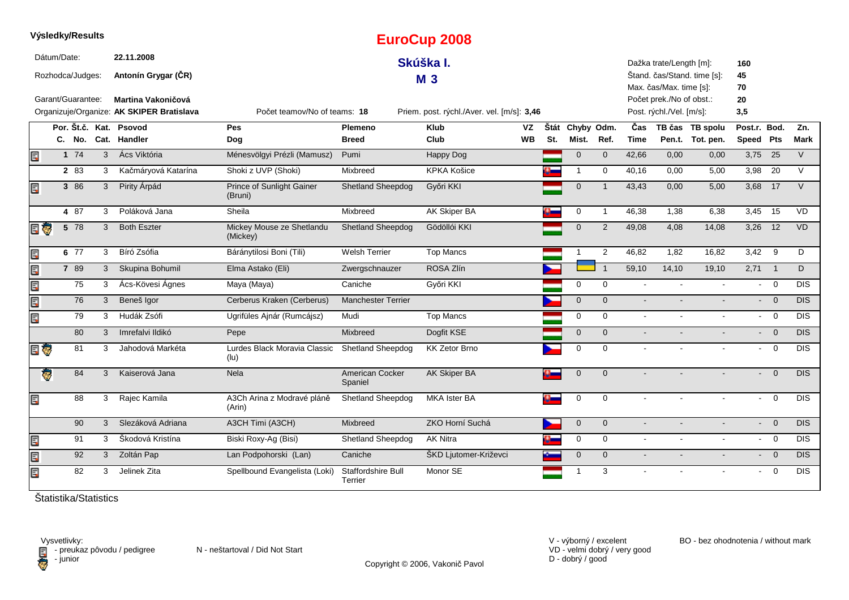|          |             | Výsledky/Results  |              |                                                                 |                                       |                               | <b>EuroCup 2008</b>                        |          |     |                          |                |                    |                                                      |                                     |                           |                          |             |
|----------|-------------|-------------------|--------------|-----------------------------------------------------------------|---------------------------------------|-------------------------------|--------------------------------------------|----------|-----|--------------------------|----------------|--------------------|------------------------------------------------------|-------------------------------------|---------------------------|--------------------------|-------------|
|          | Dátum/Date: | Rozhodca/Judges:  |              | 22.11.2008<br>Antonín Grygar (ČR)                               |                                       |                               | Skúška I.<br><b>M3</b>                     |          |     |                          |                |                    | Dažka trate/Length [m]:<br>Max. čas/Max. time [s]:   | Štand. čas/Stand. time [s]:         | 160<br>45<br>70           |                          |             |
|          |             | Garant/Guarantee: |              | Martina Vakoničová<br>Organizuje/Organize: AK SKIPER Bratislava | Počet teamov/No of teams: 18          |                               | Priem. post. rýchl./Aver. vel. [m/s]: 3,46 |          |     |                          |                |                    | Počet prek./No of obst.:<br>Post. rýchl./Vel. [m/s]: |                                     | 20<br>3,5                 |                          |             |
|          |             |                   |              | Por. Št.č. Kat. Psovod<br>C. No. Cat. Handler                   | Pes<br>Dog                            | Plemeno<br><b>Breed</b>       | <b>Klub</b><br>Club                        | VZ<br>WВ | St. | Štát Chyby Odm.<br>Mist. | Ref.           | Čas<br><b>Time</b> |                                                      | TB čas TB spolu<br>Pen.t. Tot. pen. | Post.r. Bod.<br>Speed Pts |                          | Zn.<br>Mark |
| Ē,       |             | 174               | $\mathbf{3}$ | Ács Viktória                                                    | Ménesvölgyi Prézli (Mamusz)           | Pumi                          | Happy Dog                                  |          |     | $\overline{0}$           | $\mathbf 0$    | 42,66              | 0,00                                                 | 0,00                                | $3,75$ 25                 |                          | V           |
|          |             | 2 83              | 3            | Kačmáryová Katarína                                             | Shoki z UVP (Shoki)                   | Mixbreed                      | <b>KPKA Košice</b>                         |          |     | $\overline{1}$           | $\mathbf 0$    | 40,16              | 0,00                                                 | 5,00                                | 3,98                      | 20                       | $\vee$      |
| E        |             | 3 86              | 3            | Pirity Árpád                                                    | Prince of Sunlight Gainer<br>(Bruni)  | <b>Shetland Sheepdog</b>      | Győri KKI                                  |          |     | $\mathbf 0$              | $\overline{1}$ | 43,43              | 0,00                                                 | 5,00                                | $3,68$ 17                 |                          | $\vee$      |
|          |             | 4 87              | 3            | Poláková Jana                                                   | Sheila                                | Mixbreed                      | AK Skiper BA                               |          |     | 0                        | $\overline{1}$ | 46,38              | 1,38                                                 | 6,38                                | 3,45 15                   |                          | <b>VD</b>   |
| E T      |             | 5 78              | 3            | <b>Both Eszter</b>                                              | Mickey Mouse ze Shetlandu<br>(Mickey) | <b>Shetland Sheepdog</b>      | Gödöllói KKI                               |          |     | $\mathbf 0$              | $\overline{2}$ | 49,08              | 4,08                                                 | 14,08                               | 3,26                      | 12                       | VD          |
| E        |             | 6 77              | 3            | Bíró Zsófia                                                     | Báránytilosi Boni (Tili)              | <b>Welsh Terrier</b>          | <b>Top Mancs</b>                           |          |     |                          | $\overline{2}$ | 46,82              | 1,82                                                 | 16,82                               | 3,42                      | - 9                      | D           |
| an ar    |             | 7 89              | 3            | Skupina Bohumil                                                 | Elma Astako (Eli)                     | Zwergschnauzer                | ROSA Zlín                                  |          |     |                          | $\overline{1}$ | 59,10              | 14,10                                                | 19,10                               | 2,71                      | $\overline{1}$           | D           |
|          |             | 75                | 3            | Ács-Kövesi Ágnes                                                | Maya (Maya)                           | Caniche                       | Győri KKI                                  |          |     | 0                        | $\mathbf 0$    | $\mathbf{r}$       | $\sim$                                               | $\mathbf{r}$                        |                           | $- 0$                    | <b>DIS</b>  |
| E        |             | 76                | 3            | Beneš Igor                                                      | Cerberus Kraken (Cerberus)            | <b>Manchester Terrier</b>     |                                            |          |     | $\overline{0}$           | $\mathbf{0}$   | $\blacksquare$     |                                                      |                                     | $\sim$                    | $\overline{0}$           | DIS         |
| E        |             | 79                | 3            | Hudák Zsófi                                                     | Ugrifüles Ajnár (Rumcájsz)            | Mudi                          | <b>Top Mancs</b>                           |          |     | 0                        | $\mathbf 0$    | $\blacksquare$     | $\blacksquare$                                       | $\blacksquare$                      | $\sim 100$                | $\overline{\mathbf{0}}$  | <b>DIS</b>  |
|          |             | 80                | 3            | Imrefalvi Ildikó                                                | Pepe                                  | Mixbreed                      | Dogfit KSE                                 |          |     | $\overline{0}$           | $\overline{0}$ | $\mathbf{r}$       |                                                      |                                     |                           | $- 0$                    | <b>DIS</b>  |
| E G      |             | 81                | 3            | Jahodová Markéta                                                | Lurdes Black Moravia Classic<br>(lu)  | Shetland Sheepdog             | KK Zetor Brno                              |          |     | 0                        | $\mathbf 0$    | $\blacksquare$     |                                                      |                                     | $\sim$                    | $\overline{0}$           | <b>DIS</b>  |
| <b>g</b> |             | 84                | 3            | Kaiserová Jana                                                  | Nela                                  | American Cocker<br>Spaniel    | AK Skiper BA                               |          |     | $\overline{0}$           | $\mathbf{0}$   |                    |                                                      |                                     | $\blacksquare$            | $\overline{0}$           | DIS         |
| Ē,       |             | 88                | 3            | Rajec Kamila                                                    | A3Ch Arina z Modravé pláně<br>(Arin)  | Shetland Sheepdog             | MKA Ister BA                               |          |     | 0                        | $\mathbf 0$    |                    |                                                      |                                     | $\sim$                    | $\overline{0}$           | <b>DIS</b>  |
|          |             | 90                | 3            | Slezáková Adriana                                               | A3CH Timi (A3CH)                      | <b>Mixbreed</b>               | ZKO Horní Suchá                            |          |     | $\mathbf 0$              | $\overline{0}$ | $\sim$             |                                                      | $\blacksquare$                      |                           | $\overline{0}$<br>$\sim$ | <b>DIS</b>  |
| E        |             | 91                | 3            | Škodová Kristína                                                | Biski Roxy-Ag (Bisi)                  | Shetland Sheepdog             | <b>AK Nitra</b>                            |          |     | $\mathbf 0$              | $\mathbf 0$    | $\sim$             | $\sim$                                               | $\blacksquare$                      |                           | $- 0$                    | <b>DIS</b>  |
| Ę        |             | 92                | $\mathbf{3}$ | Zoltán Pap                                                      | Lan Podpohorski (Lan)                 | Caniche                       | ŠKD Ljutomer-Križevci                      |          |     | $\mathbf{0}$             | $\mathbf{0}$   | $\sim$             | $\blacksquare$                                       | $\blacksquare$                      | $\sim 100$                | $\overline{0}$           | <b>DIS</b>  |
| E        |             | 82                | 3            | Jelinek Zita                                                    | Spellbound Evangelista (Loki)         | Staffordshire Bull<br>Terrier | Monor SE                                   |          |     | -1                       | 3              |                    |                                                      |                                     | $\sim$ 10 $\pm$           | $\overline{0}$           | <b>DIS</b>  |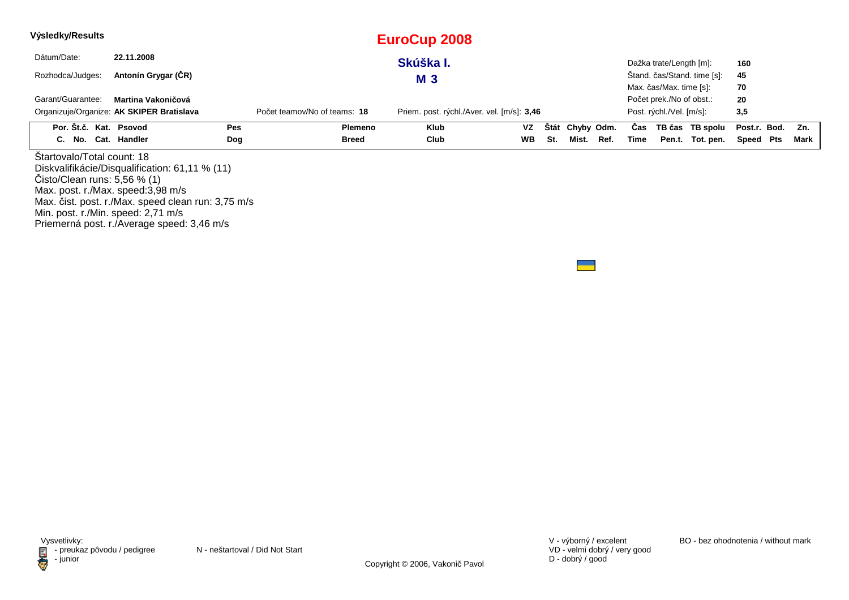| Výsledky/Results                                                                                                                     |                                                                                                                                                    |     |                              | <b>EuroCup 2008</b>                        |           |     |                 |      |      |                                                      |                             |              |      |
|--------------------------------------------------------------------------------------------------------------------------------------|----------------------------------------------------------------------------------------------------------------------------------------------------|-----|------------------------------|--------------------------------------------|-----------|-----|-----------------|------|------|------------------------------------------------------|-----------------------------|--------------|------|
| Dátum/Date:                                                                                                                          | 22.11.2008                                                                                                                                         |     |                              | Skúška I.                                  |           |     |                 |      |      | Dažka trate/Length [m]:                              |                             | 160          |      |
| Rozhodca/Judges:                                                                                                                     | Antonín Grygar (ČR)                                                                                                                                |     |                              | <b>M3</b>                                  |           |     |                 |      |      |                                                      | Štand. čas/Stand. time [s]: | 45           |      |
|                                                                                                                                      | Garant/Guarantee:<br>Martina Vakoničová                                                                                                            |     |                              |                                            |           |     |                 |      |      |                                                      |                             | 70<br>20     |      |
|                                                                                                                                      | Organizuje/Organize: AK SKIPER Bratislava                                                                                                          |     | Počet teamov/No of teams: 18 | Priem. post. rýchl./Aver. vel. [m/s]: 3,46 |           |     |                 |      |      | Počet prek./No of obst.:<br>Post. rýchl./Vel. [m/s]: |                             | 3,5          |      |
| Por. Št.č. Kat. Psovod                                                                                                               |                                                                                                                                                    | Pes | <b>Plemeno</b>               | <b>Klub</b>                                | VZ        |     | Štát Chyby Odm. |      | Cas  |                                                      | TB čas TB spolu             | Post.r. Bod. | Zn.  |
| C. No. Cat. Handler                                                                                                                  |                                                                                                                                                    | Dog | <b>Breed</b>                 | Club                                       | <b>WB</b> | St. | Mist.           | Ref. | Time |                                                      | Pen.t. Tot. pen.            | Speed Pts    | Mark |
| Startovalo/Total count: 18<br>Čisto/Clear runs: 5,56 %(1)<br>Max. post. r./Max. speed:3,98 m/s<br>Min. post. r./Min. speed: 2,71 m/s | Diskvalifikácie/Disqualification: 61,11 % (11)<br>Max. čist. post. r./Max. speed clean run: 3,75 m/s<br>Priemerná post. r./Average speed: 3,46 m/s |     |                              |                                            |           |     |                 |      |      |                                                      |                             |              |      |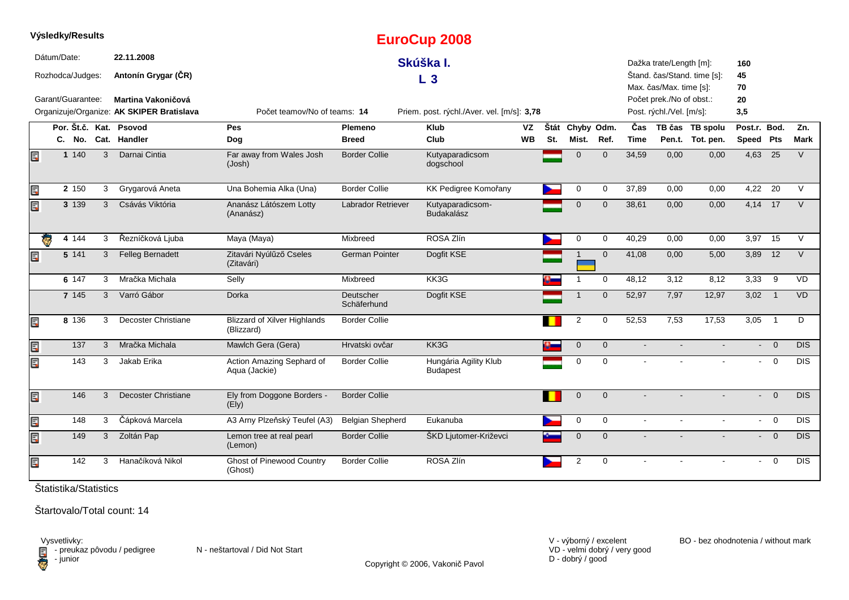|    | Výsledky/Results                |       |              |                                                                        |                                                   |                                 | <b>EuroCup 2008</b>                        |                 |             |                     |              |                |                                                                                 |                                     |                           |                         |                  |
|----|---------------------------------|-------|--------------|------------------------------------------------------------------------|---------------------------------------------------|---------------------------------|--------------------------------------------|-----------------|-------------|---------------------|--------------|----------------|---------------------------------------------------------------------------------|-------------------------------------|---------------------------|-------------------------|------------------|
|    | Dátum/Date:<br>Rozhodca/Judges: |       |              | 22.11.2008<br>Antonín Grygar (ČR)                                      |                                                   |                                 | Skúška I.<br>L <sub>3</sub>                |                 |             |                     |              |                | Dažka trate/Length [m]:                                                         | Štand. čas/Stand. time [s]:         | 160<br>45                 |                         |                  |
|    | Garant/Guarantee:               |       |              | <b>Martina Vakoničová</b><br>Organizuje/Organize: AK SKIPER Bratislava | Počet teamov/No of teams: 14                      |                                 | Priem. post. rýchl./Aver. vel. [m/s]: 3,78 |                 |             |                     |              |                | Max. čas/Max. time [s]:<br>Počet prek./No of obst.:<br>Post. rýchl./Vel. [m/s]: |                                     | 70<br>20<br>3,5           |                         |                  |
|    |                                 |       |              | Por. Št.č. Kat. Psovod<br>C. No. Cat. Handler                          | <b>Pes</b><br>Dog                                 | <b>Plemeno</b><br><b>Breed</b>  | <b>Klub</b><br>Club                        | VZ<br><b>WB</b> | Štát<br>St. | Chyby Odm.<br>Mist. | Ref.         | Čas<br>Time    |                                                                                 | TB čas TB spolu<br>Pen.t. Tot. pen. | Post.r. Bod.<br>Speed Pts |                         | Zn.<br>Mark      |
| Ē. |                                 | 1 140 | 3            | Darnai Cintia                                                          | Far away from Wales Josh<br>(Josh)                | <b>Border Collie</b>            | Kutyaparadicsom<br>dogschool               |                 |             | $\mathbf{0}$        | $\mathbf{0}$ | 34,59          | 0,00                                                                            | 0,00                                | $4,63$ 25                 |                         | $\vee$           |
| Ę  |                                 | 2 150 | 3            | Grygarová Aneta                                                        | Una Bohemia Alka (Una)                            | <b>Border Collie</b>            | KK Pedigree Komořany                       |                 |             | 0                   | $\mathbf 0$  | 37,89          | 0,00                                                                            | 0,00                                | 4,22 20                   |                         | V                |
| Ę  |                                 | 3 139 | 3            | Csávás Viktória                                                        | Ananász Látószem Lotty<br>(Ananász)               | Labrador Retriever              | Kutyaparadicsom-<br><b>Budakalász</b>      |                 |             | $\mathbf 0$         | $\mathbf{0}$ | 38,61          | 0,00                                                                            | 0,00                                | 4,14 17                   |                         | $\vee$           |
|    | e                               | 4 144 | 3            | Řezníčková Ljuba                                                       | Maya (Maya)                                       | Mixbreed                        | ROSA Zlín                                  |                 |             | 0                   | $\mathbf 0$  | 40,29          | 0,00                                                                            | 0,00                                | 3,97                      | 15                      | $\vee$           |
| Ę  |                                 | 5 141 | 3            | <b>Felleg Bernadett</b>                                                | Zitavári Nyúlűző Cseles<br>(Zitavári)             | German Pointer                  | Dogfit KSE                                 |                 |             |                     | $\mathbf{0}$ | 41,08          | 0,00                                                                            | 5,00                                | 3,89 12                   |                         | $\vee$           |
|    |                                 | 6 147 | 3            | Mračka Michala                                                         | Selly                                             | Mixbreed                        | KK3G                                       |                 |             | -1                  | $\mathbf 0$  | 48,12          | 3,12                                                                            | 8,12                                | $3,33$ 9                  |                         | <b>VD</b>        |
|    |                                 | 7 145 | 3            | Varró Gábor                                                            | Dorka                                             | <b>Deutscher</b><br>Schäferhund | Dogfit KSE                                 |                 |             |                     | $\mathbf{0}$ | 52,97          | 7,97                                                                            | 12,97                               | 3,02                      | $\overline{1}$          | VD               |
| Ę  |                                 | 8 136 | 3            | <b>Decoster Christiane</b>                                             | <b>Blizzard of Xilver Highlands</b><br>(Blizzard) | <b>Border Collie</b>            |                                            |                 |             | $\overline{2}$      | 0            | 52,53          | 7,53                                                                            | 17,53                               | 3,05                      | $\overline{1}$          | D                |
| Ę  |                                 | 137   | 3            | Mračka Michala                                                         | Mawlch Gera (Gera)                                | Hrvatski ovčar                  | KK3G                                       |                 | $\bullet$   | $\overline{0}$      | $\mathbf{0}$ |                |                                                                                 |                                     | $\blacksquare$            | $\overline{0}$          | DIS              |
| Ę  |                                 | 143   | 3            | Jakab Erika                                                            | Action Amazing Sephard of<br>Aqua (Jackie)        | <b>Border Collie</b>            | Hungária Agility Klub<br><b>Budapest</b>   |                 |             | $\mathbf 0$         | $\Omega$     | $\sim$         |                                                                                 | $\mathbf{r}$                        | $\sim$                    | $\overline{\mathbf{0}}$ | <b>DIS</b>       |
| Ę  |                                 | 146   | 3            | <b>Decoster Christiane</b>                                             | Ely from Doggone Borders -<br>(Ely)               | <b>Border Collie</b>            |                                            |                 |             | $\mathbf 0$         | $\mathbf{0}$ | $\blacksquare$ |                                                                                 | $\blacksquare$                      | $\sim$                    | $\overline{0}$          | <b>DIS</b>       |
| E  |                                 | 148   | $\mathbf{3}$ | Čápková Marcela                                                        | A3 Arny Plzeňský Teufel (A3)                      | <b>Belgian Shepherd</b>         | Eukanuba                                   |                 |             | $\mathbf 0$         | $\mathbf 0$  | $\sim$         | $\overline{a}$                                                                  | $\mathbf{r}$                        |                           | $- 0$                   | $\overline{DIS}$ |
| Ę  |                                 | 149   | 3            | Zoltán Pap                                                             | Lemon tree at real pearl<br>(Lemon)               | <b>Border Collie</b>            | ŠKD Ljutomer-Križevci                      |                 |             | $\mathbf{0}$        | $\Omega$     |                |                                                                                 |                                     |                           | $- 0$                   | DIS              |
| Ę  |                                 | 142   | 3            | Hanačíková Nikol                                                       | <b>Ghost of Pinewood Country</b><br>(Ghost)       | <b>Border Collie</b>            | ROSA Zlín                                  |                 |             | $\overline{2}$      | $\mathbf 0$  |                |                                                                                 |                                     | $\blacksquare$            | $\overline{0}$          | <b>DIS</b>       |

Štartovalo/Total count: 14

Vysvetlivky:<br>⊟ - preukaz pôvodu / pedigree N - neštartoval / Did Not Start **D** - junior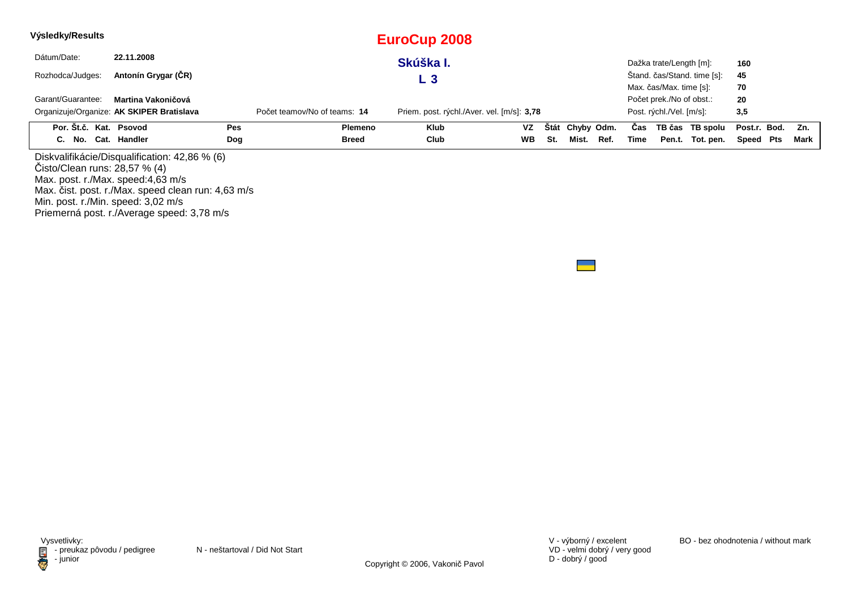| Výsledky/Results                                                   |                                                                                                     |     |                              | <b>EuroCup 2008</b>                        |           |     |                 |      |      |                          |                             |              |      |
|--------------------------------------------------------------------|-----------------------------------------------------------------------------------------------------|-----|------------------------------|--------------------------------------------|-----------|-----|-----------------|------|------|--------------------------|-----------------------------|--------------|------|
| Dátum/Date:                                                        | 22.11.2008                                                                                          |     |                              | Skúška I.                                  |           |     |                 |      |      | Dažka trate/Length [m]:  |                             | 160          |      |
| Rozhodca/Judges:                                                   | Antonín Grygar (ČR)                                                                                 |     |                              | L <sub>3</sub>                             |           |     |                 |      |      |                          | Štand. čas/Stand. time [s]: | 45           |      |
|                                                                    |                                                                                                     |     |                              |                                            |           |     |                 |      |      | Max. čas/Max. time [s]:  |                             | 70           |      |
| Garant/Guarantee:                                                  | Martina Vakoničová                                                                                  |     |                              |                                            |           |     |                 |      |      | Počet prek./No of obst.: |                             | 20           |      |
|                                                                    | Organizuje/Organize: AK SKIPER Bratislava                                                           |     | Počet teamov/No of teams: 14 | Priem. post. rýchl./Aver. vel. [m/s]: 3,78 |           |     |                 |      |      | Post. rýchl./Vel. [m/s]: |                             | 3,5          |      |
| Por. Št.č. Kat. Psovod                                             |                                                                                                     | Pes | <b>Plemeno</b>               | <b>Klub</b>                                | VZ        |     | Štát Chyby Odm. |      | Cas  |                          | TB čas TB spolu             | Post.r. Bod. | Zn.  |
| C. No. Cat. Handler                                                |                                                                                                     | Dog | <b>Breed</b>                 | Club                                       | <b>WB</b> | St. | Mist.           | Ref. | Time |                          | Pen.t. Tot. pen.            | Speed Pts    | Mark |
| Cisto/Clean runs: 28,57 % (4)<br>Max. post. r./Max. speed:4,63 m/s | Diskvalifikácie/Disqualification: 42,86 % (6)<br>Max. čist. post. r./Max. speed clean run: 4,63 m/s |     |                              |                                            |           |     |                 |      |      |                          |                             |              |      |

Min. post. r./Min. speed: 3,02 m/s Priemerná post. r./Average speed: 3,78 m/s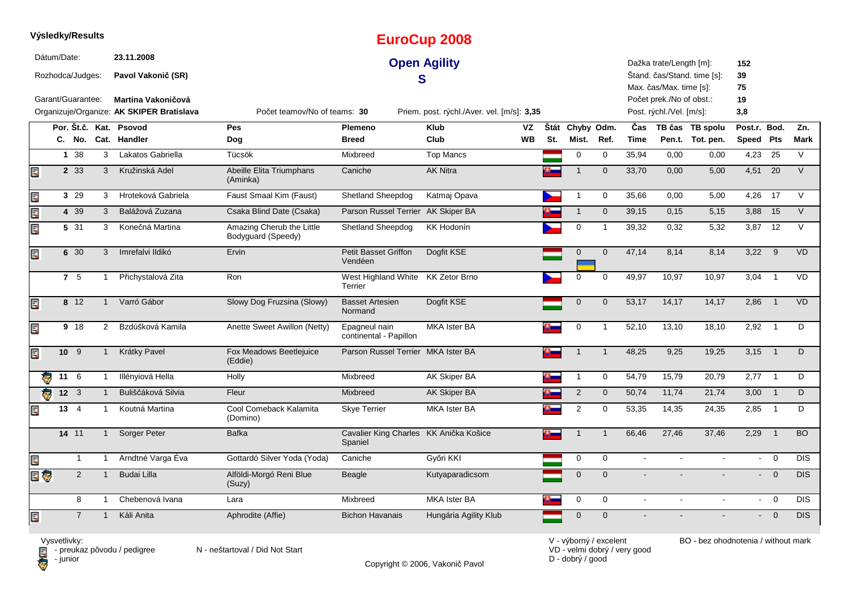|                         |             | Výsledky/Results  |                |                                                                        |                                                 |                                                   | <b>EuroCup 2008</b>                        |             |                     |                |                           |                                                      |                                     |                           |                |             |
|-------------------------|-------------|-------------------|----------------|------------------------------------------------------------------------|-------------------------------------------------|---------------------------------------------------|--------------------------------------------|-------------|---------------------|----------------|---------------------------|------------------------------------------------------|-------------------------------------|---------------------------|----------------|-------------|
|                         | Dátum/Date: | Rozhodca/Judges:  |                | 23.11.2008<br>Pavol Vakonič (SR)                                       |                                                 | S                                                 | <b>Open Agility</b>                        |             |                     |                |                           | Dažka trate/Length [m]:<br>Max. čas/Max. time [s]:   | Štand. čas/Stand. time [s]:         | 152<br>39<br>75           |                |             |
|                         |             | Garant/Guarantee: |                | <b>Martina Vakoničová</b><br>Organizuje/Organize: AK SKIPER Bratislava | Počet teamov/No of teams: 30                    |                                                   | Priem. post. rýchl./Aver. vel. [m/s]: 3,35 |             |                     |                |                           | Počet prek./No of obst.:<br>Post. rýchl./Vel. [m/s]: |                                     | 19<br>3,8                 |                |             |
|                         |             | C. No.            |                | Por. Št.č. Kat. Psovod<br>Cat. Handler                                 | Pes<br>Dog                                      | Plemeno<br><b>Breed</b>                           | <b>Klub</b><br>VZ<br>Club<br><b>WB</b>     | Štát<br>St. | Chyby Odm.<br>Mist. | Ref.           | <b>Cas</b><br><b>Time</b> |                                                      | TB čas TB spolu<br>Pen.t. Tot. pen. | Post.r. Bod.<br>Speed Pts |                | Zn.<br>Mark |
|                         |             | 1 38              | 3              | Lakatos Gabriella                                                      | Tücsök                                          | Mixbreed                                          | <b>Top Mancs</b>                           |             | $\mathbf 0$         | $\mathbf 0$    | 35,94                     | 0,00                                                 | 0,00                                | 4,23                      | 25             | V           |
| E                       |             | 2 3 3             | 3              | Kružinská Adel                                                         | Abeille Elita Triumphans<br>(Aminka)            | Caniche                                           | <b>AK Nitra</b>                            |             | $\mathbf{1}$        | $\mathbf{0}$   | 33.70                     | 0.00                                                 | 5,00                                | 4,51                      | 20             | $\vee$      |
| Ę                       |             | 3 29              | 3              | Hroteková Gabriela                                                     | Faust Smaal Kim (Faust)                         | <b>Shetland Sheepdog</b>                          | Katmaj Opava                               |             | $\mathbf 1$         | $\mathbf 0$    | 35,66                     | 0,00                                                 | 5,00                                | 4,26                      | 17             | $\vee$      |
| Ę                       |             | 4 39              | 3              | Balážová Zuzana                                                        | Csaka Blind Date (Csaka)                        | Parson Russel Terrier AK Skiper BA                |                                            |             | $\mathbf{1}$        | $\mathbf 0$    | 39,15                     | 0,15                                                 | 5,15                                | 3,88                      | 15             | $\vee$      |
| E                       |             | 5 31              | 3              | Konečná Martina                                                        | Amazing Cherub the Little<br>Bodyguard (Speedy) | <b>Shetland Sheepdog</b>                          | <b>KK Hodonín</b>                          |             | $\mathbf 0$         | $\mathbf{1}$   | 39,32                     | 0,32                                                 | 5,32                                | 3,87 12                   |                | V           |
| Ę                       |             | 6 30              | 3              | Imrefalvi Ildikó                                                       | Ervin                                           | <b>Petit Basset Griffon</b><br>Vendéen            | Dogfit KSE                                 |             | $\mathbf 0$         | $\mathbf 0$    | 47,14                     | 8,14                                                 | 8,14                                | 3,22                      | 9              | <b>VD</b>   |
|                         |             | 7 5               | $\mathbf{1}$   | Přichystalová Zita                                                     | Ron                                             | West Highland White KK Zetor Brno<br>Terrier      |                                            |             | $\mathbf 0$         | $\mathbf 0$    | 49,97                     | 10,97                                                | 10,97                               | 3,04                      | $\mathbf{1}$   | <b>VD</b>   |
| Ę                       |             | $8 \t12$          | $\mathbf{1}$   | Varró Gábor                                                            | Slowy Dog Fruzsina (Slowy)                      | <b>Basset Artesien</b><br>Normand                 | Dogfit KSE                                 |             | $\mathbf 0$         | $\mathbf 0$    | 53,17                     | 14,17                                                | 14,17                               | 2,86                      | $\overline{1}$ | <b>VD</b>   |
| Ę                       |             | 9 18              | $\overline{2}$ | Bzdúšková Kamila                                                       | Anette Sweet Awillon (Netty)                    | Epagneul nain<br>continental - Papillon           | MKA Ister BA                               |             | 0                   | $\overline{1}$ | 52,10                     | 13,10                                                | 18,10                               | 2,92                      | $\overline{1}$ | D           |
| E                       |             | 10 <sup>9</sup>   | $\mathbf{1}$   | Krátky Pavel                                                           | Fox Meadows Beetlejuice<br>(Eddie)              | Parson Russel Terrier MKA Ister BA                |                                            |             |                     | $\mathbf{1}$   | 48,25                     | 9.25                                                 | 19.25                               | 3,15                      | $\overline{1}$ | D           |
| $\overline{\mathbf{e}}$ |             | 11 6              | $\mathbf{1}$   | Illényiová Hella                                                       | Holly                                           | Mixbreed                                          | AK Skiper BA                               |             | $\mathbf{1}$        | $\mathbf 0$    | 54,79                     | 15,79                                                | 20,79                               | $2,77$ 1                  |                | D           |
| Ç                       |             | $12 \overline{3}$ | $\mathbf{1}$   | Buliščáková Silvia                                                     | Fleur                                           | Mixbreed                                          | <b>AK Skiper BA</b>                        |             | $\overline{2}$      | $\mathbf 0$    | 50,74                     | 11,74                                                | 21,74                               | 3,00                      | $\overline{1}$ | D           |
| Ę                       |             | $13 \quad 4$      | 1              | Koutná Martina                                                         | Cool Comeback Kalamita<br>(Domino)              | <b>Skye Terrier</b>                               | <b>MKA Ister BA</b>                        |             | $\overline{2}$      | $\mathbf 0$    | 53,35                     | 14,35                                                | 24,35                               | 2,85                      | $\overline{1}$ | D           |
|                         |             | 14 11             | $\mathbf{1}$   | Sorger Peter                                                           | <b>Bafka</b>                                    | Cavalier King Charles KK Anička Košice<br>Spaniel |                                            |             |                     | $\mathbf{1}$   | 66,46                     | 27,46                                                | 37,46                               | 2,29                      | $\mathbf{1}$   | <b>BO</b>   |
| Ē,                      |             | $\mathbf{1}$      | $\mathbf{1}$   | Arndtné Varga Éva                                                      | Gottardó Silver Yoda (Yoda)                     | Caniche                                           | Győri KKI                                  |             | $\mathbf 0$         | $\mathbf 0$    | $\Delta$                  | ä,                                                   | ä,                                  | $\sim$                    | $\overline{0}$ | <b>DIS</b>  |
| e U                     |             | 2                 | $\mathbf{1}$   | <b>Budai Lilla</b>                                                     | Alföldi-Morgó Reni Blue<br>(Suzy)               | Beagle                                            | Kutyaparadicsom                            |             | $\overline{0}$      | $\Omega$       |                           |                                                      |                                     | $\sim$                    | $\overline{0}$ | DIS         |
|                         |             | 8                 | $\mathbf{1}$   | Chebenová Ivana                                                        | Lara                                            | Mixbreed                                          | <b>MKA Ister BA</b>                        |             | $\mathbf 0$         | $\mathbf 0$    | $\Delta$                  | $\blacksquare$                                       | $\Delta$                            |                           | $- 0$          | <b>DIS</b>  |
| Ę                       |             | $\overline{7}$    | $\mathbf{1}$   | Káli Anita                                                             | Aphrodite (Affie)                               | <b>Bichon Havanais</b>                            | Hungária Agility Klub                      |             | $\mathbf 0$         | $\mathbf{0}$   |                           |                                                      |                                     | $\blacksquare$            | $\overline{0}$ | DIS         |

Vysvetlivky:<br>⊟ - preukaz pôvodu / pedigree N - neštartoval / Did Not Start **D** - junior

Copyright © 2006, Vakonič Pavol

VD - velmi dobrý / very good D - dobrý / good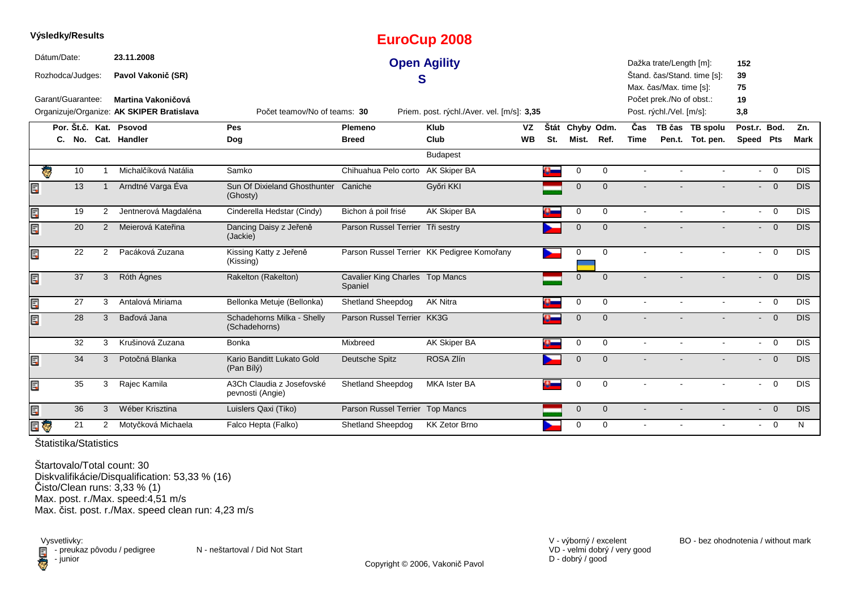|    | Výsledky/Results                |    |                       |                                                                        |                                               |                                            | <b>EuroCup 2008</b>                        |           |      |              |              |             |                                                                                 |                             |                 |                |             |
|----|---------------------------------|----|-----------------------|------------------------------------------------------------------------|-----------------------------------------------|--------------------------------------------|--------------------------------------------|-----------|------|--------------|--------------|-------------|---------------------------------------------------------------------------------|-----------------------------|-----------------|----------------|-------------|
|    | Dátum/Date:<br>Rozhodca/Judges: |    |                       | 23.11.2008<br>Pavol Vakonič (SR)                                       |                                               | S                                          | <b>Open Agility</b>                        |           |      |              |              |             | Dažka trate/Length [m]:                                                         | Štand. čas/Stand. time [s]: | 152<br>39       |                |             |
|    | Garant/Guarantee:               |    |                       | <b>Martina Vakoničová</b><br>Organizuje/Organize: AK SKIPER Bratislava | Počet teamov/No of teams: 30                  |                                            | Priem. post. rýchl./Aver. vel. [m/s]: 3,35 |           |      |              |              |             | Max. čas/Max. time [s]:<br>Počet prek./No of obst.:<br>Post. rýchl./Vel. [m/s]: |                             | 75<br>19<br>3,8 |                |             |
|    |                                 |    |                       | Por. Št.č. Kat. Psovod                                                 | Pes                                           | Plemeno                                    | <b>Klub</b>                                | <b>VZ</b> | Štát |              | Chyby Odm.   | Čas         |                                                                                 | TB čas TB spolu             | Post.r. Bod.    |                | Zn.         |
|    | C.                              |    |                       | No. Cat. Handler                                                       | Dog                                           | <b>Breed</b>                               | Club                                       | <b>WB</b> | St.  | Mist.        | Ref.         | <b>Time</b> |                                                                                 | Pen.t. Tot. pen.            | Speed Pts       |                | <b>Mark</b> |
|    |                                 |    |                       |                                                                        |                                               |                                            | <b>Budapest</b>                            |           |      |              |              |             |                                                                                 |                             |                 |                |             |
|    | ę.                              | 10 |                       | Michalčíková Natália                                                   | Samko                                         | Chihuahua Pelo corto AK Skiper BA          |                                            |           |      | 0            | $\mathbf 0$  | $\sim$      |                                                                                 |                             |                 | $- 0$          | <b>DIS</b>  |
| Ę  |                                 | 13 |                       | Arndtné Varga Éva                                                      | Sun Of Dixieland Ghosthunter<br>(Ghosty)      | Caniche                                    | Győri KKI                                  |           |      | $\mathbf{0}$ | $\Omega$     |             |                                                                                 |                             |                 | $- 0$          | <b>DIS</b>  |
| E  |                                 | 19 | $\overline{2}$        | Jentnerová Magdaléna                                                   | Cinderella Hedstar (Cindy)                    | Bichon á poil frisé                        | AK Skiper BA                               |           |      | $\mathbf 0$  | $\mathbf 0$  | $\sim$      |                                                                                 |                             |                 | $- 0$          | <b>DIS</b>  |
| E  |                                 | 20 | 2                     | Meierová Kateřina                                                      | Dancing Daisy z Jeřeně<br>(Jackie)            | Parson Russel Terrier Tři sestry           |                                            |           |      | $\mathbf{0}$ | $\mathbf{0}$ |             |                                                                                 |                             |                 | $\overline{0}$ | <b>DIS</b>  |
| E  |                                 | 22 | $\overline{2}$        | Pacáková Zuzana                                                        | Kissing Katty z Jeřeně<br>(Kissing)           |                                            | Parson Russel Terrier KK Pedigree Komořany |           |      | $\Omega$     | $\mathbf 0$  | $\sim$      |                                                                                 |                             | $\blacksquare$  | $\overline{0}$ | <b>DIS</b>  |
| E  |                                 | 37 | 3                     | Róth Ágnes                                                             | Rakelton (Rakelton)                           | Cavalier King Charles Top Mancs<br>Spaniel |                                            |           |      | $\mathbf{0}$ | $\Omega$     |             |                                                                                 |                             |                 | $- 0$          | <b>DIS</b>  |
| E  |                                 | 27 | 3                     | Antalová Miriama                                                       | Bellonka Metuje (Bellonka)                    | Shetland Sheepdog                          | <b>AK Nitra</b>                            |           |      | $\mathbf 0$  | $\mathbf 0$  | $\sim$      |                                                                                 |                             |                 | $- 0$          | <b>DIS</b>  |
| Er |                                 | 28 | 3                     | Baďová Jana                                                            | Schadehorns Milka - Shelly<br>(Schadehorns)   | Parson Russel Terrier                      | KK3G                                       |           |      | $\Omega$     | $\Omega$     |             |                                                                                 |                             |                 | $- 0$          | <b>DIS</b>  |
|    |                                 | 32 | 3                     | Krušinová Zuzana                                                       | Bonka                                         | Mixbreed                                   | AK Skiper BA                               |           |      | 0            | $\mathbf 0$  | $\sim$      |                                                                                 |                             |                 | $- 0$          | <b>DIS</b>  |
| Ē, |                                 | 34 | 3                     | Potočná Blanka                                                         | Kario Banditt Lukato Gold<br>(Pan Bílý)       | Deutsche Spitz                             | ROSA Zlín                                  |           |      | $\mathbf{0}$ | $\mathbf{0}$ |             |                                                                                 |                             |                 | $- 0$          | <b>DIS</b>  |
| E  |                                 | 35 | 3                     | Rajec Kamila                                                           | A3Ch Claudia z Josefovské<br>pevnosti (Angie) | Shetland Sheepdog                          | <b>MKA Ister BA</b>                        |           |      | $\mathbf 0$  | $\Omega$     |             |                                                                                 |                             |                 | $- 0$          | <b>DIS</b>  |
| Ę  |                                 | 36 | $\mathbf{3}$          | Wéber Krisztina                                                        | Luislers Qaxi (Tiko)                          | Parson Russel Terrier Top Mancs            |                                            |           |      | $\mathbf{0}$ | $\mathbf{0}$ |             |                                                                                 |                             |                 | $- 0$          | <b>DIS</b>  |
| 目の |                                 | 21 | $\mathbf{2}^{\prime}$ | Motyčková Michaela                                                     | Falco Hepta (Falko)                           | <b>Shetland Sheepdog</b>                   | <b>KK Zetor Brno</b>                       |           |      | 0            | $\mathbf 0$  |             |                                                                                 |                             | $\sim$          | $\overline{0}$ | N           |
|    |                                 |    |                       |                                                                        |                                               |                                            |                                            |           |      |              |              |             |                                                                                 |                             |                 |                |             |

Štartovalo/Total count: 30 Diskvalifikácie/Disqualification: 53,33 % (16)Čisto/Clean runs: 3,33 % (1) Max. post. r./Max. speed:4,51 m/sMax. čist. post. r./Max. speed clean run: 4,23 m/s

Vysvetlivky:<br>⊟ - preukaz pôvodu / pedigree N - neštartoval / Did Not Start preuka<br>
<sup>preuka</sup><br>
<sup>preuka</sup>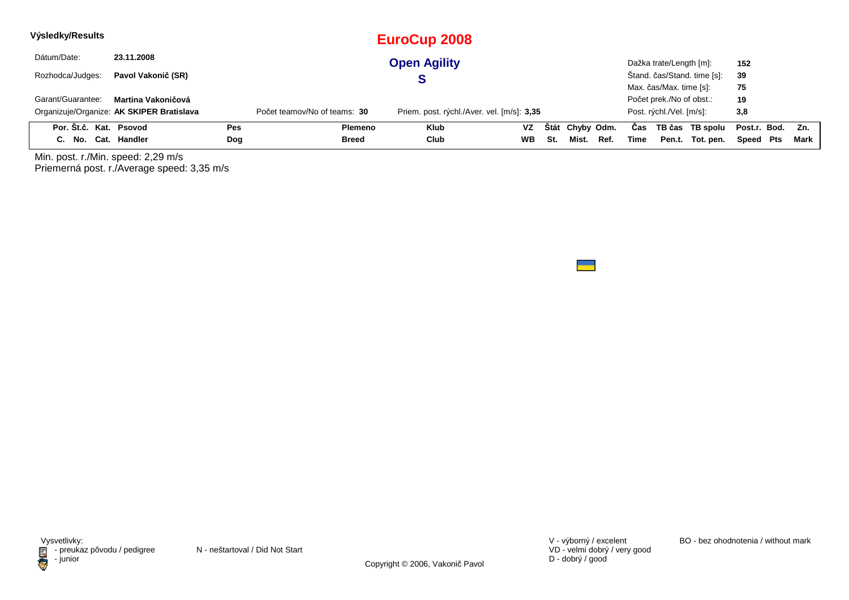| Výsledky/Results       |                                           |     |                              | EuroCup 2008                               |           |     |                 |      |      |                          |                             |                  |        |
|------------------------|-------------------------------------------|-----|------------------------------|--------------------------------------------|-----------|-----|-----------------|------|------|--------------------------|-----------------------------|------------------|--------|
| Dátum/Date:            | 23.11.2008                                |     |                              | <b>Open Agility</b>                        |           |     |                 |      |      | Dažka trate/Length [m]:  |                             | 152              |        |
| Rozhodca/Judges:       | Pavol Vakonič (SR)                        |     |                              |                                            |           |     |                 |      |      |                          | Štand. čas/Stand. time [s]: | 39               |        |
|                        |                                           |     |                              |                                            |           |     |                 |      |      | Max. čas/Max. time [s]:  |                             | 75               |        |
| Garant/Guarantee:      | Martina Vakoničová                        |     |                              |                                            |           |     |                 |      |      | Počet prek./No of obst.: |                             | 19               |        |
|                        | Organizuje/Organize: AK SKIPER Bratislava |     | Počet teamov/No of teams: 30 | Priem. post. rýchl./Aver. vel. [m/s]: 3,35 |           |     |                 |      |      | Post. rýchl./Vel. [m/s]: |                             | 3,8              |        |
| Por. Št.č. Kat. Psovod |                                           | Pes | Plemeno                      | <b>Klub</b>                                | VZ        |     | Štát Chyby Odm. |      | Cas  |                          | TB čas TB spolu             | Post.r. Bod. Zn. |        |
| C. No. Cat. Handler    |                                           | Dog | Breed                        | Club                                       | <b>WB</b> | St. | Mist.           | Ref. | Time | Pen.t.                   | Tot. pen.                   | Speed Pts        | Mark I |

Min. post. r./Min. speed: 2,29 m/s Priemerná post. r./Average speed: 3,35 m/s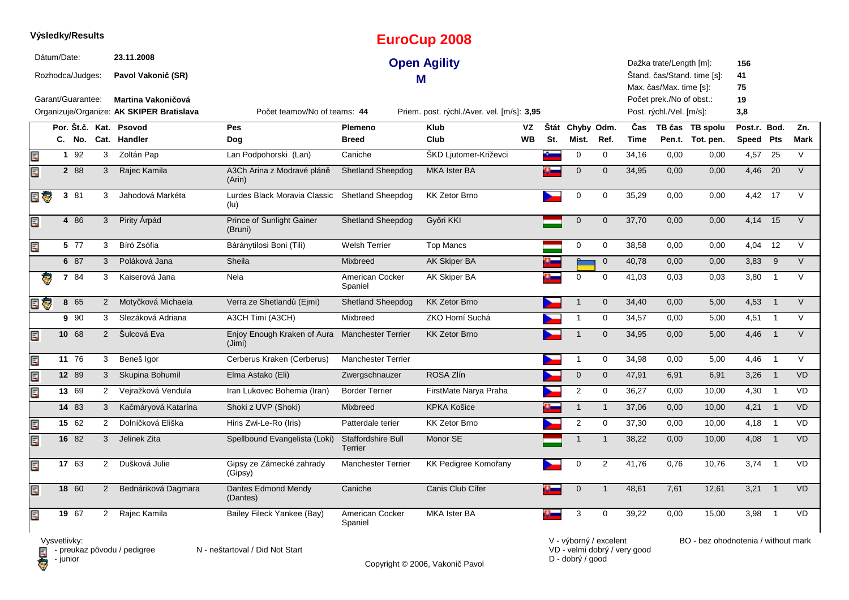|     |             | Výsledky/Results                      |                |                                                        |                                             |                                      | <b>EuroCup 2008</b>                        |                 |     |                          |                |             |                                                                                |                                     |                           |                 |                 |
|-----|-------------|---------------------------------------|----------------|--------------------------------------------------------|---------------------------------------------|--------------------------------------|--------------------------------------------|-----------------|-----|--------------------------|----------------|-------------|--------------------------------------------------------------------------------|-------------------------------------|---------------------------|-----------------|-----------------|
|     | Dátum/Date: | Rozhodca/Judges:<br>Garant/Guarantee: |                | 23.11.2008<br>Pavol Vakonič (SR)<br>Martina Vakoničová |                                             |                                      | <b>Open Agility</b><br>M                   |                 |     |                          |                |             | Dažka trate/Length [m]:<br>Max. čas/Max. time [s]:<br>Počet prek./No of obst.: | Stand. čas/Stand. time [s]:         | 156<br>41<br>75<br>19     |                 |                 |
|     |             |                                       |                | Organizuje/Organize: AK SKIPER Bratislava              | Počet teamov/No of teams: 44                |                                      | Priem. post. rýchl./Aver. vel. [m/s]: 3,95 |                 |     |                          |                |             | Post. rýchl./Vel. [m/s]:                                                       |                                     | 3,8                       |                 |                 |
|     |             |                                       |                | Por. Št.č. Kat. Psovod<br>C. No. Cat. Handler          | Pes<br>Dog                                  | Plemeno<br><b>Breed</b>              | <b>Klub</b><br>Club                        | VZ<br><b>WB</b> | St. | Štát Chyby Odm.<br>Mist. | Ref.           | Čas<br>Time |                                                                                | TB čas TB spolu<br>Pen.t. Tot. pen. | Post.r. Bod.<br>Speed Pts |                 | Zn.<br>Mark     |
| Ē,  |             | $1 \overline{92}$                     | 3              | Zoltán Pap                                             | Lan Podpohorski (Lan)                       | Caniche                              | ŠKD Ljutomer-Križevci                      |                 |     | 0                        | $\mathbf 0$    | 34,16       | 0,00                                                                           | 0,00                                | 4,57                      | 25              | V               |
| Ę   |             | 2 88                                  | 3              | Rajec Kamila                                           | A3Ch Arina z Modravé pláně<br>(Arin)        | Shetland Sheepdog                    | <b>MKA</b> Ister BA                        |                 |     | $\mathbf{0}$             | $\mathbf{0}$   | 34,95       | 0,00                                                                           | 0,00                                | 4,46                      | $\overline{20}$ | $\vee$          |
| 日零  |             | 3 81                                  | 3              | Jahodová Markéta                                       | Lurdes Black Moravia Classic<br>(lu)        | <b>Shetland Sheepdog</b>             | <b>KK Zetor Brno</b>                       |                 |     | $\pmb{0}$                | $\mathbf 0$    | 35,29       | 0,00                                                                           | 0,00                                | 4,42                      | 17              | $\vee$          |
| Ę   |             | 4 86                                  | 3              | Pirity Árpád                                           | <b>Prince of Sunlight Gainer</b><br>(Bruni) | <b>Shetland Sheepdog</b>             | Győri KKI                                  |                 |     | $\mathbf{0}$             | $\mathbf{0}$   | 37,70       | 0,00                                                                           | 0,00                                | 4,14                      | 15              | V               |
| Ę   |             | 5 77                                  | 3              | Bíró Zsófia                                            | Báránytilosi Boni (Tili)                    | <b>Welsh Terrier</b>                 | <b>Top Mancs</b>                           |                 |     | 0                        | $\mathbf 0$    | 38,58       | 0,00                                                                           | 0,00                                | 4,04                      | 12              | V               |
|     |             | 6 87                                  | 3              | Poláková Jana                                          | Sheila                                      | Mixbreed                             | <b>AK Skiper BA</b>                        |                 |     |                          | $\mathbf 0$    | 40,78       | 0,00                                                                           | 0,00                                | 3,83                      | 9               | $\vee$          |
|     |             | 7 84                                  | 3              | Kaiserová Jana                                         | <b>Nela</b>                                 | American Cocker<br>Spaniel           | AK Skiper BA                               |                 |     | $\Omega$                 | $\Omega$       | 41,03       | 0.03                                                                           | 0.03                                | 3,80                      | $\overline{1}$  | $\vee$          |
| e G |             | 8 65                                  | $\overline{2}$ | Motyčková Michaela                                     | Verra ze Shetlandů (Ejmi)                   | <b>Shetland Sheepdog</b>             | <b>KK Zetor Brno</b>                       |                 |     | $\mathbf{1}$             | $\mathbf 0$    | 34,40       | 0,00                                                                           | 5,00                                | 4,53                      | $\overline{1}$  | $\vee$          |
|     |             | 9 90                                  | 3              | Slezáková Adriana                                      | A3CH Timi (A3CH)                            | Mixbreed                             | ZKO Horní Suchá                            |                 |     | $\mathbf{1}$             | $\mathbf 0$    | 34,57       | 0,00                                                                           | 5,00                                | 4,51                      | $\overline{1}$  | V               |
| Ę   |             | 10 68                                 | $2^{\circ}$    | Šulcová Eva                                            | Enjoy Enough Kraken of Aura<br>(Jimi)       | <b>Manchester Terrier</b>            | <b>KK Zetor Brno</b>                       |                 |     | $\mathbf{1}$             | $\Omega$       | 34,95       | 0,00                                                                           | 5,00                                | 4,46                      | $\overline{1}$  | V               |
| E   |             | 11 76                                 | 3              | Beneš Igor                                             | Cerberus Kraken (Cerberus)                  | <b>Manchester Terrier</b>            |                                            |                 |     | $\mathbf{1}$             | $\mathbf 0$    | 34,98       | 0,00                                                                           | 5,00                                | 4,46                      | $\overline{1}$  | $\vee$          |
| E   |             | 12 89                                 | $\mathbf{3}$   | Skupina Bohumil                                        | Elma Astako (Eli)                           | Zwergschnauzer                       | ROSA Zlín                                  |                 |     | $\mathbf 0$              | $\overline{0}$ | 47,91       | 6,91                                                                           | 6,91                                | 3,26                      | $\overline{1}$  | <b>VD</b>       |
| Er  |             | 13 69                                 | $\overline{2}$ | Vejražková Vendula                                     | Iran Lukovec Bohemia (Iran)                 | <b>Border Terrier</b>                | FirstMate Narya Praha                      |                 |     | $\overline{2}$           | 0              | 36,27       | 0,00                                                                           | 10,00                               | 4,30                      | $\overline{1}$  | <b>VD</b>       |
|     |             | 14 83                                 | 3              | Kačmáryová Katarína                                    | Shoki z UVP (Shoki)                         | Mixbreed                             | <b>KPKA Košice</b>                         |                 |     | $\mathbf{1}$             | $\mathbf{1}$   | 37,06       | 0,00                                                                           | 10,00                               | 4,21                      | $\overline{1}$  | <b>VD</b>       |
| E   |             | 15 62                                 | 2              | Dolníčková Eliška                                      | Hiris Zwi-Le-Ro (Iris)                      | Patterdale terier                    | <b>KK Zetor Brno</b>                       |                 |     | $\overline{2}$           | $\mathbf 0$    | 37,30       | 0,00                                                                           | 10,00                               | 4,18                      | $\overline{1}$  | <b>VD</b>       |
| E   |             | 16 82                                 | 3              | Jelinek Zita                                           | Spellbound Evangelista (Loki)               | Staffordshire Bull<br><b>Terrier</b> | Monor SE                                   |                 |     | $\mathbf{1}$             | $\overline{1}$ | 38,22       | 0,00                                                                           | 10,00                               | 4,08                      | $\overline{1}$  | <b>VD</b>       |
| Ę   |             | 17 63                                 | 2              | Dušková Julie                                          | Gipsy ze Zámecké zahrady<br>(Gipsy)         | <b>Manchester Terrier</b>            | KK Pedigree Komořany                       |                 |     | $\mathbf 0$              | $\overline{2}$ | 41,76       | 0.76                                                                           | 10,76                               | 3,74                      | $\overline{1}$  | $\overline{VD}$ |
| Er  |             | 18 60                                 | $2^{\circ}$    | Bednáriková Dagmara                                    | Dantes Edmond Mendy<br>(Dantes)             | Caniche                              | Canis Club Cífer                           |                 |     | $\mathbf 0$              | $\mathbf{1}$   | 48,61       | 7,61                                                                           | 12,61                               | $3,21$ 1                  |                 | <b>VD</b>       |
| Ę   |             | 19 67                                 | 2              | Rajec Kamila                                           | Bailey Fileck Yankee (Bay)                  | American Cocker<br>Spaniel           | <b>MKA Ister BA</b>                        |                 |     | 3                        | $\Omega$       | 39,22       | 0,00                                                                           | 15,00                               | 3,98                      | $\overline{1}$  | VD              |

Vysvetlivky:<br>⊟ - preukaz pôvodu / pedigree N - neštartoval / Did Not Start **D** - junior

Copyright © 2006, Vakonič Pavol

VD - velmi dobrý / very good D - dobrý / good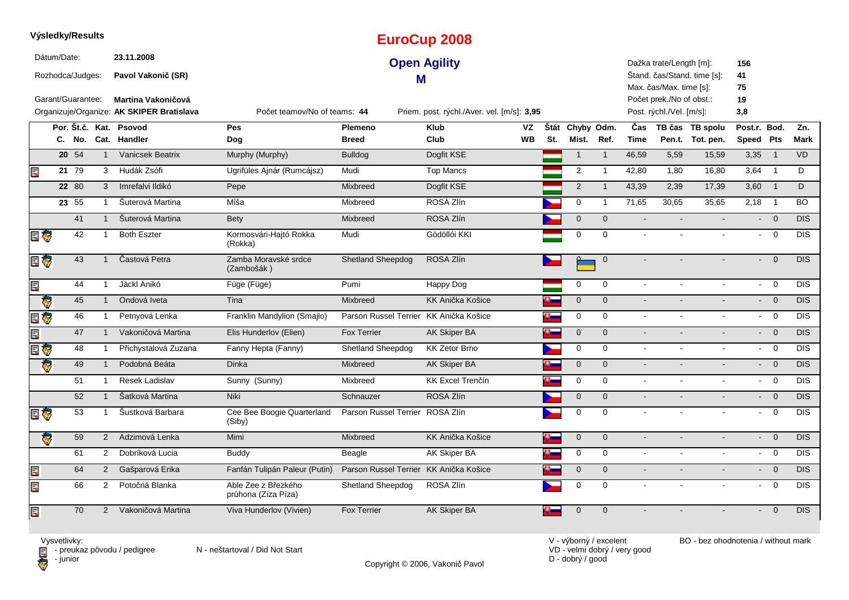|     | Výsledky/Results                |            |                |                                                                        |                                            |                                        | <b>EuroCup 2008</b>                        |           |                |                 |                |                |                                                      |                             |                             |                |                  |
|-----|---------------------------------|------------|----------------|------------------------------------------------------------------------|--------------------------------------------|----------------------------------------|--------------------------------------------|-----------|----------------|-----------------|----------------|----------------|------------------------------------------------------|-----------------------------|-----------------------------|----------------|------------------|
|     | Dátum/Date:<br>Rozhodca/Judges: |            |                | 23.11.2008<br>Pavol Vakonič (SR)                                       |                                            | М                                      | <b>Open Agility</b>                        |           |                |                 |                |                | Dažka trate/Length [m]:<br>Max. čas/Max. time [s]:   | Štand. čas/Stand. time [s]: | 156<br>41<br>75             |                |                  |
|     | Garant/Guarantee:               |            |                | <b>Martina Vakoničová</b><br>Organizuje/Organize: AK SKIPER Bratislava | Počet teamov/No of teams: 44               |                                        | Priem. post. rýchl./Aver. vel. [m/s]: 3,95 |           |                |                 |                |                | Počet prek./No of obst.:<br>Post. rýchl./Vel. [m/s]: |                             | 19<br>3,8                   |                |                  |
|     |                                 |            |                | Por. Št.č. Kat. Psovod                                                 | Pes                                        | Plemeno                                | <b>Klub</b>                                | <b>VZ</b> |                | Štát Chyby Odm. |                | Čas            |                                                      | TB čas TB spolu             | Post.r. Bod.                |                | Zn.              |
|     |                                 | C. No.     |                | Cat. Handler                                                           | Dog                                        | <b>Breed</b>                           | Club                                       | <b>WB</b> | St.            | Mist.           | Ref.           | <b>Time</b>    |                                                      | Pen.t. Tot. pen.            | Speed Pts                   |                | Mark             |
|     |                                 | $20 \t 54$ | $\mathbf{1}$   | <b>Vanicsek Beatrix</b>                                                | Murphy (Murphy)                            | <b>Bulldog</b>                         | Dogfit KSE                                 |           |                | $\mathbf{1}$    | $\overline{1}$ | 46,59          | 5,59                                                 | 15,59                       | 3,35                        | $\overline{1}$ | <b>VD</b>        |
| Ę   |                                 | 21 79      | 3              | Hudák Zsófi                                                            | Ugrifüles Ajnár (Rumcájsz)                 | Mudi                                   | <b>Top Mancs</b>                           |           |                | $\mathbf 2$     | $\mathbf{1}$   | 42,80          | 1,80                                                 | 16,80                       | $3,64$ 1                    |                | D                |
|     |                                 | 22 80      | 3              | Imrefalvi Ildikó                                                       | Pepe                                       | Mixbreed                               | Dogfit KSE                                 |           |                | $\overline{2}$  | $\overline{1}$ | 43,39          | 2,39                                                 | 17,39                       | 3,60                        | $\overline{1}$ | D                |
|     |                                 | 23 55      | $\mathbf{1}$   | Šuterová Martina                                                       | Míša                                       | Mixbreed                               | ROSA Zlín                                  |           |                | $\mathbf 0$     | $\mathbf{1}$   | 71,65          | 30,65                                                | 35,65                       | 2,18                        | $\overline{1}$ | <b>BO</b>        |
|     |                                 | 41         | $\overline{1}$ | Šuterová Martina                                                       | <b>Bety</b>                                | Mixbreed                               | ROSA Zlín                                  |           |                | $\pmb{0}$       | $\overline{0}$ | $\sim$         |                                                      |                             | $\mathcal{L}^{\pm}$         | $\overline{0}$ | <b>DIS</b>       |
| E G |                                 | 42         |                | <b>Both Eszter</b>                                                     | Kormosvári-Hajtó Rokka<br>(Rokka)          | Mudi                                   | Gödöllói KKI                               |           |                | $\mathbf 0$     | $\Omega$       |                |                                                      |                             | $\blacksquare$              | $\mathbf 0$    | <b>DIS</b>       |
| E G |                                 | 43         | $\overline{1}$ | Častová Petra                                                          | Zamba Moravské srdce<br>(Zambošák)         | <b>Shetland Sheepdog</b>               | ROSA Zlín                                  |           |                |                 | $\overline{0}$ |                |                                                      |                             | ÷.                          | $\overline{0}$ | DIS              |
| Ę   |                                 | 44         | $\mathbf{1}$   | Jäckl Anikó                                                            | Füge (Füge)                                | Pumi                                   | Happy Dog                                  |           |                | $\mathbf 0$     | $\mathbf 0$    | $\sim$         | $\sim$                                               | $\mathbf{r}$                | $\sim$                      | $\overline{0}$ | <b>DIS</b>       |
|     | Ġ,                              | 45         | $\overline{1}$ | Ondová Iveta                                                           | Tina                                       | Mixbreed                               | KK Anička Košice                           |           | o-             | $\mathbf 0$     | $\Omega$       | $\omega$       |                                                      |                             | $\sim$                      | $\overline{0}$ | <b>DIS</b>       |
| E   |                                 | 46         | $\mathbf{1}$   | Petnyová Lenka                                                         | Franklin Mandylion (Smajlo)                | Parson Russel Terrier KK Anička Košice |                                            |           |                | $\mathbf 0$     | $\mathbf 0$    | $\sim$         |                                                      |                             | $\sim$                      | $\overline{0}$ | DIS              |
| Ę   |                                 | 47         | $\overline{1}$ | Vakoničová Martina                                                     | Elis Hunderlov (Elien)                     | <b>Fox Terrier</b>                     | <b>AK Skiper BA</b>                        |           | o-             | $\mathbf 0$     | $\mathbf{0}$   | $\blacksquare$ |                                                      |                             | $\mathcal{L}_{\mathcal{A}}$ | $\overline{0}$ | <b>DIS</b>       |
| Ę   | Ġ.                              | 48         |                | Přichystalová Zuzana                                                   | Fanny Hepta (Fanny)                        | <b>Shetland Sheepdog</b>               | <b>KK Zetor Brno</b>                       |           |                | $\mathbf 0$     | $\mathbf 0$    | $\sim$         | $\blacksquare$                                       | $\blacksquare$              | $\blacksquare$              | $\overline{0}$ | DIS              |
|     | ¢.                              | 49         | $\mathbf{1}$   | Podobná Beáta                                                          | <b>Dinka</b>                               | Mixbreed                               | <b>AK Skiper BA</b>                        |           |                | $\mathbf 0$     | $\mathbf 0$    | $\sim$         |                                                      |                             | $\mathcal{L}^{\pm}$         | $\overline{0}$ | DIS              |
|     |                                 | 51         | $\mathbf{1}$   | Resek Ladislav                                                         | Sunny (Sunny)                              | Mixbreed                               | <b>KK Excel Trenčín</b>                    |           | D.             | $\mathbf 0$     | $\mathbf 0$    | $\sim$         | $\sim$                                               | $\sim$                      | $\sim$                      | $\overline{0}$ | $\overline{DIS}$ |
|     |                                 | 52         | $\mathbf{1}$   | Šatková Martina                                                        | Niki                                       | Schnauzer                              | ROSA Zlín                                  |           |                | $\mathbf 0$     | $\mathbf 0$    | $\sim$         |                                                      |                             | $\sim$                      | $\overline{0}$ | <b>DIS</b>       |
| E G |                                 | 53         | $\overline{1}$ | Šustková Barbara                                                       | Cee Bee Boogie Quarterland<br>(Siby)       | Parson Russel Terrier ROSA Zlín        |                                            |           |                | $\mathbf 0$     | $\Omega$       | $\mathbf{r}$   |                                                      |                             | $\sim$                      | $\mathbf 0$    | <b>DIS</b>       |
|     | ē.                              | 59         | 2              | Adzimová Lenka                                                         | Mimi                                       | Mixbreed                               | <b>KK Anička Košice</b>                    |           | $\mathbf{a}_-$ | $\mathbf 0$     | $\mathbf{0}$   | $\sim$         |                                                      |                             | $\sim$                      | $\overline{0}$ | <b>DIS</b>       |
|     |                                 | 61         | $\overline{2}$ | Dobríková Lucia                                                        | <b>Buddy</b>                               | Beagle                                 | <b>AK Skiper BA</b>                        |           |                | $\mathbf 0$     | $\mathbf 0$    | $\sim$         |                                                      |                             | $\sim$                      | $\overline{0}$ | <b>DIS</b>       |
| E   |                                 | 64         | $\overline{2}$ | Gašparová Erika                                                        | Fanfán Tulipán Paleur (Putin)              | Parson Russel Terrier                  | KK Anička Košice                           |           |                | $\pmb{0}$       | $\mathbf{0}$   | $\sim$         |                                                      |                             | $\blacksquare$              | $\overline{0}$ | DIS              |
| Ę   |                                 | 66         | $\overline{2}$ | Potočná Blanka                                                         | Able Zee z Březkého<br>průhona (Zíza Píza) | <b>Shetland Sheepdog</b>               | ROSA Zlín                                  |           |                | $\mathbf 0$     | $\mathbf 0$    | $\sim$         | $\sim$                                               | $\blacksquare$              | $\sim$                      | $\overline{0}$ | <b>DIS</b>       |
| E   |                                 | 70         | $\overline{2}$ | Vakoničová Martina                                                     | Viva Hunderlov (Vivien)                    | <b>Fox Terrier</b>                     | AK Skiper BA                               |           |                | $\Omega$        | $\overline{0}$ |                |                                                      |                             | $\blacksquare$              | $\overline{0}$ | <b>DIS</b>       |

**D** - junior

Vysvetlivky:<br>⊟ - preukaz pôvodu / pedigree N - neštartoval / Did Not Start

Copyright © 2006, Vakonič Pavol

VD - velmi dobrý / very good D - dobrý / good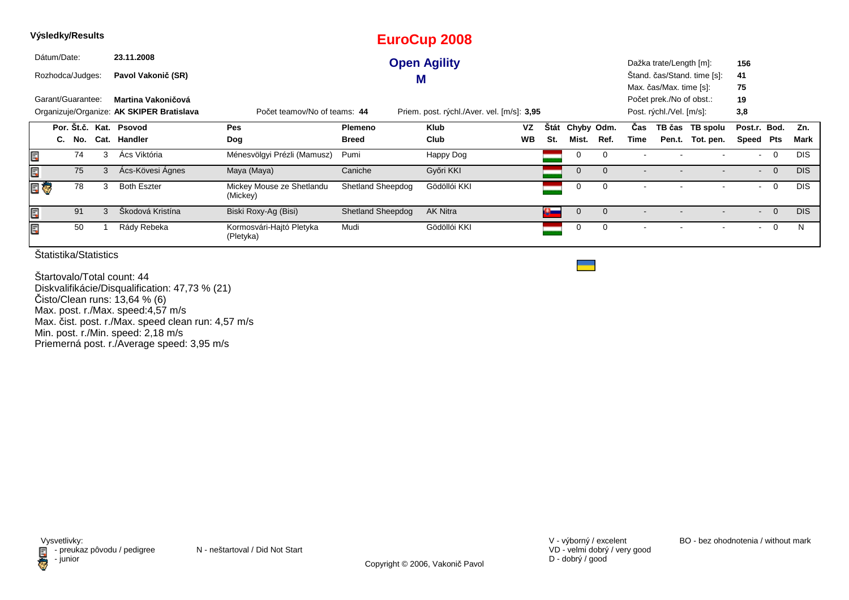|    |             | Výsledky/Results                                                                                                                                                                                                                                                 |  |   |                    |                                       |                          |   | <b>EuroCup 2008</b> |           |          |             |             |                                                                                 |                         |                             |              |                |            |
|----|-------------|------------------------------------------------------------------------------------------------------------------------------------------------------------------------------------------------------------------------------------------------------------------|--|---|--------------------|---------------------------------------|--------------------------|---|---------------------|-----------|----------|-------------|-------------|---------------------------------------------------------------------------------|-------------------------|-----------------------------|--------------|----------------|------------|
|    | Dátum/Date: |                                                                                                                                                                                                                                                                  |  |   | 23.11.2008         |                                       |                          |   | <b>Open Agility</b> |           |          |             |             |                                                                                 | Dažka trate/Length [m]: |                             | 156          |                |            |
|    |             | Rozhodca/Judges:                                                                                                                                                                                                                                                 |  |   | Pavol Vakonič (SR) |                                       |                          | M |                     |           |          |             |             |                                                                                 |                         | Stand. čas/Stand. time [s]: | 41           |                |            |
|    |             | Garant/Guarantee:<br>Martina Vakoničová<br>Organizuje/Organize: AK SKIPER Bratislava<br>Priem. post. rýchl./Aver. vel. [m/s]: 3,95<br>Počet teamov/No of teams: 44<br>Por. Št.č. Kat. Psovod<br>VZ<br><b>Stát</b><br>Chyby Odm.<br>Pes<br>Klub<br><b>Plemeno</b> |  |   |                    |                                       |                          |   |                     |           |          |             |             | Max. čas/Max. time [s]:<br>Počet prek./No of obst.:<br>Post. rýchl./Vel. [m/s]: |                         | 75<br>19<br>3,8             |              |                |            |
|    |             |                                                                                                                                                                                                                                                                  |  |   |                    |                                       |                          |   |                     |           |          |             |             | Cas                                                                             |                         | TB čas TB spolu             | Post.r. Bod. |                | Zn.        |
|    |             | C. No.                                                                                                                                                                                                                                                           |  |   | Cat. Handler       | Dog                                   | <b>Breed</b>             |   | Club                | <b>WB</b> | St.      | Mist.       | Ref.        | Time                                                                            |                         | Pen.t. Tot. pen.            | Speed Pts    |                | Mark       |
| Ę  |             | 74                                                                                                                                                                                                                                                               |  | 3 | Ács Viktória       | Ménesvölgyi Prézli (Mamusz)           | Pumi                     |   | Happy Dog           |           |          | 0           | $\Omega$    |                                                                                 |                         |                             |              | $\overline{0}$ | <b>DIS</b> |
| Ę  |             | 75                                                                                                                                                                                                                                                               |  | 3 | Ács-Kövesi Ágnes   | Maya (Maya)                           | Caniche                  |   | Győri KKI           |           |          | $\mathbf 0$ | $\Omega$    | $\overline{\phantom{a}}$                                                        |                         |                             | $\sim$       | $\overline{0}$ | <b>DIS</b> |
| 日で |             | 78                                                                                                                                                                                                                                                               |  | 3 | <b>Both Eszter</b> | Mickey Mouse ze Shetlandu<br>(Mickey) | <b>Shetland Sheepdog</b> |   | Gödöllói KKI        |           |          | 0           | $\mathbf 0$ |                                                                                 |                         |                             | $\sim$       | $\overline{0}$ | <b>DIS</b> |
| Ę  |             | 91                                                                                                                                                                                                                                                               |  |   | Škodová Kristína   | Biski Roxy-Ag (Bisi)                  | <b>Shetland Sheepdog</b> |   | <b>AK Nitra</b>     |           | $\alpha$ | $\mathbf 0$ | $\Omega$    | $\blacksquare$                                                                  |                         |                             | $\sim$       | $\overline{0}$ | <b>DIS</b> |
| Ę  |             | 50                                                                                                                                                                                                                                                               |  |   | Rády Rebeka        | Kormosvári-Hajtó Pletyka<br>(Pletyka) | Mudi                     |   | Gödöllói KKI        |           |          | 0           | 0           | $\blacksquare$                                                                  |                         |                             | $\sim$       | $\overline{0}$ | N          |

Štartovalo/Total count: 44 Diskvalifikácie/Disqualification: 47,73 % (21) Čisto/Clean runs: 13,64 % (6) Max. post. r./Max. speed:4,57 m/s Max. čist. post. r./Max. speed clean run: 4,57 m/sMin. post. r./Min. speed: 2,18 m/s Priemerná post. r./Average speed: 3,95 m/s

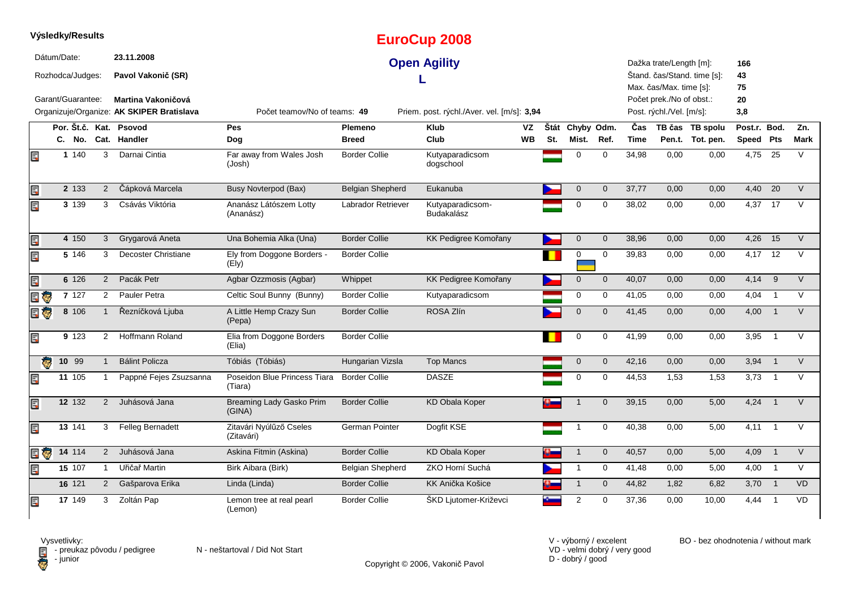|    | Výsledky/Results                |        |                |                                                                 |                                           |                         | <b>EuroCup 2008</b>                        |           |     |                     |                |             |                                                                                 |                             |                 |                            |           |
|----|---------------------------------|--------|----------------|-----------------------------------------------------------------|-------------------------------------------|-------------------------|--------------------------------------------|-----------|-----|---------------------|----------------|-------------|---------------------------------------------------------------------------------|-----------------------------|-----------------|----------------------------|-----------|
|    | Dátum/Date:<br>Rozhodca/Judges: |        |                | 23.11.2008<br>Pavol Vakonič (SR)                                |                                           |                         | <b>Open Agility</b>                        |           |     |                     |                |             | Dažka trate/Length [m]:                                                         | Štand. čas/Stand. time [s]: | 166<br>43       |                            |           |
|    | Garant/Guarantee:               |        |                | Martina Vakoničová<br>Organizuje/Organize: AK SKIPER Bratislava | Počet teamov/No of teams: 49              |                         | Priem. post. rýchl./Aver. vel. [m/s]: 3,94 |           |     |                     |                |             | Max. čas/Max. time [s]:<br>Počet prek./No of obst.:<br>Post. rýchl./Vel. [m/s]: |                             | 75<br>20<br>3,8 |                            |           |
|    |                                 |        |                | Por. Št.č. Kat. Psovod                                          | Pes                                       | Plemeno                 | <b>Klub</b>                                | VZ        |     | Štát Chyby Odm.     |                | Čas         |                                                                                 | TB čas TB spolu             | Post.r. Bod.    |                            | Zn.       |
|    |                                 | C. No. |                | Cat. Handler                                                    | Dog                                       | <b>Breed</b>            | Club                                       | <b>WB</b> | St. | Mist.               | Ref.           | <b>Time</b> |                                                                                 | Pen.t. Tot. pen.            | Speed Pts       |                            | Mark      |
| E  |                                 | 1 140  | 3              | Darnai Cintia                                                   | Far away from Wales Josh<br>(Josh)        | <b>Border Collie</b>    | Kutyaparadicsom<br>dogschool               |           |     | $\mathbf 0$         | $\Omega$       | 34,98       | 0,00                                                                            | 0,00                        | 4,75            | 25                         | $\vee$    |
| E  |                                 | 2 133  | $\overline{2}$ | Čápková Marcela                                                 | <b>Busy Novterpod (Bax)</b>               | <b>Belgian Shepherd</b> | Eukanuba                                   |           |     | $\mathbf 0$         | $\mathbf{0}$   | 37,77       | 0,00                                                                            | 0,00                        | 4,40            | 20                         | $\vee$    |
| E  |                                 | 3 139  | 3              | Csávás Viktória                                                 | Ananász Látószem Lotty<br>(Ananász)       | Labrador Retriever      | Kutyaparadicsom-<br><b>Budakalász</b>      |           |     | $\mathbf 0$         | $\mathbf 0$    | 38,02       | 0.00                                                                            | 0.00                        | 4,37 17         |                            | $\vee$    |
| E  |                                 | 4 150  | 3              | Grygarová Aneta                                                 | Una Bohemia Alka (Una)                    | <b>Border Collie</b>    | KK Pedigree Komořany                       |           |     | $\mathbf 0$         | $\mathbf{0}$   | 38.96       | 0.00                                                                            | 0.00                        | 4,26            | 15                         | $\vee$    |
| E  |                                 | 5 146  | 3              | Decoster Christiane                                             | Ely from Doggone Borders -<br>(Ely)       | <b>Border Collie</b>    |                                            |           |     | $\mathbf 0$         | $\mathbf 0$    | 39,83       | 0,00                                                                            | 0,00                        | $4,17$ 12       |                            | V         |
| E  |                                 | 6 126  | $\overline{2}$ | Pacák Petr                                                      | Agbar Ozzmosis (Agbar)                    | Whippet                 | KK Pedigree Komořany                       |           |     | $\mathsf{O}\xspace$ | $\mathbf 0$    | 40,07       | 0,00                                                                            | 0,00                        | 4,14            | 9                          | $\vee$    |
|    | 目も                              | 7 127  | $\overline{2}$ | Pauler Petra                                                    | Celtic Soul Bunny (Bunny)                 | <b>Border Collie</b>    | Kutyaparadicsom                            |           |     | $\mathbf 0$         | 0              | 41,05       | 0,00                                                                            | 0,00                        | 4,04            | $\overline{1}$             | V         |
|    | e 5                             | 8 10 6 |                | Řezníčková Ljuba                                                | A Little Hemp Crazy Sun<br>(Pepa)         | <b>Border Collie</b>    | ROSA Zlín                                  |           |     | $\mathbf 0$         | $\overline{0}$ | 41,45       | 0,00                                                                            | 0,00                        | 4,00            | $\overline{\phantom{0}}$ 1 | $\vee$    |
| Ę  |                                 | 9 123  | $\overline{2}$ | Hoffmann Roland                                                 | Elia from Doggone Borders<br>(Elia)       | <b>Border Collie</b>    |                                            |           |     | 0                   | $\mathbf 0$    | 41,99       | 0,00                                                                            | 0,00                        | 3,95            | $\overline{1}$             | $\vee$    |
|    | Ġ.                              | 10 99  | $\mathbf{1}$   | <b>Bálint Policza</b>                                           | Tóbiás (Tóbiás)                           | Hungarian Vizsla        | <b>Top Mancs</b>                           |           |     | $\mathbf 0$         | $\mathbf{0}$   | 42,16       | 0,00                                                                            | 0,00                        | 3,94            | $\overline{1}$             | $\vee$    |
| Ę  |                                 | 11 105 |                | Pappné Fejes Zsuzsanna                                          | Poseidon Blue Princess Tiara<br>(Tiara)   | <b>Border Collie</b>    | <b>DASZE</b>                               |           |     | $\mathbf 0$         | $\mathbf 0$    | 44,53       | 1,53                                                                            | 1,53                        | 3,73            | $\overline{1}$             | V         |
| EC |                                 | 12 132 | 2              | Juhásová Jana                                                   | <b>Breaming Lady Gasko Prim</b><br>(GINA) | <b>Border Collie</b>    | <b>KD Obala Koper</b>                      |           |     | $\overline{1}$      | $\overline{0}$ | 39,15       | 0.00                                                                            | 5.00                        | 4,24            | $\overline{1}$             | $\vee$    |
| E. |                                 | 13 141 | 3              | <b>Felleg Bernadett</b>                                         | Zitavári Nyúlűző Cseles<br>(Zitavári)     | German Pointer          | Dogfit KSE                                 |           |     | -1                  | $\mathbf 0$    | 40,38       | 0.00                                                                            | 5,00                        | 4.11            | $\overline{1}$             | $\vee$    |
|    | e J                             | 14 114 | $\overline{2}$ | Juhásová Jana                                                   | Askina Fitmin (Askina)                    | <b>Border Collie</b>    | <b>KD Obala Koper</b>                      |           |     | $\mathbf{1}$        | $\mathbf 0$    | 40,57       | 0,00                                                                            | 5,00                        | 4,09            | $\overline{1}$             | $\vee$    |
| E  |                                 | 15 107 | $\mathbf{1}$   | Uřičař Martin                                                   | Birk Aibara (Birk)                        | Belgian Shepherd        | ZKO Horní Suchá                            |           |     | $\mathbf{1}$        | $\mathbf 0$    | 41,48       | 0,00                                                                            | 5,00                        | 4,00 1          |                            | $\vee$    |
|    |                                 | 16 121 | $\overline{2}$ | Gašparova Erika                                                 | Linda (Linda)                             | <b>Border Collie</b>    | KK Anička Košice                           |           |     | $\mathbf{1}$        | $\mathbf 0$    | 44,82       | 1,82                                                                            | 6,82                        | $3,70$ 1        |                            | <b>VD</b> |
| Ę  |                                 | 17 149 | 3              | Zoltán Pap                                                      | Lemon tree at real pearl<br>(Lemon)       | <b>Border Collie</b>    | ŠKD Ljutomer-Križevci                      |           |     | $\overline{2}$      | $\mathbf 0$    | 37,36       | 0,00                                                                            | 10,00                       | 4,44            | $\overline{1}$             | <b>VD</b> |



Copyright © 2006, Vakonič Pavol

VD - velmi dobrý / very good D - dobrý / good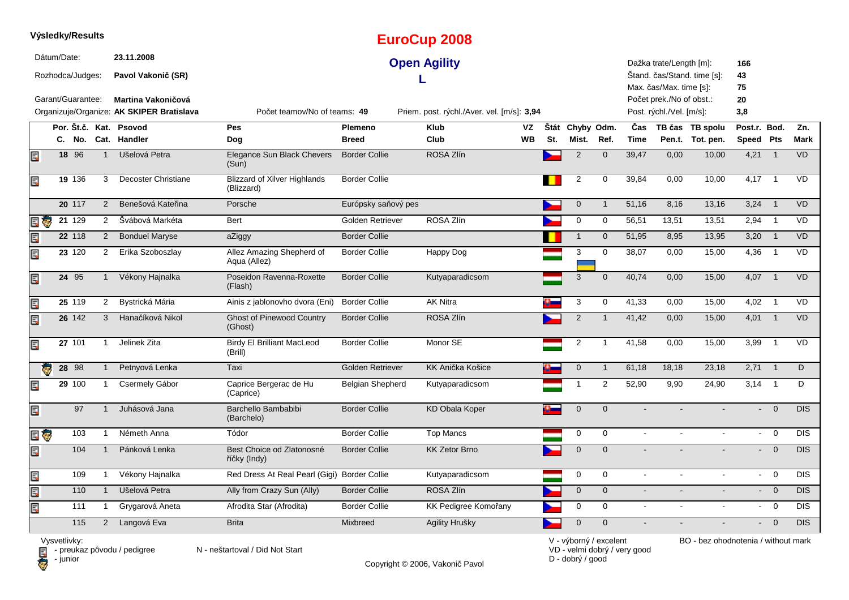|                         |                                    | Výsledky/Results  |                |                                                                        |                                                   |                         | <b>EuroCup 2008</b>                        |                 |     |                          |                     |                           |                                                      |                                     |                           |                |             |
|-------------------------|------------------------------------|-------------------|----------------|------------------------------------------------------------------------|---------------------------------------------------|-------------------------|--------------------------------------------|-----------------|-----|--------------------------|---------------------|---------------------------|------------------------------------------------------|-------------------------------------|---------------------------|----------------|-------------|
|                         | Dátum/Date:                        | Rozhodca/Judges:  |                | 23.11.2008<br>Pavol Vakonič (SR)                                       |                                                   |                         | <b>Open Agility</b>                        |                 |     |                          |                     |                           | Dažka trate/Length [m]:<br>Max. čas/Max. time [s]:   | Štand. čas/Stand. time [s]:         | 166<br>43<br>75           |                |             |
|                         |                                    | Garant/Guarantee: |                | <b>Martina Vakoničová</b><br>Organizuje/Organize: AK SKIPER Bratislava | Počet teamov/No of teams: 49                      |                         | Priem. post. rýchl./Aver. vel. [m/s]: 3,94 |                 |     |                          |                     |                           | Počet prek./No of obst.:<br>Post. rýchl./Vel. [m/s]: |                                     | 20<br>3,8                 |                |             |
|                         |                                    |                   |                | Por. Št.č. Kat. Psovod<br>C. No. Cat. Handler                          | <b>Pes</b><br>Dog                                 | Plemeno<br><b>Breed</b> | <b>Klub</b><br>Club                        | VZ<br><b>WB</b> | St. | Štát Chyby Odm.<br>Mist. | Ref.                | <b>Cas</b><br><b>Time</b> |                                                      | TB čas TB spolu<br>Pen.t. Tot. pen. | Post.r. Bod.<br>Speed Pts |                | Zn.<br>Mark |
| E                       |                                    | $18$ $96$         | $\mathbf{1}$   | Ušelová Petra                                                          | <b>Elegance Sun Black Chevers</b><br>(Sun)        | <b>Border Collie</b>    | ROSA Zlín                                  |                 |     | $\overline{2}$           | $\mathbf 0$         | 39,47                     | 0,00                                                 | 10,00                               | 4,21                      | $\overline{1}$ | VD          |
| Ę                       |                                    | 19 136            | 3              | Decoster Christiane                                                    | <b>Blizzard of Xilver Highlands</b><br>(Blizzard) | <b>Border Collie</b>    |                                            |                 |     | $\overline{2}$           | $\mathbf 0$         | 39,84                     | 0,00                                                 | 10,00                               | 4,17                      | $\overline{1}$ | VD          |
|                         |                                    | 20 117            | $\overline{2}$ | Benešová Kateřina                                                      | Porsche                                           | Európsky saňový pes     |                                            |                 |     | $\pmb{0}$                | $\mathbf{1}$        | 51,16                     | 8,16                                                 | 13,16                               | 3,24                      | $\overline{1}$ | <b>VD</b>   |
| Ę<br>к.                 |                                    | 21129             | $\overline{2}$ | Švábová Markéta                                                        | <b>Bert</b>                                       | Golden Retriever        | ROSA Zlín                                  |                 |     | $\mathbf 0$              | $\mathbf 0$         | 56,51                     | 13,51                                                | 13,51                               | 2,94                      | $\overline{1}$ | <b>VD</b>   |
| Ę                       |                                    | 22 118            | $\mathbf{2}$   | <b>Bonduel Maryse</b>                                                  | aZiggy                                            | <b>Border Collie</b>    |                                            |                 |     | $\mathbf{1}$             | $\mathbf 0$         | 51,95                     | 8,95                                                 | 13,95                               | 3,20                      | $\overline{1}$ | <b>VD</b>   |
| Ę                       |                                    | 23 120            | $\overline{2}$ | Erika Szoboszlay                                                       | Allez Amazing Shepherd of<br>Aqua (Allez)         | <b>Border Collie</b>    | Happy Dog                                  |                 |     | 3                        | $\mathbf 0$         | 38,07                     | 0,00                                                 | 15,00                               | 4,36                      | $\overline{1}$ | VD          |
| Ę                       |                                    | 24 95             | $\mathbf{1}$   | Vékony Hajnalka                                                        | Poseidon Ravenna-Roxette<br>(Flash)               | <b>Border Collie</b>    | Kutyaparadicsom                            |                 |     | 3                        | $\mathbf 0$         | 40,74                     | 0,00                                                 | 15,00                               | 4,07                      | $\overline{1}$ | <b>VD</b>   |
| Ę                       |                                    | 25 119            | $\overline{2}$ | Bystrická Mária                                                        | Ainis z jablonovho dvora (Eni)                    | <b>Border Collie</b>    | <b>AK Nitra</b>                            |                 |     | $\mathbf{3}$             | 0                   | 41,33                     | 0,00                                                 | 15,00                               | 4,02                      | $\overline{1}$ | VD          |
| Ę                       |                                    | 26 142            | 3              | Hanačíková Nikol                                                       | <b>Ghost of Pinewood Country</b><br>(Ghost)       | <b>Border Collie</b>    | ROSA Zlín                                  |                 |     | $\overline{2}$           | $\mathbf{1}$        | 41,42                     | 0,00                                                 | 15,00                               | 4,01                      | $\overline{1}$ | <b>VD</b>   |
| Ę                       |                                    | 27 101            | 1              | Jelinek Zita                                                           | <b>Birdy El Brilliant MacLeod</b><br>(Brill)      | Border Collie           | Monor SE                                   |                 |     | $\overline{c}$           | $\overline{1}$      | 41,58                     | 0,00                                                 | 15,00                               | 3,99                      | $\overline{1}$ | VD          |
| $\overline{\mathbf{e}}$ |                                    | 28 98             | $\mathbf{1}$   | Petnyová Lenka                                                         | Taxi                                              | Golden Retriever        | KK Anička Košice                           |                 |     | $\pmb{0}$                | $\mathbf{1}$        | 61,18                     | 18,18                                                | 23,18                               | 2,71                      | $\overline{1}$ | D.          |
| Ę                       |                                    | 29 100            | $\mathbf{1}$   | Csermely Gábor                                                         | Caprice Bergerac de Hu<br>(Caprice)               | Belgian Shepherd        | Kutyaparadicsom                            |                 |     | 1                        | $\overline{2}$      | 52,90                     | 9,90                                                 | 24,90                               | 3,14                      | $\overline{1}$ | D           |
| Ę                       |                                    | 97                | $\mathbf{1}$   | Juhásová Jana                                                          | Barchello Bambabibi<br>(Barchelo)                 | <b>Border Collie</b>    | <b>KD Obala Koper</b>                      |                 |     | $\pmb{0}$                | $\mathbf{0}$        |                           |                                                      |                                     | $\mathcal{L}^{\pm}$       | $\mathbf{0}$   | <b>DIS</b>  |
| E                       |                                    | 103               | 1              | Németh Anna                                                            | Tódor                                             | <b>Border Collie</b>    | <b>Top Mancs</b>                           |                 |     | 0                        | 0                   | $\sim$                    |                                                      |                                     | $\sim$                    | $\overline{0}$ | <b>DIS</b>  |
| Ę                       |                                    | 104               | $\mathbf{1}$   | Pánková Lenka                                                          | Best Choice od Zlatonosné<br>říčky (Indy)         | <b>Border Collie</b>    | <b>KK Zetor Brno</b>                       |                 |     | $\mathbf{0}$             | $\Omega$            |                           |                                                      |                                     | $\mathbf{L}^{\text{max}}$ | $\overline{0}$ | <b>DIS</b>  |
| Ę                       |                                    | 109               | 1              | Vékony Hajnalka                                                        | Red Dress At Real Pearl (Gigi) Border Collie      |                         | Kutyaparadicsom                            |                 |     | 0                        | 0                   | $\sim$                    |                                                      |                                     | $\sim$                    | $\overline{0}$ | <b>DIS</b>  |
| Ę                       |                                    | 110               | $\mathbf{1}$   | Ušelová Petra                                                          | Ally from Crazy Sun (Ally)                        | <b>Border Collie</b>    | ROSA Zlín                                  |                 |     | $\pmb{0}$                | $\mathsf{O}\xspace$ | $\omega$                  | $\blacksquare$                                       | $\blacksquare$                      |                           | $- 0$          | <b>DIS</b>  |
| Ę                       |                                    | 111               | 1              | Grygarová Aneta                                                        | Afrodita Star (Afrodita)                          | <b>Border Collie</b>    | KK Pedigree Komořany                       |                 |     | $\mathbf 0$              | $\mathbf 0$         | $\blacksquare$            |                                                      |                                     | $\blacksquare$            | $\mathbf 0$    | <b>DIS</b>  |
|                         |                                    | 115               | $2^{\circ}$    | Langová Eva                                                            | <b>Brita</b>                                      | Mixbreed                | Agility Hrušky                             |                 |     | $\mathbf 0$              | $\mathbf 0$         |                           |                                                      |                                     | ÷.                        | $\overline{0}$ | <b>DIS</b>  |
|                         | $\lambda$ heard $\lambda$ is done. |                   |                |                                                                        |                                                   |                         |                                            |                 |     | V voltarous lavantent    |                     |                           |                                                      | $DD$ has abadection without mode    |                           |                |             |

Vysvetlivky:<br>⊟ - preukaz pôvodu / pedigree N - neštartoval / Did Not Start **D** - junior

Copyright © 2006, Vakonič Pavol

VD - velmi dobrý / very good D - dobrý / good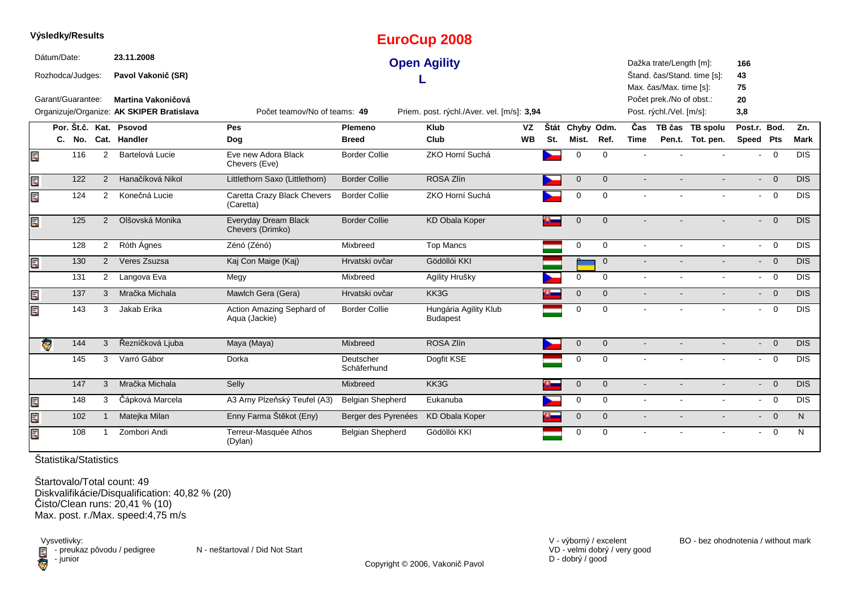|    | Výsledky/Results        |     |                |                                           |                                            |                          | <b>EuroCup 2008</b>                        |           |     |                 |                |                            |                          |                             |                |                          |                  |
|----|-------------------------|-----|----------------|-------------------------------------------|--------------------------------------------|--------------------------|--------------------------------------------|-----------|-----|-----------------|----------------|----------------------------|--------------------------|-----------------------------|----------------|--------------------------|------------------|
|    | Dátum/Date:             |     |                | 23.11.2008                                |                                            |                          | <b>Open Agility</b>                        |           |     |                 |                |                            | Dažka trate/Length [m]:  |                             | 166            |                          |                  |
|    | Rozhodca/Judges:        |     |                | Pavol Vakonič (SR)                        |                                            |                          |                                            |           |     |                 |                |                            |                          | Štand. čas/Stand. time [s]: | 43             |                          |                  |
|    |                         |     |                |                                           |                                            |                          |                                            |           |     |                 |                |                            | Max. čas/Max. time [s]:  |                             | 75             |                          |                  |
|    | Garant/Guarantee:       |     |                | Martina Vakoničová                        |                                            |                          |                                            |           |     |                 |                |                            | Počet prek./No of obst.: |                             | 20             |                          |                  |
|    |                         |     |                | Organizuje/Organize: AK SKIPER Bratislava | Počet teamov/No of teams: 49               |                          | Priem. post. rýchl./Aver. vel. [m/s]: 3,94 |           |     |                 |                |                            | Post. rýchl./Vel. [m/s]: |                             | 3,8            |                          |                  |
|    |                         |     |                | Por. Št.č. Kat. Psovod                    | Pes                                        | <b>Plemeno</b>           | <b>Klub</b>                                | <b>VZ</b> |     | Štát Chyby Odm. |                | $\overline{\mathbf{C}}$ as |                          | TB čas TB spolu             | Post.r. Bod.   |                          | Zn.              |
|    |                         |     |                | C. No. Cat. Handler                       | Dog                                        | <b>Breed</b>             | Club                                       | <b>WB</b> | St. | Mist.           | Ref.           | <b>Time</b>                |                          | Pen.t. Tot. pen.            | Speed Pts      |                          | <b>Mark</b>      |
| Ē. |                         | 116 | $\overline{2}$ | Bartelová Lucie                           | Eve new Adora Black<br>Chevers (Eve)       | <b>Border Collie</b>     | ZKO Horní Suchá                            |           |     | $\mathbf 0$     | $\mathbf 0$    |                            |                          |                             | $\sim$         | $\overline{0}$           | Dis              |
| E  |                         | 122 | 2              | Hanačíková Nikol                          | Littlethorn Saxo (Littlethorn)             | <b>Border Collie</b>     | ROSA Zlín                                  |           |     | $\mathbf{0}$    | $\overline{0}$ |                            |                          |                             |                | $- 0$                    | DIS              |
| Ę  |                         | 124 | $\overline{2}$ | Konečná Lucie                             | Caretta Crazy Black Chevers<br>(Caretta)   | <b>Border Collie</b>     | ZKO Horní Suchá                            |           |     | $\mathbf 0$     | $\Omega$       |                            |                          |                             |                | $- 0$                    | <b>DIS</b>       |
| Ę  |                         | 125 | 2              | Olšovská Monika                           | Everyday Dream Black<br>Chevers (Drimko)   | <b>Border Collie</b>     | <b>KD Obala Koper</b>                      |           |     | $\overline{0}$  | $\Omega$       |                            |                          |                             |                | $- 0$                    | DIS              |
|    |                         | 128 | 2              | Róth Ágnes                                | Zénó (Zénó)                                | Mixbreed                 | <b>Top Mancs</b>                           |           |     | $\mathbf{0}$    | $\Omega$       | $\mathbf{r}$               | $\sim$                   | $\blacksquare$              | $\sim$         | $\overline{0}$           | <b>DIS</b>       |
| Ę  |                         | 130 | 2              | Veres Zsuzsa                              | Kaj Con Maige (Kaj)                        | Hrvatski ovčar           | Gödöllói KKI                               |           |     |                 | $\mathbf{0}$   | $\blacksquare$             |                          |                             |                | $- 0$                    | DIS              |
|    |                         | 131 | $\overline{2}$ | Langova Eva                               | Megy                                       | Mixbreed                 | Agility Hrušky                             |           |     | $\mathbf 0$     | $\mathbf 0$    | $\sim$                     |                          | $\mathbf{r}$                |                | $- 0$                    | $\overline{DIS}$ |
| Ę  |                         | 137 | 3              | Mračka Michala                            | Mawlch Gera (Gera)                         | Hrvatski ovčar           | KK3G                                       |           |     | $\mathbf 0$     | $\mathbf{0}$   |                            |                          | $\blacksquare$              | $\blacksquare$ | $\overline{\phantom{0}}$ | DIS              |
| Ę  |                         | 143 | 3              | Jakab Erika                               | Action Amazing Sephard of<br>Aqua (Jackie) | <b>Border Collie</b>     | Hungária Agility Klub<br><b>Budapest</b>   |           |     | 0               | $\mathbf 0$    |                            |                          |                             |                | $- 0$                    | <b>DIS</b>       |
|    | $\overline{\mathbf{e}}$ | 144 | 3              | Řezníčková Ljuba                          | Maya (Maya)                                | Mixbreed                 | ROSA Zlín                                  |           |     | $\mathbf 0$     | $\mathbf{0}$   |                            |                          |                             |                | $- 0$                    | DIS              |
|    |                         | 145 | 3              | Varró Gábor                               | Dorka                                      | Deutscher<br>Schäferhund | Dogfit KSE                                 |           |     | 0               | $\mathbf 0$    |                            |                          |                             | $\blacksquare$ | $\overline{\mathbf{0}}$  | $\overline{DIS}$ |
|    |                         | 147 | 3              | Mračka Michala                            | Selly                                      | Mixbreed                 | KK3G                                       |           | o.  | $\mathsf{O}$    | $\mathbf 0$    | $\blacksquare$             | $\blacksquare$           | $\blacksquare$              |                | $- 0$                    | DIS              |
| E  |                         | 148 | 3              | Čápková Marcela                           | A3 Arny Plzeňský Teufel (A3)               | <b>Belgian Shepherd</b>  | Eukanuba                                   |           |     | $\mathbf 0$     | $\mathbf 0$    | $\blacksquare$             | $\blacksquare$           | $\blacksquare$              |                | $- 0$                    | <b>DIS</b>       |
| Ę  |                         | 102 |                | Matejka Milan                             | Enny Farma Štěkot (Eny)                    | Berger des Pyrenées      | <b>KD</b> Obala Koper                      |           |     | $\mathbf 0$     | $\overline{0}$ | $\blacksquare$             | $\blacksquare$           | $\blacksquare$              |                | $- 0$                    | N                |
| Ę  |                         | 108 |                | Zombori Andi                              | Terreur-Masquée Athos<br>(Dylan)           | Belgian Shepherd         | Gödöllói KKI                               |           |     | $\mathbf 0$     | $\Omega$       |                            |                          |                             | $\mathbf{r}$   | $\overline{\mathbf{0}}$  | N                |

**Výsledky/Results**

Štartovalo/Total count: 49Diskvalifikácie/Disqualification: 40,82 % (20) Čisto/Clean runs: 20,41 % (10) Max. post. r./Max. speed:4,75 m/s

Vysvetlivky:<br>⊟ - preukaz pôvodu / pedigree N - neštartoval / Did Not Start **D** - junior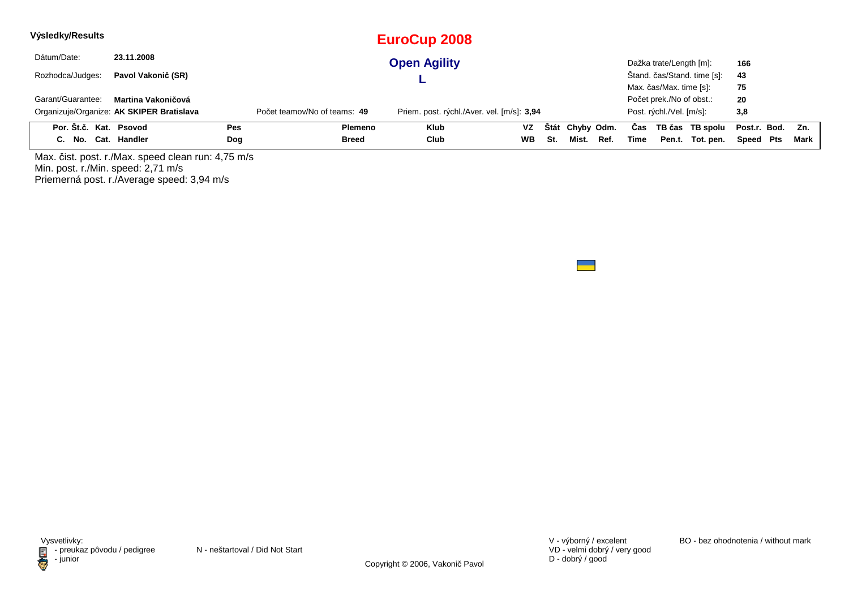| Výsledky/Results       |                                           |     |                              | <b>EuroCup 2008</b>                        |           |     |                 |      |      |                          |                             |                  |      |
|------------------------|-------------------------------------------|-----|------------------------------|--------------------------------------------|-----------|-----|-----------------|------|------|--------------------------|-----------------------------|------------------|------|
| Dátum/Date:            | 23.11.2008                                |     |                              | <b>Open Agility</b>                        |           |     |                 |      |      | Dažka trate/Length [m]:  |                             | 166              |      |
| Rozhodca/Judges:       | Pavol Vakonič (SR)                        |     |                              |                                            |           |     |                 |      |      |                          | Štand. čas/Stand. time [s]: | 43               |      |
|                        |                                           |     |                              |                                            |           |     |                 |      |      | Max. čas/Max. time [s]:  |                             | 75               |      |
| Garant/Guarantee:      | Martina Vakoničová                        |     |                              |                                            |           |     |                 |      |      | Počet prek./No of obst.: |                             | 20               |      |
|                        | Organizuje/Organize: AK SKIPER Bratislava |     | Počet teamov/No of teams: 49 | Priem. post. rýchl./Aver. vel. [m/s]: 3,94 |           |     |                 |      |      | Post. rýchl./Vel. [m/s]: |                             | 3,8              |      |
| Por. Št.č. Kat. Psovod |                                           | Pes | Plemeno                      | <b>Klub</b>                                | VZ.       |     | Štát Chyby Odm. |      | Cas  |                          | TB čas TB spolu             | Post.r. Bod. Zn. |      |
| C. No. Cat. Handler    |                                           | Dog | <b>Breed</b>                 | Club                                       | <b>WB</b> | St. | Mist.           | Ref. | Time |                          | Pen.t. Tot. pen.            | Speed Pts        | Mark |

Max. čist. post. r./Max. speed clean run: 4,75 m/s Min. post. r./Min. speed: 2,71 m/s Priemerná post. r./Average speed: 3,94 m/s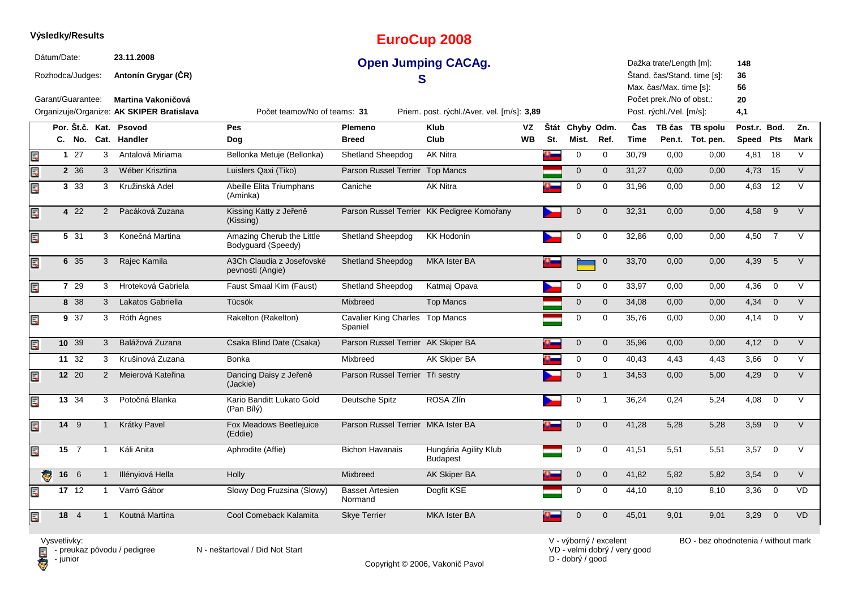|    |             | Výsledky/Results  |                |                                                                 |                                                 |                                            | <b>EuroCup 2008</b>                        |                 |     |                          |                |                    |                                                      |                                     |                           |                |                    |
|----|-------------|-------------------|----------------|-----------------------------------------------------------------|-------------------------------------------------|--------------------------------------------|--------------------------------------------|-----------------|-----|--------------------------|----------------|--------------------|------------------------------------------------------|-------------------------------------|---------------------------|----------------|--------------------|
|    | Dátum/Date: | Rozhodca/Judges:  |                | 23.11.2008<br>Antonín Grygar (CR)                               |                                                 |                                            | <b>Open Jumping CACAg.</b>                 |                 |     |                          |                |                    | Dažka trate/Length [m]:<br>Max. čas/Max. time [s]:   | Štand. čas/Stand. time [s]:         | 148<br>36<br>56           |                |                    |
|    |             | Garant/Guarantee: |                | Martina Vakoničová<br>Organizuje/Organize: AK SKIPER Bratislava | Počet teamov/No of teams: 31                    |                                            | Priem. post. rýchl./Aver. vel. [m/s]: 3,89 |                 |     |                          |                |                    | Počet prek./No of obst.:<br>Post. rýchl./Vel. [m/s]: |                                     | 20<br>4,1                 |                |                    |
|    |             | C. No.            |                | Por. Št.č. Kat. Psovod<br>Cat. Handler                          | <b>Pes</b><br>Dog                               | <b>Plemeno</b><br><b>Breed</b>             | <b>Klub</b><br>Club                        | VZ<br><b>WB</b> | St. | Štát Chyby Odm.<br>Mist. | Ref.           | Čas<br><b>Time</b> |                                                      | TB čas TB spolu<br>Pen.t. Tot. pen. | Post.r. Bod.<br>Speed Pts |                | Zn.<br><b>Mark</b> |
| E  |             | $1\overline{27}$  | 3              | Antalová Miriama                                                | Bellonka Metuje (Bellonka)                      | <b>Shetland Sheepdog</b>                   | <b>AK Nitra</b>                            |                 | o.  | $\mathbf 0$              | $\mathbf 0$    | 30,79              | 0,00                                                 | 0,00                                | $4,81$ 18                 |                | V                  |
| E  |             | 2 36              | 3              | Wéber Krisztina                                                 | Luislers Qaxi (Tiko)                            | Parson Russel Terrier Top Mancs            |                                            |                 |     | $\overline{0}$           | $\mathbf{0}$   | 31,27              | 0,00                                                 | 0,00                                | 4,73                      | 15             | $\vee$             |
| E  |             | 3 3 3             | 3              | Kružinská Adel                                                  | Abeille Elita Triumphans<br>(Aminka)            | Caniche                                    | <b>AK Nitra</b>                            |                 |     | $\mathbf 0$              | $\mathbf 0$    | 31,96              | 0.00                                                 | 0.00                                | 4,63                      | 12             | $\vee$             |
| E  |             | 4 2 2             | 2              | Pacáková Zuzana                                                 | Kissing Katty z Jeřeně<br>(Kissing)             |                                            | Parson Russel Terrier KK Pedigree Komořany |                 |     | $\Omega$                 | $\Omega$       | 32,31              | 0.00                                                 | 0.00                                | 4,58                      | 9              | $\vee$             |
| E  |             | 5 31              | 3              | Konečná Martina                                                 | Amazing Cherub the Little<br>Bodyguard (Speedy) | <b>Shetland Sheepdog</b>                   | <b>KK Hodonín</b>                          |                 |     | 0                        | $\mathbf 0$    | 32,86              | 0,00                                                 | 0,00                                | 4,50                      | $\overline{7}$ | $\vee$             |
| E  |             | 6 35              | 3              | Rajec Kamila                                                    | A3Ch Claudia z Josefovské<br>pevnosti (Angie)   | <b>Shetland Sheepdog</b>                   | <b>MKA Ister BA</b>                        |                 |     |                          | $\overline{0}$ | 33,70              | 0,00                                                 | 0,00                                | 4,39                      | $-5$           | V                  |
| Ę  |             | 7 29              | 3              | Hroteková Gabriela                                              | Faust Smaal Kim (Faust)                         | Shetland Sheepdog                          | Katmaj Opava                               |                 |     | $\mathbf 0$              | $\mathbf 0$    | 33,97              | 0,00                                                 | 0,00                                | 4,36                      | $\overline{0}$ | V                  |
|    |             | 8 38              | $\mathbf{3}$   | Lakatos Gabriella                                               | Tücsök                                          | Mixbreed                                   | <b>Top Mancs</b>                           |                 |     | $\overline{0}$           | $\mathbf{0}$   | 34,08              | 0,00                                                 | 0,00                                | 4,34                      | $\overline{0}$ | $\vee$             |
| Ę  |             | $9 \overline{37}$ | 3              | Róth Agnes                                                      | Rakelton (Rakelton)                             | Cavalier King Charles Top Mancs<br>Spaniel |                                            |                 |     | 0                        | $\mathbf 0$    | 35,76              | 0,00                                                 | 0,00                                | 4,14                      | $\overline{0}$ | V                  |
| Ę  |             | 10 39             | 3              | Balážová Zuzana                                                 | Csaka Blind Date (Csaka)                        | Parson Russel Terrier AK Skiper BA         |                                            |                 |     | $\pmb{0}$                | $\mathbf 0$    | 35,96              | 0,00                                                 | 0,00                                | $4,12$ 0                  |                | $\vee$             |
|    |             | 11 32             | 3              | Krušinová Zuzana                                                | Bonka                                           | Mixbreed                                   | AK Skiper BA                               |                 |     | 0                        | $\mathbf 0$    | 40,43              | 4,43                                                 | 4,43                                | 3,66                      | $\overline{0}$ | $\vee$             |
| E  |             | 12 20             | $\overline{2}$ | Meierová Kateřina                                               | Dancing Daisy z Jeřeně<br>(Jackie)              | Parson Russel Terrier Tři sestry           |                                            |                 |     | $\mathbf 0$              | $\mathbf{1}$   | 34,53              | 0,00                                                 | 5,00                                | 4,29                      | $\overline{0}$ | $\vee$             |
| Ę  |             | 13 34             | 3              | Potočná Blanka                                                  | Kario Banditt Lukato Gold<br>(Pan Bílý)         | Deutsche Spitz                             | ROSA Zlín                                  |                 |     | 0                        | $\mathbf{1}$   | 36,24              | 0,24                                                 | 5,24                                | 4,08                      | $\overline{0}$ | $\vee$             |
| Er |             | 14 9              | $\mathbf 1$    | Krátky Pavel                                                    | Fox Meadows Beetlejuice<br>(Eddie)              | Parson Russel Terrier MKA Ister BA         |                                            |                 |     | $\mathbf{0}$             | $\mathbf{0}$   | 41,28              | 5,28                                                 | 5,28                                | 3,59                      | $\overline{0}$ | $\vee$             |
| E  |             | $15 \quad 7$      | $\mathbf{1}$   | Káli Anita                                                      | Aphrodite (Affie)                               | <b>Bichon Havanais</b>                     | Hungária Agility Klub<br><b>Budapest</b>   |                 |     | $\mathbf 0$              | $\mathbf 0$    | 41,51              | 5,51                                                 | 5,51                                | 3,57                      | $\overline{0}$ | $\vee$             |
|    | <b>Q</b>    | 16 6              |                | Illényiová Hella                                                | Holly                                           | Mixbreed                                   | AK Skiper BA                               |                 |     | $\pmb{0}$                | $\mathbf 0$    | 41,82              | 5,82                                                 | 5,82                                | 3,54                      | $\overline{0}$ | $\vee$             |
| E  |             | 17, 12            | $\mathbf{1}$   | Varró Gábor                                                     | Slowy Dog Fruzsina (Slowy)                      | <b>Basset Artesien</b><br>Normand          | Dogfit KSE                                 |                 |     | 0                        | 0              | 44,10              | 8,10                                                 | 8,10                                | 3,36                      | $\overline{0}$ | <b>VD</b>          |
| E  |             | 18 4              | $\mathbf 1$    | Koutná Martina                                                  | Cool Comeback Kalamita                          | <b>Skye Terrier</b>                        | <b>MKA Ister BA</b>                        |                 |     | $\Omega$                 | $\Omega$       | 45,01              | 9,01                                                 | 9,01                                | 3,29                      | $\overline{0}$ | <b>VD</b>          |

**Výsledky/Results**

**D** - junior

Vysvetlivky:<br>⊟ - preukaz pôvodu / pedigree N - neštartoval / Did Not Start

Copyright © 2006, Vakonič Pavol

VD - velmi dobrý / very good D - dobrý / good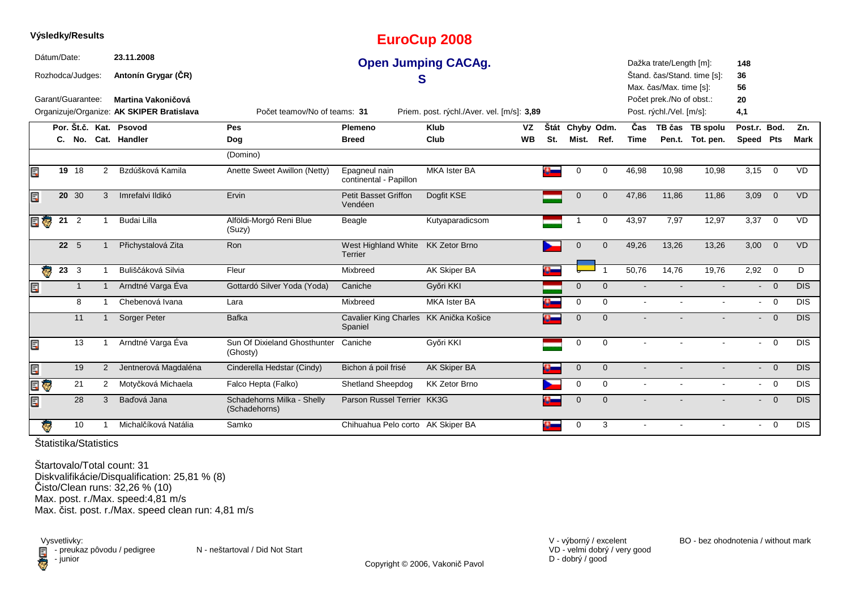|     |             | Výsledky/Results  |                |                                           |                                             |                                                   | <b>EuroCup 2008</b>                        |           |      |             |              |             |                          |                             |                           |                |             |
|-----|-------------|-------------------|----------------|-------------------------------------------|---------------------------------------------|---------------------------------------------------|--------------------------------------------|-----------|------|-------------|--------------|-------------|--------------------------|-----------------------------|---------------------------|----------------|-------------|
|     | Dátum/Date: |                   |                | 23.11.2008                                |                                             |                                                   | <b>Open Jumping CACAg.</b>                 |           |      |             |              |             | Dažka trate/Length [m]:  |                             | 148                       |                |             |
|     |             | Rozhodca/Judges:  |                | Antonín Grygar (ČR)                       |                                             | S                                                 |                                            |           |      |             |              |             | Max. čas/Max. time [s]:  | Štand. čas/Stand. time [s]: | 36<br>56                  |                |             |
|     |             | Garant/Guarantee: |                | Martina Vakoničová                        |                                             |                                                   |                                            |           |      |             |              |             | Počet prek./No of obst.: |                             | 20                        |                |             |
|     |             |                   |                | Organizuje/Organize: AK SKIPER Bratislava | Počet teamov/No of teams: 31                |                                                   | Priem. post. rýchl./Aver. vel. [m/s]: 3,89 |           |      |             |              |             | Post. rýchl./Vel. [m/s]: |                             | 4,1                       |                |             |
|     |             |                   |                | Por. Št.č. Kat. Psovod                    | Pes                                         | Plemeno                                           | <b>Klub</b>                                | VZ        | Štát | Chyby Odm.  |              | Čas         |                          | TB čas TB spolu             | Post.r. Bod.              |                | Zn.         |
|     |             |                   |                | C. No. Cat. Handler                       | Dog                                         | <b>Breed</b>                                      | Club                                       | <b>WB</b> | St.  | Mist.       | Ref.         | <b>Time</b> |                          | Pen.t. Tot. pen.            | Speed Pts                 |                | <b>Mark</b> |
|     |             |                   |                |                                           | (Domino)                                    |                                                   |                                            |           |      |             |              |             |                          |                             |                           |                |             |
| Ę   |             | 19 18             | $\overline{2}$ | Bzdúšková Kamila                          | Anette Sweet Awillon (Netty)                | Epagneul nain<br>continental - Papillon           | <b>MKA Ister BA</b>                        |           |      | 0           | 0            | 46,98       | 10,98                    | 10,98                       | 3,15                      | $\overline{0}$ | VD          |
| Ę   |             | 20 30             | 3              | Imrefalvi Ildikó                          | Ervin                                       | Petit Basset Griffon<br>Vendéen                   | Dogfit KSE                                 |           |      | $\mathbf 0$ | $\mathbf{0}$ | 47,86       | 11,86                    | 11,86                       | 3,09                      | $\overline{0}$ | <b>VD</b>   |
| e o | 21          | $\overline{2}$    |                | Budai Lilla                               | Alföldi-Morgó Reni Blue<br>(Suzy)           | Beagle                                            | Kutyaparadicsom                            |           |      |             | $\mathbf 0$  | 43,97       | 7,97                     | 12,97                       | 3,37                      | $\overline{0}$ | <b>VD</b>   |
|     |             | $22 \quad 5$      |                | Přichystalová Zita                        | <b>Ron</b>                                  | West Highland White KK Zetor Brno<br>Terrier      |                                            |           |      | $\Omega$    | $\mathbf{0}$ | 49,26       | 13,26                    | 13,26                       | 3,00                      | $\overline{0}$ | <b>VD</b>   |
|     |             | $23 \quad 3$      |                | Buliščáková Silvia                        | Fleur                                       | Mixbreed                                          | AK Skiper BA                               |           |      |             |              | 50,76       | 14,76                    | 19,76                       | $2,92$ 0                  |                | D           |
| Ę   |             | $\mathbf{1}$      | $\mathbf{1}$   | Arndtné Varga Éva                         | Gottardó Silver Yoda (Yoda)                 | Caniche                                           | Győri KKI                                  |           |      | $\Omega$    | $\Omega$     |             |                          |                             | $\overline{\phantom{a}}$  | $\overline{0}$ | DIS         |
|     |             | 8                 |                | Chebenová Ivana                           | Lara                                        | Mixbreed                                          | <b>MKA Ister BA</b>                        |           |      | $\mathbf 0$ | $\mathbf 0$  | $\sim$      |                          |                             | $\sim$                    | $\overline{0}$ | <b>DIS</b>  |
|     |             | 11                |                | Sorger Peter                              | <b>Bafka</b>                                | Cavalier King Charles KK Anička Košice<br>Spaniel |                                            |           |      | $\mathbf 0$ | $\Omega$     |             |                          |                             | $\sim$                    | $\overline{0}$ | <b>DIS</b>  |
| E,  |             | 13                |                | Arndtné Varga Éva                         | Sun Of Dixieland Ghosthunter<br>(Ghosty)    | Caniche                                           | Győri KKI                                  |           |      | 0           | $\mathbf 0$  |             |                          |                             | $\sim$                    | $\overline{0}$ | <b>DIS</b>  |
| Ę   |             | 19                | $\overline{2}$ | Jentnerová Magdaléna                      | Cinderella Hedstar (Cindy)                  | Bichon á poil frisé                               | <b>AK Skiper BA</b>                        |           |      | $\mathbf 0$ | $\mathbf{0}$ |             |                          |                             | $\overline{\phantom{a}}$  | $\Omega$       | DIS         |
| E G |             | 21                | 2              | Motyčková Michaela                        | Falco Hepta (Falko)                         | Shetland Sheepdog                                 | <b>KK Zetor Brno</b>                       |           |      | $\mathbf 0$ | $\mathbf 0$  | $\sim$      | $\sim$                   | $\sim$                      |                           | $- 0$          | <b>DIS</b>  |
| Ę   |             | 28                | 3              | Baďová Jana                               | Schadehorns Milka - Shelly<br>(Schadehorns) | Parson Russel Terrier KK3G                        |                                            |           |      | $\mathbf 0$ | $\Omega$     |             |                          |                             | $\mathbf{L}^{\text{max}}$ | $\overline{0}$ | <b>DIS</b>  |
| G   |             | 10                |                | Michalčíková Natália                      | Samko                                       | Chihuahua Pelo corto AK Skiper BA                 |                                            |           | o.   | 0           | 3            |             |                          |                             | $\sim$                    | $\overline{0}$ | <b>DIS</b>  |

Štartovalo/Total count: 31 Diskvalifikácie/Disqualification: 25,81 % (8) Čisto/Clean runs: 32,26 % (10) Max. post. r./Max. speed:4,81 m/sMax. čist. post. r./Max. speed clean run: 4,81 m/s

Vysvetlivky:<br> **E** - preuka:<br>
junior preukaz pôvodu / pedigree N - neštartoval / Did Not Start - junior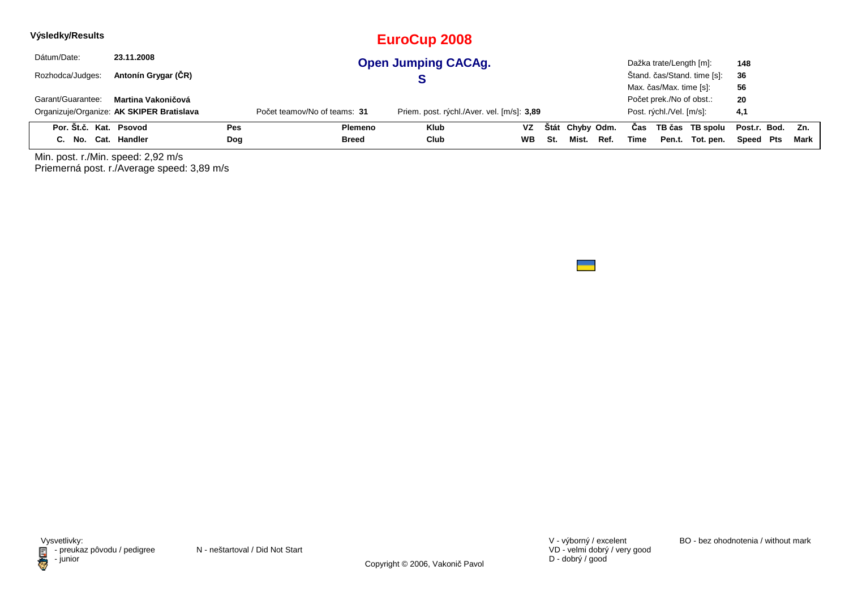| Výsledky/Results       |                                           |     |                              | EuroCup 2008                               |           |     |                 |      |      |                          |                             |                  |      |
|------------------------|-------------------------------------------|-----|------------------------------|--------------------------------------------|-----------|-----|-----------------|------|------|--------------------------|-----------------------------|------------------|------|
| Dátum/Date:            | 23.11.2008                                |     |                              | <b>Open Jumping CACAg.</b>                 |           |     |                 |      |      | Dažka trate/Length [m]:  |                             | 148              |      |
| Rozhodca/Judges:       | Antonín Grygar (ČR)                       |     |                              |                                            |           |     |                 |      |      |                          | Štand. čas/Stand. time [s]: | 36               |      |
|                        |                                           |     |                              |                                            |           |     |                 |      |      | Max. čas/Max. time [s]:  |                             | 56               |      |
| Garant/Guarantee:      | Martina Vakoničová                        |     |                              |                                            |           |     |                 |      |      | Počet prek./No of obst.: |                             | 20               |      |
|                        | Organizuje/Organize: AK SKIPER Bratislava |     | Počet teamov/No of teams: 31 | Priem. post. rýchl./Aver. vel. [m/s]: 3,89 |           |     |                 |      |      | Post. rýchl./Vel. [m/s]: |                             | 4,1              |      |
| Por. Št.č. Kat. Psovod |                                           | Pes | Plemeno                      | <b>Klub</b>                                | <b>VZ</b> |     | Štát Chyby Odm. |      | Cas  |                          | TB čas TB spolu             | Post.r. Bod. Zn. |      |
| C. No. Cat. Handler    |                                           | Dog | <b>Breed</b>                 | Club                                       | <b>WB</b> | St. | Mist.           | Ref. | Time |                          | Pen.t. Tot. pen.            | Speed Pts        | Mark |

Min. post. r./Min. speed: 2,92 m/s Priemerná post. r./Average speed: 3,89 m/s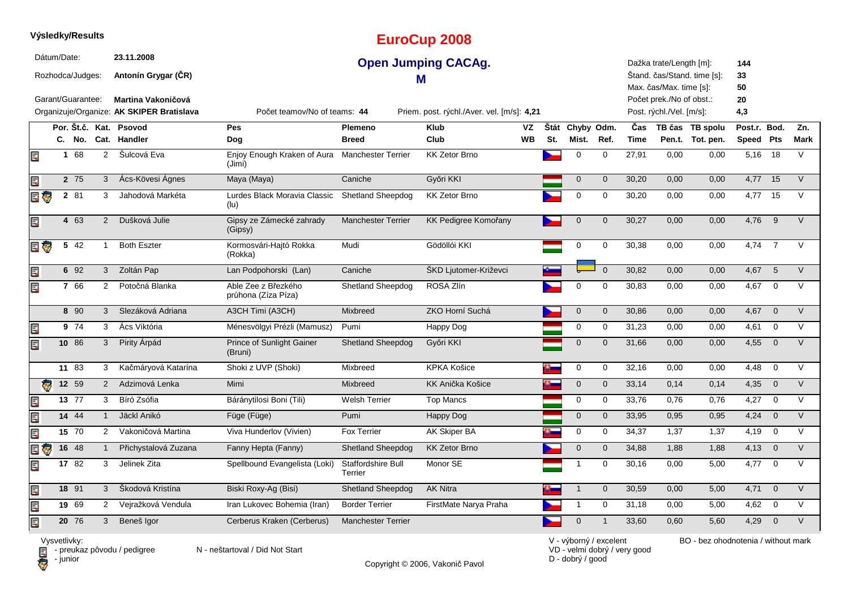|                           |             | Výsledky/Results                      |                      |                                                                |                                            |                                      | <b>EuroCup 2008</b>                        |                 |     |                                                               |                |                    |                                                                                |                                                                         |                           |                |                    |
|---------------------------|-------------|---------------------------------------|----------------------|----------------------------------------------------------------|--------------------------------------------|--------------------------------------|--------------------------------------------|-----------------|-----|---------------------------------------------------------------|----------------|--------------------|--------------------------------------------------------------------------------|-------------------------------------------------------------------------|---------------------------|----------------|--------------------|
|                           | Dátum/Date: | Rozhodca/Judges:<br>Garant/Guarantee: |                      | 23.11.2008<br>Antonín Grygar (ČR)<br><b>Martina Vakoničová</b> |                                            |                                      | <b>Open Jumping CACAg.</b><br>м            |                 |     |                                                               |                |                    | Dažka trate/Length [m]:<br>Max. čas/Max. time [s]:<br>Počet prek./No of obst.: | Štand. čas/Stand. time [s]:                                             | 144<br>33<br>50<br>20     |                |                    |
|                           |             |                                       |                      | Organizuje/Organize: AK SKIPER Bratislava                      | Počet teamov/No of teams: 44               |                                      | Priem. post. rýchl./Aver. vel. [m/s]: 4,21 |                 |     |                                                               |                |                    | Post. rýchl./Vel. [m/s]:                                                       |                                                                         | 4,3                       |                |                    |
|                           |             |                                       |                      | Por. Št.č. Kat. Psovod<br>C. No. Cat. Handler                  | <b>Pes</b><br>Dog                          | Plemeno<br><b>Breed</b>              | <b>Klub</b><br>Club                        | VZ<br><b>WB</b> | St. | Štát Chyby Odm.<br>Mist.                                      | Ref.           | Čas<br><b>Time</b> |                                                                                | TB čas TB spolu<br>Pen.t. Tot. pen.                                     | Post.r. Bod.<br>Speed Pts |                | Zn.<br><b>Mark</b> |
| 圓                         |             | 1 68                                  | $\overline{2}$       | Šulcová Eva                                                    | Enjoy Enough Kraken of Aura<br>(Jimi)      | <b>Manchester Terrier</b>            | <b>KK Zetor Brno</b>                       |                 |     | 0                                                             | $\mathbf 0$    | 27,91              | 0,00                                                                           | 0,00                                                                    | 5,16 18                   |                | V                  |
| Ę                         |             | 2 75                                  | 3 <sup>1</sup>       | Ács-Kövesi Ágnes                                               | Maya (Maya)                                | Caniche                              | Győri KKI                                  |                 |     | $\mathbf 0$                                                   | $\mathbf 0$    | 30,20              | 0,00                                                                           | 0,00                                                                    | $4,77$ 15                 |                | $\vee$             |
| E G                       |             | 2 81                                  | 3                    | Jahodová Markéta                                               | Lurdes Black Moravia Classic<br>(lu)       | <b>Shetland Sheepdog</b>             | <b>KK Zetor Brno</b>                       |                 |     | $\mathbf 0$                                                   | $\mathbf 0$    | 30,20              | 0,00                                                                           | 0,00                                                                    | 4,77 15                   |                | $\vee$             |
| Ę                         |             | 4 63                                  | $\overline{2}$       | Dušková Julie                                                  | Gipsy ze Zámecké zahrady<br>(Gipsy)        | <b>Manchester Terrier</b>            | <b>KK Pedigree Komořany</b>                |                 |     | $\mathbf 0$                                                   | $\Omega$       | 30,27              | 0,00                                                                           | 0,00                                                                    | 4,76                      | 9              | $\vee$             |
| e J                       |             | $5\overline{42}$                      | $\mathbf{1}$         | <b>Both Eszter</b>                                             | Kormosvári-Hajtó Rokka<br>(Rokka)          | Mudi                                 | Gödöllói KKI                               |                 |     | 0                                                             | 0              | 30,38              | 0,00                                                                           | 0,00                                                                    | 4,74                      | $\overline{7}$ | $\vee$             |
| Ę                         |             | 6 92                                  | 3 <sup>1</sup>       | Zoltán Pap                                                     | Lan Podpohorski (Lan)                      | Caniche                              | ŠKD Ljutomer-Križevci                      |                 |     |                                                               | $\Omega$       | 30,82              | 0,00                                                                           | 0,00                                                                    | 4,67 5                    |                | V                  |
| E.                        |             | 7 66                                  | 2                    | Potočná Blanka                                                 | Able Zee z Březkého<br>průhona (Zíza Píza) | Shetland Sheepdog                    | ROSA Zlín                                  |                 |     | $\Omega$                                                      | 0              | 30,83              | 0,00                                                                           | 0,00                                                                    | 4,67                      | $\mathbf 0$    | V                  |
|                           |             | 8 90                                  | 3                    | Slezáková Adriana                                              | A3CH Timi (A3CH)                           | Mixbreed                             | ZKO Horní Suchá                            |                 |     | $\mathbf 0$                                                   | $\mathbf{0}$   | 30,86              | 0,00                                                                           | 0,00                                                                    | 4,67                      | $\overline{0}$ | V                  |
| Ę                         |             | 9 74                                  | 3                    | Ács Viktória                                                   | Ménesvölgyi Prézli (Mamusz)                | Pumi                                 | Happy Dog                                  |                 |     | 0                                                             | 0              | 31,23              | 0,00                                                                           | 0,00                                                                    | 4,61                      | $\mathbf 0$    | V                  |
| E                         |             | 10 86                                 | 3                    | Pirity Árpád                                                   | Prince of Sunlight Gainer<br>(Bruni)       | <b>Shetland Sheepdog</b>             | Győri KKI                                  |                 |     | $\mathbf 0$                                                   | $\mathbf 0$    | 31,66              | 0,00                                                                           | 0,00                                                                    | 4,55                      | $\overline{0}$ | V                  |
|                           |             | 11 83                                 | 3                    | Kačmáryová Katarína                                            | Shoki z UVP (Shoki)                        | Mixbreed                             | <b>KPKA Košice</b>                         |                 |     | 0                                                             | 0              | 32,16              | 0,00                                                                           | 0,00                                                                    | 4,48                      | $\mathbf 0$    | V                  |
| ē.                        |             | 12 59                                 | $\overline{2}$       | Adzimová Lenka                                                 | Mimi                                       | Mixbreed                             | KK Anička Košice                           |                 |     | $\mathsf{O}\xspace$                                           | $\mathbf 0$    | 33,14              | 0,14                                                                           | 0,14                                                                    | 4,35                      | $\overline{0}$ | $\vee$             |
| E                         |             | 13 77                                 | 3                    | Bíró Zsófia                                                    | Báránytilosi Boni (Tili)                   | <b>Welsh Terrier</b>                 | <b>Top Mancs</b>                           |                 |     | $\mathbf 0$                                                   | $\mathbf 0$    | 33,76              | 0,76                                                                           | 0,76                                                                    | 4,27                      | $\overline{0}$ | V                  |
| Ę                         |             | 14 44                                 | $\mathbf{1}$         | Jäckl Anikó                                                    | Füge (Füge)                                | Pumi                                 | Happy Dog                                  |                 |     | $\mathbf{0}$                                                  | $\mathbf 0$    | 33,95              | 0,95                                                                           | 0,95                                                                    | 4,24                      | $\overline{0}$ | $\vee$             |
| Ę                         |             | 15 70                                 | $\mathbf{2}^{\circ}$ | Vakoničová Martina                                             | Viva Hunderlov (Vivien)                    | <b>Fox Terrier</b>                   | AK Skiper BA                               |                 |     | 0                                                             | 0              | 34,37              | 1,37                                                                           | 1,37                                                                    | 4,19                      | $\mathbf 0$    | $\vee$             |
| e o                       |             | 16 48                                 | $\mathbf{1}$         | Přichystalová Zuzana                                           | Fanny Hepta (Fanny)                        | Shetland Sheepdog                    | <b>KK Zetor Brno</b>                       |                 |     | $\mathbf 0$                                                   | $\mathbf 0$    | 34,88              | 1,88                                                                           | 1,88                                                                    | $4,13$ 0                  |                | $\vee$             |
| Ę                         |             | 17 82                                 | 3                    | Jelinek Zita                                                   | Spellbound Evangelista (Loki)              | <b>Staffordshire Bull</b><br>Terrier | Monor SE                                   |                 |     | $\mathbf{1}$                                                  | 0              | 30,16              | 0,00                                                                           | 5,00                                                                    | 4,77                      | $\overline{0}$ | V                  |
| Ę                         |             | 18 91                                 | 3                    | Škodová Kristína                                               | Biski Roxy-Ag (Bisi)                       | Shetland Sheepdog                    | <b>AK Nitra</b>                            |                 |     | $\mathbf{1}$                                                  | $\mathbf 0$    | 30,59              | 0,00                                                                           | 5,00                                                                    | 4,71                      | $\overline{0}$ | $\vee$             |
| Ē.                        |             | 19 69                                 | 2                    | Vejražková Vendula                                             | Iran Lukovec Bohemia (Iran)                | <b>Border Terrier</b>                | FirstMate Narya Praha                      |                 |     | $\overline{1}$                                                | 0              | 31,18              | 0,00                                                                           | 5,00                                                                    | 4,62                      | $\overline{0}$ | V                  |
| Ē.                        |             | 20 76                                 | 3                    | Beneš Igor                                                     | Cerberus Kraken (Cerberus)                 | <b>Manchester Terrier</b>            |                                            |                 |     | $\mathbf{0}$                                                  | $\overline{1}$ | 33,60              | 0,60                                                                           | 5,60                                                                    | 4,29                      | $\overline{0}$ | $\vee$             |
| $\mathbf{1}$ $\mathbf{1}$ |             | and the about                         |                      |                                                                |                                            |                                      |                                            |                 |     | $\Delta E = 1.74$ and $\Delta E = 1.74$ and $\Delta E = 1.74$ |                |                    |                                                                                | $\Box \bigcap$ . If $\Box \Box$ is the state of a state of contribution |                           |                |                    |

**D** - junior

Vysvetlivky:<br>⊟ - preukaz pôvodu / pedigree N - neštartoval / Did Not Start

Copyright © 2006, Vakonič Pavol

VD - velmi dobrý / very good D - dobrý / good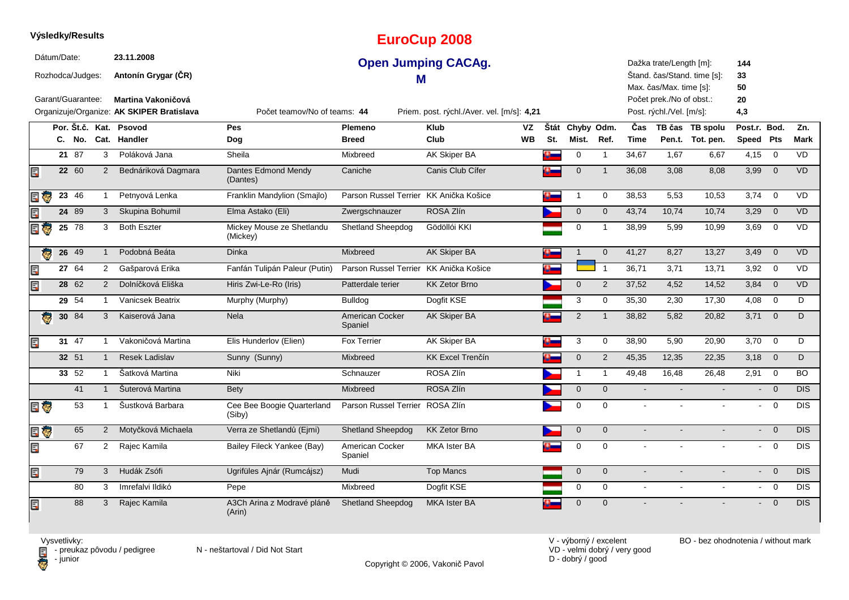|                         |             | Výsledky/Results  |                |                                                                        |                                       |                                        | <b>EuroCup 2008</b>                        |           |     |                 |                |                |                                                      |                             |                           |                         |             |
|-------------------------|-------------|-------------------|----------------|------------------------------------------------------------------------|---------------------------------------|----------------------------------------|--------------------------------------------|-----------|-----|-----------------|----------------|----------------|------------------------------------------------------|-----------------------------|---------------------------|-------------------------|-------------|
|                         | Dátum/Date: | Rozhodca/Judges:  |                | 23.11.2008<br>Antonín Grygar (ČR)                                      |                                       | М                                      | <b>Open Jumping CACAg.</b>                 |           |     |                 |                |                | Dažka trate/Length [m]:<br>Max. čas/Max. time [s]:   | Štand. čas/Stand. time [s]: | 144<br>33<br>50           |                         |             |
|                         |             | Garant/Guarantee: |                | <b>Martina Vakoničová</b><br>Organizuje/Organize: AK SKIPER Bratislava | Počet teamov/No of teams: 44          |                                        | Priem. post. rýchl./Aver. vel. [m/s]: 4,21 |           |     |                 |                |                | Počet prek./No of obst.:<br>Post. rýchl./Vel. [m/s]: |                             | 20<br>4,3                 |                         |             |
|                         |             |                   |                | Por. Št.č. Kat. Psovod                                                 | Pes                                   | <b>Plemeno</b>                         | <b>Klub</b>                                | VZ        |     | Štát Chyby Odm. |                | Čas            |                                                      | TB čas TB spolu             | Post.r. Bod.              |                         | Zn.         |
|                         |             | C. No.            |                | Cat. Handler                                                           | Dog                                   | <b>Breed</b>                           | Club                                       | <b>WB</b> | St. | Mist.           | Ref.           | <b>Time</b>    |                                                      | Pen.t. Tot. pen.            | Speed Pts                 |                         | <b>Mark</b> |
|                         |             | 2187              | 3              | Poláková Jana                                                          | Sheila                                | Mixbreed                               | <b>AK Skiper BA</b>                        |           | a.  | $\mathbf 0$     | $\mathbf{1}$   | 34,67          | 1,67                                                 | 6,67                        | 4,15                      | $\overline{0}$          | <b>VD</b>   |
| Ę                       |             | 22 60             | 2              | Bednáriková Dagmara                                                    | Dantes Edmond Mendy<br>(Dantes)       | Caniche                                | Canis Club Cífer                           |           |     | $\mathbf 0$     | $\overline{1}$ | 36,08          | 3,08                                                 | 8,08                        | 3,99                      | $\overline{0}$          | <b>VD</b>   |
| ÷                       |             | 23 46             | $\mathbf{1}$   | Petnyová Lenka                                                         | Franklin Mandylion (Smajlo)           | Parson Russel Terrier KK Anička Košice |                                            |           |     | $\overline{1}$  | $\mathbf 0$    | 38,53          | 5,53                                                 | 10,53                       | 3,74                      | $\mathbf 0$             | <b>VD</b>   |
|                         |             | 24 89             | 3              | Skupina Bohumil                                                        | Elma Astako (Eli)                     | Zwergschnauzer                         | ROSA Zlín                                  |           |     | $\overline{0}$  | $\Omega$       | 43,74          | 10,74                                                | 10,74                       | 3,29                      | $\overline{0}$          | <b>VD</b>   |
| EG                      |             | $25 \t 78$        | 3              | <b>Both Eszter</b>                                                     | Mickey Mouse ze Shetlandu<br>(Mickey) | Shetland Sheepdog                      | Gödöllói KKI                               |           |     | $\pmb{0}$       | $\mathbf{1}$   | 38,99          | 5,99                                                 | 10,99                       | 3,69                      | $\mathbf 0$             | VD          |
| $\overline{\mathbf{e}}$ |             | $26 \t 49$        | $\mathbf{1}$   | Podobná Beáta                                                          | <b>Dinka</b>                          | Mixbreed                               | <b>AK Skiper BA</b>                        |           | o.  | $\mathbf{1}$    | $\overline{0}$ | 41,27          | 8,27                                                 | 13,27                       | 3,49                      | $\overline{\mathbf{0}}$ | VD          |
| E                       |             | 27 64             | 2              | Gašparová Erika                                                        | Fanfán Tulipán Paleur (Putin)         | Parson Russel Terrier                  | KK Anička Košice                           |           |     |                 | $\mathbf{1}$   | 36,71          | 3,71                                                 | 13,71                       | 3,92                      | $\overline{0}$          | VD          |
| Ę                       |             | 28 62             | 2              | Dolníčková Eliška                                                      | Hiris Zwi-Le-Ro (Iris)                | Patterdale terier                      | <b>KK Zetor Brno</b>                       |           |     | $\mathbf 0$     | 2              | 37,52          | 4,52                                                 | 14,52                       | 3,84                      | $\overline{0}$          | <b>VD</b>   |
|                         |             | $29\overline{54}$ | $\mathbf{1}$   | Vanicsek Beatrix                                                       | Murphy (Murphy)                       | Bulldog                                | Dogfit KSE                                 |           |     | 3               | $\mathbf 0$    | 35,30          | 2,30                                                 | 17,30                       | 4,08                      | $\mathbf 0$             | D           |
| $\overline{\mathbf{e}}$ |             | $30 \t 84$        | 3              | Kaiserová Jana                                                         | <b>Nela</b>                           | American Cocker<br>Spaniel             | AK Skiper BA                               |           |     | 2               | $\overline{1}$ | 38,82          | 5,82                                                 | 20,82                       | 3,71                      | $\overline{0}$          | D           |
| E                       |             | 31 47             | $\mathbf{1}$   | Vakoničová Martina                                                     | Elis Hunderlov (Elien)                | <b>Fox Terrier</b>                     | <b>AK Skiper BA</b>                        |           |     | 3               | $\mathbf 0$    | 38,90          | 5,90                                                 | 20,90                       | 3,70                      | $\overline{0}$          | D           |
|                         |             | 32 51             | $\mathbf{1}$   | <b>Resek Ladislav</b>                                                  | Sunny (Sunny)                         | <b>Mixbreed</b>                        | <b>KK Excel Trenčín</b>                    |           |     | $\mathbf{0}$    | 2              | 45,35          | 12,35                                                | 22,35                       | $3,18$ 0                  |                         | D           |
|                         |             | 33 52             | $\mathbf{1}$   | Šatková Martina                                                        | <b>Niki</b>                           | Schnauzer                              | ROSA Zlín                                  |           |     | $\mathbf{1}$    | $\mathbf{1}$   | 49,48          | 16,48                                                | 26,48                       | 2,91                      | $\overline{0}$          | <b>BO</b>   |
|                         |             | 41                | $\mathbf{1}$   | Šuterová Martina                                                       | Bety                                  | <b>Mixbreed</b>                        | ROSA Zlín                                  |           |     | $\mathbf 0$     | $\mathbf{0}$   |                |                                                      |                             |                           | $\overline{0}$          | <b>DIS</b>  |
| E G                     |             | 53                | $\mathbf{1}$   | Šustková Barbara                                                       | Cee Bee Boogie Quarterland<br>(Siby)  | Parson Russel Terrier                  | ROSA Zlín                                  |           |     | $\pmb{0}$       | $\mathbf 0$    | $\sim$         |                                                      |                             | $\sim$                    | $\overline{0}$          | <b>DIS</b>  |
| e Ç                     |             | 65                | $\overline{2}$ | Motyčková Michaela                                                     | Verra ze Shetlandů (Ejmi)             | <b>Shetland Sheepdog</b>               | <b>KK Zetor Brno</b>                       |           |     | $\mathbf 0$     | $\overline{0}$ | $\blacksquare$ |                                                      |                             | $\mathbf{L}^{\text{max}}$ | $\overline{0}$          | <b>DIS</b>  |
| Ę                       |             | 67                | 2              | Rajec Kamila                                                           | Bailey Fileck Yankee (Bay)            | American Cocker<br>Spaniel             | <b>MKA Ister BA</b>                        |           |     | $\mathbf 0$     | $\Omega$       | $\overline{a}$ |                                                      |                             | $\sim$                    | $\overline{0}$          | <b>DIS</b>  |
| E                       |             | 79                | 3              | Hudák Zsófi                                                            | Ugrifüles Ajnár (Rumcájsz)            | Mudi                                   | <b>Top Mancs</b>                           |           |     | $\mathbf 0$     | $\mathbf{0}$   | $\sim$         |                                                      |                             | $\sim$                    | $\overline{0}$          | DIS         |
|                         |             | 80                | 3              | Imrefalvi Ildikó                                                       | Pepe                                  | Mixbreed                               | Dogfit KSE                                 |           |     | $\mathbf 0$     | $\mathbf 0$    | $\sim$         |                                                      |                             | $\sim$                    | $\overline{0}$          | <b>DIS</b>  |
| E                       |             | 88                | 3              | Rajec Kamila                                                           | A3Ch Arina z Modravé pláně<br>(Arin)  | <b>Shetland Sheepdog</b>               | <b>MKA Ister BA</b>                        |           |     | $\Omega$        | $\Omega$       |                |                                                      |                             |                           | $\overline{0}$          | <b>DIS</b>  |

Vysvetlivky:<br>⊟ - preukaz pôvodu / pedigree N - neštartoval / Did Not Start **D** - junior

**Výsledky/Results**

VD - velmi dobrý / very good D - dobrý / good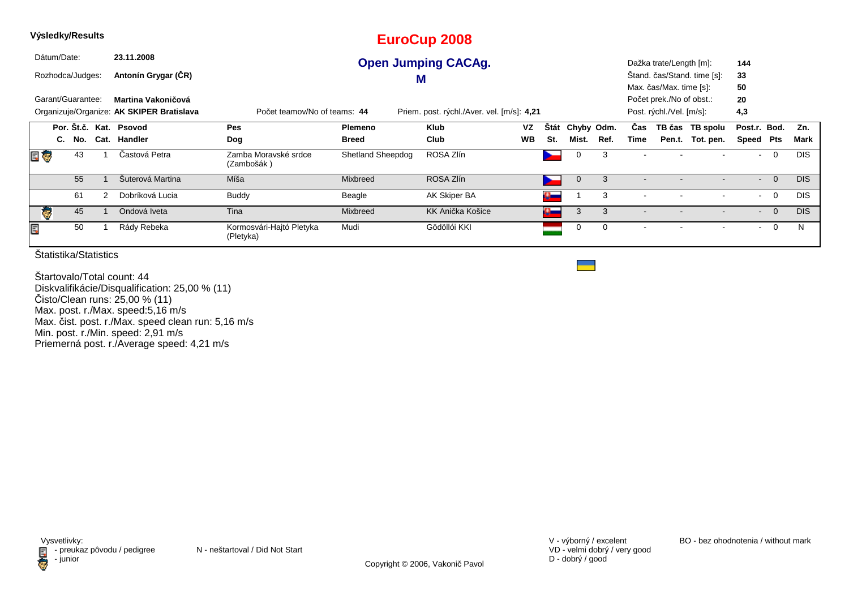|     | Výsledky/Results                       |     |   |                                                                 |                                       |                          | <b>EuroCup 2008</b>                        |           |               |             |      |                          |                                                                                 |                             |                 |                |            |
|-----|----------------------------------------|-----|---|-----------------------------------------------------------------|---------------------------------------|--------------------------|--------------------------------------------|-----------|---------------|-------------|------|--------------------------|---------------------------------------------------------------------------------|-----------------------------|-----------------|----------------|------------|
|     | Dátum/Date:                            |     |   | 23.11.2008                                                      |                                       |                          | <b>Open Jumping CACAg.</b>                 |           |               |             |      |                          | Dažka trate/Length [m]:                                                         |                             | 144             |                |            |
|     | Rozhodca/Judges:                       |     |   | Antonín Grygar (ČR)                                             |                                       |                          | M                                          |           |               |             |      |                          |                                                                                 | Stand. čas/Stand. time [s]: | 33              |                |            |
|     | Garant/Guarantee:                      |     |   | Martina Vakoničová<br>Organizuje/Organize: AK SKIPER Bratislava | Počet teamov/No of teams: 44          |                          | Priem. post. rýchl./Aver. vel. [m/s]: 4,21 |           |               |             |      |                          | Max. čas/Max. time [s]:<br>Počet prek./No of obst.:<br>Post. rýchl./Vel. [m/s]: |                             | 50<br>20<br>4,3 |                |            |
|     |                                        |     |   | Por. Št.č. Kat. Psovod                                          | Pes                                   | Plemeno                  | <b>Klub</b>                                | VZ        | <b>Stát</b>   | Chyby Odm.  |      | Cas                      |                                                                                 | TB čas TB spolu             | Post.r. Bod.    |                | Zn.        |
|     | C.                                     | No. |   | Cat. Handler                                                    | Dog                                   | <b>Breed</b>             | Club                                       | <b>WB</b> | St.           | Mist.       | Ref. | Time                     |                                                                                 | Pen.t. Tot. pen.            | Speed           | Pts            | Mark       |
| E Ç |                                        | 43  |   | Častová Petra                                                   | Zamba Moravské srdce<br>(Zambošák)    | <b>Shetland Sheepdog</b> | ROSA Zlín                                  |           |               | 0           | 3    |                          |                                                                                 |                             | $\sim$          | $\overline{0}$ | <b>DIS</b> |
|     |                                        | 55  |   | Šuterová Martina                                                | Míša                                  | Mixbreed                 | ROSA Zlín                                  |           | ∼             | $\mathbf 0$ | 3    | $\blacksquare$           |                                                                                 |                             | $\sim$          | $\overline{0}$ | <b>DIS</b> |
|     |                                        | 61  | 2 | Dobríková Lucia                                                 | <b>Buddy</b>                          | Beagle                   | AK Skiper BA                               |           | $\bullet$ $-$ |             | 3    |                          |                                                                                 |                             | $\sim$          | $\overline{0}$ | <b>DIS</b> |
| G   |                                        | 45  |   | Ondová Iveta                                                    | Tina                                  | Mixbreed                 | KK Anička Košice                           |           | $\bullet$ $-$ | 3           | 3    |                          |                                                                                 |                             | $\sim$          | $\overline{0}$ | <b>DIS</b> |
| Ē,  |                                        | 50  |   | Rády Rebeka                                                     | Kormosvári-Hajtó Pletyka<br>(Pletyka) | Mudi                     | Gödöllói KKI                               |           |               | 0           | 0    | $\overline{\phantom{a}}$ |                                                                                 |                             | $\sim$          | $\mathbf 0$    | N          |
|     | $X_{\alpha}$ is an expected to the set |     |   |                                                                 |                                       |                          |                                            |           |               |             |      |                          |                                                                                 |                             |                 |                |            |

Copyright © 2006, Vakonič Pavol

Štatistika/Statistics

Štartovalo/Total count: 44 Diskvalifikácie/Disqualification: 25,00 % (11)Čisto/Clean runs: 25,00 % (11) Max. post. r./Max. speed:5,16 m/s Max. čist. post. r./Max. speed clean run: 5,16 m/sMin. post. r./Min. speed: 2,91 m/s Priemerná post. r./Average speed: 4,21 m/s

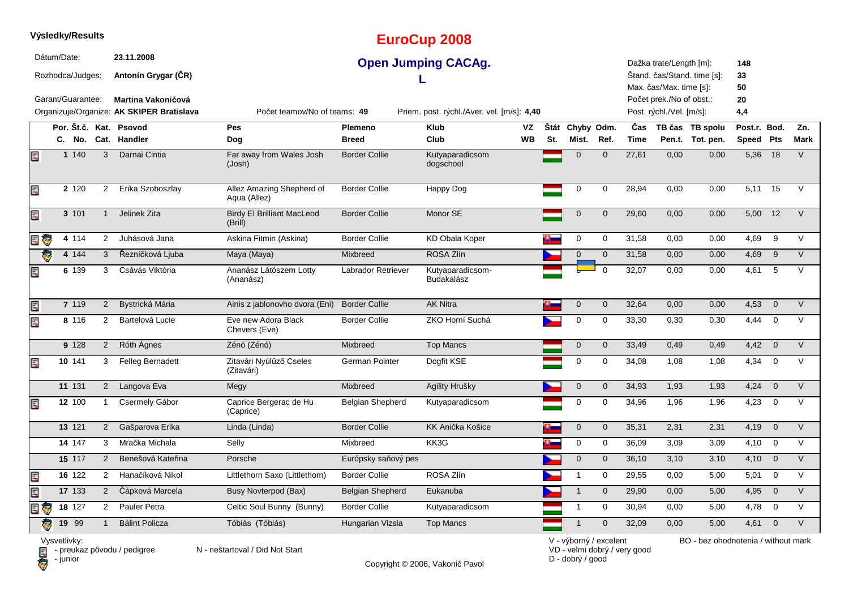|     |             | Výsledky/Results                      |                       |                                                                |                                              |                         | <b>EuroCup 2008</b>                        |                 |     |                          |                |                    |                                                                                |                                     |                           |                |                    |
|-----|-------------|---------------------------------------|-----------------------|----------------------------------------------------------------|----------------------------------------------|-------------------------|--------------------------------------------|-----------------|-----|--------------------------|----------------|--------------------|--------------------------------------------------------------------------------|-------------------------------------|---------------------------|----------------|--------------------|
|     | Dátum/Date: | Rozhodca/Judges:<br>Garant/Guarantee: |                       | 23.11.2008<br>Antonín Grygar (ČR)<br><b>Martina Vakoničová</b> |                                              |                         | <b>Open Jumping CACAg.</b>                 |                 |     |                          |                |                    | Dažka trate/Length [m]:<br>Max. čas/Max. time [s]:<br>Počet prek./No of obst.: | Štand. čas/Stand. time [s]:         | 148<br>33<br>50<br>20     |                |                    |
|     |             |                                       |                       | Organizuje/Organize: AK SKIPER Bratislava                      | Počet teamov/No of teams: 49                 |                         | Priem. post. rýchl./Aver. vel. [m/s]: 4,40 |                 |     |                          |                |                    | Post. rýchl./Vel. [m/s]:                                                       |                                     | 4,4                       |                |                    |
|     |             |                                       |                       | Por. Št.č. Kat. Psovod<br>C. No. Cat. Handler                  | Pes<br>Dog                                   | Plemeno<br><b>Breed</b> | <b>Klub</b><br>Club                        | VZ<br><b>WB</b> | St. | Štát Chyby Odm.<br>Mist. | Ref.           | Čas<br><b>Time</b> |                                                                                | TB čas TB spolu<br>Pen.t. Tot. pen. | Post.r. Bod.<br>Speed Pts |                | Zn.<br><b>Mark</b> |
| Ē,  |             | 1 140                                 | 3                     | Darnai Cintia                                                  | Far away from Wales Josh<br>(Josh)           | <b>Border Collie</b>    | Kutyaparadicsom<br>dogschool               |                 |     | $\mathbf 0$              | $\mathbf 0$    | 27,61              | 0,00                                                                           | 0,00                                | 5,36                      | 18             | $\vee$             |
| Ę   |             | 2 1 2 0                               | $\mathbf{2}^{\prime}$ | Erika Szoboszlay                                               | Allez Amazing Shepherd of<br>Aqua (Allez)    | <b>Border Collie</b>    | Happy Dog                                  |                 |     | $\mathbf 0$              | $\mathbf 0$    | 28,94              | 0,00                                                                           | 0,00                                | $5,11$ 15                 |                | $\vee$             |
| Ę   |             | 3 101                                 | 1                     | Jelinek Zita                                                   | <b>Birdy El Brilliant MacLeod</b><br>(Brill) | <b>Border Collie</b>    | Monor SE                                   |                 |     | $\mathbf 0$              | $\overline{0}$ | 29,60              | 0,00                                                                           | 0,00                                | 5,00 12                   |                | $\vee$             |
| E T |             | 4 114                                 | 2                     | Juhásová Jana                                                  | Askina Fitmin (Askina)                       | <b>Border Collie</b>    | <b>KD Obala Koper</b>                      |                 |     | $\pmb{0}$                | $\mathbf 0$    | 31,58              | 0.00                                                                           | 0.00                                | 4,69                      | 9              | $\vee$             |
| Ġ.  |             | 4 144                                 | 3                     | Řezníčková Ljuba                                               | Maya (Maya)                                  | Mixbreed                | ROSA Zlín                                  |                 |     | $\overline{0}$           | $\mathbf 0$    | 31,58              | 0,00                                                                           | 0,00                                | 4,69 9                    |                | $\vee$             |
| Ę   |             | 6 139                                 | 3                     | Csávás Viktória                                                | Ananász Látószem Lotty<br>(Ananász)          | Labrador Retriever      | Kutyaparadicsom-<br>Budakalász             |                 |     |                          | $\Omega$       | 32,07              | 0,00                                                                           | 0,00                                | 4,61                      | $-5$           | $\vee$             |
| Ę   |             | 7 119                                 | $2^{\circ}$           | Bystrická Mária                                                | Ainis z jablonovho dvora (Eni)               | <b>Border Collie</b>    | <b>AK Nitra</b>                            |                 |     | $\mathbf 0$              | $\mathbf 0$    | 32,64              | 0,00                                                                           | 0,00                                | 4,53                      | $\overline{0}$ | $\vee$             |
| Er  |             | 8 116                                 | $\mathbf{2}^{\circ}$  | Bartelová Lucie                                                | Eve new Adora Black<br>Chevers (Eve)         | <b>Border Collie</b>    | ZKO Horní Suchá                            |                 |     | $\mathbf 0$              | $\mathbf 0$    | 33,30              | 0,30                                                                           | 0,30                                | 4,44                      | $\overline{0}$ | $\vee$             |
|     |             | 9 1 28                                | $2^{\circ}$           | Róth Ágnes                                                     | Zénó (Zénó)                                  | Mixbreed                | <b>Top Mancs</b>                           |                 |     | $\mathbf 0$              | $\mathbf 0$    | 33,49              | 0,49                                                                           | 0,49                                | 4,42                      | $\overline{0}$ | $\vee$             |
| Ę   |             | 10 141                                | 3                     | <b>Felleg Bernadett</b>                                        | Zitavári Nyúlűző Cseles<br>(Zitavári)        | German Pointer          | Dogfit KSE                                 |                 |     | $\mathbf 0$              | $\mathbf 0$    | 34,08              | 1,08                                                                           | 1,08                                | 4,34                      | $\overline{0}$ | $\vee$             |
|     |             | 11 131                                | $2^{\circ}$           | Langova Eva                                                    | Megy                                         | Mixbreed                | Agility Hrušky                             |                 |     | $\mathbf 0$              | $\mathbf 0$    | 34,93              | 1,93                                                                           | 1,93                                | 4,24                      | $\overline{0}$ | $\vee$             |
| Ę   |             | 12 100                                | 1                     | Csermely Gábor                                                 | Caprice Bergerac de Hu<br>(Caprice)          | <b>Belgian Shepherd</b> | Kutyaparadicsom                            |                 |     | 0                        | $\mathbf 0$    | 34,96              | 1,96                                                                           | 1,96                                | 4,23                      | $\mathbf 0$    | $\vee$             |
|     |             | 13 121                                | $2^{\circ}$           | Gašparova Erika                                                | Linda (Linda)                                | <b>Border Collie</b>    | KK Anička Košice                           |                 |     | $\mathbf 0$              | $\mathbf 0$    | 35,31              | 2,31                                                                           | 2,31                                | 4,19                      | $\overline{0}$ | $\vee$             |
|     |             | 14 147                                | 3                     | Mračka Michala                                                 | Selly                                        | Mixbreed                | KK3G                                       |                 |     | 0                        | $\mathbf 0$    | 36,09              | 3,09                                                                           | 3,09                                | 4,10                      | $\mathbf 0$    | $\vee$             |
|     |             | 15 117                                | $\overline{2}$        | Benešová Kateřina                                              | Porsche                                      | Európsky saňový pes     |                                            |                 |     | $\mathbf 0$              | $\mathbf 0$    | 36,10              | 3,10                                                                           | 3,10                                | 4,10                      | $\overline{0}$ | $\vee$             |
| Ę   |             | 16 122                                | $\overline{2}$        | Hanačíková Nikol                                               | Littlethorn Saxo (Littlethorn)               | <b>Border Collie</b>    | ROSA Zlín                                  |                 |     | $\mathbf{1}$             | 0              | 29,55              | 0,00                                                                           | 5,00                                | 5,01                      | $\mathbf 0$    | $\vee$             |
| Ę   |             | 17 133                                | $\overline{2}$        | Čápková Marcela                                                | <b>Busy Novterpod (Bax)</b>                  | <b>Belgian Shepherd</b> | Eukanuba                                   |                 |     | $\mathbf{1}$             | $\mathbf 0$    | 29,90              | 0,00                                                                           | 5,00                                | 4,95                      | $\mathbf{0}$   | $\overline{V}$     |
| E   |             | 18 127                                | $\mathbf{2}^{\prime}$ | Pauler Petra                                                   | Celtic Soul Bunny (Bunny)                    | <b>Border Collie</b>    | Kutyaparadicsom                            |                 |     | $\mathbf{1}$             | $\mathbf 0$    | 30,94              | 0,00                                                                           | 5,00                                | 4,78                      | $\overline{0}$ | $\vee$             |
| ē   |             | 19 99                                 | $\mathbf{1}$          | <b>Bálint Policza</b>                                          | Tóbiás (Tóbiás)                              | Hungarian Vizsla        | <b>Top Mancs</b>                           |                 |     | $\mathbf 1$              | $\mathbf 0$    | 32,09              | 0,00                                                                           | 5,00                                | 4,61                      | $\overline{0}$ | $\vee$             |
|     |             |                                       |                       |                                                                |                                              |                         |                                            |                 |     |                          |                |                    | $\sim$                                                                         |                                     |                           |                |                    |

Vysvetlivky:<br>⊟ - preukaz pôvodu / pedigree N - neštartoval / Did Not Start **D** - junior

Copyright © 2006, Vakonič Pavol

VD - velmi dobrý / very good D - dobrý / good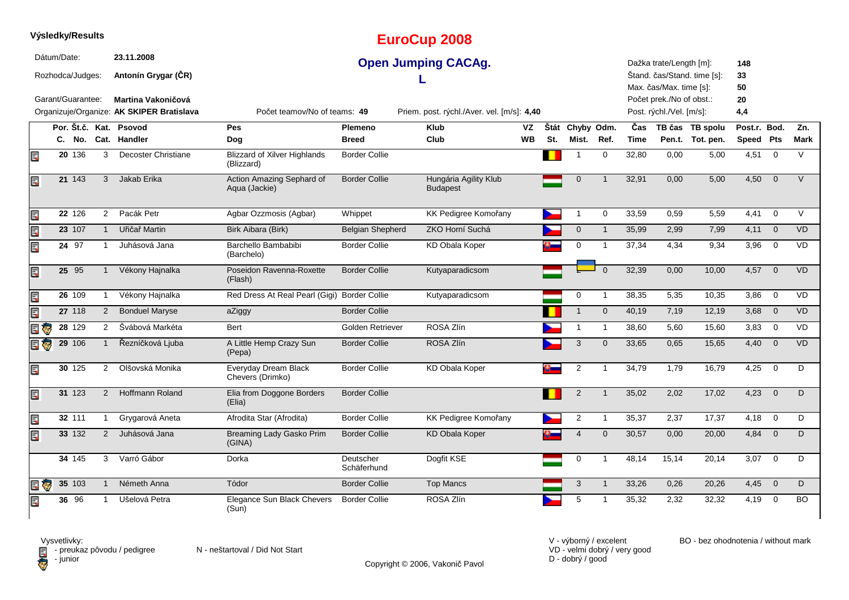|     |             | Výsledky/Results    |                |                                           |                                                   |                          | <b>EuroCup 2008</b>                        |           |     |                 |                |             |                                                    |                             |                 |                         |             |
|-----|-------------|---------------------|----------------|-------------------------------------------|---------------------------------------------------|--------------------------|--------------------------------------------|-----------|-----|-----------------|----------------|-------------|----------------------------------------------------|-----------------------------|-----------------|-------------------------|-------------|
|     | Dátum/Date: | Rozhodca/Judges:    |                | 23.11.2008<br>Antonín Grygar (ČR)         |                                                   |                          | <b>Open Jumping CACAg.</b>                 |           |     |                 |                |             | Dažka trate/Length [m]:<br>Max. čas/Max. time [s]: | Štand. čas/Stand. time [s]: | 148<br>33<br>50 |                         |             |
|     |             | Garant/Guarantee:   |                | Martina Vakoničová                        |                                                   |                          |                                            |           |     |                 |                |             | Počet prek./No of obst.:                           |                             | 20              |                         |             |
|     |             |                     |                | Organizuje/Organize: AK SKIPER Bratislava | Počet teamov/No of teams: 49                      |                          | Priem. post. rýchl./Aver. vel. [m/s]: 4,40 |           |     |                 |                |             | Post. rýchl./Vel. [m/s]:                           |                             | 4,4             |                         |             |
|     |             |                     |                | Por. Št.č. Kat. Psovod                    | Pes                                               | <b>Plemeno</b>           | <b>Klub</b>                                | VZ        |     | Štát Chyby Odm. |                | Čas         |                                                    | TB čas TB spolu             | Post.r. Bod.    |                         | Zn.         |
|     |             | C. No.              |                | Cat. Handler                              | Dog                                               | <b>Breed</b>             | Club                                       | <b>WB</b> | St. | Mist.           | Ref.           | <b>Time</b> |                                                    | Pen.t. Tot. pen.            | Speed Pts       |                         | <b>Mark</b> |
| E   |             | 20 136              | 3              | <b>Decoster Christiane</b>                | <b>Blizzard of Xilver Highlands</b><br>(Blizzard) | <b>Border Collie</b>     |                                            |           |     |                 | $\mathbf 0$    | 32,80       | 0,00                                               | 5,00                        | 4,51            | $\overline{0}$          | $\vee$      |
| Ę   |             | 21 143              | 3              | Jakab Erika                               | Action Amazing Sephard of<br>Aqua (Jackie)        | <b>Border Collie</b>     | Hungária Agility Klub<br><b>Budapest</b>   |           |     | $\mathbf 0$     | 1              | 32,91       | 0,00                                               | 5,00                        | 4,50            | $\mathbf{0}$            | $\vee$      |
| Ę   |             | 22 126              | $\mathbf{2}$   | Pacák Petr                                | Agbar Ozzmosis (Agbar)                            | Whippet                  | KK Pedigree Komořany                       |           |     | $\mathbf 1$     | 0              | 33,59       | 0,59                                               | 5,59                        | 4,41            | $\overline{0}$          | V           |
| Ę   |             | 23 107              | $\mathbf{1}$   | Uřičař Martin                             | Birk Aibara (Birk)                                | <b>Belgian Shepherd</b>  | ZKO Horní Suchá                            |           |     | $\mathbf 0$     | $\overline{1}$ | 35,99       | 2,99                                               | 7,99                        | $4,11 \ 0$      |                         | <b>VD</b>   |
| E   |             | 24 97               | -1             | Juhásová Jana                             | Barchello Bambabibi<br>(Barchelo)                 | <b>Border Collie</b>     | <b>KD Obala Koper</b>                      |           |     | 0               | $\overline{1}$ | 37,34       | 4,34                                               | 9,34                        | 3,96            | $\mathbf 0$             | <b>VD</b>   |
| Ę   |             | 25 95               | $\mathbf{1}$   | Vékony Hajnalka                           | Poseidon Ravenna-Roxette<br>(Flash)               | <b>Border Collie</b>     | Kutyaparadicsom                            |           |     |                 | $\Omega$       | 32,39       | 0,00                                               | 10,00                       | 4,57            | $\overline{0}$          | <b>VD</b>   |
| Ë,  |             | $26 \overline{109}$ | $\overline{1}$ | Vékony Hajnalka                           | Red Dress At Real Pearl (Gigi) Border Collie      |                          | Kutyaparadicsom                            |           |     | $\mathbf 0$     | $\overline{1}$ | 38,35       | 5,35                                               | 10,35                       | 3,86            | $\overline{0}$          | <b>VD</b>   |
| Ę   |             | 27 118              | $\overline{2}$ | <b>Bonduel Maryse</b>                     | aZiggy                                            | <b>Border Collie</b>     |                                            |           |     | $\mathbf{1}$    | $\mathbf{0}$   | 40,19       | 7,19                                               | 12,19                       | 3,68            | $\overline{\mathbf{0}}$ | <b>VD</b>   |
| 日で  |             | 28 129              | $\overline{2}$ | Švábová Markéta                           | Bert                                              | Golden Retriever         | ROSA Zlín                                  |           |     | $\mathbf{1}$    | $\mathbf{1}$   | 38,60       | 5,60                                               | 15,60                       | $3,83$ 0        |                         | <b>VD</b>   |
| e J |             | 29 106              | $\mathbf{1}$   | Řezníčková Ljuba                          | A Little Hemp Crazy Sun<br>(Pepa)                 | <b>Border Collie</b>     | ROSA Zlín                                  |           |     | 3               | $\mathbf 0$    | 33,65       | 0,65                                               | 15,65                       | 4,40            | $\overline{0}$          | <b>VD</b>   |
| E,  |             | 30 125              | $\overline{2}$ | Olšovská Monika                           | Everyday Dream Black<br>Chevers (Drimko)          | <b>Border Collie</b>     | <b>KD Obala Koper</b>                      |           |     | 2               |                | 34,79       | 1,79                                               | 16,79                       | 4,25            | $\mathbf 0$             | D           |
| Ę   |             | 31 123              | $\overline{2}$ | <b>Hoffmann Roland</b>                    | Elia from Doggone Borders<br>(Elia)               | <b>Border Collie</b>     |                                            |           |     | $\sqrt{2}$      | $\overline{1}$ | 35,02       | 2,02                                               | 17,02                       | 4,23            | $\overline{0}$          | D           |
| Ę   |             | 32 111              | -1             | Grygarová Aneta                           | Afrodita Star (Afrodita)                          | <b>Border Collie</b>     | KK Pedigree Komořany                       |           |     | $\overline{2}$  | -1             | 35,37       | 2,37                                               | 17,37                       | 4,18            | $\mathbf 0$             | D           |
| Ę   |             | 33 132              | 2              | Juhásová Jana                             | Breaming Lady Gasko Prim<br>(GINA)                | <b>Border Collie</b>     | <b>KD Obala Koper</b>                      |           |     | $\overline{4}$  | $\mathbf{0}$   | 30,57       | 0,00                                               | 20,00                       | 4,84            | $\overline{0}$          | D           |
|     |             | 34 145              | 3              | Varró Gábor                               | Dorka                                             | Deutscher<br>Schäferhund | Dogfit KSE                                 |           |     | $\mathbf 0$     | $\overline{1}$ | 48,14       | 15,14                                              | 20,14                       | $3,07$ 0        |                         | D           |
| E T |             | 35 103              | $\mathbf{1}$   | Németh Anna                               | Tódor                                             | <b>Border Collie</b>     | <b>Top Mancs</b>                           |           |     | 3               | $\mathbf{1}$   | 33,26       | 0,26                                               | 20,26                       | $4,45$ 0        |                         | D           |
| 買   |             | 36 96               | $\mathbf{1}$   | Ušelová Petra                             | Elegance Sun Black Chevers<br>(Sun)               | <b>Border Collie</b>     | ROSA Zlín                                  |           |     | 5               |                | 35,32       | 2,32                                               | 32,32                       | 4,19            | $\mathbf 0$             | <b>BO</b>   |

Vysvetlivky:<br>⊟ - preukaz pôvodu / pedigree N - neštartoval / Did Not Start **D** - junior

Copyright © 2006, Vakonič Pavol

VD - velmi dobrý / very good D - dobrý / good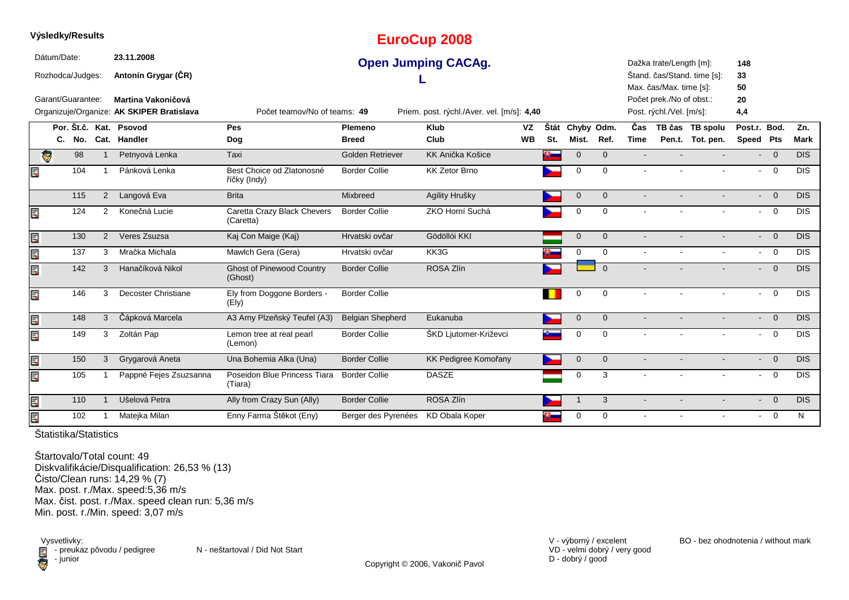|    |             | Výsledky/Results  |                |                                           |                                             |                         | <b>EuroCup 2008</b>                        |           |          |                |              |             |                          |                             |                           |                         |             |
|----|-------------|-------------------|----------------|-------------------------------------------|---------------------------------------------|-------------------------|--------------------------------------------|-----------|----------|----------------|--------------|-------------|--------------------------|-----------------------------|---------------------------|-------------------------|-------------|
|    | Dátum/Date: |                   |                | 23.11.2008                                |                                             |                         | <b>Open Jumping CACAg.</b>                 |           |          |                |              |             | Dažka trate/Length [m]:  |                             | 148                       |                         |             |
|    |             | Rozhodca/Judges:  |                | Antonín Grygar (ČR)                       |                                             |                         |                                            |           |          |                |              |             |                          | Štand. čas/Stand. time [s]: | 33                        |                         |             |
|    |             |                   |                |                                           |                                             |                         |                                            |           |          |                |              |             | Max. čas/Max. time [s]:  |                             | 50                        |                         |             |
|    |             | Garant/Guarantee: |                | Martina Vakoničová                        |                                             |                         |                                            |           |          |                |              |             | Počet prek./No of obst.: |                             | 20                        |                         |             |
|    |             |                   |                | Organizuje/Organize: AK SKIPER Bratislava | Počet teamov/No of teams: 49                |                         | Priem. post. rýchl./Aver. vel. [m/s]: 4,40 |           |          |                |              |             | Post. rýchl./Vel. [m/s]: |                             | 4,4                       |                         |             |
|    |             |                   |                | Por. Št.č. Kat. Psovod                    | <b>Pes</b>                                  | Plemeno                 | <b>Klub</b>                                | VZ        | Štát     | Chyby Odm.     |              | Čas         |                          | TB čas TB spolu             | Post.r. Bod.              |                         | Zn.         |
|    |             | C. No.            |                | Cat. Handler                              | Dog                                         | <b>Breed</b>            | Club                                       | <b>WB</b> | St.      | Mist.          | Ref.         | <b>Time</b> |                          | Pen.t. Tot. pen.            | Speed Pts                 |                         | <b>Mark</b> |
|    | $\bullet$   | 98                |                | Petnyová Lenka                            | Taxi                                        | Golden Retriever        | KK Anička Košice                           |           | a.       | $\mathbf 0$    | $\mathbf{0}$ |             |                          |                             |                           | $- 0$                   | <b>DIS</b>  |
| E, |             | 104               | 1              | Pánková Lenka                             | Best Choice od Zlatonosné<br>říčky (Indy)   | <b>Border Collie</b>    | <b>KK Zetor Brno</b>                       |           |          | 0              | $\mathbf 0$  |             |                          |                             | $\blacksquare$            | $\overline{0}$          | <b>DIS</b>  |
|    |             | 115               | $\overline{2}$ | Langová Eva                               | <b>Brita</b>                                | Mixbreed                | Agility Hrušky                             |           |          | $\mathbf 0$    | $\Omega$     |             |                          |                             |                           | $- 0$                   | <b>DIS</b>  |
| Ę  |             | 124               | 2              | Konečná Lucie                             | Caretta Crazy Black Chevers<br>(Caretta)    | <b>Border Collie</b>    | ZKO Horní Suchá                            |           |          | 0              | $\mathbf 0$  |             |                          |                             | $\blacksquare$            | $\overline{0}$          | <b>DIS</b>  |
| E  |             | 130               | $\overline{2}$ | Veres Zsuzsa                              | Kaj Con Maige (Kaj)                         | Hrvatski ovčar          | Gödöllói KKI                               |           |          | $\overline{0}$ | $\mathbf{0}$ |             |                          |                             |                           | $- 0$                   | DIS         |
| E  |             | 137               | 3              | Mračka Michala                            | Mawlch Gera (Gera)                          | Hrvatski ovčar          | KK3G                                       |           | a.       | 0              | $\mathbf 0$  | $\sim$      |                          |                             |                           | $- 0$                   | <b>DIS</b>  |
| E  |             | 142               | 3              | Hanačíková Nikol                          | <b>Ghost of Pinewood Country</b><br>(Ghost) | <b>Border Collie</b>    | ROSA Zlín                                  |           |          |                | $\Omega$     |             |                          |                             |                           | $- 0$                   | <b>DIS</b>  |
| E  |             | 146               | 3              | Decoster Christiane                       | Ely from Doggone Borders -<br>(Ely)         | <b>Border Collie</b>    |                                            |           |          | 0              | 0            |             |                          |                             | $\sim$                    | $\overline{\mathbf{0}}$ | <b>DIS</b>  |
| E  |             | 148               | 3              | Čápková Marcela                           | A3 Arny Plzeňský Teufel (A3)                | <b>Belgian Shepherd</b> | Eukanuba                                   |           |          | $\mathbf 0$    | $\mathbf 0$  |             |                          |                             |                           | $- 0$                   | <b>DIS</b>  |
| Ę  |             | 149               | 3              | Zoltán Pap                                | Lemon tree at real pearl<br>(Lemon)         | <b>Border Collie</b>    | ŠKD Ljutomer-Križevci                      |           |          | $\mathbf 0$    | $\mathbf 0$  |             |                          |                             |                           | $- 0$                   | <b>DIS</b>  |
| E  |             | 150               | 3              | Grygarová Aneta                           | Una Bohemia Alka (Una)                      | <b>Border Collie</b>    | KK Pedigree Komořany                       |           |          | $\mathbf 0$    | $\mathbf{0}$ |             |                          |                             | $\blacksquare$            | $\overline{0}$          | <b>DIS</b>  |
| Ę  |             | 105               |                | Pappné Fejes Zsuzsanna                    | Poseidon Blue Princess Tiara<br>(Tiara)     | <b>Border Collie</b>    | <b>DASZE</b>                               |           |          | 0              | 3            |             |                          |                             | $\sim$                    | $\overline{0}$          | <b>DIS</b>  |
| Ę  |             | 110               |                | Ušelová Petra                             | Ally from Crazy Sun (Ally)                  | <b>Border Collie</b>    | ROSA Zlín                                  |           |          |                | 3            |             |                          |                             | $\mathbf{L}^{\text{max}}$ | $\overline{0}$          | <b>DIS</b>  |
| E  |             | 102               |                | Matejka Milan                             | Enny Farma Štěkot (Eny)                     | Berger des Pyrenées     | KD Obala Koper                             |           | $\alpha$ | 0              | $\mathbf 0$  |             |                          |                             |                           | $- 0$                   | N           |

**Výsledky/Results**

Štartovalo/Total count: 49 Diskvalifikácie/Disqualification: 26,53 % (13) Čisto/Clean runs: 14,29 % (7) Max. post. r./Max. speed:5,36 m/s Max. čist. post. r./Max. speed clean run: 5,36 m/sMin. post. r./Min. speed: 3,07 m/s

Vysvetlivky:<br>External preuka:<br>Compunior preukaz pôvodu / pedigree N - neštartoval / Did Not Start - junior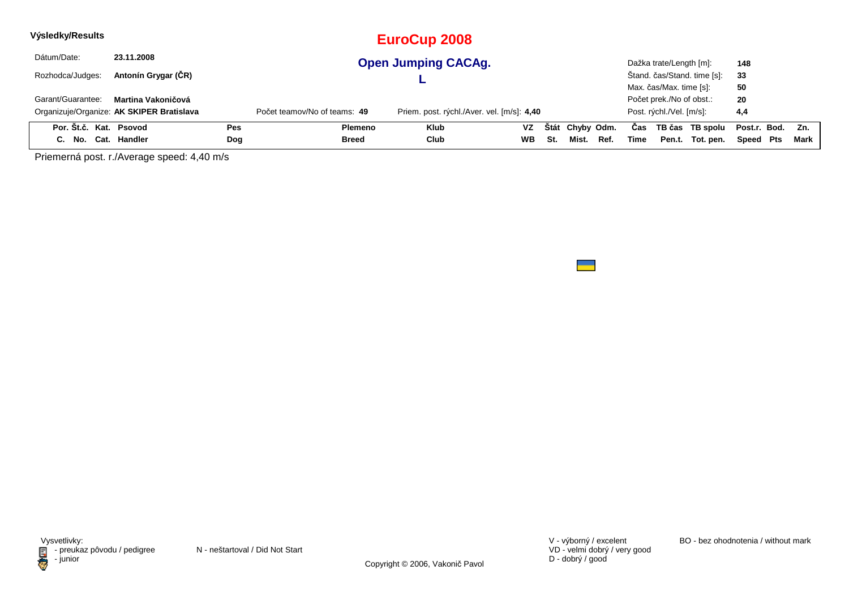| Výsledky/Results       |                                           |            |                              | EuroCup 2008                               |    |     |                 |      |      |                          |                             |                  |      |
|------------------------|-------------------------------------------|------------|------------------------------|--------------------------------------------|----|-----|-----------------|------|------|--------------------------|-----------------------------|------------------|------|
| Dátum/Date:            | 23.11.2008                                |            |                              | <b>Open Jumping CACAg.</b>                 |    |     |                 |      |      | Dažka trate/Length [m]:  |                             | 148              |      |
| Rozhodca/Judges:       | Antonín Grygar (ČR)                       |            |                              |                                            |    |     |                 |      |      |                          | Štand. čas/Stand. time [s]: | 33               |      |
|                        |                                           |            |                              |                                            |    |     |                 |      |      | Max. čas/Max. time [s]:  |                             | 50               |      |
| Garant/Guarantee:      | Martina Vakoničová                        |            |                              |                                            |    |     |                 |      |      | Počet prek./No of obst.: |                             | 20               |      |
|                        | Organizuje/Organize: AK SKIPER Bratislava |            | Počet teamov/No of teams: 49 | Priem. post. rýchl./Aver. vel. [m/s]: 4,40 |    |     |                 |      |      | Post. rýchl./Vel. [m/s]: |                             | 4,4              |      |
| Por. Št.č. Kat. Psovod |                                           | <b>Pes</b> | Plemeno                      | <b>Klub</b>                                | VZ |     | Štát Chyby Odm. |      | Cas  |                          | TB čas TB spolu             | Post.r. Bod. Zn. |      |
| C. No. Cat. Handler    |                                           | Dog        | Breed                        | Club                                       | WВ | St. | Mist.           | Ref. | Time |                          | Pen.t. Tot. pen.            | Speed Pts        | Mark |

Priemerná post. r./Average speed: 4,40 m/s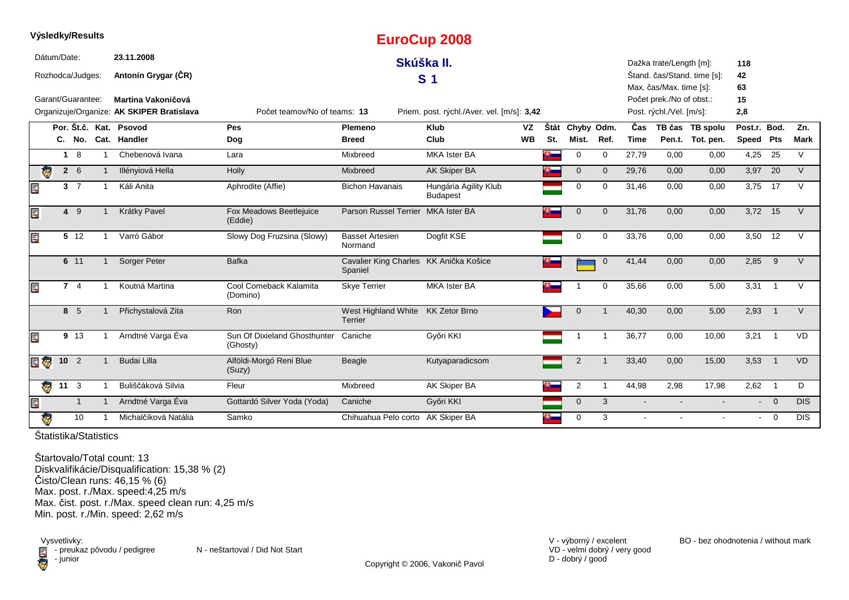|     |             | Výsledky/Results  |              |                                           |                                          |                                                   | <b>EuroCup 2008</b>                        |           |              |                |                |                |                          |                             |              |                |             |
|-----|-------------|-------------------|--------------|-------------------------------------------|------------------------------------------|---------------------------------------------------|--------------------------------------------|-----------|--------------|----------------|----------------|----------------|--------------------------|-----------------------------|--------------|----------------|-------------|
|     | Dátum/Date: |                   |              | 23.11.2008                                |                                          |                                                   | Skúška II.                                 |           |              |                |                |                | Dažka trate/Length [m]:  |                             | 118          |                |             |
|     |             | Rozhodca/Judges:  |              | Antonín Grygar (ČR)                       |                                          |                                                   | S <sub>1</sub>                             |           |              |                |                |                |                          | Štand. čas/Stand. time [s]: | 42           |                |             |
|     |             |                   |              |                                           |                                          |                                                   |                                            |           |              |                |                |                | Max. čas/Max. time [s]:  |                             | 63           |                |             |
|     |             | Garant/Guarantee: |              | Martina Vakoničová                        |                                          |                                                   |                                            |           |              |                |                |                | Počet prek./No of obst.: |                             | 15           |                |             |
|     |             |                   |              | Organizuje/Organize: AK SKIPER Bratislava | Počet teamov/No of teams: 13             |                                                   | Priem. post. rýchl./Aver. vel. [m/s]: 3,42 |           |              |                |                |                | Post. rýchl./Vel. [m/s]: |                             | 2,8          |                |             |
|     |             |                   |              | Por. Št.č. Kat. Psovod                    | Pes                                      | Plemeno                                           | <b>Klub</b>                                | VZ        | Štát         | Chyby Odm.     |                | Čas            |                          | TB čas TB spolu             | Post.r. Bod. |                | Zn.         |
|     |             |                   |              | C. No. Cat. Handler                       | Dog                                      | <b>Breed</b>                                      | Club                                       | <b>WB</b> | St.          | Mist.          | Ref.           | <b>Time</b>    |                          | Pen.t. Tot. pen.            | Speed Pts    |                | <b>Mark</b> |
|     |             | $1 \quad 8$       |              | Chebenová Ivana                           | Lara                                     | Mixbreed                                          | <b>MKA Ister BA</b>                        |           |              | $\Omega$       | $\mathbf 0$    | 27,79          | 0,00                     | 0,00                        | 4,25         | 25             | $\vee$      |
| ę.  |             | $2\quad 6$        |              | Illényiová Hella                          | Holly                                    | Mixbreed                                          | AK Skiper BA                               |           |              | $\mathbf 0$    | $\mathbf{0}$   | 29,76          | 0,00                     | 0,00                        | 3,97 20      |                | $\vee$      |
| Ę   |             | 3 <sub>7</sub>    |              | Káli Anita                                | Aphrodite (Affie)                        | <b>Bichon Havanais</b>                            | Hungária Agility Klub<br><b>Budapest</b>   |           |              | $\Omega$       | $\Omega$       | 31,46          | 0,00                     | 0,00                        | 3,75         | 17             | $\vee$      |
| Ę   |             | $4 \quad 9$       |              | Krátky Pavel                              | Fox Meadows Beetlejuice<br>(Eddie)       | Parson Russel Terrier                             | <b>MKA Ister BA</b>                        |           | ¢            | $\Omega$       | $\Omega$       | 31,76          | 0,00                     | 0,00                        | 3,72 15      |                | $\vee$      |
| Ę   |             | 5 <sub>12</sub>   |              | Varró Gábor                               | Slowy Dog Fruzsina (Slowy)               | <b>Basset Artesien</b><br>Normand                 | Dogfit KSE                                 |           |              | 0              | $\mathbf 0$    | 33,76          | 0,00                     | 0,00                        | 3,50         | 12             | $\vee$      |
|     |             | 6 11              |              | Sorger Peter                              | <b>Bafka</b>                             | Cavalier King Charles KK Anička Košice<br>Spaniel |                                            |           |              |                | $\mathbf 0$    | 41,44          | 0,00                     | 0,00                        | 2,85         | - 9            | $\vee$      |
| Ę   |             | 74                |              | Koutná Martina                            | Cool Comeback Kalamita<br>(Domino)       | <b>Skye Terrier</b>                               | <b>MKA Ister BA</b>                        |           | <u> Chan</u> |                | $\Omega$       | 35,66          | 0,00                     | 5,00                        | $3,31$ 1     |                | V           |
|     |             | 8 5               |              | Přichystalová Zita                        | Ron                                      | West Highland White KK Zetor Brno<br>Terrier      |                                            |           |              | $\Omega$       | $\overline{1}$ | 40,30          | 0,00                     | 5,00                        | 2,93         | $\overline{1}$ | $\vee$      |
| Ę   |             | 9 13              |              | Arndtné Varga Éva                         | Sun Of Dixieland Ghosthunter<br>(Ghosty) | Caniche                                           | Győri KKI                                  |           |              | -1             | -1             | 36,77          | 0,00                     | 10,00                       | 3,21         | $\overline{1}$ | <b>VD</b>   |
| e o |             | 10 <sub>2</sub>   |              | <b>Budai Lilla</b>                        | Alföldi-Morgó Reni Blue<br>(Suzy)        | Beagle                                            | Kutyaparadicsom                            |           |              | $\overline{2}$ | $\overline{1}$ | 33,40          | 0,00                     | 15,00                       | 3,53         | $\overline{1}$ | <b>VD</b>   |
| ę.  |             | $11 \quad 3$      |              | Buliščáková Silvia                        | Fleur                                    | Mixbreed                                          | AK Skiper BA                               |           |              | 2              | -1             | 44,98          | 2,98                     | 17,98                       | $2,62$ 1     |                | D           |
| Ę   |             | $\mathbf{1}$      | $\mathbf{1}$ | Arndtné Varga Éva                         | Gottardó Silver Yoda (Yoda)              | Caniche                                           | Győri KKI                                  |           |              | $\mathbf 0$    | 3              |                |                          |                             | $\sim$       | $\overline{0}$ | <b>DIS</b>  |
| Ŧ   |             | 10                |              | Michalčíková Natália                      | Samko                                    | Chihuahua Pelo corto AK Skiper BA                 |                                            |           |              | $\Omega$       | 3              | $\blacksquare$ |                          |                             |              | $-0$           | <b>DIS</b>  |

Štartovalo/Total count: 13 Diskvalifikácie/Disqualification: 15,38 % (2)Čisto/Clean runs: 46,15 % (6) Max. post. r./Max. speed:4,25 m/s Max. čist. post. r./Max. speed clean run: 4,25 m/sMin. post. r./Min. speed: 2,62 m/s

Vysvetlivky:<br>⊟ - preukaz pôvodu / pedigree N - neštartoval / Did Not Start preuka<br>Computer

Copyright © 2006, Vakonič Pavol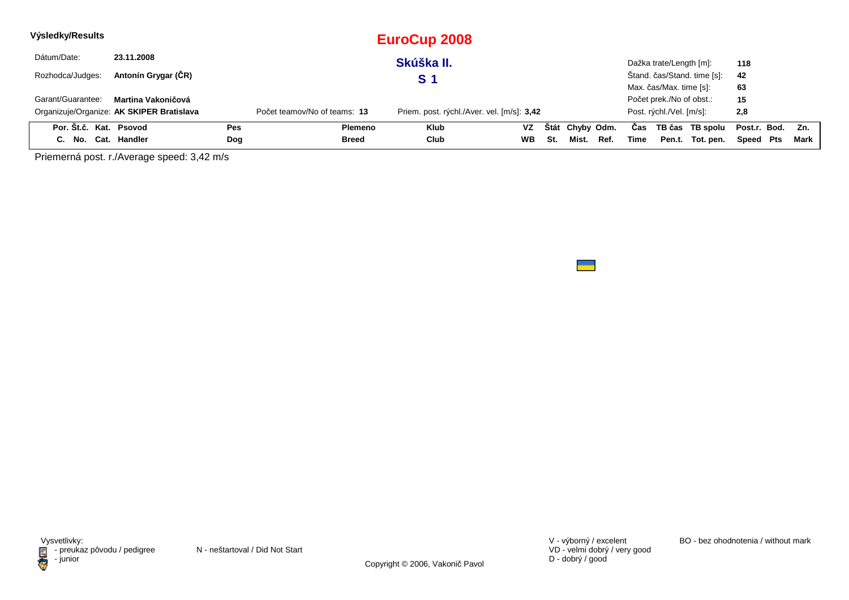| Výsledky/Results       |                                           |            |                              | <b>EuroCup 2008</b>                        |           |     |                 |      |      |                          |                             |              |     |        |
|------------------------|-------------------------------------------|------------|------------------------------|--------------------------------------------|-----------|-----|-----------------|------|------|--------------------------|-----------------------------|--------------|-----|--------|
| Dátum/Date:            | 23.11.2008                                |            |                              | Skúška II.                                 |           |     |                 |      |      | Dažka trate/Length [m]:  |                             | 118          |     |        |
| Rozhodca/Judges:       | Antonín Grygar (ČR)                       |            |                              | <b>S</b> 1                                 |           |     |                 |      |      |                          | Štand. čas/Stand. time [s]: | 42           |     |        |
|                        |                                           |            |                              |                                            |           |     |                 |      |      | Max. čas/Max. time [s]:  |                             | 63           |     |        |
| Garant/Guarantee:      | Martina Vakoničová                        |            |                              |                                            |           |     |                 |      |      | Počet prek./No of obst.: |                             | 15           |     |        |
|                        | Organizuje/Organize: AK SKIPER Bratislava |            | Počet teamov/No of teams: 13 | Priem. post. rýchl./Aver. vel. [m/s]: 3,42 |           |     |                 |      |      | Post. rýchl./Vel. [m/s]: |                             | 2,8          |     |        |
| Por. Št.č. Kat. Psovod |                                           | <b>Pes</b> | Plemeno                      | <b>Klub</b>                                | VZ        |     | Štát Chyby Odm. |      | Cas  |                          | TB čas TB spolu             | Post.r. Bod. |     | Zn.    |
| C. No. Cat. Handler    |                                           | Dog        | Breed                        | Club                                       | <b>WB</b> | St. | Mist.           | Ref. | Time | Pen.t.                   | Tot. pen.                   | Speed        | Pts | Mark I |

Priemerná post. r./Average speed: 3,42 m/s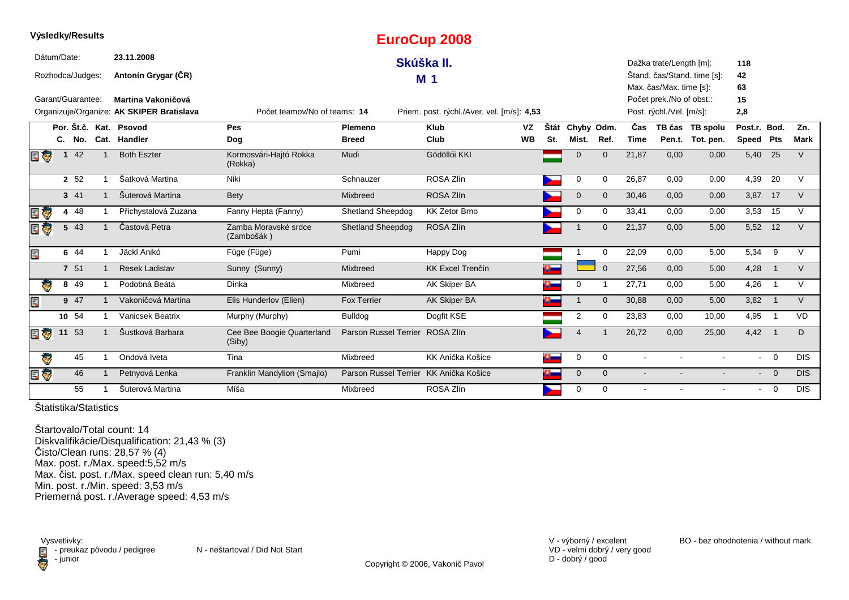|             |              | <b>Vysiedky/Results</b> |                                           |                                      |                                        | <b>EuroCup 2008</b>                        |           |                |                       |              |                |                          |                             |              |                         |             |
|-------------|--------------|-------------------------|-------------------------------------------|--------------------------------------|----------------------------------------|--------------------------------------------|-----------|----------------|-----------------------|--------------|----------------|--------------------------|-----------------------------|--------------|-------------------------|-------------|
| Dátum/Date: |              |                         | 23.11.2008                                |                                      |                                        | Skúška II.                                 |           |                |                       |              |                | Dažka trate/Length [m]:  |                             | 118          |                         |             |
|             |              | Rozhodca/Judges:        | Antonín Grygar (ČR)                       |                                      |                                        | M <sub>1</sub>                             |           |                |                       |              |                |                          | Štand. čas/Stand. time [s]: | 42           |                         |             |
|             |              |                         |                                           |                                      |                                        |                                            |           |                |                       |              |                | Max. čas/Max. time [s]:  |                             | 63           |                         |             |
|             |              | Garant/Guarantee:       | Martina Vakoničová                        |                                      |                                        |                                            |           |                |                       |              |                | Počet prek./No of obst.: |                             | 15           |                         |             |
|             |              |                         | Organizuje/Organize: AK SKIPER Bratislava | Počet teamov/No of teams: 14         |                                        | Priem. post. rýchl./Aver. vel. [m/s]: 4,53 |           |                |                       |              |                | Post. rýchl./Vel. [m/s]: |                             | 2,8          |                         |             |
|             |              |                         | Por. Št.č. Kat. Psovod                    | Pes                                  | Plemeno                                | <b>Klub</b>                                | <b>VZ</b> | Štát           | Chyby Odm.            |              | Čas            |                          | TB čas TB spolu             | Post.r. Bod. |                         | Zn.         |
|             |              |                         | C. No. Cat. Handler                       | Dog                                  | <b>Breed</b>                           | Club                                       | <b>WB</b> | St.            | Mist.                 | Ref.         | <b>Time</b>    |                          | Pen.t. Tot. pen.            | Speed Pts    |                         | <b>Mark</b> |
| E T         | $\mathbf{1}$ | 42                      | <b>Both Eszter</b>                        | Kormosvári-Hajtó Rokka<br>(Rokka)    | Mudi                                   | Gödöllói KKI                               |           |                | $\mathbf{0}$          | $\Omega$     | 21,87          | 0,00                     | 0,00                        | $5,40$ 25    |                         | $\vee$      |
|             |              | 2 52                    | Šatková Martina                           | Niki                                 | Schnauzer                              | ROSA Zlín                                  |           |                | 0                     | $\Omega$     | 26,87          | 0,00                     | 0,00                        | 4,39         | 20                      | $\vee$      |
|             |              | 3 41                    | Šuterová Martina                          | <b>Bety</b>                          | Mixbreed                               | ROSA Zlín                                  |           |                | $\mathbf 0$           | $\Omega$     | 30,46          | 0,00                     | 0,00                        | 3,87 17      |                         | $\vee$      |
|             |              | 4 48                    | Přichystalová Zuzana                      | Fanny Hepta (Fanny)                  | <b>Shetland Sheepdog</b>               | <b>KK Zetor Brno</b>                       |           |                | 0                     | 0            | 33,41          | 0,00                     | 0,00                        | 3,53 15      |                         | $\vee$      |
|             |              | 5 43                    | Častová Petra                             | Zamba Moravské srdce<br>(Zambošák)   | <b>Shetland Sheepdog</b>               | ROSA Zlín                                  |           |                |                       | $\Omega$     | 21,37          | 0.00                     | 5,00                        | 5,52 12      |                         | $\vee$      |
| Ę           |              | 6 44                    | Jäckl Anikó                               | Füge (Füge)                          | Pumi                                   | Happy Dog                                  |           |                |                       | $\mathbf 0$  | 22,09          | 0.00                     | 5,00                        | 5,34         | - 9                     | $\vee$      |
|             |              | 7 51                    | <b>Resek Ladislav</b>                     | Sunny (Sunny)                        | Mixbreed                               | <b>KK Excel Trenčín</b>                    |           |                |                       | $\Omega$     | 27,56          | 0,00                     | 5,00                        | 4,28         | $\overline{1}$          | $\vee$      |
| Ģ           |              | 8 4 9                   | Podobná Beáta                             | Dinka                                | Mixbreed                               | AK Skiper BA                               |           |                | 0                     |              | 27,71          | 0,00                     | 5,00                        | 4,26         | $\overline{1}$          | $\vee$      |
| Ę           |              | 9 47                    | Vakoničová Martina                        | Elis Hunderlov (Elien)               | <b>Fox Terrier</b>                     | AK Skiper BA                               |           |                |                       | $\Omega$     | 30,88          | 0,00                     | 5,00                        | 3,82         | $\overline{1}$          | $\vee$      |
|             |              | 10 54                   | Vanicsek Beatrix                          | Murphy (Murphy)                      | Bulldog                                | Dogfit KSE                                 |           |                | $\overline{2}$        | $\Omega$     | 23,83          | 0,00                     | 10,00                       | 4,95         | $\overline{\mathbf{1}}$ | <b>VD</b>   |
| E T         |              | 11 53                   | Šustková Barbara                          | Cee Bee Boogie Quarterland<br>(Siby) | Parson Russel Terrier ROSA Zlín        |                                            |           |                | $\boldsymbol{\Delta}$ |              | 26,72          | 0,00                     | 25,00                       | $4,42$ 1     |                         | D           |
| Ģ           |              | 45                      | Ondová Iveta                              | Tina                                 | Mixbreed                               | KK Anička Košice                           |           | $\mathbf{a}_-$ | 0                     | $\mathbf 0$  | $\sim$         |                          | $\sim$                      |              | $-0$                    | <b>DIS</b>  |
| ÌФ          |              | 46                      | Petnyová Lenka                            | Franklin Mandylion (Smajlo)          | Parson Russel Terrier KK Anička Košice |                                            |           |                | $\mathbf 0$           | $\mathbf{0}$ | $\blacksquare$ |                          |                             |              | $- 0$                   | <b>DIS</b>  |
|             |              | 55                      | Šuterová Martina                          | Míša                                 | Mixbreed                               | ROSA Zlín                                  |           |                | 0                     | $\Omega$     |                |                          |                             | $\sim$       | $\overline{0}$          | <b>DIS</b>  |

**Výsledky/Results**

Štartovalo/Total count: 14 Diskvalifikácie/Disqualification: 21,43 % (3)Čisto/Clean runs: 28,57 % (4) Max. post. r./Max. speed:5,52 m/s Max. čist. post. r./Max. speed clean run: 5,40 m/s Min. post. r./Min. speed: 3,53 m/sPriemerná post. r./Average speed: 4,53 m/s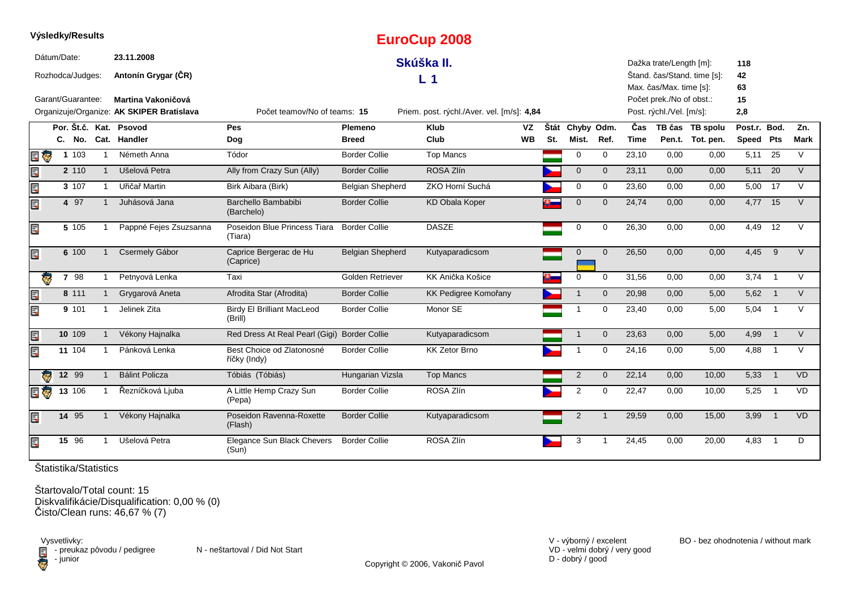|     | vysieaky/Results  |                     |                |                                           |                                              |                         | <b>EuroCup 2008</b>                        |           |     |                 |                |                    |                          |                             |              |                          |             |
|-----|-------------------|---------------------|----------------|-------------------------------------------|----------------------------------------------|-------------------------|--------------------------------------------|-----------|-----|-----------------|----------------|--------------------|--------------------------|-----------------------------|--------------|--------------------------|-------------|
|     | Dátum/Date:       |                     |                | 23.11.2008                                |                                              |                         | Skúška II.                                 |           |     |                 |                |                    | Dažka trate/Length [m]:  |                             | 118          |                          |             |
|     | Rozhodca/Judges:  |                     |                | Antonín Grygar (ČR)                       |                                              |                         | L <sub>1</sub>                             |           |     |                 |                |                    | Max. čas/Max. time [s]:  | Štand. čas/Stand. time [s]: | 42<br>63     |                          |             |
|     | Garant/Guarantee: |                     |                | Martina Vakoničová                        |                                              |                         |                                            |           |     |                 |                |                    | Počet prek./No of obst.: |                             | 15           |                          |             |
|     |                   |                     |                | Organizuje/Organize: AK SKIPER Bratislava | Počet teamov/No of teams: 15                 |                         | Priem. post. rýchl./Aver. vel. [m/s]: 4,84 |           |     |                 |                |                    | Post. rýchl./Vel. [m/s]: |                             | 2,8          |                          |             |
|     |                   |                     |                | Por. Št.č. Kat. Psovod                    | <b>Pes</b>                                   | <b>Plemeno</b>          | <b>Klub</b>                                | VZ        |     | Štát Chyby Odm. |                | Čas                |                          | TB čas TB spolu             | Post.r. Bod. |                          | Zn.         |
|     |                   |                     |                | C. No. Cat. Handler                       | Dog                                          | <b>Breed</b>            | Club                                       | <b>WB</b> | St. | Mist.           | Ref.           | <b>Time</b>        |                          | Pen.t. Tot. pen.            | Speed Pts    |                          | <b>Mark</b> |
| EŪ  |                   | 1 103               |                | Németh Anna                               | Tódor                                        | <b>Border Collie</b>    | <b>Top Mancs</b>                           |           |     | $\mathbf 0$     | $\Omega$       | $\overline{2}3,10$ | 0,00                     | 0,00                        | 5,11         | 25                       | $\vee$      |
| łы. |                   | 2 110               | $\overline{1}$ | Ušelová Petra                             | Ally from Crazy Sun (Ally)                   | <b>Border Collie</b>    | ROSA Zlín                                  |           |     | $\mathbf{0}$    | $\mathbf{0}$   | 23,11              | 0,00                     | 0,00                        | 5,11         | 20                       | V           |
| E   |                   | 3 107               | $\mathbf{1}$   | Uřičař Martin                             | Birk Aibara (Birk)                           | <b>Belgian Shepherd</b> | ZKO Horní Suchá                            |           |     | $\mathbf 0$     | $\mathbf 0$    | 23,60              | 0.00                     | 0,00                        | 5,00         | 17                       | $\vee$      |
| E   |                   | 4 97                |                | Juhásová Jana                             | Barchello Bambabibi<br>(Barchelo)            | <b>Border Collie</b>    | <b>KD Obala Koper</b>                      |           |     | $\mathbf 0$     | $\mathbf 0$    | 24,74              | 0,00                     | 0,00                        | $4,77$ 15    |                          | $\vee$      |
| E   |                   | 5 105               |                | Pappné Fejes Zsuzsanna                    | Poseidon Blue Princess Tiara<br>(Tiara)      | <b>Border Collie</b>    | <b>DASZE</b>                               |           |     | 0               | 0              | 26,30              | 0,00                     | 0,00                        | 4,49         | 12                       | $\vee$      |
| E   |                   | 6 100               |                | Csermely Gábor                            | Caprice Bergerac de Hu<br>(Caprice)          | <b>Belgian Shepherd</b> | Kutyaparadicsom                            |           |     | $\mathbf 0$     | $\overline{0}$ | 26,50              | 0,00                     | 0,00                        | 4,45         | $\overline{9}$           | $\vee$      |
|     |                   | 7 98                |                | Petnyová Lenka                            | Taxi                                         | Golden Retriever        | KK Anička Košice                           |           |     | $\mathbf 0$     | $\mathbf 0$    | 31,56              | 0,00                     | 0,00                        | $3,74$ 1     |                          | $\vee$      |
| E   |                   | 8 111               |                | Grygarová Aneta                           | Afrodita Star (Afrodita)                     | <b>Border Collie</b>    | KK Pedigree Komořany                       |           |     |                 | $\mathbf 0$    | 20,98              | 0,00                     | 5,00                        | 5,62         |                          | $\vee$      |
| Er  |                   | 9 101               |                | Jelinek Zita                              | <b>Birdy El Brilliant MacLeod</b><br>(Brill) | <b>Border Collie</b>    | Monor SE                                   |           |     | $\overline{1}$  | $\mathbf 0$    | 23,40              | 0,00                     | 5,00                        | $5,04$ 1     |                          | $\vee$      |
| E   |                   | 10 109              |                | Vékony Hajnalka                           | Red Dress At Real Pearl (Gigi) Border Collie |                         | Kutyaparadicsom                            |           |     | $\overline{1}$  | $\mathbf{0}$   | 23,63              | 0,00                     | 5,00                        | 4,99         | $\overline{1}$           | $\vee$      |
| E   |                   | 11 104              |                | Pánková Lenka                             | Best Choice od Zlatonosné<br>říčky (Indy)    | <b>Border Collie</b>    | <b>KK Zetor Brno</b>                       |           |     |                 | $\mathbf 0$    | 24,16              | 0,00                     | 5,00                        | 4,88         | $\overline{\mathbf{1}}$  | $\vee$      |
|     | G                 | $12 \quad 99$       |                | <b>Bálint Policza</b>                     | Tóbiás (Tóbiás)                              | Hungarian Vizsla        | <b>Top Mancs</b>                           |           |     | $\overline{2}$  | $\mathbf{0}$   | 22,14              | 0,00                     | 10,00                       | 5,33         | $\overline{\phantom{0}}$ | VD          |
| 目家  |                   | $13 \overline{106}$ |                | Řezníčková Ljuba                          | A Little Hemp Crazy Sun<br>(Pepa)            | <b>Border Collie</b>    | ROSA Zlín                                  |           |     | 2               | $\mathbf 0$    | 22,47              | 0,00                     | 10,00                       | 5,25         | -1                       | VD          |
| E   |                   | 14 95               |                | Vékony Hajnalka                           | Poseidon Ravenna-Roxette<br>(Flash)          | <b>Border Collie</b>    | Kutyaparadicsom                            |           |     | $\overline{2}$  |                | 29,59              | 0,00                     | 15,00                       | 3,99         | $\overline{1}$           | <b>VD</b>   |
| E   |                   | 15 96               |                | Ušelová Petra                             | Elegance Sun Black Chevers<br>(Sun)          | <b>Border Collie</b>    | ROSA Zlín                                  |           |     | 3               |                | 24,45              | 0,00                     | 20,00                       | 4,83         | $\overline{1}$           | D           |

**Výsledky/Results**

Štartovalo/Total count: 15 Diskvalifikácie/Disqualification: 0,00 % (0) Čisto/Clean runs: 46,67 % (7)

Vysvetlivky:<br>⊟ - preukaz pôvodu / pedigree N - neštartoval / Did Not Start **D** - junior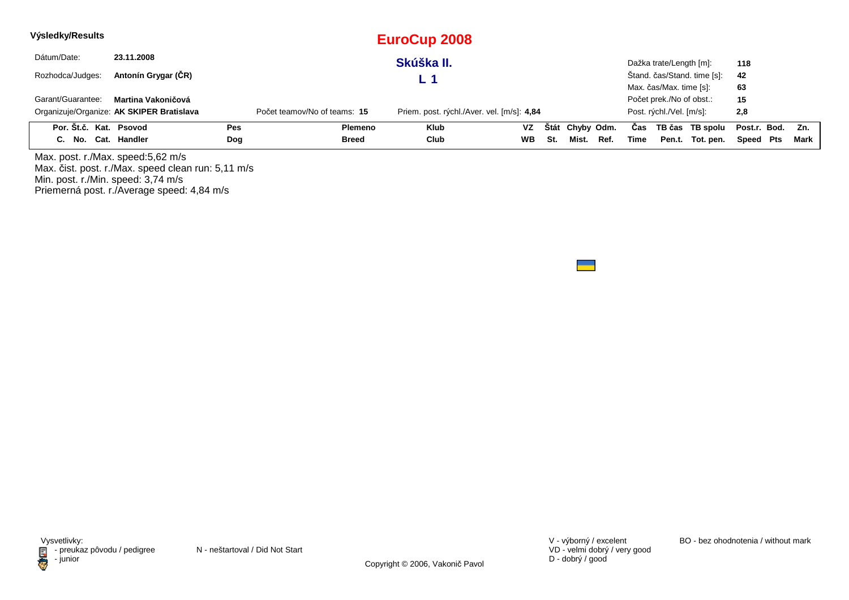| Výsledky/Results       |                                           |     |                              | EuroCup 2008                               |           |     |                 |      |      |                          |                             |                  |      |
|------------------------|-------------------------------------------|-----|------------------------------|--------------------------------------------|-----------|-----|-----------------|------|------|--------------------------|-----------------------------|------------------|------|
| Dátum/Date:            | 23.11.2008                                |     |                              | Skúška II.                                 |           |     |                 |      |      | Dažka trate/Length [m]:  |                             | 118              |      |
| Rozhodca/Judges:       | Antonín Grygar (ČR)                       |     |                              | L 1                                        |           |     |                 |      |      |                          | Štand. čas/Stand. time [s]: | 42               |      |
|                        |                                           |     |                              |                                            |           |     |                 |      |      | Max. čas/Max. time [s]:  |                             | 63               |      |
| Garant/Guarantee:      | Martina Vakoničová                        |     |                              |                                            |           |     |                 |      |      | Počet prek./No of obst.: |                             | 15               |      |
|                        | Organizuje/Organize: AK SKIPER Bratislava |     | Počet teamov/No of teams: 15 | Priem. post. rýchl./Aver. vel. [m/s]: 4,84 |           |     |                 |      |      | Post. rýchl./Vel. [m/s]: |                             | 2,8              |      |
| Por. Št.č. Kat. Psovod |                                           | Pes | Plemeno                      | <b>Klub</b>                                | VZ.       |     | Štát Chyby Odm. |      | Cas  |                          | TB čas TB spolu             | Post.r. Bod. Zn. |      |
| C. No. Cat. Handler    |                                           | Dog | <b>Breed</b>                 | Club                                       | <b>WB</b> | -St | Mist.           | Ref. | Time |                          | Pen.t. Tot. pen.            | Speed Pts        | Mark |

Max. post. r./Max. speed:5,62 m/sMax. čist. post. r./Max. speed clean run: 5,11 m/s Min. post. r./Min. speed: 3,74 m/s Priemerná post. r./Average speed: 4,84 m/s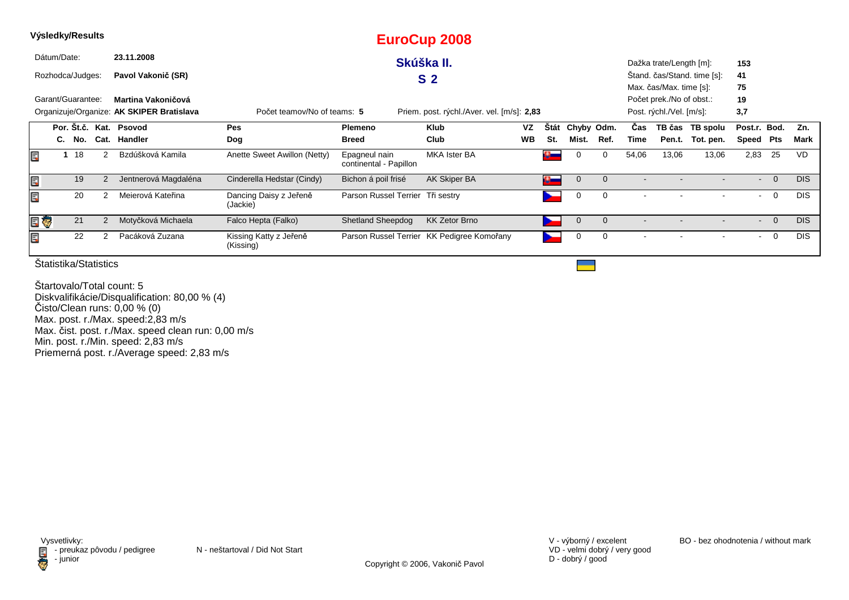|     |             | Výsledky/Results                                                                                                       |      |                        |                                     |                                         | <b>EuroCup 2008</b>                        |           |              |             |                |       |                          |                             |                          |                |            |
|-----|-------------|------------------------------------------------------------------------------------------------------------------------|------|------------------------|-------------------------------------|-----------------------------------------|--------------------------------------------|-----------|--------------|-------------|----------------|-------|--------------------------|-----------------------------|--------------------------|----------------|------------|
|     | Dátum/Date: |                                                                                                                        |      | 23.11.2008             |                                     |                                         | Skúška II.                                 |           |              |             |                |       | Dažka trate/Length [m]:  |                             | 153                      |                |            |
|     |             | Rozhodca/Judges:                                                                                                       |      | Pavol Vakonič (SR)     |                                     |                                         | S <sub>2</sub>                             |           |              |             |                |       |                          | Stand. čas/Stand. time [s]: | 41                       |                |            |
|     |             |                                                                                                                        |      |                        |                                     |                                         |                                            |           |              |             |                |       | Max. čas/Max. time [s]:  |                             | 75                       |                |            |
|     |             | Garant/Guarantee:                                                                                                      |      | Martina Vakoničová     |                                     |                                         |                                            |           |              |             |                |       | Počet prek./No of obst.: |                             | 19                       |                |            |
|     |             | Organizuje/Organize: AK SKIPER Bratislava<br>Počet teamov/No of teams: 5<br>Priem. post. rýchl./Aver. vel. [m/s]: 2,83 |      |                        |                                     |                                         |                                            |           |              |             |                |       | Post. rýchl./Vel. [m/s]: |                             | 3,7                      |                |            |
|     |             |                                                                                                                        |      | Por. Št.č. Kat. Psovod | Pes                                 | <b>Plemeno</b>                          | <b>Klub</b>                                | VZ        | Stát         | Chyby Odm.  |                | Cas   | TB čas                   | TB spolu                    | Post.r. Bod.             |                | Zn.        |
|     | C.          | No.                                                                                                                    | Cat. | Handler                | Dog                                 | <b>Breed</b>                            | Club                                       | <b>WB</b> | St.          | Mist.       | Ref.           | Time  | Pen.t.                   | Tot. pen.                   | Speed                    | Pts            | Mark       |
| Ē,  |             | 18                                                                                                                     |      | Bzdúšková Kamila       | Anette Sweet Awillon (Netty)        | Epagneul nain<br>continental - Papillon | <b>MKA Ister BA</b>                        |           | o –          |             | 0              | 54,06 | 13,06                    | 13,06                       | 2,83                     | 25             | <b>VD</b>  |
| Ę   |             | 19                                                                                                                     |      | Jentnerová Magdaléna   | Cinderella Hedstar (Cindy)          | Bichon á poil frisé                     | AK Skiper BA                               |           | $\mathbf{u}$ | $\mathbf 0$ | $\mathbf{0}$   |       |                          |                             | $\blacksquare$           | $\overline{0}$ | DIS.       |
| E   |             | 20                                                                                                                     |      | Meierová Kateřina      | Dancing Daisy z Jeřeně<br>(Jackie)  | Parson Russel Terrier Tři sestry        |                                            |           |              | 0           | 0              |       |                          |                             | $\blacksquare$           | 0              | <b>DIS</b> |
| e U |             | 21                                                                                                                     |      | Motyčková Michaela     | Falco Hepta (Falko)                 | <b>Shetland Sheepdog</b>                | <b>KK Zetor Brno</b>                       |           |              | $\mathbf 0$ | $\overline{0}$ |       |                          |                             | $\overline{\phantom{a}}$ | $\overline{0}$ | DIS.       |
| E   |             | 22                                                                                                                     | 2    | Pacáková Zuzana        | Kissing Katty z Jeřeně<br>(Kissing) |                                         | Parson Russel Terrier KK Pedigree Komořany |           |              | 0           | 0              |       |                          |                             | $\blacksquare$           | 0              | <b>DIS</b> |

Štartovalo/Total count: 5 Diskvalifikácie/Disqualification: 80,00 % (4)Čisto/Clean runs: 0,00 % (0) Max. post. r./Max. speed:2,83 m/sMax. čist. post. r./Max. speed clean run: 0,00 m/s Min. post. r./Min. speed: 2,83 m/s Priemerná post. r./Average speed: 2,83 m/s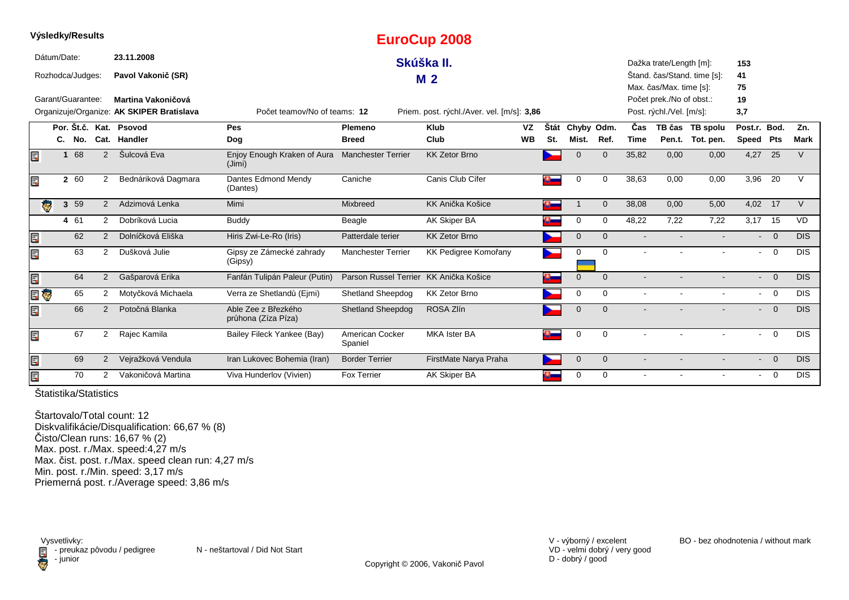|   |             |                   |                |                                           |                                            |                                        | <b>EUIOCUP ZUVO</b>                        |           |                |              |                |       |                          |                             |                |                         |             |
|---|-------------|-------------------|----------------|-------------------------------------------|--------------------------------------------|----------------------------------------|--------------------------------------------|-----------|----------------|--------------|----------------|-------|--------------------------|-----------------------------|----------------|-------------------------|-------------|
|   | Dátum/Date: |                   |                | 23.11.2008                                |                                            |                                        | Skúška II.                                 |           |                |              |                |       | Dažka trate/Length [m]:  |                             | 153            |                         |             |
|   |             | Rozhodca/Judges:  |                | Pavol Vakonič (SR)                        |                                            |                                        | M <sub>2</sub>                             |           |                |              |                |       |                          | Štand. čas/Stand. time [s]: | 41             |                         |             |
|   |             |                   |                |                                           |                                            |                                        |                                            |           |                |              |                |       | Max. čas/Max. time [s]:  |                             | 75             |                         |             |
|   |             | Garant/Guarantee: |                | Martina Vakoničová                        |                                            |                                        |                                            |           |                |              |                |       | Počet prek./No of obst.: |                             | 19             |                         |             |
|   |             |                   |                | Organizuje/Organize: AK SKIPER Bratislava | Počet teamov/No of teams: 12               |                                        | Priem. post. rýchl./Aver. vel. [m/s]: 3,86 |           |                |              |                |       | Post. rýchl./Vel. [m/s]: |                             | 3,7            |                         |             |
|   |             |                   |                | Por. Št.č. Kat. Psovod                    | Pes                                        | Plemeno                                | <b>Klub</b>                                | VZ        | Štát           | Chyby Odm.   |                | Čas   |                          | TB čas TB spolu             | Post.r. Bod.   |                         | Zn.         |
|   |             | C. No.            |                | Cat. Handler                              | Dog                                        | <b>Breed</b>                           | Club                                       | <b>WB</b> | St.            | Mist.        | Ref.           | Time  | Pen.t.                   | Tot. pen.                   | Speed Pts      |                         | <b>Mark</b> |
|   | 1           | 68                | $\overline{2}$ | Šulcová Eva                               | Enjoy Enough Kraken of Aura<br>(Jimi)      | <b>Manchester Terrier</b>              | <b>KK Zetor Brno</b>                       |           |                | $\Omega$     | $\mathbf{0}$   | 35,82 | 0,00                     | 0,00                        | 4,27           | 25                      | V           |
|   |             | 2 60              | 2              | Bednáriková Dagmara                       | Dantes Edmond Mendy<br>(Dantes)            | Caniche                                | Canis Club Cífer                           |           | $\mathbf{a}_-$ | 0            | 0              | 38,63 | 0,00                     | 0,00                        | 3,96           | 20                      | $\vee$      |
|   | ę.          | 3 59              | $\overline{2}$ | Adzimová Lenka                            | Mimi                                       | <b>Mixbreed</b>                        | KK Anička Košice                           |           | $\bullet$      |              | $\mathbf{0}$   | 38,08 | 0,00                     | 5,00                        | 4,02 17        |                         | $\vee$      |
|   |             | 4 61              | $\overline{2}$ | Dobríková Lucia                           | Buddy                                      | Beagle                                 | AK Skiper BA                               |           |                | 0            | $\mathbf 0$    | 48,22 | 7,22                     | 7,22                        | 3,17 15        |                         | <b>VD</b>   |
| E |             | 62                | 2              | Dolníčková Eliška                         | Hiris Zwi-Le-Ro (Iris)                     | Patterdale terier                      | <b>KK Zetor Brno</b>                       |           |                | $\mathbf 0$  | $\mathbf{0}$   |       |                          |                             | $\blacksquare$ | $\overline{0}$          | <b>DIS</b>  |
|   |             | 63                | $\overline{2}$ | Dušková Julie                             | Gipsy ze Zámecké zahrady<br>(Gipsy)        | <b>Manchester Terrier</b>              | KK Pedigree Komořany                       |           | ∼              | 0            | $\mathbf 0$    |       |                          |                             | $\blacksquare$ | $\overline{\mathbf{0}}$ | <b>DIS</b>  |
| E |             | 64                | $\overline{2}$ | Gašparová Erika                           | Fanfán Tulipán Paleur (Putin)              | Parson Russel Terrier KK Anička Košice |                                            |           | ą              | $\mathbf{0}$ | $\mathbf{0}$   |       |                          |                             | $\sim$         | $\overline{0}$          | DIS.        |
|   | Ģ           | 65                | $\overline{2}$ | Motyčková Michaela                        | Verra ze Shetlandů (Ejmi)                  | <b>Shetland Sheepdog</b>               | <b>KK Zetor Brno</b>                       |           |                | $\Omega$     | $\Omega$       |       |                          |                             | $\sim$         | $\overline{0}$          | <b>DIS</b>  |
| Ę |             | 66                | $\overline{2}$ | Potočná Blanka                            | Able Zee z Březkého<br>průhona (Zíza Píza) | <b>Shetland Sheepdog</b>               | ROSA Zlín                                  |           |                | $\mathbf 0$  | $\mathbf{0}$   |       |                          |                             | $\blacksquare$ | $\Omega$                | <b>DIS</b>  |
| E |             | 67                | $\overline{2}$ | Rajec Kamila                              | Bailey Fileck Yankee (Bay)                 | American Cocker<br>Spaniel             | <b>MKA Ister BA</b>                        |           | o.             | 0            | $\mathbf 0$    |       |                          |                             | $\blacksquare$ | 0                       | <b>DIS</b>  |
| E |             | 69                | $\overline{2}$ | Vejražková Vendula                        | Iran Lukovec Bohemia (Iran)                | <b>Border Terrier</b>                  | FirstMate Narya Praha                      |           |                | $\mathbf 0$  | $\overline{0}$ |       |                          |                             | $\sim$         | $\overline{0}$          | <b>DIS</b>  |
|   |             | 70                | $\overline{2}$ | Vakoničová Martina                        | Viva Hunderlov (Vivien)                    | <b>Fox Terrier</b>                     | AK Skiper BA                               |           |                | 0            | 0              |       |                          |                             | $\blacksquare$ | 0                       | <b>DIS</b>  |

**EuroCup 2008**

Štatistika/Statistics

**Výsledky/Results**

Štartovalo/Total count: 12 Diskvalifikácie/Disqualification: 66,67 % (8)Čisto/Clean runs: 16,67 % (2) Max. post. r./Max. speed:4,27 m/s Max. čist. post. r./Max. speed clean run: 4,27 m/sMin. post. r./Min. speed: 3,17 m/s Priemerná post. r./Average speed: 3,86 m/s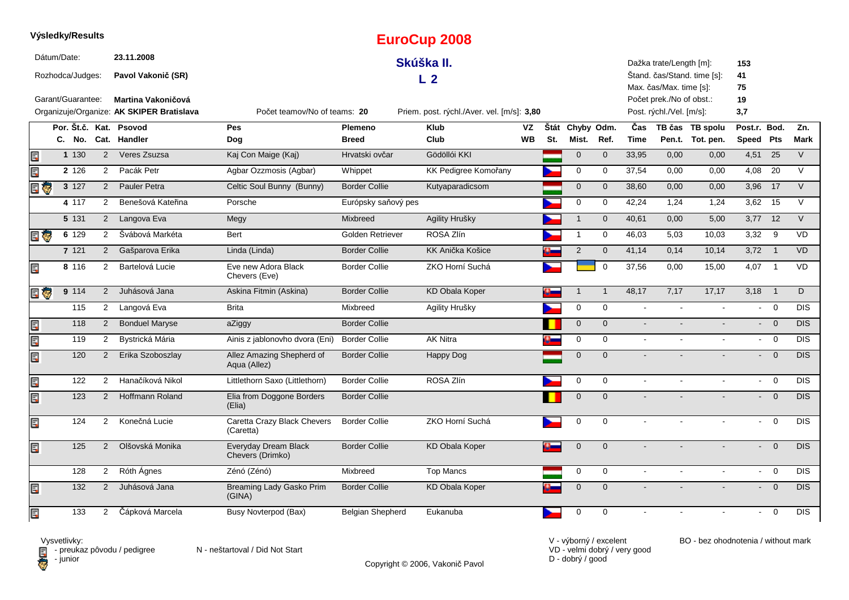|          | Výsledky/Results   |                |                                           |                                                                            |                      | <b>EuroCup 2008</b>     |           |     |                 |              |             |                          |                             |                             |                 |             |
|----------|--------------------|----------------|-------------------------------------------|----------------------------------------------------------------------------|----------------------|-------------------------|-----------|-----|-----------------|--------------|-------------|--------------------------|-----------------------------|-----------------------------|-----------------|-------------|
|          | Dátum/Date:        |                | 23.11.2008                                |                                                                            |                      | Skúška II.              |           |     |                 |              |             | Dažka trate/Length [m]:  |                             | 153                         |                 |             |
|          | Rozhodca/Judges:   |                | Pavol Vakonič (SR)                        |                                                                            |                      | L <sub>2</sub>          |           |     |                 |              |             |                          | Stand. čas/Stand. time [s]: | 41                          |                 |             |
|          |                    |                |                                           |                                                                            |                      |                         |           |     |                 |              |             | Max. čas/Max. time [s]:  |                             | 75                          |                 |             |
|          | Garant/Guarantee:  |                | <b>Martina Vakoničová</b>                 |                                                                            |                      |                         |           |     |                 |              |             | Počet prek./No of obst.: |                             | 19                          |                 |             |
|          |                    |                | Organizuje/Organize: AK SKIPER Bratislava | Počet teamov/No of teams: 20<br>Priem. post. rýchl./Aver. vel. [m/s]: 3,80 |                      |                         |           |     |                 |              |             | Post. rýchl./Vel. [m/s]: |                             | 3,7                         |                 |             |
|          |                    |                | Por. Št.č. Kat. Psovod                    | <b>Pes</b>                                                                 | Plemeno              | <b>Klub</b>             | VZ        |     | Štát Chyby Odm. |              | Čas         |                          | TB čas TB spolu             | Post.r. Bod.                |                 | Zn.         |
|          | C. No.             |                | Cat. Handler                              | Dog                                                                        | <b>Breed</b>         | Club                    | <b>WB</b> | St. | Mist.           | Ref.         | <b>Time</b> |                          | Pen.t. Tot. pen.            | Speed Pts                   |                 | <b>Mark</b> |
| E        | 1 130              | $\overline{2}$ | Veres Zsuzsa                              | Kaj Con Maige (Kaj)                                                        | Hrvatski ovčar       | Gödöllói KKI            |           |     | $\mathbf{0}$    | $\mathbf{0}$ | 33.95       | 0,00                     | 0,00                        | $4,51$ 25                   |                 | $\vee$      |
| E        | 2 1 2 6            | $\overline{2}$ | Pacák Petr                                | Agbar Ozzmosis (Agbar)                                                     | Whippet              | KK Pedigree Komořany    |           |     | $\mathbf 0$     | $\mathbf 0$  | 37,54       | 0,00                     | 0,00                        | 4,08                        | $\overline{20}$ | $\vee$      |
| ą,       | 3 127              | 2              | Pauler Petra                              | Celtic Soul Bunny (Bunny)                                                  | <b>Border Collie</b> | Kutyaparadicsom         |           |     | $\mathbf 0$     | $\mathbf 0$  | 38,60       | 0,00                     | 0,00                        | 3,96                        | 17              | $\vee$      |
|          | 4 117              | $\overline{2}$ | Benešová Kateřina                         | Porsche                                                                    | Európsky saňový pes  |                         |           |     | $\mathbf 0$     | $\mathbf 0$  | 42,24       | 1,24                     | 1,24                        | $3,62$ 15                   |                 | $\vee$      |
|          | 5 131              | $\overline{2}$ | Langova Eva                               | Megy                                                                       | <b>Mixbreed</b>      | Agility Hrušky          |           |     | $\mathbf{1}$    | $\mathbf{0}$ | 40,61       | 0,00                     | 5,00                        | $3,77$ 12                   |                 | $\vee$      |
| <b>I</b> | $6 \overline{129}$ | $\overline{2}$ | Švábová Markéta                           | Bert                                                                       | Golden Retriever     | ROSA Zlín               |           |     | 1               | $\mathbf 0$  | 46,03       | 5,03                     | 10,03                       | 3,32                        | $\overline{9}$  | VD          |
|          | 7 121              | 2              | Gašparova Erika                           | Linda (Linda)                                                              | <b>Border Collie</b> | <b>KK Anička Košice</b> |           |     | $\sqrt{2}$      | $\mathbf 0$  | 41,14       | 0,14                     | 10,14                       | 3,72                        | $\overline{1}$  | <b>VD</b>   |
| Ę        | 8 116              | $\overline{2}$ | Bartelová Lucie                           | Eve new Adora Black<br>Chevers (Eve)                                       | <b>Border Collie</b> | ZKO Horní Suchá         |           |     |                 | $\mathbf 0$  | 37,56       | 0,00                     | 15,00                       | 4,07                        | $\overline{1}$  | VD          |
| l Ç.     | 9 114              | 2              | Juhásová Jana                             | Askina Fitmin (Askina)                                                     | <b>Border Collie</b> | <b>KD Obala Koper</b>   |           |     | $\mathbf 1$     | $\mathbf{1}$ | 48,17       | 7,17                     | 17,17                       | 3,18                        | $\overline{1}$  | D           |
|          | 115                | $\overline{2}$ | Langová Eva                               | <b>Brita</b>                                                               | Mixbreed             | Agility Hrušky          |           |     | $\mathbf 0$     | $\mathbf 0$  | $\sim$      |                          |                             | $\sim$                      | $\overline{0}$  | <b>DIS</b>  |
| E        | 118                | 2              | <b>Bonduel Maryse</b>                     | aZiggy                                                                     | <b>Border Collie</b> |                         |           |     | $\mathbf 0$     | $\mathbf 0$  | $\omega$    |                          |                             | $\mathcal{L}^{\mathcal{L}}$ | $\overline{0}$  | <b>DIS</b>  |
| E        | 119                | $\overline{2}$ | Bystrická Mária                           | Ainis z jablonovho dvora (Eni)                                             | <b>Border Collie</b> | <b>AK Nitra</b>         |           |     | 0               | $\mathbf 0$  | $\sim$      |                          |                             | $\sim$                      | $\mathbf 0$     | <b>DIS</b>  |
| E        | 120                | $2^{\circ}$    | Erika Szoboszlay                          | Allez Amazing Shepherd of<br>Aqua (Allez)                                  | <b>Border Collie</b> | <b>Happy Dog</b>        |           |     | $\mathbf{0}$    | $\mathbf{0}$ | $\sim$      |                          |                             | $\mathbf{L}^{\text{max}}$   | $\overline{0}$  | DIS.        |
| Ę        | 122                | 2              | Hanačíková Nikol                          | Littlethorn Saxo (Littlethorn)                                             | <b>Border Collie</b> | ROSA Zlín               |           |     | 0               | $\mathbf 0$  | $\sim$      | $\mathbf{r}$             | $\mathbf{r}$                | $\sim$                      | $\overline{0}$  | <b>DIS</b>  |
| E        | 123                | $\overline{2}$ | Hoffmann Roland                           | Elia from Doggone Borders<br>(Elia)                                        | <b>Border Collie</b> |                         |           |     | $\mathbf 0$     | $\mathbf{0}$ |             |                          |                             | $\sim$                      | $\overline{0}$  | DIS         |
| Ę        | 124                | $2^{\circ}$    | Konečná Lucie                             | Caretta Crazy Black Chevers<br>(Caretta)                                   | <b>Border Collie</b> | ZKO Horní Suchá         |           |     | $\mathbf 0$     | $\mathbf 0$  |             |                          |                             | $\sim$                      | $\overline{0}$  | <b>DIS</b>  |
| Ę        | 125                | $\overline{2}$ | Olšovská Monika                           | Everyday Dream Black<br>Chevers (Drimko)                                   | <b>Border Collie</b> | <b>KD Obala Koper</b>   |           |     | $\mathbf 0$     | $\mathbf 0$  |             |                          |                             | $\sim$                      | $\overline{0}$  | <b>DIS</b>  |
|          | 128                | 2              | Róth Ágnes                                | Zénó (Zénó)                                                                | Mixbreed             | <b>Top Mancs</b>        |           |     | 0               | 0            | $\sim$      | $\mathbf{r}$             | $\mathbf{r}$                | $\sim$                      | $\mathbf 0$     | <b>DIS</b>  |
| E        | 132                | $\overline{2}$ | Juhásová Jana                             | Breaming Lady Gasko Prim<br>(GINA)                                         | <b>Border Collie</b> | <b>KD Obala Koper</b>   |           |     | $\mathbf{0}$    | $\Omega$     |             |                          |                             | $\overline{\phantom{0}}$    | $\overline{0}$  | DIS.        |
| E        | 133                | $\overline{2}$ | Čápková Marcela                           | Busy Novterpod (Bax)                                                       | Belgian Shepherd     | Eukanuba                |           |     | $\mathbf 0$     | $\Omega$     |             |                          |                             |                             | $\mathbf 0$     | <b>DIS</b>  |

**D** - junior

Vysvetlivky:<br>⊟ - preukaz pôvodu / pedigree N - neštartoval / Did Not Start

Copyright © 2006, Vakonič Pavol

VD - velmi dobrý / very good D - dobrý / good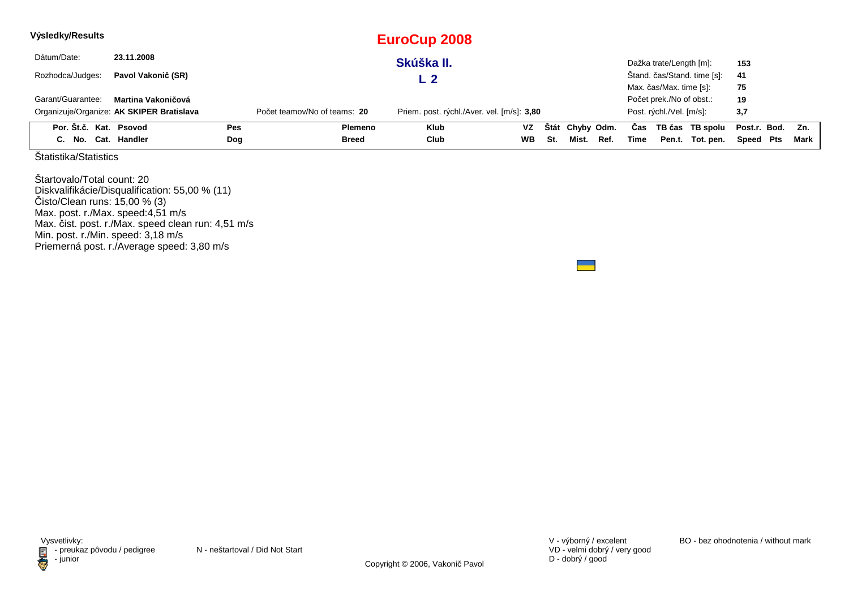| Výsledky/Results       |                                           |            |                              | EuroCup 2008                               |           |     |                 |      |      |                          |                             |              |      |
|------------------------|-------------------------------------------|------------|------------------------------|--------------------------------------------|-----------|-----|-----------------|------|------|--------------------------|-----------------------------|--------------|------|
| Dátum/Date:            | 23.11.2008                                |            |                              | Skúška II.                                 |           |     |                 |      |      | Dažka trate/Length [m]:  |                             | 153          |      |
| Rozhodca/Judges:       | Pavol Vakonič (SR)                        |            |                              | L 2                                        |           |     |                 |      |      |                          | Štand. čas/Stand. time [s]: | 41           |      |
|                        |                                           |            |                              |                                            |           |     |                 |      |      | Max. čas/Max. time [s]:  |                             | 75           |      |
| Garant/Guarantee:      | Martina Vakoničová                        |            |                              |                                            |           |     |                 |      |      | Počet prek./No of obst.: |                             | 19           |      |
|                        | Organizuje/Organize: AK SKIPER Bratislava |            | Počet teamov/No of teams: 20 | Priem. post. rýchl./Aver. vel. [m/s]: 3,80 |           |     |                 |      |      | Post. rýchl./Vel. [m/s]: |                             | 3,7          |      |
| Por. Št.č. Kat. Psovod |                                           | <b>Pes</b> | Plemeno                      | <b>Klub</b>                                | VZ.       |     | Štát Chyby Odm. |      | Cas  |                          | TB čas TB spolu             | Post.r. Bod. | Zn.  |
| C. No. Cat. Handler    |                                           | Dog        | Breed                        | Club                                       | <b>WB</b> | St. | Mist.           | Ref. | Time |                          | Pen.t. Tot. pen.            | Speed Pts    | Mark |

Štartovalo/Total count: 20 Diskvalifikácie/Disqualification: 55,00 % (11) Čisto/Clean runs: 15,00 % (3) Max. post. r./Max. speed:4,51 m/s Max. čist. post. r./Max. speed clean run: 4,51 m/sMin. post. r./Min. speed: 3,18 m/s Priemerná post. r./Average speed: 3,80 m/s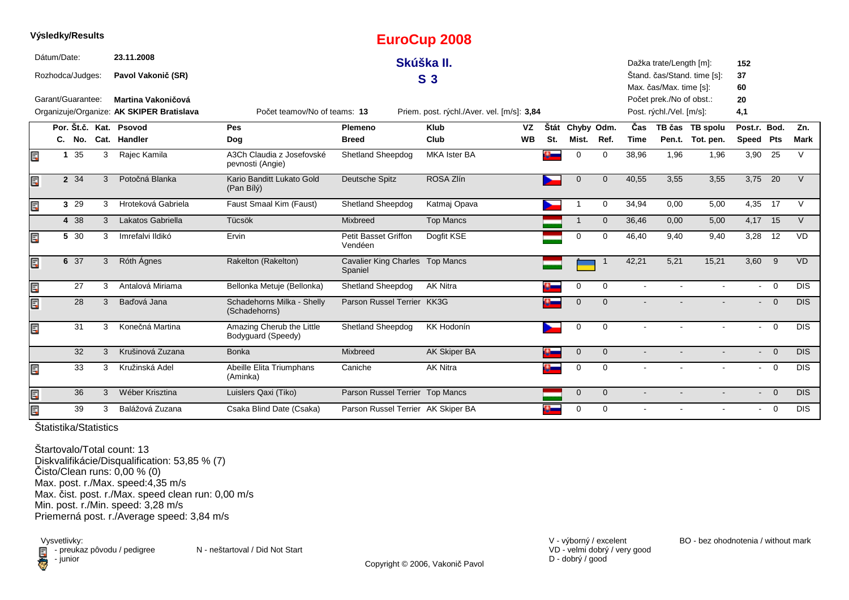|    | vysieaky/Resuits  |         |   |                                           |                                                 |                                            | <b>EuroCup 2008</b>                        |           |      |                |              |                |                          |                             |              |                |             |
|----|-------------------|---------|---|-------------------------------------------|-------------------------------------------------|--------------------------------------------|--------------------------------------------|-----------|------|----------------|--------------|----------------|--------------------------|-----------------------------|--------------|----------------|-------------|
|    | Dátum/Date:       |         |   | 23.11.2008                                |                                                 |                                            | Skúška II.                                 |           |      |                |              |                | Dažka trate/Length [m]:  |                             | 152          |                |             |
|    | Rozhodca/Judges:  |         |   | Pavol Vakonič (SR)                        |                                                 |                                            | S <sub>3</sub>                             |           |      |                |              |                |                          | Štand. čas/Stand. time [s]: | 37           |                |             |
|    |                   |         |   |                                           |                                                 |                                            |                                            |           |      |                |              |                | Max. čas/Max. time [s]:  |                             | 60           |                |             |
|    | Garant/Guarantee: |         |   | Martina Vakoničová                        |                                                 |                                            |                                            |           |      |                |              |                | Počet prek./No of obst.: |                             | 20           |                |             |
|    |                   |         |   | Organizuje/Organize: AK SKIPER Bratislava | Počet teamov/No of teams: 13                    |                                            | Priem. post. rýchl./Aver. vel. [m/s]: 3,84 |           |      |                |              |                | Post. rýchl./Vel. [m/s]: |                             | 4,1          |                |             |
|    |                   |         |   | Por. Št.č. Kat. Psovod                    | Pes                                             | Plemeno                                    | <b>Klub</b>                                | VZ        | Štát | Chyby Odm.     |              | Čas            |                          | TB čas TB spolu             | Post.r. Bod. |                | Zn.         |
|    |                   | C. No.  |   | Cat. Handler                              | Dog                                             | <b>Breed</b>                               | Club                                       | <b>WB</b> | St.  | Mist.          | Ref.         | <b>Time</b>    |                          | Pen.t. Tot. pen.            | Speed Pts    |                | <b>Mark</b> |
| Ę  |                   | 35<br>1 | 3 | Rajec Kamila                              | A3Ch Claudia z Josefovské<br>pevnosti (Angie)   | <b>Shetland Sheepdog</b>                   | <b>MKA Ister BA</b>                        |           |      | $\Omega$       | $\Omega$     | 38,96          | 1,96                     | 1,96                        | 3,90 25      |                | V           |
| Ę  |                   | 2 34    | 3 | Potočná Blanka                            | Kario Banditt Lukato Gold<br>(Pan Bílý)         | Deutsche Spitz                             | ROSA Zlín                                  |           |      | $\mathbf 0$    | $\mathbf 0$  | 40,55          | 3,55                     | 3,55                        | 3,75 20      |                | $\vee$      |
| E  |                   | 3 29    | 3 | Hroteková Gabriela                        | Faust Smaal Kim (Faust)                         | Shetland Sheepdog                          | Katmaj Opava                               |           |      |                | $\Omega$     | 34,94          | 0,00                     | 5,00                        | 4,35         | 17             | $\vee$      |
|    |                   | 4 38    | 3 | Lakatos Gabriella                         | Tücsök                                          | Mixbreed                                   | <b>Top Mancs</b>                           |           |      | 1              | $\Omega$     | 36,46          | 0,00                     | 5,00                        | 4,17 15      |                | $\vee$      |
| Ę  |                   | 5 30    | 3 | Imrefalvi Ildikó                          | Ervin                                           | Petit Basset Griffon<br>Vendéen            | Dogfit KSE                                 |           |      | $\Omega$       | $\Omega$     | 46,40          | 9,40                     | 9,40                        | 3,28         | 12             | <b>VD</b>   |
| Ę  |                   | 6 37    | 3 | Róth Ágnes                                | Rakelton (Rakelton)                             | Cavalier King Charles Top Mancs<br>Spaniel |                                            |           |      |                | -1           | 42,21          | 5,21                     | 15,21                       | 3,60         | 9              | <b>VD</b>   |
| E  |                   | 27      | 3 | Antalová Miriama                          | Bellonka Metuje (Bellonka)                      | <b>Shetland Sheepdog</b>                   | <b>AK Nitra</b>                            |           |      | 0              | $\Omega$     | $\sim$         |                          |                             |              | $- 0$          | <b>DIS</b>  |
| E  |                   | 28      | 3 | Baďová Jana                               | Schadehorns Milka - Shelly<br>(Schadehorns)     | Parson Russel Terrier KK3G                 |                                            |           |      | $\mathbf 0$    | $\Omega$     |                |                          |                             |              | $\overline{0}$ | <b>DIS</b>  |
| Ē. |                   | 31      | 3 | Konečná Martina                           | Amazing Cherub the Little<br>Bodyguard (Speedy) | Shetland Sheepdog                          | KK Hodonín                                 |           |      | $\mathbf 0$    | $\Omega$     | $\sim$         |                          |                             | $\sim$       | $\overline{0}$ | <b>DIS</b>  |
|    |                   | 32      | 3 | Krušinová Zuzana                          | <b>Bonka</b>                                    | Mixbreed                                   | <b>AK Skiper BA</b>                        |           |      | $\mathbf 0$    | $\mathbf{0}$ | $\blacksquare$ |                          |                             |              | $- 0$          | <b>DIS</b>  |
| Ē. |                   | 33      | 3 | Kružinská Adel                            | Abeille Elita Triumphans<br>(Aminka)            | Caniche                                    | <b>AK Nitra</b>                            |           |      | $\mathbf 0$    | $\Omega$     | $\sim$         |                          |                             |              | $- 0$          | <b>DIS</b>  |
| Ę  |                   | 36      | 3 | Wéber Krisztina                           | Luislers Qaxi (Tiko)                            | Parson Russel Terrier Top Mancs            |                                            |           |      | $\overline{0}$ | $\mathbf{0}$ |                |                          |                             |              | $- 0$          | <b>DIS</b>  |
| E. |                   | 39      | 3 | Balážová Zuzana                           | Csaka Blind Date (Csaka)                        | Parson Russel Terrier AK Skiper BA         |                                            |           |      | $\Omega$       | $\Omega$     | $\blacksquare$ |                          | $\blacksquare$              |              | $- 0$          | <b>DIS</b>  |

**Výsledky/Results**

Štartovalo/Total count: 13 Diskvalifikácie/Disqualification: 53,85 % (7)Čisto/Clean runs: 0,00 % (0) Max. post. r./Max. speed:4,35 m/s Max. čist. post. r./Max. speed clean run: 0,00 m/sMin. post. r./Min. speed: 3,28 m/sPriemerná post. r./Average speed: 3,84 m/s

Vysvetlivky:<br> **E** - preuka:<br>
junior  $\blacksquare$  - preukaz pôvodu / pedigree N - neštartoval / Did Not Start - junior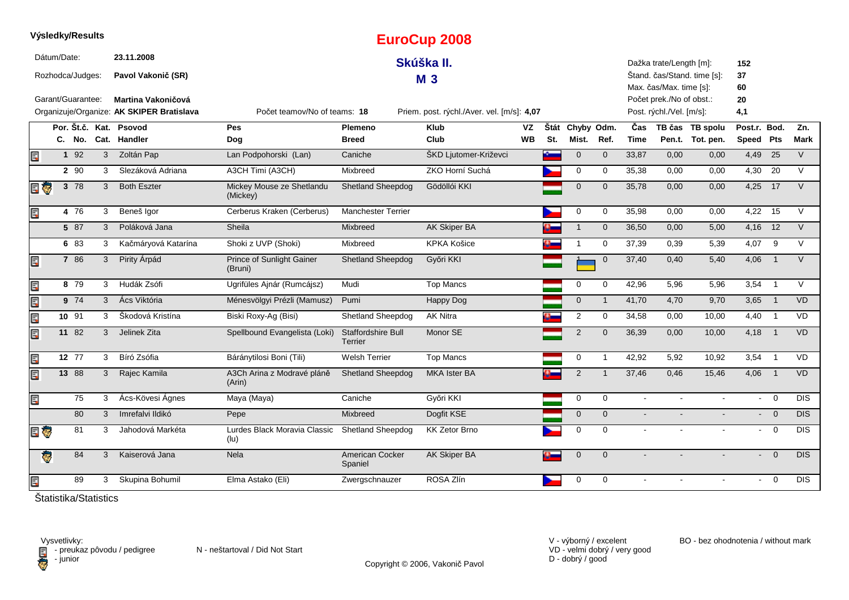|     |             | Výsledky/Results                                       |                |                                                                        |                                       |                               | <b>EuroCup 2008</b>                        |           |     |                 |                |             |                                                                                 |                             |                 |                |            |
|-----|-------------|--------------------------------------------------------|----------------|------------------------------------------------------------------------|---------------------------------------|-------------------------------|--------------------------------------------|-----------|-----|-----------------|----------------|-------------|---------------------------------------------------------------------------------|-----------------------------|-----------------|----------------|------------|
|     | Dátum/Date: | Rozhodca/Judges:                                       |                | 23.11.2008<br>Pavol Vakonič (SR)                                       |                                       |                               | Skúška II.<br><b>M3</b>                    |           |     |                 |                |             | Dažka trate/Length [m]:                                                         | Štand. čas/Stand. time [s]: | 152<br>37       |                |            |
|     |             | Garant/Guarantee:                                      |                | <b>Martina Vakoničová</b><br>Organizuje/Organize: AK SKIPER Bratislava | Počet teamov/No of teams: 18          |                               | Priem. post. rýchl./Aver. vel. [m/s]: 4,07 |           |     |                 |                |             | Max. čas/Max. time [s]:<br>Počet prek./No of obst.:<br>Post. rýchl./Vel. [m/s]: |                             | 60<br>20<br>4,1 |                |            |
|     |             |                                                        |                | Por. Št.č. Kat. Psovod                                                 | Pes                                   | Plemeno                       | <b>Klub</b>                                | VZ        |     | Štát Chyby Odm. |                | Čas         |                                                                                 | TB čas TB spolu             | Post.r. Bod.    |                | Zn.        |
|     |             | C. No.                                                 |                | Cat. Handler                                                           | Dog                                   | <b>Breed</b>                  | Club                                       | <b>WB</b> | St. | Mist.           | Ref.           | <b>Time</b> |                                                                                 | Pen.t. Tot. pen.            | Speed Pts       |                | Mark       |
| E   |             | 1 92                                                   | 3              | Zoltán Pap                                                             | Lan Podpohorski (Lan)                 | Caniche                       | ŠKD Ljutomer-Križevci                      |           |     | $\mathbf 0$     | $\mathbf{0}$   | 33,87       | 0,00                                                                            | 0,00                        | 4,49 25         |                | $\vee$     |
|     |             | 2 90                                                   | 3              | Slezáková Adriana                                                      | A3CH Timi (A3CH)                      | Mixbreed                      | ZKO Horní Suchá                            |           |     | 0               | 0              | 35,38       | 0,00                                                                            | 0,00                        | 4,30            | 20             | $\vee$     |
| e o |             | $3 \t78$                                               | 3              | <b>Both Eszter</b>                                                     | Mickey Mouse ze Shetlandu<br>(Mickey) | <b>Shetland Sheepdog</b>      | Gödöllói KKI                               |           |     | $\mathbf 0$     | $\mathbf{0}$   | 35,78       | 0,00                                                                            | 0,00                        | 4,25 17         |                | $\vee$     |
| Ę   |             | 4 76                                                   | 3              | Beneš Igor                                                             | Cerberus Kraken (Cerberus)            | <b>Manchester Terrier</b>     |                                            |           |     | 0               | $\mathbf 0$    | 35,98       | 0,00                                                                            | 0,00                        | 4,22            | 15             | $\vee$     |
|     |             | 5 87                                                   | 3              | Poláková Jana                                                          | Sheila                                | <b>Mixbreed</b>               | <b>AK Skiper BA</b>                        |           |     | $\mathbf 1$     | $\mathbf 0$    | 36,50       | 0,00                                                                            | 5,00                        | 4,16 12         |                | $\vee$     |
|     |             | 6 83                                                   | 3              | Kačmáryová Katarína                                                    | Shoki z UVP (Shoki)                   | Mixbreed                      | <b>KPKA Košice</b>                         |           |     | 1               | $\mathbf 0$    | 37,39       | 0,39                                                                            | 5,39                        | 4,07            | 9              | $\vee$     |
| Ę   |             | 7 86                                                   | 3              | Pirity Árpád                                                           | Prince of Sunlight Gainer<br>(Bruni)  | <b>Shetland Sheepdog</b>      | Győri KKI                                  |           |     |                 | $\mathbf 0$    | 37,40       | 0,40                                                                            | 5,40                        | 4,06            | $\overline{1}$ | $\vee$     |
| Ę   |             | 8 79                                                   | 3              | Hudák Zsófi                                                            | Ugrifüles Ajnár (Rumcájsz)            | Mudi                          | <b>Top Mancs</b>                           |           |     | 0               | $\mathbf 0$    | 42,96       | 5,96                                                                            | 5,96                        | 3,54            | $\overline{1}$ | $\vee$     |
| E   |             | $9 \t74$                                               | 3 <sup>1</sup> | Ács Viktória                                                           | Ménesvölgyi Prézli (Mamusz)           | Pumi                          | Happy Dog                                  |           |     | $\overline{0}$  | $\mathbf{1}$   | 41,70       | 4,70                                                                            | 9,70                        | $3,65$ 1        |                | VD         |
| E   |             | 10 91                                                  | 3              | Škodová Kristína                                                       | Biski Roxy-Ag (Bisi)                  | Shetland Sheepdog             | <b>AK Nitra</b>                            |           |     | $\overline{2}$  | $\mathbf 0$    | 34,58       | 0,00                                                                            | 10,00                       | 4,40            | $\overline{1}$ | <b>VD</b>  |
| Ę   |             | 11 82                                                  | 3 <sup>1</sup> | Jelinek Zita                                                           | Spellbound Evangelista (Loki)         | Staffordshire Bull<br>Terrier | Monor SE                                   |           |     | $\overline{2}$  | $\mathbf 0$    | 36,39       | 0,00                                                                            | 10,00                       | 4,18 1          |                | VD         |
| Ę   |             | 12 77                                                  | 3              | Bíró Zsófia                                                            | Báránytilosi Boni (Tili)              | <b>Welsh Terrier</b>          | <b>Top Mancs</b>                           |           |     | 0               | $\mathbf{1}$   | 42,92       | 5,92                                                                            | 10,92                       | 3,54            | $\overline{1}$ | VD         |
| E   |             | 13 88                                                  | 3              | Rajec Kamila                                                           | A3Ch Arina z Modravé pláně<br>(Arin)  | <b>Shetland Sheepdog</b>      | <b>MKA Ister BA</b>                        |           |     | 2               | $\overline{1}$ | 37,46       | 0,46                                                                            | 15,46                       | 4,06            | $\overline{1}$ | VD         |
| Ē.  |             | 75                                                     | 3              | Ács-Kövesi Ágnes                                                       | Maya (Maya)                           | Caniche                       | Győri KKI                                  |           |     | $\mathbf 0$     | $\Omega$       | $\sim$      |                                                                                 |                             | $\sim$          | $\Omega$       | <b>DIS</b> |
|     |             | 80                                                     | 3              | Imrefalvi Ildikó                                                       | Pepe                                  | Mixbreed                      | Dogfit KSE                                 |           |     | $\mathbf 0$     | $\mathbf{0}$   | $\sim$      |                                                                                 |                             |                 | $- 0$          | <b>DIS</b> |
| E G |             | 81                                                     | 3              | Jahodová Markéta                                                       | Lurdes Black Moravia Classic<br>(lu)  | <b>Shetland Sheepdog</b>      | <b>KK Zetor Brno</b>                       |           |     | $\mathbf 0$     | 0              | $\sim$      |                                                                                 |                             | $\sim$          | $\mathbf 0$    | <b>DIS</b> |
|     | ą.          | 84                                                     | 3              | Kaiserová Jana                                                         | <b>Nela</b>                           | American Cocker<br>Spaniel    | AK Skiper BA                               |           | o.  | $\mathbf 0$     | $\mathbf{0}$   |             |                                                                                 |                             | $\blacksquare$  | $\overline{0}$ | DIS.       |
| E   |             | 89                                                     | 3              | Skupina Bohumil                                                        | Elma Astako (Eli)                     | Zwergschnauzer                | ROSA Zlín                                  |           |     | 0               | $\mathbf 0$    |             |                                                                                 |                             | $\blacksquare$  | $\mathbf 0$    | <b>DIS</b> |
|     |             | $\delta t$ at $t$ is the following the set of $\delta$ |                |                                                                        |                                       |                               |                                            |           |     |                 |                |             |                                                                                 |                             |                 |                |            |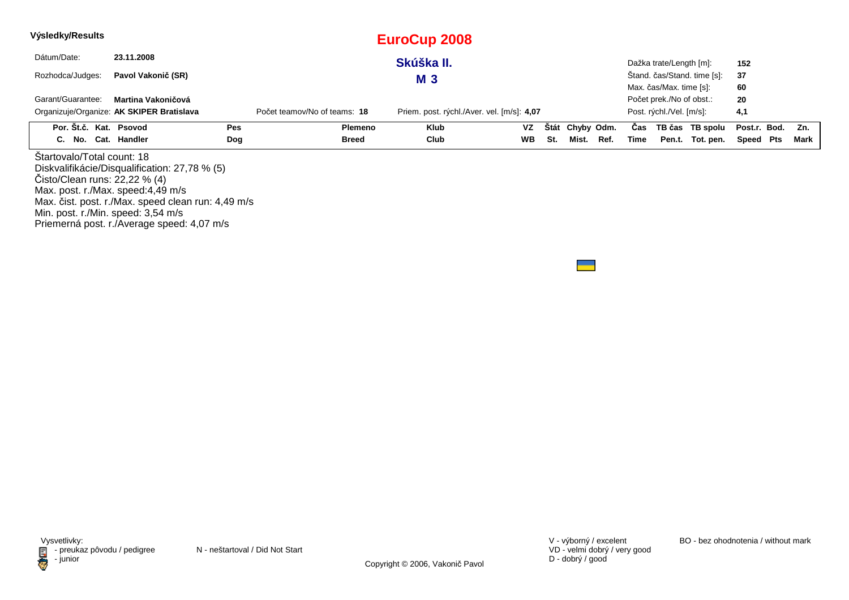| Výsledky/Results  |  |                                                                                           |     |                              | EuroCup 2008                               |           |     |                 |      |      |                          |                             |              |     |      |
|-------------------|--|-------------------------------------------------------------------------------------------|-----|------------------------------|--------------------------------------------|-----------|-----|-----------------|------|------|--------------------------|-----------------------------|--------------|-----|------|
| Dátum/Date:       |  | 23.11.2008                                                                                |     |                              | Skúška II.                                 |           |     |                 |      |      | Dažka trate/Length [m]:  |                             | 152          |     |      |
| Rozhodca/Judges:  |  | Pavol Vakonič (SR)                                                                        |     |                              | <b>M3</b>                                  |           |     |                 |      |      |                          | Stand. čas/Stand. time [s]: | 37           |     |      |
|                   |  |                                                                                           |     |                              |                                            |           |     |                 |      |      | Max. čas/Max. time [s]:  |                             | 60           |     |      |
| Garant/Guarantee: |  | Martina Vakoničová                                                                        |     |                              |                                            |           |     |                 |      |      | Počet prek./No of obst.: |                             | 20           |     |      |
|                   |  | Organizuje/Organize: AK SKIPER Bratislava                                                 |     | Počet teamov/No of teams: 18 | Priem. post. rýchl./Aver. vel. [m/s]: 4,07 |           |     |                 |      |      | Post. rýchl./Vel. [m/s]: |                             | 4,1          |     |      |
|                   |  | Por. Št.č. Kat. Psovod                                                                    | Pes | <b>Plemeno</b>               | Klub                                       | <b>VZ</b> |     | Štát Chyby Odm. |      | Cas  |                          | TB čas TB spolu             | Post.r. Bod. |     | Zn.  |
|                   |  | C. No. Cat. Handler                                                                       | Dog | Breed                        | Club                                       | <b>WB</b> | St. | Mist.           | Ref. | Time |                          | Pen.t. Tot. pen.            | Speed        | Pts | Mark |
|                   |  | Startovalo/Total count: 18                                                                |     |                              |                                            |           |     |                 |      |      |                          |                             |              |     |      |
|                   |  | Diskvalifikácie/Disqualification: 27,78 % (5)<br>$\text{Cisto/Clean runs: } 22,22 \% (4)$ |     |                              |                                            |           |     |                 |      |      |                          |                             |              |     |      |
|                   |  |                                                                                           |     |                              |                                            |           |     |                 |      |      |                          |                             |              |     |      |
|                   |  | Max. post. r./Max. speed:4,49 m/s                                                         |     |                              |                                            |           |     |                 |      |      |                          |                             |              |     |      |

Min. post. r./Min. speed: 3,54 m/s

Priemerná post. r./Average speed: 4,07 m/s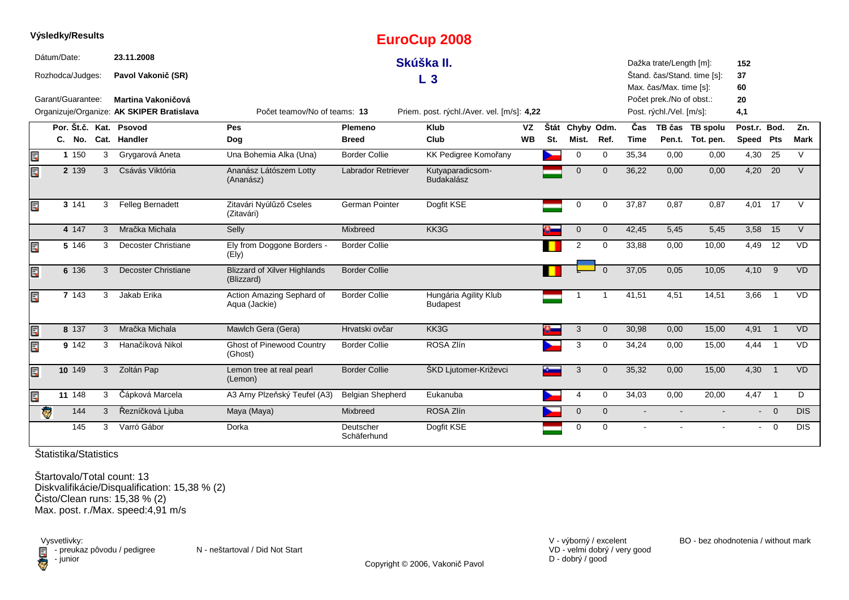|    | Výsledky/Results                |   |                                                                 |                                                                            |                          | <b>EuroCup 2008</b>                      |           |      |                |              |             |                                                      |                             |                 |                |            |
|----|---------------------------------|---|-----------------------------------------------------------------|----------------------------------------------------------------------------|--------------------------|------------------------------------------|-----------|------|----------------|--------------|-------------|------------------------------------------------------|-----------------------------|-----------------|----------------|------------|
|    | Dátum/Date:<br>Rozhodca/Judges: |   | 23.11.2008<br>Pavol Vakonič (SR)                                | Skúška II.<br>$L_3$                                                        |                          |                                          |           |      |                |              |             | Dažka trate/Length [m]:<br>Max. čas/Max. time [s]:   | Štand. čas/Stand. time [s]: | 152<br>37<br>60 |                |            |
|    | Garant/Guarantee:               |   | Martina Vakoničová<br>Organizuje/Organize: AK SKIPER Bratislava | Počet teamov/No of teams: 13<br>Priem. post. rýchl./Aver. vel. [m/s]: 4,22 |                          |                                          |           |      |                |              |             | Počet prek./No of obst.:<br>Post. rýchl./Vel. [m/s]: |                             | 20<br>4,1       |                |            |
|    | Por. Št.č. Kat.                 |   | Psovod                                                          | Pes                                                                        | <b>Plemeno</b>           | Klub                                     | <b>VZ</b> | Štát | Chyby Odm.     |              | Čas         |                                                      | TB čas TB spolu             | Post.r. Bod.    |                | Zn.        |
|    |                                 |   | C. No. Cat. Handler                                             | Dog                                                                        | <b>Breed</b>             | Club                                     | <b>WB</b> | St.  | Mist.          | Ref.         | <b>Time</b> |                                                      | Pen.t. Tot. pen.            | Speed Pts       |                | Mark       |
| E  | 1 150                           |   | Grygarová Aneta<br>3                                            | Una Bohemia Alka (Una)                                                     | <b>Border Collie</b>     | KK Pedigree Komořany                     |           |      | 0              | $\mathbf 0$  | 35,34       | 0,00                                                 | 0,00                        | 4,30            | 25             | $\vee$     |
| Ę  | 2 139                           | 3 | Csávás Viktória                                                 | Ananász Látószem Lotty<br>(Ananász)                                        | Labrador Retriever       | Kutyaparadicsom-<br><b>Budakalász</b>    |           |      | $\mathbf 0$    | $\Omega$     | 36,22       | 0,00                                                 | 0,00                        | 4,20 20         |                | $\vee$     |
| Ę  | 3 141                           | 3 | Felleg Bernadett                                                | Zitavári Nyúlűző Cseles<br>(Zitavári)                                      | German Pointer           | Dogfit KSE                               |           |      | 0              | 0            | 37,87       | 0,87                                                 | 0,87                        | 4,01 17         |                | $\vee$     |
|    | 4 147                           | 3 | Mračka Michala                                                  | Selly                                                                      | Mixbreed                 | KK3G                                     |           |      | $\mathbf 0$    | $\mathbf{0}$ | 42,45       | 5,45                                                 | 5,45                        | 3,58            | 15             | $\vee$     |
| Ē. | 5 146                           | 3 | <b>Decoster Christiane</b>                                      | Ely from Doggone Borders -<br>(Ely)                                        | <b>Border Collie</b>     |                                          |           |      | $\overline{2}$ | 0            | 33,88       | 0,00                                                 | 10,00                       | 4,49            | 12             | <b>VD</b>  |
| Ę  | 6 136                           | 3 | Decoster Christiane                                             | <b>Blizzard of Xilver Highlands</b><br>(Blizzard)                          | <b>Border Collie</b>     |                                          |           |      |                |              | 37,05       | 0,05                                                 | 10,05                       | $4,10$ 9        |                | <b>VD</b>  |
| E  | 7 143                           | 3 | Jakab Erika                                                     | Action Amazing Sephard of<br>Aqua (Jackie)                                 | <b>Border Collie</b>     | Hungária Agility Klub<br><b>Budapest</b> |           |      |                |              | 41,51       | 4,51                                                 | 14,51                       | 3,66            | $\overline{1}$ | <b>VD</b>  |
| Ę  | 8 137                           | 3 | Mračka Michala                                                  | Mawlch Gera (Gera)                                                         | Hrvatski ovčar           | KK3G                                     |           |      | 3              | $\mathbf{0}$ | 30,98       | 0,00                                                 | 15,00                       | 4,91 1          |                | <b>VD</b>  |
| Ę  | 9 142                           | 3 | Hanačíková Nikol                                                | <b>Ghost of Pinewood Country</b><br>(Ghost)                                | <b>Border Collie</b>     | ROSA Zlín                                |           |      | 3              | $\mathbf 0$  | 34,24       | 0,00                                                 | 15,00                       | 4,44            | $\overline{1}$ | <b>VD</b>  |
| Ę  | 10 149                          |   | Zoltán Pap<br>$\mathbf{3}$                                      | Lemon tree at real pearl<br>(Lemon)                                        | <b>Border Collie</b>     | ŠKD Ljutomer-Križevci                    |           |      | 3              | $\Omega$     | 35.32       | 0.00                                                 | 15.00                       | 4.30            | $\overline{1}$ | <b>VD</b>  |
| E  | 11 148                          | 3 | Čápková Marcela                                                 | A3 Arny Plzeňský Teufel (A3)                                               | <b>Belgian Shepherd</b>  | Eukanuba                                 |           |      | 4              | 0            | 34,03       | 0,00                                                 | 20,00                       | $4,47$ 1        |                | D          |
|    | $\overline{\mathbf{e}}$<br>144  | 3 | Řezníčková Ljuba                                                | Maya (Maya)                                                                | Mixbreed                 | ROSA Zlín                                |           |      | $\mathbf 0$    | $\Omega$     |             |                                                      |                             |                 | $\overline{0}$ | <b>DIS</b> |
|    | 145                             | 3 | Varró Gábor                                                     | Dorka                                                                      | Deutscher<br>Schäferhund | Dogfit KSE                               |           |      | 0              | $\Omega$     |             |                                                      |                             | $\sim$          | $\overline{0}$ | <b>DIS</b> |

Štartovalo/Total count: 13 Diskvalifikácie/Disqualification: 15,38 % (2) Čisto/Clean runs: 15,38 % (2)Max. post. r./Max. speed:4,91 m/s

Vysvetlivky:<br>⊟ - preukaz pôvodu / pedigree N - neštartoval / Did Not Start Filmion

Copyright © 2006, Vakonič Pavol